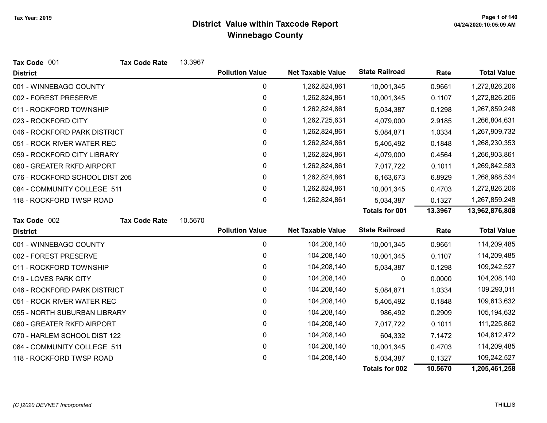| Tax Code 001                   | <b>Tax Code Rate</b> | 13.3967 |                        |                          |                       |         |                    |
|--------------------------------|----------------------|---------|------------------------|--------------------------|-----------------------|---------|--------------------|
| <b>District</b>                |                      |         | <b>Pollution Value</b> | <b>Net Taxable Value</b> | <b>State Railroad</b> | Rate    | <b>Total Value</b> |
| 001 - WINNEBAGO COUNTY         |                      |         | 0                      | 1,262,824,861            | 10,001,345            | 0.9661  | 1,272,826,206      |
| 002 - FOREST PRESERVE          |                      |         | 0                      | 1,262,824,861            | 10,001,345            | 0.1107  | 1,272,826,206      |
| 011 - ROCKFORD TOWNSHIP        |                      |         | 0                      | 1,262,824,861            | 5,034,387             | 0.1298  | 1,267,859,248      |
| 023 - ROCKFORD CITY            |                      |         | 0                      | 1,262,725,631            | 4,079,000             | 2.9185  | 1,266,804,631      |
| 046 - ROCKFORD PARK DISTRICT   |                      |         | 0                      | 1,262,824,861            | 5,084,871             | 1.0334  | 1,267,909,732      |
| 051 - ROCK RIVER WATER REC     |                      |         | 0                      | 1,262,824,861            | 5,405,492             | 0.1848  | 1,268,230,353      |
| 059 - ROCKFORD CITY LIBRARY    |                      |         | 0                      | 1,262,824,861            | 4,079,000             | 0.4564  | 1,266,903,861      |
| 060 - GREATER RKFD AIRPORT     |                      |         | 0                      | 1,262,824,861            | 7,017,722             | 0.1011  | 1,269,842,583      |
| 076 - ROCKFORD SCHOOL DIST 205 |                      |         | 0                      | 1,262,824,861            | 6,163,673             | 6.8929  | 1,268,988,534      |
| 084 - COMMUNITY COLLEGE 511    |                      |         | 0                      | 1,262,824,861            | 10,001,345            | 0.4703  | 1,272,826,206      |
| 118 - ROCKFORD TWSP ROAD       |                      |         | 0                      | 1,262,824,861            | 5,034,387             | 0.1327  | 1,267,859,248      |
|                                |                      |         |                        |                          | <b>Totals for 001</b> | 13.3967 | 13,962,876,808     |
| Tax Code 002                   | <b>Tax Code Rate</b> | 10.5670 |                        |                          |                       |         |                    |
| <b>District</b>                |                      |         | <b>Pollution Value</b> | <b>Net Taxable Value</b> | <b>State Railroad</b> | Rate    | <b>Total Value</b> |
| 001 - WINNEBAGO COUNTY         |                      |         | 0                      | 104,208,140              | 10,001,345            | 0.9661  | 114,209,485        |
| 002 - FOREST PRESERVE          |                      |         | $\mathbf 0$            | 104,208,140              | 10,001,345            | 0.1107  | 114,209,485        |
| 011 - ROCKFORD TOWNSHIP        |                      |         | 0                      | 104,208,140              | 5,034,387             | 0.1298  | 109,242,527        |
| 019 - LOVES PARK CITY          |                      |         | 0                      | 104,208,140              | 0                     | 0.0000  | 104,208,140        |
| 046 - ROCKFORD PARK DISTRICT   |                      |         | 0                      | 104,208,140              | 5,084,871             | 1.0334  | 109,293,011        |
| 051 - ROCK RIVER WATER REC     |                      |         | 0                      | 104,208,140              | 5,405,492             | 0.1848  | 109,613,632        |
| 055 - NORTH SUBURBAN LIBRARY   |                      |         | 0                      | 104,208,140              | 986,492               | 0.2909  | 105,194,632        |
| 060 - GREATER RKFD AIRPORT     |                      |         | 0                      | 104,208,140              | 7,017,722             | 0.1011  | 111,225,862        |
| 070 - HARLEM SCHOOL DIST 122   |                      |         | $\pmb{0}$              | 104,208,140              | 604,332               | 7.1472  | 104,812,472        |
| 084 - COMMUNITY COLLEGE 511    |                      |         | 0                      | 104,208,140              | 10,001,345            | 0.4703  | 114,209,485        |
| 118 - ROCKFORD TWSP ROAD       |                      |         | 0                      | 104,208,140              | 5,034,387             | 0.1327  | 109,242,527        |
|                                |                      |         |                        |                          | <b>Totals for 002</b> | 10.5670 | 1,205,461,258      |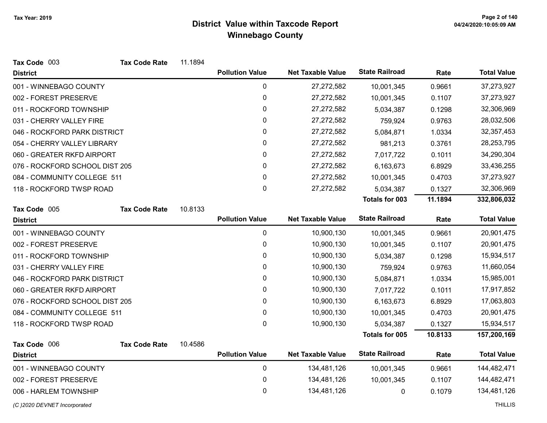| Tax Code 003                   | <b>Tax Code Rate</b> | 11.1894 |                        |                          |                       |         |                    |
|--------------------------------|----------------------|---------|------------------------|--------------------------|-----------------------|---------|--------------------|
| <b>District</b>                |                      |         | <b>Pollution Value</b> | <b>Net Taxable Value</b> | <b>State Railroad</b> | Rate    | <b>Total Value</b> |
| 001 - WINNEBAGO COUNTY         |                      |         | 0                      | 27,272,582               | 10,001,345            | 0.9661  | 37,273,927         |
| 002 - FOREST PRESERVE          |                      |         | $\boldsymbol{0}$       | 27,272,582               | 10,001,345            | 0.1107  | 37,273,927         |
| 011 - ROCKFORD TOWNSHIP        |                      |         | 0                      | 27,272,582               | 5,034,387             | 0.1298  | 32,306,969         |
| 031 - CHERRY VALLEY FIRE       |                      |         | $\pmb{0}$              | 27,272,582               | 759,924               | 0.9763  | 28,032,506         |
| 046 - ROCKFORD PARK DISTRICT   |                      |         | $\pmb{0}$              | 27,272,582               | 5,084,871             | 1.0334  | 32, 357, 453       |
| 054 - CHERRY VALLEY LIBRARY    |                      |         | $\pmb{0}$              | 27,272,582               | 981,213               | 0.3761  | 28,253,795         |
| 060 - GREATER RKFD AIRPORT     |                      |         | 0                      | 27,272,582               | 7,017,722             | 0.1011  | 34,290,304         |
| 076 - ROCKFORD SCHOOL DIST 205 |                      |         | 0                      | 27,272,582               | 6,163,673             | 6.8929  | 33,436,255         |
| 084 - COMMUNITY COLLEGE 511    |                      |         | 0                      | 27,272,582               | 10,001,345            | 0.4703  | 37,273,927         |
| 118 - ROCKFORD TWSP ROAD       |                      |         | $\mathbf 0$            | 27,272,582               | 5,034,387             | 0.1327  | 32,306,969         |
|                                |                      |         |                        |                          | Totals for 003        | 11.1894 | 332,806,032        |
| Tax Code 005                   | <b>Tax Code Rate</b> | 10.8133 |                        |                          |                       |         |                    |
| <b>District</b>                |                      |         | <b>Pollution Value</b> | <b>Net Taxable Value</b> | <b>State Railroad</b> | Rate    | <b>Total Value</b> |
| 001 - WINNEBAGO COUNTY         |                      |         | 0                      | 10,900,130               | 10,001,345            | 0.9661  | 20,901,475         |
| 002 - FOREST PRESERVE          |                      |         | $\pmb{0}$              | 10,900,130               | 10,001,345            | 0.1107  | 20,901,475         |
| 011 - ROCKFORD TOWNSHIP        |                      |         | 0                      | 10,900,130               | 5,034,387             | 0.1298  | 15,934,517         |
| 031 - CHERRY VALLEY FIRE       |                      |         | $\pmb{0}$              | 10,900,130               | 759,924               | 0.9763  | 11,660,054         |
| 046 - ROCKFORD PARK DISTRICT   |                      |         | 0                      | 10,900,130               | 5,084,871             | 1.0334  | 15,985,001         |
| 060 - GREATER RKFD AIRPORT     |                      |         | 0                      | 10,900,130               | 7,017,722             | 0.1011  | 17,917,852         |
| 076 - ROCKFORD SCHOOL DIST 205 |                      |         | 0                      | 10,900,130               | 6,163,673             | 6.8929  | 17,063,803         |
| 084 - COMMUNITY COLLEGE 511    |                      |         | $\pmb{0}$              | 10,900,130               | 10,001,345            | 0.4703  | 20,901,475         |
| 118 - ROCKFORD TWSP ROAD       |                      |         | 0                      | 10,900,130               | 5,034,387             | 0.1327  | 15,934,517         |
|                                |                      |         |                        |                          | Totals for 005        | 10.8133 | 157,200,169        |
| Tax Code 006                   | <b>Tax Code Rate</b> | 10.4586 |                        |                          |                       |         |                    |
| <b>District</b>                |                      |         | <b>Pollution Value</b> | <b>Net Taxable Value</b> | <b>State Railroad</b> | Rate    | <b>Total Value</b> |
| 001 - WINNEBAGO COUNTY         |                      |         | $\mathbf 0$            | 134,481,126              | 10,001,345            | 0.9661  | 144,482,471        |
| 002 - FOREST PRESERVE          |                      |         | $\mathbf 0$            | 134,481,126              | 10,001,345            | 0.1107  | 144,482,471        |
| 006 - HARLEM TOWNSHIP          |                      |         | $\boldsymbol{0}$       | 134,481,126              | 0                     | 0.1079  | 134,481,126        |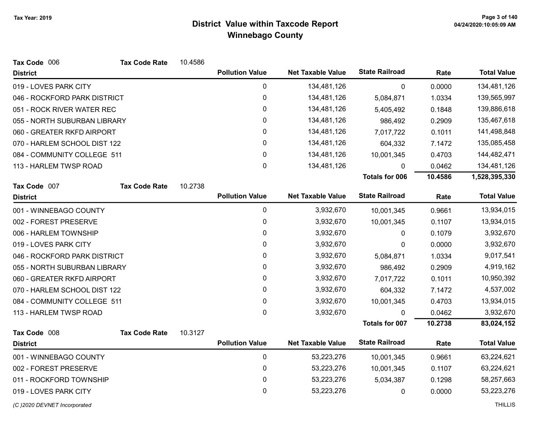| Tax Code 006                 | <b>Tax Code Rate</b> | 10.4586 |                        |                          |                       |         |                    |
|------------------------------|----------------------|---------|------------------------|--------------------------|-----------------------|---------|--------------------|
| <b>District</b>              |                      |         | <b>Pollution Value</b> | <b>Net Taxable Value</b> | <b>State Railroad</b> | Rate    | <b>Total Value</b> |
| 019 - LOVES PARK CITY        |                      |         | 0                      | 134,481,126              | 0                     | 0.0000  | 134,481,126        |
| 046 - ROCKFORD PARK DISTRICT |                      |         | 0                      | 134,481,126              | 5,084,871             | 1.0334  | 139,565,997        |
| 051 - ROCK RIVER WATER REC   |                      |         | 0                      | 134,481,126              | 5,405,492             | 0.1848  | 139,886,618        |
| 055 - NORTH SUBURBAN LIBRARY |                      |         | 0                      | 134,481,126              | 986,492               | 0.2909  | 135,467,618        |
| 060 - GREATER RKFD AIRPORT   |                      |         | 0                      | 134,481,126              | 7,017,722             | 0.1011  | 141,498,848        |
| 070 - HARLEM SCHOOL DIST 122 |                      |         | 0                      | 134,481,126              | 604,332               | 7.1472  | 135,085,458        |
| 084 - COMMUNITY COLLEGE 511  |                      |         | $\mathbf 0$            | 134,481,126              | 10,001,345            | 0.4703  | 144,482,471        |
| 113 - HARLEM TWSP ROAD       |                      |         | 0                      | 134,481,126              | 0                     | 0.0462  | 134,481,126        |
|                              |                      |         |                        |                          | <b>Totals for 006</b> | 10.4586 | 1,528,395,330      |
| Tax Code 007                 | <b>Tax Code Rate</b> | 10.2738 |                        |                          |                       |         |                    |
| <b>District</b>              |                      |         | <b>Pollution Value</b> | <b>Net Taxable Value</b> | <b>State Railroad</b> | Rate    | <b>Total Value</b> |
| 001 - WINNEBAGO COUNTY       |                      |         | $\mathbf 0$            | 3,932,670                | 10,001,345            | 0.9661  | 13,934,015         |
| 002 - FOREST PRESERVE        |                      |         | 0                      | 3,932,670                | 10,001,345            | 0.1107  | 13,934,015         |
| 006 - HARLEM TOWNSHIP        |                      |         | 0                      | 3,932,670                | 0                     | 0.1079  | 3,932,670          |
| 019 - LOVES PARK CITY        |                      |         | 0                      | 3,932,670                | 0                     | 0.0000  | 3,932,670          |
| 046 - ROCKFORD PARK DISTRICT |                      |         | 0                      | 3,932,670                | 5,084,871             | 1.0334  | 9,017,541          |
| 055 - NORTH SUBURBAN LIBRARY |                      |         | 0                      | 3,932,670                | 986,492               | 0.2909  | 4,919,162          |
| 060 - GREATER RKFD AIRPORT   |                      |         | 0                      | 3,932,670                | 7,017,722             | 0.1011  | 10,950,392         |
| 070 - HARLEM SCHOOL DIST 122 |                      |         | 0                      | 3,932,670                | 604,332               | 7.1472  | 4,537,002          |
| 084 - COMMUNITY COLLEGE 511  |                      |         | $\mathbf 0$            | 3,932,670                | 10,001,345            | 0.4703  | 13,934,015         |
| 113 - HARLEM TWSP ROAD       |                      |         | $\mathbf 0$            | 3,932,670                | 0                     | 0.0462  | 3,932,670          |
|                              |                      |         |                        |                          | <b>Totals for 007</b> | 10.2738 | 83,024,152         |
| Tax Code 008                 | <b>Tax Code Rate</b> | 10.3127 |                        |                          |                       |         |                    |
| <b>District</b>              |                      |         | <b>Pollution Value</b> | <b>Net Taxable Value</b> | <b>State Railroad</b> | Rate    | <b>Total Value</b> |
| 001 - WINNEBAGO COUNTY       |                      |         | $\mathbf 0$            | 53,223,276               | 10,001,345            | 0.9661  | 63,224,621         |
| 002 - FOREST PRESERVE        |                      |         | 0                      | 53,223,276               | 10,001,345            | 0.1107  | 63,224,621         |
| 011 - ROCKFORD TOWNSHIP      |                      |         | 0                      | 53,223,276               | 5,034,387             | 0.1298  | 58,257,663         |
| 019 - LOVES PARK CITY        |                      |         | $\mathbf 0$            | 53,223,276               | 0                     | 0.0000  | 53,223,276         |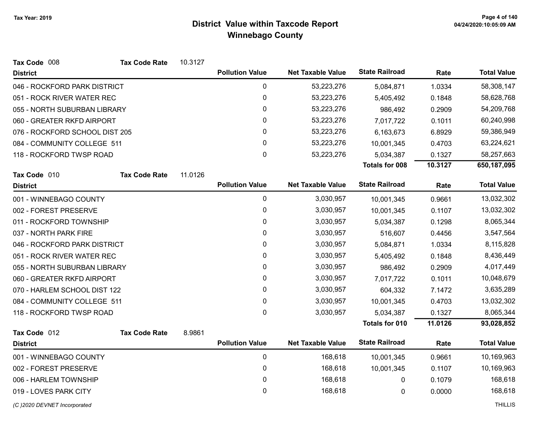| Tax Code 008                   | <b>Tax Code Rate</b> | 10.3127 |                        |                          |                       |         |                    |
|--------------------------------|----------------------|---------|------------------------|--------------------------|-----------------------|---------|--------------------|
| <b>District</b>                |                      |         | <b>Pollution Value</b> | <b>Net Taxable Value</b> | <b>State Railroad</b> | Rate    | <b>Total Value</b> |
| 046 - ROCKFORD PARK DISTRICT   |                      |         | 0                      | 53,223,276               | 5,084,871             | 1.0334  | 58,308,147         |
| 051 - ROCK RIVER WATER REC     |                      |         | 0                      | 53,223,276               | 5,405,492             | 0.1848  | 58,628,768         |
| 055 - NORTH SUBURBAN LIBRARY   |                      |         | 0                      | 53,223,276               | 986,492               | 0.2909  | 54,209,768         |
| 060 - GREATER RKFD AIRPORT     |                      |         | 0                      | 53,223,276               | 7,017,722             | 0.1011  | 60,240,998         |
| 076 - ROCKFORD SCHOOL DIST 205 |                      |         | 0                      | 53,223,276               | 6,163,673             | 6.8929  | 59,386,949         |
| 084 - COMMUNITY COLLEGE 511    |                      |         | 0                      | 53,223,276               | 10,001,345            | 0.4703  | 63,224,621         |
| 118 - ROCKFORD TWSP ROAD       |                      |         | 0                      | 53,223,276               | 5,034,387             | 0.1327  | 58,257,663         |
|                                |                      |         |                        |                          | <b>Totals for 008</b> | 10.3127 | 650,187,095        |
| Tax Code 010                   | <b>Tax Code Rate</b> | 11.0126 |                        |                          |                       |         |                    |
| <b>District</b>                |                      |         | <b>Pollution Value</b> | <b>Net Taxable Value</b> | <b>State Railroad</b> | Rate    | <b>Total Value</b> |
| 001 - WINNEBAGO COUNTY         |                      |         | $\mathbf 0$            | 3,030,957                | 10,001,345            | 0.9661  | 13,032,302         |
| 002 - FOREST PRESERVE          |                      |         | 0                      | 3,030,957                | 10,001,345            | 0.1107  | 13,032,302         |
| 011 - ROCKFORD TOWNSHIP        |                      |         | 0                      | 3,030,957                | 5,034,387             | 0.1298  | 8,065,344          |
| 037 - NORTH PARK FIRE          |                      |         | 0                      | 3,030,957                | 516,607               | 0.4456  | 3,547,564          |
| 046 - ROCKFORD PARK DISTRICT   |                      |         | 0                      | 3,030,957                | 5,084,871             | 1.0334  | 8,115,828          |
| 051 - ROCK RIVER WATER REC     |                      |         | 0                      | 3,030,957                | 5,405,492             | 0.1848  | 8,436,449          |
| 055 - NORTH SUBURBAN LIBRARY   |                      |         | 0                      | 3,030,957                | 986,492               | 0.2909  | 4,017,449          |
| 060 - GREATER RKFD AIRPORT     |                      |         | $\mathbf 0$            | 3,030,957                | 7,017,722             | 0.1011  | 10,048,679         |
| 070 - HARLEM SCHOOL DIST 122   |                      |         | 0                      | 3,030,957                | 604,332               | 7.1472  | 3,635,289          |
| 084 - COMMUNITY COLLEGE 511    |                      |         | $\pmb{0}$              | 3,030,957                | 10,001,345            | 0.4703  | 13,032,302         |
| 118 - ROCKFORD TWSP ROAD       |                      |         | $\mathbf 0$            | 3,030,957                | 5,034,387             | 0.1327  | 8,065,344          |
|                                |                      |         |                        |                          | <b>Totals for 010</b> | 11.0126 | 93,028,852         |
| Tax Code 012                   | <b>Tax Code Rate</b> | 8.9861  |                        |                          |                       |         |                    |
| <b>District</b>                |                      |         | <b>Pollution Value</b> | <b>Net Taxable Value</b> | <b>State Railroad</b> | Rate    | <b>Total Value</b> |
| 001 - WINNEBAGO COUNTY         |                      |         | $\mathbf 0$            | 168,618                  | 10,001,345            | 0.9661  | 10,169,963         |
| 002 - FOREST PRESERVE          |                      |         | 0                      | 168,618                  | 10,001,345            | 0.1107  | 10,169,963         |
| 006 - HARLEM TOWNSHIP          |                      |         | 0                      | 168,618                  | 0                     | 0.1079  | 168,618            |
| 019 - LOVES PARK CITY          |                      |         | $\mathbf{0}$           | 168,618                  | 0                     | 0.0000  | 168,618            |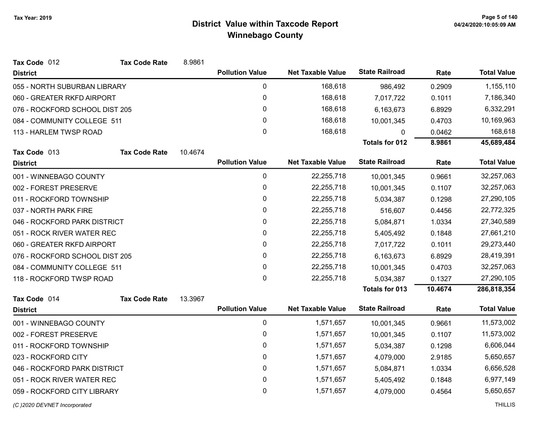| Tax Code 012                   | <b>Tax Code Rate</b>        | 8.9861  |                        |                          |                       |         |                    |
|--------------------------------|-----------------------------|---------|------------------------|--------------------------|-----------------------|---------|--------------------|
| <b>District</b>                |                             |         | <b>Pollution Value</b> | <b>Net Taxable Value</b> | <b>State Railroad</b> | Rate    | <b>Total Value</b> |
| 055 - NORTH SUBURBAN LIBRARY   |                             |         | 0                      | 168,618                  | 986,492               | 0.2909  | 1,155,110          |
| 060 - GREATER RKFD AIRPORT     |                             |         | 0                      | 168,618                  | 7,017,722             | 0.1011  | 7,186,340          |
| 076 - ROCKFORD SCHOOL DIST 205 |                             |         | 0                      | 168,618                  | 6,163,673             | 6.8929  | 6,332,291          |
|                                | 084 - COMMUNITY COLLEGE 511 |         | $\mathbf{0}$           | 168,618                  | 10,001,345            | 0.4703  | 10,169,963         |
| 113 - HARLEM TWSP ROAD         |                             |         | $\mathbf 0$            | 168,618                  | 0                     | 0.0462  | 168,618            |
|                                |                             |         |                        |                          | <b>Totals for 012</b> | 8.9861  | 45,689,484         |
| Tax Code 013                   | <b>Tax Code Rate</b>        | 10.4674 |                        |                          |                       |         |                    |
| <b>District</b>                |                             |         | <b>Pollution Value</b> | <b>Net Taxable Value</b> | <b>State Railroad</b> | Rate    | <b>Total Value</b> |
| 001 - WINNEBAGO COUNTY         |                             |         | 0                      | 22,255,718               | 10,001,345            | 0.9661  | 32,257,063         |
| 002 - FOREST PRESERVE          |                             |         | 0                      | 22,255,718               | 10,001,345            | 0.1107  | 32,257,063         |
| 011 - ROCKFORD TOWNSHIP        |                             |         | 0                      | 22,255,718               | 5,034,387             | 0.1298  | 27,290,105         |
| 037 - NORTH PARK FIRE          |                             |         | 0                      | 22,255,718               | 516,607               | 0.4456  | 22,772,325         |
| 046 - ROCKFORD PARK DISTRICT   |                             |         | 0                      | 22,255,718               | 5,084,871             | 1.0334  | 27,340,589         |
| 051 - ROCK RIVER WATER REC     |                             |         | 0                      | 22,255,718               | 5,405,492             | 0.1848  | 27,661,210         |
| 060 - GREATER RKFD AIRPORT     |                             |         | 0                      | 22,255,718               | 7,017,722             | 0.1011  | 29,273,440         |
| 076 - ROCKFORD SCHOOL DIST 205 |                             |         | 0                      | 22,255,718               | 6,163,673             | 6.8929  | 28,419,391         |
| 084 - COMMUNITY COLLEGE 511    |                             |         | 0                      | 22,255,718               | 10,001,345            | 0.4703  | 32,257,063         |
| 118 - ROCKFORD TWSP ROAD       |                             |         | 0                      | 22,255,718               | 5,034,387             | 0.1327  | 27,290,105         |
|                                |                             |         |                        |                          | Totals for 013        | 10.4674 | 286,818,354        |
| Tax Code 014                   | <b>Tax Code Rate</b>        | 13.3967 |                        |                          |                       |         |                    |
| <b>District</b>                |                             |         | <b>Pollution Value</b> | <b>Net Taxable Value</b> | <b>State Railroad</b> | Rate    | <b>Total Value</b> |
| 001 - WINNEBAGO COUNTY         |                             |         | $\mathbf 0$            | 1,571,657                | 10,001,345            | 0.9661  | 11,573,002         |
| 002 - FOREST PRESERVE          |                             |         | 0                      | 1,571,657                | 10,001,345            | 0.1107  | 11,573,002         |
| 011 - ROCKFORD TOWNSHIP        |                             |         | 0                      | 1,571,657                | 5,034,387             | 0.1298  | 6,606,044          |
| 023 - ROCKFORD CITY            |                             |         | 0                      | 1,571,657                | 4,079,000             | 2.9185  | 5,650,657          |
| 046 - ROCKFORD PARK DISTRICT   |                             |         | 0                      | 1,571,657                | 5,084,871             | 1.0334  | 6,656,528          |
| 051 - ROCK RIVER WATER REC     |                             |         | 0                      | 1,571,657                | 5,405,492             | 0.1848  | 6,977,149          |
| 059 - ROCKFORD CITY LIBRARY    |                             |         | 0                      | 1,571,657                | 4,079,000             | 0.4564  | 5,650,657          |
|                                |                             |         |                        |                          |                       |         |                    |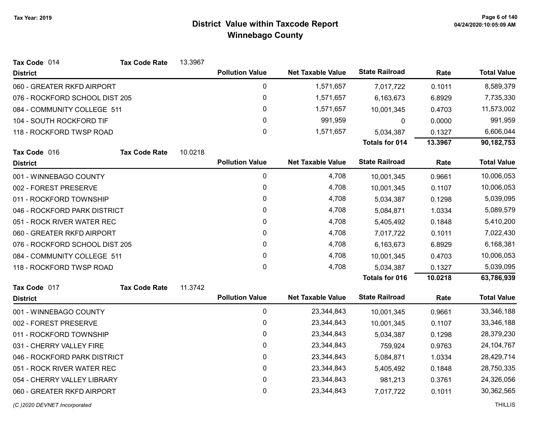| Tax Code 014                   | <b>Tax Code Rate</b> | 13.3967 |                        |                          |                       |         |                    |
|--------------------------------|----------------------|---------|------------------------|--------------------------|-----------------------|---------|--------------------|
| <b>District</b>                |                      |         | <b>Pollution Value</b> | <b>Net Taxable Value</b> | <b>State Railroad</b> | Rate    | <b>Total Value</b> |
| 060 - GREATER RKFD AIRPORT     |                      |         | 0                      | 1,571,657                | 7,017,722             | 0.1011  | 8,589,379          |
| 076 - ROCKFORD SCHOOL DIST 205 |                      |         | 0                      | 1,571,657                | 6,163,673             | 6.8929  | 7,735,330          |
| 084 - COMMUNITY COLLEGE 511    |                      |         | $\mathbf 0$            | 1,571,657                | 10,001,345            | 0.4703  | 11,573,002         |
| 104 - SOUTH ROCKFORD TIF       |                      |         | 0                      | 991,959                  | 0                     | 0.0000  | 991,959            |
| 118 - ROCKFORD TWSP ROAD       |                      |         | $\pmb{0}$              | 1,571,657                | 5,034,387             | 0.1327  | 6,606,044          |
|                                |                      |         |                        |                          | <b>Totals for 014</b> | 13.3967 | 90,182,753         |
| Tax Code 016                   | <b>Tax Code Rate</b> | 10.0218 |                        |                          |                       |         |                    |
| <b>District</b>                |                      |         | <b>Pollution Value</b> | <b>Net Taxable Value</b> | <b>State Railroad</b> | Rate    | <b>Total Value</b> |
| 001 - WINNEBAGO COUNTY         |                      |         | 0                      | 4,708                    | 10,001,345            | 0.9661  | 10,006,053         |
| 002 - FOREST PRESERVE          |                      |         | 0                      | 4,708                    | 10,001,345            | 0.1107  | 10,006,053         |
| 011 - ROCKFORD TOWNSHIP        |                      |         | 0                      | 4,708                    | 5,034,387             | 0.1298  | 5,039,095          |
| 046 - ROCKFORD PARK DISTRICT   |                      |         | 0                      | 4,708                    | 5,084,871             | 1.0334  | 5,089,579          |
| 051 - ROCK RIVER WATER REC     |                      |         | 0                      | 4,708                    | 5,405,492             | 0.1848  | 5,410,200          |
| 060 - GREATER RKFD AIRPORT     |                      |         | 0                      | 4,708                    | 7,017,722             | 0.1011  | 7,022,430          |
| 076 - ROCKFORD SCHOOL DIST 205 |                      |         | $\mathbf{0}$           | 4,708                    | 6,163,673             | 6.8929  | 6,168,381          |
| 084 - COMMUNITY COLLEGE 511    |                      |         | $\mathbf 0$            | 4,708                    | 10,001,345            | 0.4703  | 10,006,053         |
| 118 - ROCKFORD TWSP ROAD       |                      |         | 0                      | 4,708                    | 5,034,387             | 0.1327  | 5,039,095          |
|                                |                      |         |                        |                          | <b>Totals for 016</b> | 10.0218 | 63,786,939         |
| Tax Code 017                   | <b>Tax Code Rate</b> | 11.3742 |                        |                          |                       |         |                    |
| <b>District</b>                |                      |         | <b>Pollution Value</b> | <b>Net Taxable Value</b> | <b>State Railroad</b> | Rate    | <b>Total Value</b> |
| 001 - WINNEBAGO COUNTY         |                      |         | $\mathbf 0$            | 23,344,843               | 10,001,345            | 0.9661  | 33,346,188         |
| 002 - FOREST PRESERVE          |                      |         | 0                      | 23,344,843               | 10,001,345            | 0.1107  | 33,346,188         |
| 011 - ROCKFORD TOWNSHIP        |                      |         | $\mathbf 0$            | 23,344,843               | 5,034,387             | 0.1298  | 28,379,230         |
| 031 - CHERRY VALLEY FIRE       |                      |         | 0                      | 23,344,843               | 759,924               | 0.9763  | 24, 104, 767       |
| 046 - ROCKFORD PARK DISTRICT   |                      |         | 0                      | 23,344,843               | 5,084,871             | 1.0334  | 28,429,714         |
| 051 - ROCK RIVER WATER REC     |                      |         | 0                      | 23,344,843               | 5,405,492             | 0.1848  | 28,750,335         |
| 054 - CHERRY VALLEY LIBRARY    |                      |         | 0                      | 23,344,843               | 981,213               | 0.3761  | 24,326,056         |
| 060 - GREATER RKFD AIRPORT     |                      |         | $\mathbf 0$            | 23,344,843               | 7,017,722             | 0.1011  | 30,362,565         |
|                                |                      |         |                        |                          |                       |         |                    |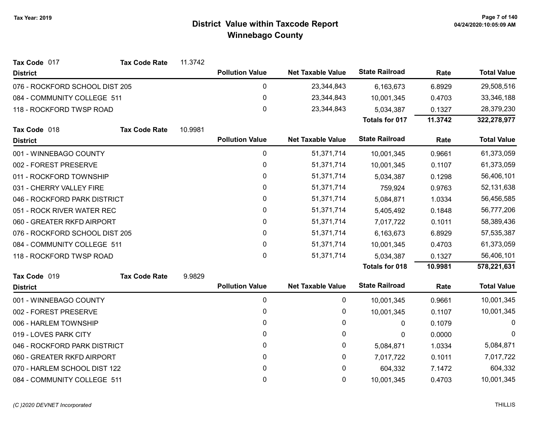| Tax Code 017                   | <b>Tax Code Rate</b> | 11.3742 |                        |                          |                       |         |                    |
|--------------------------------|----------------------|---------|------------------------|--------------------------|-----------------------|---------|--------------------|
| <b>District</b>                |                      |         | <b>Pollution Value</b> | <b>Net Taxable Value</b> | <b>State Railroad</b> | Rate    | <b>Total Value</b> |
| 076 - ROCKFORD SCHOOL DIST 205 |                      |         | 0                      | 23,344,843               | 6,163,673             | 6.8929  | 29,508,516         |
| 084 - COMMUNITY COLLEGE 511    |                      |         | 0                      | 23,344,843               | 10,001,345            | 0.4703  | 33,346,188         |
| 118 - ROCKFORD TWSP ROAD       |                      |         | 0                      | 23,344,843               | 5,034,387             | 0.1327  | 28,379,230         |
|                                |                      |         |                        |                          | <b>Totals for 017</b> | 11.3742 | 322,278,977        |
| Tax Code 018                   | <b>Tax Code Rate</b> | 10.9981 |                        |                          |                       |         |                    |
| <b>District</b>                |                      |         | <b>Pollution Value</b> | <b>Net Taxable Value</b> | <b>State Railroad</b> | Rate    | <b>Total Value</b> |
| 001 - WINNEBAGO COUNTY         |                      |         | 0                      | 51,371,714               | 10,001,345            | 0.9661  | 61,373,059         |
| 002 - FOREST PRESERVE          |                      |         | 0                      | 51,371,714               | 10,001,345            | 0.1107  | 61,373,059         |
| 011 - ROCKFORD TOWNSHIP        |                      |         | 0                      | 51,371,714               | 5,034,387             | 0.1298  | 56,406,101         |
| 031 - CHERRY VALLEY FIRE       |                      |         | 0                      | 51,371,714               | 759,924               | 0.9763  | 52, 131, 638       |
| 046 - ROCKFORD PARK DISTRICT   |                      |         | 0                      | 51,371,714               | 5,084,871             | 1.0334  | 56,456,585         |
| 051 - ROCK RIVER WATER REC     |                      |         | 0                      | 51,371,714               | 5,405,492             | 0.1848  | 56,777,206         |
| 060 - GREATER RKFD AIRPORT     |                      |         | $\mathbf{0}$           | 51,371,714               | 7,017,722             | 0.1011  | 58,389,436         |
| 076 - ROCKFORD SCHOOL DIST 205 |                      |         | 0                      | 51,371,714               | 6,163,673             | 6.8929  | 57,535,387         |
| 084 - COMMUNITY COLLEGE 511    |                      |         | 0                      | 51,371,714               | 10,001,345            | 0.4703  | 61,373,059         |
| 118 - ROCKFORD TWSP ROAD       |                      |         | 0                      | 51,371,714               | 5,034,387             | 0.1327  | 56,406,101         |
|                                |                      |         |                        |                          | <b>Totals for 018</b> | 10.9981 | 578,221,631        |
| Tax Code 019                   | <b>Tax Code Rate</b> | 9.9829  |                        |                          |                       |         |                    |
| <b>District</b>                |                      |         | <b>Pollution Value</b> | <b>Net Taxable Value</b> | <b>State Railroad</b> | Rate    | <b>Total Value</b> |
| 001 - WINNEBAGO COUNTY         |                      |         | 0                      | 0                        | 10,001,345            | 0.9661  | 10,001,345         |
| 002 - FOREST PRESERVE          |                      |         | 0                      | 0                        | 10,001,345            | 0.1107  | 10,001,345         |
| 006 - HARLEM TOWNSHIP          |                      |         | $\mathbf{0}$           | 0                        | $\mathbf{0}$          | 0.1079  | $\Omega$           |
| 019 - LOVES PARK CITY          |                      |         | 0                      | 0                        | 0                     | 0.0000  | $\Omega$           |
| 046 - ROCKFORD PARK DISTRICT   |                      |         | 0                      | 0                        | 5,084,871             | 1.0334  | 5,084,871          |
| 060 - GREATER RKFD AIRPORT     |                      |         | 0                      | 0                        | 7,017,722             | 0.1011  | 7,017,722          |
| 070 - HARLEM SCHOOL DIST 122   |                      |         | 0                      | 0                        | 604,332               | 7.1472  | 604,332            |
| 084 - COMMUNITY COLLEGE 511    |                      |         | 0                      | 0                        | 10,001,345            | 0.4703  | 10,001,345         |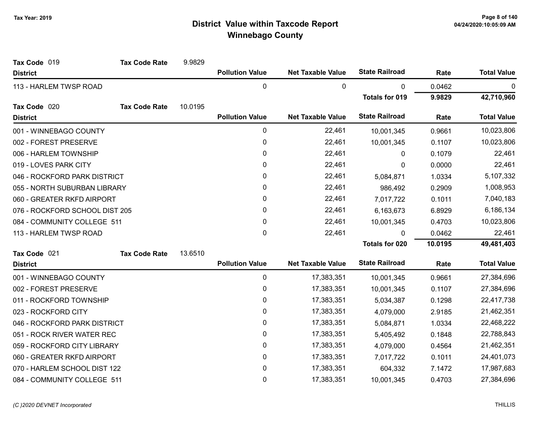| Tax Code 019                   | <b>Tax Code Rate</b> | 9.9829  |                        |                          |                       |         |                    |
|--------------------------------|----------------------|---------|------------------------|--------------------------|-----------------------|---------|--------------------|
| <b>District</b>                |                      |         | <b>Pollution Value</b> | <b>Net Taxable Value</b> | <b>State Railroad</b> | Rate    | <b>Total Value</b> |
| 113 - HARLEM TWSP ROAD         |                      |         | 0                      | 0                        | 0                     | 0.0462  | 0                  |
|                                |                      |         |                        |                          | <b>Totals for 019</b> | 9.9829  | 42,710,960         |
| Tax Code 020                   | <b>Tax Code Rate</b> | 10.0195 |                        |                          |                       |         |                    |
| <b>District</b>                |                      |         | <b>Pollution Value</b> | <b>Net Taxable Value</b> | <b>State Railroad</b> | Rate    | <b>Total Value</b> |
| 001 - WINNEBAGO COUNTY         |                      |         | 0                      | 22,461                   | 10,001,345            | 0.9661  | 10,023,806         |
| 002 - FOREST PRESERVE          |                      |         | 0                      | 22,461                   | 10,001,345            | 0.1107  | 10,023,806         |
| 006 - HARLEM TOWNSHIP          |                      |         | 0                      | 22,461                   | 0                     | 0.1079  | 22,461             |
| 019 - LOVES PARK CITY          |                      |         | 0                      | 22,461                   | 0                     | 0.0000  | 22,461             |
| 046 - ROCKFORD PARK DISTRICT   |                      |         | 0                      | 22,461                   | 5,084,871             | 1.0334  | 5,107,332          |
| 055 - NORTH SUBURBAN LIBRARY   |                      |         | 0                      | 22,461                   | 986,492               | 0.2909  | 1,008,953          |
| 060 - GREATER RKFD AIRPORT     |                      |         | 0                      | 22,461                   | 7,017,722             | 0.1011  | 7,040,183          |
| 076 - ROCKFORD SCHOOL DIST 205 |                      |         | 0                      | 22,461                   | 6,163,673             | 6.8929  | 6,186,134          |
| 084 - COMMUNITY COLLEGE 511    |                      |         | 0                      | 22,461                   | 10,001,345            | 0.4703  | 10,023,806         |
| 113 - HARLEM TWSP ROAD         |                      |         | $\pmb{0}$              | 22,461                   | 0                     | 0.0462  | 22,461             |
|                                |                      |         |                        |                          | <b>Totals for 020</b> | 10.0195 | 49,481,403         |
| Tax Code 021                   | <b>Tax Code Rate</b> | 13.6510 |                        |                          |                       |         |                    |
| <b>District</b>                |                      |         | <b>Pollution Value</b> | <b>Net Taxable Value</b> | <b>State Railroad</b> | Rate    | <b>Total Value</b> |
| 001 - WINNEBAGO COUNTY         |                      |         | 0                      | 17,383,351               | 10,001,345            | 0.9661  | 27,384,696         |
| 002 - FOREST PRESERVE          |                      |         | 0                      | 17,383,351               | 10,001,345            | 0.1107  | 27,384,696         |
| 011 - ROCKFORD TOWNSHIP        |                      |         | 0                      | 17,383,351               | 5,034,387             | 0.1298  | 22,417,738         |
| 023 - ROCKFORD CITY            |                      |         | 0                      | 17,383,351               | 4,079,000             | 2.9185  | 21,462,351         |
| 046 - ROCKFORD PARK DISTRICT   |                      |         | 0                      | 17,383,351               | 5,084,871             | 1.0334  | 22,468,222         |
| 051 - ROCK RIVER WATER REC     |                      |         | 0                      | 17,383,351               | 5,405,492             | 0.1848  | 22,788,843         |
| 059 - ROCKFORD CITY LIBRARY    |                      |         | 0                      | 17,383,351               | 4,079,000             | 0.4564  | 21,462,351         |
| 060 - GREATER RKFD AIRPORT     |                      |         | 0                      | 17,383,351               | 7,017,722             | 0.1011  | 24,401,073         |
| 070 - HARLEM SCHOOL DIST 122   |                      |         | 0                      | 17,383,351               | 604,332               | 7.1472  | 17,987,683         |
| 084 - COMMUNITY COLLEGE 511    |                      |         | 0                      | 17,383,351               | 10,001,345            | 0.4703  | 27,384,696         |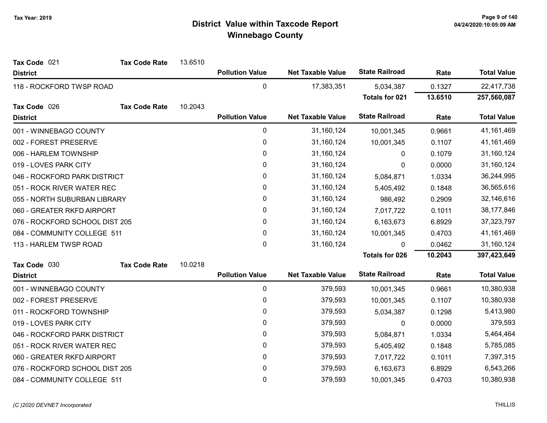| Tax Code 021                   | <b>Tax Code Rate</b> | 13.6510 |                        |                          |                       |         |                    |
|--------------------------------|----------------------|---------|------------------------|--------------------------|-----------------------|---------|--------------------|
| <b>District</b>                |                      |         | <b>Pollution Value</b> | <b>Net Taxable Value</b> | <b>State Railroad</b> | Rate    | <b>Total Value</b> |
| 118 - ROCKFORD TWSP ROAD       |                      |         | $\pmb{0}$              | 17,383,351               | 5,034,387             | 0.1327  | 22,417,738         |
|                                |                      |         |                        |                          | Totals for 021        | 13.6510 | 257,560,087        |
| Tax Code 026                   | <b>Tax Code Rate</b> | 10.2043 |                        |                          |                       |         |                    |
| <b>District</b>                |                      |         | <b>Pollution Value</b> | <b>Net Taxable Value</b> | <b>State Railroad</b> | Rate    | <b>Total Value</b> |
| 001 - WINNEBAGO COUNTY         |                      |         | $\pmb{0}$              | 31,160,124               | 10,001,345            | 0.9661  | 41,161,469         |
| 002 - FOREST PRESERVE          |                      |         | 0                      | 31, 160, 124             | 10,001,345            | 0.1107  | 41, 161, 469       |
| 006 - HARLEM TOWNSHIP          |                      |         | $\pmb{0}$              | 31,160,124               | 0                     | 0.1079  | 31,160,124         |
| 019 - LOVES PARK CITY          |                      |         | 0                      | 31,160,124               | 0                     | 0.0000  | 31,160,124         |
| 046 - ROCKFORD PARK DISTRICT   |                      |         | 0                      | 31,160,124               | 5,084,871             | 1.0334  | 36,244,995         |
| 051 - ROCK RIVER WATER REC     |                      |         | $\pmb{0}$              | 31,160,124               | 5,405,492             | 0.1848  | 36,565,616         |
| 055 - NORTH SUBURBAN LIBRARY   |                      |         | 0                      | 31,160,124               | 986,492               | 0.2909  | 32,146,616         |
| 060 - GREATER RKFD AIRPORT     |                      |         | $\pmb{0}$              | 31,160,124               | 7,017,722             | 0.1011  | 38,177,846         |
| 076 - ROCKFORD SCHOOL DIST 205 |                      |         | 0                      | 31,160,124               | 6,163,673             | 6.8929  | 37,323,797         |
| 084 - COMMUNITY COLLEGE 511    |                      |         | $\pmb{0}$              | 31,160,124               | 10,001,345            | 0.4703  | 41, 161, 469       |
| 113 - HARLEM TWSP ROAD         |                      |         | 0                      | 31,160,124               | $\mathbf{0}$          | 0.0462  | 31,160,124         |
|                                |                      |         |                        |                          | <b>Totals for 026</b> | 10.2043 | 397,423,649        |
| Tax Code 030                   | <b>Tax Code Rate</b> | 10.0218 |                        |                          |                       |         |                    |
| <b>District</b>                |                      |         | <b>Pollution Value</b> | <b>Net Taxable Value</b> | <b>State Railroad</b> | Rate    | <b>Total Value</b> |
| 001 - WINNEBAGO COUNTY         |                      |         | $\pmb{0}$              | 379,593                  | 10,001,345            | 0.9661  | 10,380,938         |
| 002 - FOREST PRESERVE          |                      |         | 0                      | 379,593                  | 10,001,345            | 0.1107  | 10,380,938         |
| 011 - ROCKFORD TOWNSHIP        |                      |         | $\pmb{0}$              | 379,593                  | 5,034,387             | 0.1298  | 5,413,980          |
| 019 - LOVES PARK CITY          |                      |         | 0                      | 379,593                  | 0                     | 0.0000  | 379,593            |
| 046 - ROCKFORD PARK DISTRICT   |                      |         | 0                      | 379,593                  | 5,084,871             | 1.0334  | 5,464,464          |
| 051 - ROCK RIVER WATER REC     |                      |         | $\pmb{0}$              | 379,593                  | 5,405,492             | 0.1848  | 5,785,085          |
| 060 - GREATER RKFD AIRPORT     |                      |         | 0                      | 379,593                  | 7,017,722             | 0.1011  | 7,397,315          |
| 076 - ROCKFORD SCHOOL DIST 205 |                      |         | 0                      | 379,593                  | 6,163,673             | 6.8929  | 6,543,266          |
| 084 - COMMUNITY COLLEGE 511    |                      |         | $\pmb{0}$              | 379,593                  | 10,001,345            | 0.4703  | 10,380,938         |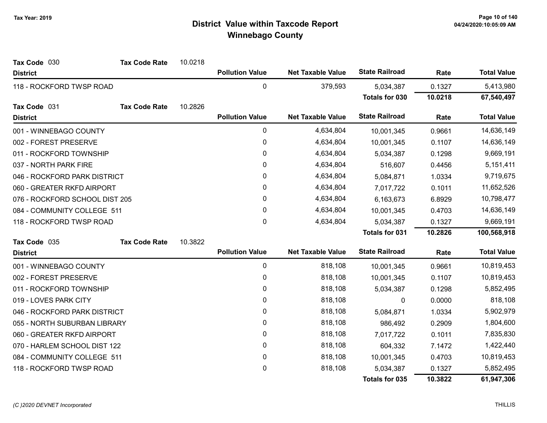| Tax Code 030                   | <b>Tax Code Rate</b> | 10.0218 |                        |                          |                       |            |                    |
|--------------------------------|----------------------|---------|------------------------|--------------------------|-----------------------|------------|--------------------|
| <b>District</b>                |                      |         | <b>Pollution Value</b> | <b>Net Taxable Value</b> | <b>State Railroad</b> | Rate       | <b>Total Value</b> |
| 118 - ROCKFORD TWSP ROAD       |                      |         | $\pmb{0}$              | 379,593                  | 5,034,387             | 0.1327     | 5,413,980          |
|                                |                      |         |                        |                          | Totals for 030        | 10.0218    | 67,540,497         |
| Tax Code 031                   | <b>Tax Code Rate</b> | 10.2826 |                        |                          |                       |            |                    |
| <b>District</b>                |                      |         | <b>Pollution Value</b> | <b>Net Taxable Value</b> | <b>State Railroad</b> | Rate       | <b>Total Value</b> |
| 001 - WINNEBAGO COUNTY         |                      |         | 0                      | 4,634,804                | 10,001,345            | 0.9661     | 14,636,149         |
| 002 - FOREST PRESERVE          |                      |         | 0                      | 4,634,804                | 10,001,345            | 0.1107     | 14,636,149         |
| 011 - ROCKFORD TOWNSHIP        |                      |         | $\mathbf 0$            | 4,634,804                | 5,034,387             | 0.1298     | 9,669,191          |
| 037 - NORTH PARK FIRE          |                      |         | $\mathbf{0}$           | 4,634,804                | 516,607               | 0.4456     | 5,151,411          |
| 046 - ROCKFORD PARK DISTRICT   |                      |         | 0                      | 4,634,804                | 5,084,871             | 1.0334     | 9,719,675          |
| 060 - GREATER RKFD AIRPORT     |                      |         | 0                      | 4,634,804                | 7,017,722             | 0.1011     | 11,652,526         |
| 076 - ROCKFORD SCHOOL DIST 205 |                      | 0       | 4,634,804              | 6,163,673                | 6.8929                | 10,798,477 |                    |
| 084 - COMMUNITY COLLEGE 511    |                      |         | 0                      | 4,634,804                | 10,001,345            | 0.4703     | 14,636,149         |
| 118 - ROCKFORD TWSP ROAD       |                      |         | 0                      | 4,634,804                | 5,034,387             | 0.1327     | 9,669,191          |
|                                |                      |         |                        |                          | <b>Totals for 031</b> | 10.2826    | 100,568,918        |
| Tax Code 035                   | <b>Tax Code Rate</b> | 10.3822 |                        |                          |                       |            |                    |
| <b>District</b>                |                      |         | <b>Pollution Value</b> | <b>Net Taxable Value</b> | <b>State Railroad</b> | Rate       | <b>Total Value</b> |
| 001 - WINNEBAGO COUNTY         |                      |         | $\pmb{0}$              | 818,108                  | 10,001,345            | 0.9661     | 10,819,453         |
| 002 - FOREST PRESERVE          |                      |         | 0                      | 818,108                  | 10,001,345            | 0.1107     | 10,819,453         |
| 011 - ROCKFORD TOWNSHIP        |                      |         | $\pmb{0}$              | 818,108                  | 5,034,387             | 0.1298     | 5,852,495          |
| 019 - LOVES PARK CITY          |                      |         | 0                      | 818,108                  | 0                     | 0.0000     | 818,108            |
| 046 - ROCKFORD PARK DISTRICT   |                      |         | 0                      | 818,108                  | 5,084,871             | 1.0334     | 5,902,979          |
| 055 - NORTH SUBURBAN LIBRARY   |                      |         | 0                      | 818,108                  | 986,492               | 0.2909     | 1,804,600          |
| 060 - GREATER RKFD AIRPORT     |                      |         | 0                      | 818,108                  | 7,017,722             | 0.1011     | 7,835,830          |
| 070 - HARLEM SCHOOL DIST 122   |                      |         | $\pmb{0}$              | 818,108                  | 604,332               | 7.1472     | 1,422,440          |
| 084 - COMMUNITY COLLEGE 511    |                      |         | 0                      | 818,108                  | 10,001,345            | 0.4703     | 10,819,453         |
| 118 - ROCKFORD TWSP ROAD       |                      |         | $\mathbf 0$            | 818,108                  | 5,034,387             | 0.1327     | 5,852,495          |
|                                |                      |         |                        |                          | <b>Totals for 035</b> | 10.3822    | 61,947,306         |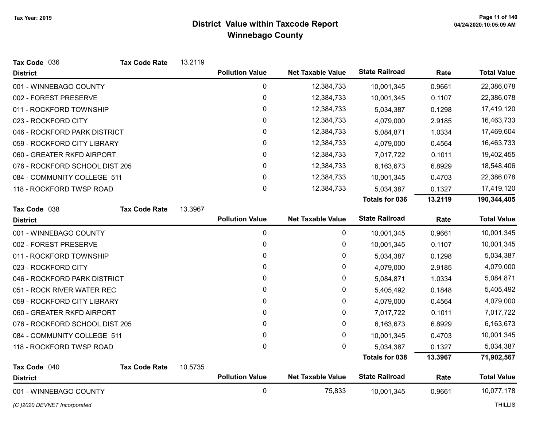| Tax Code 036                   | <b>Tax Code Rate</b> | 13.2119 |                        |                          |                       |         |                    |
|--------------------------------|----------------------|---------|------------------------|--------------------------|-----------------------|---------|--------------------|
| <b>District</b>                |                      |         | <b>Pollution Value</b> | <b>Net Taxable Value</b> | <b>State Railroad</b> | Rate    | <b>Total Value</b> |
| 001 - WINNEBAGO COUNTY         |                      |         | 0                      | 12,384,733               | 10,001,345            | 0.9661  | 22,386,078         |
| 002 - FOREST PRESERVE          |                      |         | 0                      | 12,384,733               | 10,001,345            | 0.1107  | 22,386,078         |
| 011 - ROCKFORD TOWNSHIP        |                      |         | $\pmb{0}$              | 12,384,733               | 5,034,387             | 0.1298  | 17,419,120         |
| 023 - ROCKFORD CITY            |                      |         | 0                      | 12,384,733               | 4,079,000             | 2.9185  | 16,463,733         |
| 046 - ROCKFORD PARK DISTRICT   |                      |         | 0                      | 12,384,733               | 5,084,871             | 1.0334  | 17,469,604         |
| 059 - ROCKFORD CITY LIBRARY    |                      |         | 0                      | 12,384,733               | 4,079,000             | 0.4564  | 16,463,733         |
| 060 - GREATER RKFD AIRPORT     |                      |         | $\mathbf{0}$           | 12,384,733               | 7,017,722             | 0.1011  | 19,402,455         |
| 076 - ROCKFORD SCHOOL DIST 205 |                      |         | 0                      | 12,384,733               | 6,163,673             | 6.8929  | 18,548,406         |
| 084 - COMMUNITY COLLEGE 511    |                      |         | $\mathbf{0}$           | 12,384,733               | 10,001,345            | 0.4703  | 22,386,078         |
| 118 - ROCKFORD TWSP ROAD       |                      |         | $\mathbf 0$            | 12,384,733               | 5,034,387             | 0.1327  | 17,419,120         |
|                                |                      |         |                        |                          | <b>Totals for 036</b> | 13.2119 | 190,344,405        |
| Tax Code 038                   | <b>Tax Code Rate</b> | 13.3967 |                        |                          |                       |         |                    |
| <b>District</b>                |                      |         | <b>Pollution Value</b> | <b>Net Taxable Value</b> | <b>State Railroad</b> | Rate    | <b>Total Value</b> |
| 001 - WINNEBAGO COUNTY         |                      |         | 0                      | 0                        | 10,001,345            | 0.9661  | 10,001,345         |
| 002 - FOREST PRESERVE          |                      |         | 0                      | $\pmb{0}$                | 10,001,345            | 0.1107  | 10,001,345         |
| 011 - ROCKFORD TOWNSHIP        |                      |         | 0                      | 0                        | 5,034,387             | 0.1298  | 5,034,387          |
| 023 - ROCKFORD CITY            |                      |         | $\mathbf{0}$           | $\pmb{0}$                | 4,079,000             | 2.9185  | 4,079,000          |
| 046 - ROCKFORD PARK DISTRICT   |                      |         | 0                      | 0                        | 5,084,871             | 1.0334  | 5,084,871          |
| 051 - ROCK RIVER WATER REC     |                      |         | 0                      | $\pmb{0}$                | 5,405,492             | 0.1848  | 5,405,492          |
| 059 - ROCKFORD CITY LIBRARY    |                      |         | 0                      | $\pmb{0}$                | 4,079,000             | 0.4564  | 4,079,000          |
| 060 - GREATER RKFD AIRPORT     |                      |         | 0                      | 0                        | 7,017,722             | 0.1011  | 7,017,722          |
| 076 - ROCKFORD SCHOOL DIST 205 |                      |         | 0                      | $\pmb{0}$                | 6,163,673             | 6.8929  | 6,163,673          |
| 084 - COMMUNITY COLLEGE 511    |                      |         | 0                      | 0                        | 10,001,345            | 0.4703  | 10,001,345         |
| 118 - ROCKFORD TWSP ROAD       |                      |         | $\mathbf 0$            | $\mathbf 0$              | 5,034,387             | 0.1327  | 5,034,387          |
|                                |                      |         |                        |                          | <b>Totals for 038</b> | 13.3967 | 71,902,567         |
| Tax Code 040                   | <b>Tax Code Rate</b> | 10.5735 |                        |                          |                       |         |                    |
| <b>District</b>                |                      |         | <b>Pollution Value</b> | <b>Net Taxable Value</b> | <b>State Railroad</b> | Rate    | <b>Total Value</b> |
| 001 - WINNEBAGO COUNTY         |                      |         | $\mathbf 0$            | 75,833                   | 10,001,345            | 0.9661  | 10,077,178         |
| (C) 2020 DEVNET Incorporated   |                      |         |                        |                          |                       |         | <b>THILLIS</b>     |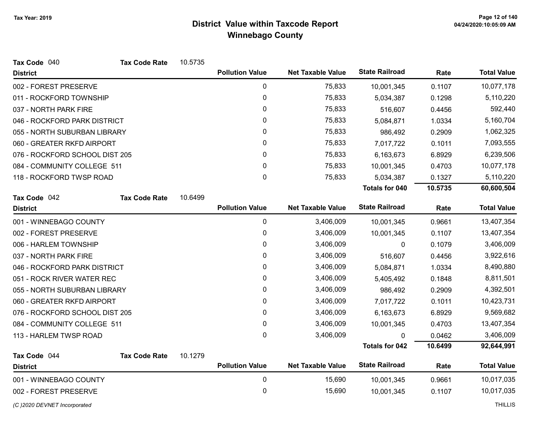| Tax Code 040                   | <b>Tax Code Rate</b> | 10.5735 |                        |                          |                       |         |                    |
|--------------------------------|----------------------|---------|------------------------|--------------------------|-----------------------|---------|--------------------|
| <b>District</b>                |                      |         | <b>Pollution Value</b> | <b>Net Taxable Value</b> | <b>State Railroad</b> | Rate    | <b>Total Value</b> |
| 002 - FOREST PRESERVE          |                      |         | $\pmb{0}$              | 75,833                   | 10,001,345            | 0.1107  | 10,077,178         |
| 011 - ROCKFORD TOWNSHIP        |                      |         | $\pmb{0}$              | 75,833                   | 5,034,387             | 0.1298  | 5,110,220          |
| 037 - NORTH PARK FIRE          |                      |         | 0                      | 75,833                   | 516,607               | 0.4456  | 592,440            |
| 046 - ROCKFORD PARK DISTRICT   |                      |         | 0                      | 75,833                   | 5,084,871             | 1.0334  | 5,160,704          |
| 055 - NORTH SUBURBAN LIBRARY   |                      |         | $\pmb{0}$              | 75,833                   | 986,492               | 0.2909  | 1,062,325          |
| 060 - GREATER RKFD AIRPORT     |                      |         | 0                      | 75,833                   | 7,017,722             | 0.1011  | 7,093,555          |
| 076 - ROCKFORD SCHOOL DIST 205 |                      |         | 0                      | 75,833                   | 6,163,673             | 6.8929  | 6,239,506          |
| 084 - COMMUNITY COLLEGE 511    |                      |         | 0                      | 75,833                   | 10,001,345            | 0.4703  | 10,077,178         |
| 118 - ROCKFORD TWSP ROAD       |                      |         | 0                      | 75,833                   | 5,034,387             | 0.1327  | 5,110,220          |
|                                |                      |         |                        |                          | <b>Totals for 040</b> | 10.5735 | 60,600,504         |
| Tax Code 042                   | <b>Tax Code Rate</b> | 10.6499 |                        |                          |                       |         |                    |
| <b>District</b>                |                      |         | <b>Pollution Value</b> | <b>Net Taxable Value</b> | <b>State Railroad</b> | Rate    | <b>Total Value</b> |
| 001 - WINNEBAGO COUNTY         |                      |         | 0                      | 3,406,009                | 10,001,345            | 0.9661  | 13,407,354         |
| 002 - FOREST PRESERVE          |                      |         | 0                      | 3,406,009                | 10,001,345            | 0.1107  | 13,407,354         |
| 006 - HARLEM TOWNSHIP          |                      |         | $\pmb{0}$              | 3,406,009                | 0                     | 0.1079  | 3,406,009          |
| 037 - NORTH PARK FIRE          |                      |         | 0                      | 3,406,009                | 516,607               | 0.4456  | 3,922,616          |
| 046 - ROCKFORD PARK DISTRICT   |                      |         | 0                      | 3,406,009                | 5,084,871             | 1.0334  | 8,490,880          |
| 051 - ROCK RIVER WATER REC     |                      |         | 0                      | 3,406,009                | 5,405,492             | 0.1848  | 8,811,501          |
| 055 - NORTH SUBURBAN LIBRARY   |                      |         | 0                      | 3,406,009                | 986,492               | 0.2909  | 4,392,501          |
| 060 - GREATER RKFD AIRPORT     |                      |         | $\pmb{0}$              | 3,406,009                | 7,017,722             | 0.1011  | 10,423,731         |
| 076 - ROCKFORD SCHOOL DIST 205 |                      |         | 0                      | 3,406,009                | 6,163,673             | 6.8929  | 9,569,682          |
| 084 - COMMUNITY COLLEGE 511    |                      |         | 0                      | 3,406,009                | 10,001,345            | 0.4703  | 13,407,354         |
| 113 - HARLEM TWSP ROAD         |                      |         | 0                      | 3,406,009                |                       | 0.0462  | 3,406,009          |
|                                |                      |         |                        |                          | <b>Totals for 042</b> | 10.6499 | 92,644,991         |
| Tax Code 044                   | <b>Tax Code Rate</b> | 10.1279 |                        |                          |                       |         |                    |
| <b>District</b>                |                      |         | <b>Pollution Value</b> | <b>Net Taxable Value</b> | <b>State Railroad</b> | Rate    | <b>Total Value</b> |
| 001 - WINNEBAGO COUNTY         |                      |         | $\pmb{0}$              | 15,690                   | 10,001,345            | 0.9661  | 10,017,035         |
| 002 - FOREST PRESERVE          |                      |         | 0                      | 15,690                   | 10,001,345            | 0.1107  | 10,017,035         |
| (C)2020 DEVNET Incorporated    |                      |         |                        |                          |                       |         | <b>THILLIS</b>     |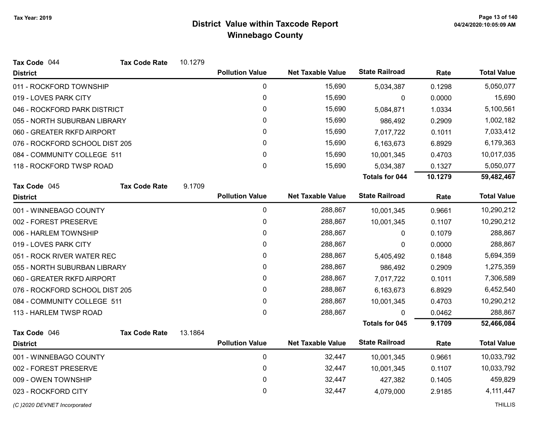| Tax Code 044                   | <b>Tax Code Rate</b> | 10.1279 |                        |                          |                       |         |                    |
|--------------------------------|----------------------|---------|------------------------|--------------------------|-----------------------|---------|--------------------|
| <b>District</b>                |                      |         | <b>Pollution Value</b> | <b>Net Taxable Value</b> | <b>State Railroad</b> | Rate    | <b>Total Value</b> |
| 011 - ROCKFORD TOWNSHIP        |                      |         | $\pmb{0}$              | 15,690                   | 5,034,387             | 0.1298  | 5,050,077          |
| 019 - LOVES PARK CITY          |                      |         | 0                      | 15,690                   | 0                     | 0.0000  | 15,690             |
| 046 - ROCKFORD PARK DISTRICT   |                      |         | 0                      | 15,690                   | 5,084,871             | 1.0334  | 5,100,561          |
| 055 - NORTH SUBURBAN LIBRARY   |                      |         | 0                      | 15,690                   | 986,492               | 0.2909  | 1,002,182          |
| 060 - GREATER RKFD AIRPORT     |                      |         | 0                      | 15,690                   | 7,017,722             | 0.1011  | 7,033,412          |
| 076 - ROCKFORD SCHOOL DIST 205 |                      |         | 0                      | 15,690                   | 6,163,673             | 6.8929  | 6,179,363          |
| 084 - COMMUNITY COLLEGE 511    |                      |         | 0                      | 15,690                   | 10,001,345            | 0.4703  | 10,017,035         |
| 118 - ROCKFORD TWSP ROAD       |                      |         | 0                      | 15,690                   | 5,034,387             | 0.1327  | 5,050,077          |
|                                |                      |         |                        |                          | <b>Totals for 044</b> | 10.1279 | 59,482,467         |
| Tax Code 045                   | <b>Tax Code Rate</b> | 9.1709  |                        |                          |                       |         |                    |
| <b>District</b>                |                      |         | <b>Pollution Value</b> | <b>Net Taxable Value</b> | <b>State Railroad</b> | Rate    | <b>Total Value</b> |
| 001 - WINNEBAGO COUNTY         |                      |         | $\mathbf 0$            | 288,867                  | 10,001,345            | 0.9661  | 10,290,212         |
| 002 - FOREST PRESERVE          |                      |         | 0                      | 288,867                  | 10,001,345            | 0.1107  | 10,290,212         |
| 006 - HARLEM TOWNSHIP          |                      |         | 0                      | 288,867                  | 0                     | 0.1079  | 288,867            |
| 019 - LOVES PARK CITY          |                      |         | 0                      | 288,867                  | 0                     | 0.0000  | 288,867            |
| 051 - ROCK RIVER WATER REC     |                      |         | 0                      | 288,867                  | 5,405,492             | 0.1848  | 5,694,359          |
| 055 - NORTH SUBURBAN LIBRARY   |                      |         | 0                      | 288,867                  | 986,492               | 0.2909  | 1,275,359          |
| 060 - GREATER RKFD AIRPORT     |                      |         | 0                      | 288,867                  | 7,017,722             | 0.1011  | 7,306,589          |
| 076 - ROCKFORD SCHOOL DIST 205 |                      |         | 0                      | 288,867                  | 6,163,673             | 6.8929  | 6,452,540          |
| 084 - COMMUNITY COLLEGE 511    |                      |         | 0                      | 288,867                  | 10,001,345            | 0.4703  | 10,290,212         |
| 113 - HARLEM TWSP ROAD         |                      |         | 0                      | 288,867                  | 0                     | 0.0462  | 288,867            |
|                                |                      |         |                        |                          | <b>Totals for 045</b> | 9.1709  | 52,466,084         |
| Tax Code 046                   | <b>Tax Code Rate</b> | 13.1864 |                        |                          |                       |         |                    |
| <b>District</b>                |                      |         | <b>Pollution Value</b> | <b>Net Taxable Value</b> | <b>State Railroad</b> | Rate    | <b>Total Value</b> |
| 001 - WINNEBAGO COUNTY         |                      |         | $\pmb{0}$              | 32,447                   | 10,001,345            | 0.9661  | 10,033,792         |
| 002 - FOREST PRESERVE          |                      |         | 0                      | 32,447                   | 10,001,345            | 0.1107  | 10,033,792         |
| 009 - OWEN TOWNSHIP            |                      |         | 0                      | 32,447                   | 427,382               | 0.1405  | 459,829            |
| 023 - ROCKFORD CITY            |                      |         | 0                      | 32,447                   | 4,079,000             | 2.9185  | 4, 111, 447        |
| (C) 2020 DEVNET Incorporated   |                      |         |                        |                          |                       |         | <b>THILLIS</b>     |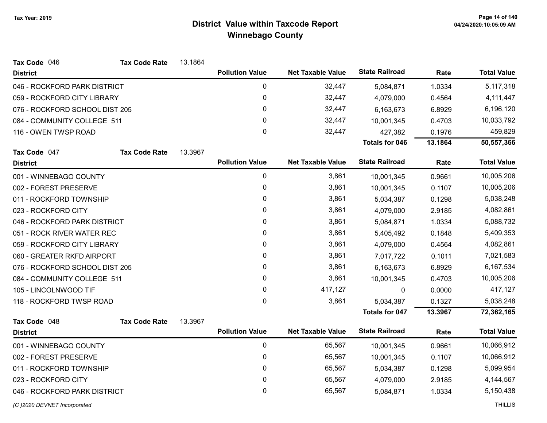| Tax Code 046                   | <b>Tax Code Rate</b> | 13.1864 |                        |                          |                       |         |                    |
|--------------------------------|----------------------|---------|------------------------|--------------------------|-----------------------|---------|--------------------|
| <b>District</b>                |                      |         | <b>Pollution Value</b> | <b>Net Taxable Value</b> | <b>State Railroad</b> | Rate    | <b>Total Value</b> |
| 046 - ROCKFORD PARK DISTRICT   |                      |         | 0                      | 32,447                   | 5,084,871             | 1.0334  | 5,117,318          |
| 059 - ROCKFORD CITY LIBRARY    |                      |         | $\pmb{0}$              | 32,447                   | 4,079,000             | 0.4564  | 4, 111, 447        |
| 076 - ROCKFORD SCHOOL DIST 205 |                      |         | 0                      | 32,447                   | 6,163,673             | 6.8929  | 6,196,120          |
| 084 - COMMUNITY COLLEGE 511    |                      |         | 0                      | 32,447                   | 10,001,345            | 0.4703  | 10,033,792         |
| 116 - OWEN TWSP ROAD           |                      |         | 0                      | 32,447                   | 427,382               | 0.1976  | 459,829            |
|                                |                      |         |                        |                          | <b>Totals for 046</b> | 13.1864 | 50,557,366         |
| Tax Code 047                   | <b>Tax Code Rate</b> | 13.3967 |                        |                          |                       |         |                    |
| <b>District</b>                |                      |         | <b>Pollution Value</b> | <b>Net Taxable Value</b> | <b>State Railroad</b> | Rate    | <b>Total Value</b> |
| 001 - WINNEBAGO COUNTY         |                      |         | $\pmb{0}$              | 3,861                    | 10,001,345            | 0.9661  | 10,005,206         |
| 002 - FOREST PRESERVE          |                      |         | 0                      | 3,861                    | 10,001,345            | 0.1107  | 10,005,206         |
| 011 - ROCKFORD TOWNSHIP        |                      |         | 0                      | 3,861                    | 5,034,387             | 0.1298  | 5,038,248          |
| 023 - ROCKFORD CITY            |                      |         | 0                      | 3,861                    | 4,079,000             | 2.9185  | 4,082,861          |
| 046 - ROCKFORD PARK DISTRICT   |                      |         | 0                      | 3,861                    | 5,084,871             | 1.0334  | 5,088,732          |
| 051 - ROCK RIVER WATER REC     |                      |         | 0                      | 3,861                    | 5,405,492             | 0.1848  | 5,409,353          |
| 059 - ROCKFORD CITY LIBRARY    |                      |         | 0                      | 3,861                    | 4,079,000             | 0.4564  | 4,082,861          |
| 060 - GREATER RKFD AIRPORT     |                      |         | 0                      | 3,861                    | 7,017,722             | 0.1011  | 7,021,583          |
| 076 - ROCKFORD SCHOOL DIST 205 |                      |         | 0                      | 3,861                    | 6,163,673             | 6.8929  | 6,167,534          |
| 084 - COMMUNITY COLLEGE 511    |                      |         | 0                      | 3,861                    | 10,001,345            | 0.4703  | 10,005,206         |
| 105 - LINCOLNWOOD TIF          |                      |         | 0                      | 417,127                  | 0                     | 0.0000  | 417,127            |
| 118 - ROCKFORD TWSP ROAD       |                      |         | 0                      | 3,861                    | 5,034,387             | 0.1327  | 5,038,248          |
|                                |                      |         |                        |                          | <b>Totals for 047</b> | 13.3967 | 72,362,165         |
| Tax Code 048                   | <b>Tax Code Rate</b> | 13.3967 |                        |                          |                       |         |                    |
| <b>District</b>                |                      |         | <b>Pollution Value</b> | <b>Net Taxable Value</b> | <b>State Railroad</b> | Rate    | <b>Total Value</b> |
| 001 - WINNEBAGO COUNTY         |                      |         | $\pmb{0}$              | 65,567                   | 10,001,345            | 0.9661  | 10,066,912         |
| 002 - FOREST PRESERVE          |                      |         | 0                      | 65,567                   | 10,001,345            | 0.1107  | 10,066,912         |
| 011 - ROCKFORD TOWNSHIP        |                      |         | $\pmb{0}$              | 65,567                   | 5,034,387             | 0.1298  | 5,099,954          |
| 023 - ROCKFORD CITY            |                      |         | 0                      | 65,567                   | 4,079,000             | 2.9185  | 4,144,567          |
| 046 - ROCKFORD PARK DISTRICT   |                      |         | 0                      | 65,567                   | 5,084,871             | 1.0334  | 5,150,438          |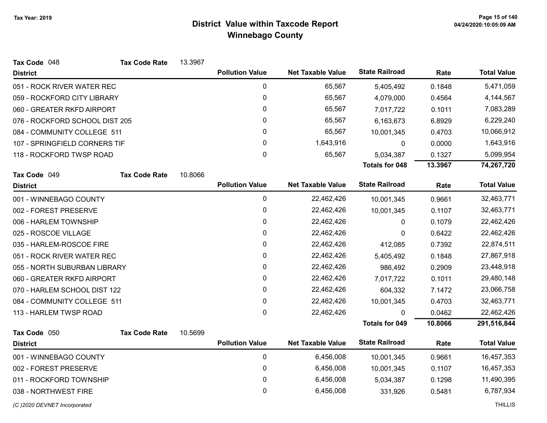| Tax Code 048                   | <b>Tax Code Rate</b> | 13.3967 |                        |                          |                       |         |                    |
|--------------------------------|----------------------|---------|------------------------|--------------------------|-----------------------|---------|--------------------|
| <b>District</b>                |                      |         | <b>Pollution Value</b> | <b>Net Taxable Value</b> | <b>State Railroad</b> | Rate    | <b>Total Value</b> |
| 051 - ROCK RIVER WATER REC     |                      |         | $\mathbf 0$            | 65,567                   | 5,405,492             | 0.1848  | 5,471,059          |
| 059 - ROCKFORD CITY LIBRARY    |                      |         | 0                      | 65,567                   | 4,079,000             | 0.4564  | 4,144,567          |
| 060 - GREATER RKFD AIRPORT     |                      |         | 0                      | 65,567                   | 7,017,722             | 0.1011  | 7,083,289          |
| 076 - ROCKFORD SCHOOL DIST 205 |                      |         | 0                      | 65,567                   | 6,163,673             | 6.8929  | 6,229,240          |
| 084 - COMMUNITY COLLEGE 511    |                      |         | 0                      | 65,567                   | 10,001,345            | 0.4703  | 10,066,912         |
| 107 - SPRINGFIELD CORNERS TIF  |                      |         | 0                      | 1,643,916                | 0                     | 0.0000  | 1,643,916          |
| 118 - ROCKFORD TWSP ROAD       |                      |         | 0                      | 65,567                   | 5,034,387             | 0.1327  | 5,099,954          |
|                                |                      |         |                        |                          | <b>Totals for 048</b> | 13.3967 | 74,267,720         |
| Tax Code 049                   | <b>Tax Code Rate</b> | 10.8066 |                        |                          |                       |         |                    |
| <b>District</b>                |                      |         | <b>Pollution Value</b> | <b>Net Taxable Value</b> | <b>State Railroad</b> | Rate    | <b>Total Value</b> |
| 001 - WINNEBAGO COUNTY         |                      |         | $\mathbf 0$            | 22,462,426               | 10,001,345            | 0.9661  | 32,463,771         |
| 002 - FOREST PRESERVE          |                      |         | $\mathbf 0$            | 22,462,426               | 10,001,345            | 0.1107  | 32,463,771         |
| 006 - HARLEM TOWNSHIP          |                      |         | $\mathbf 0$            | 22,462,426               | 0                     | 0.1079  | 22,462,426         |
| 025 - ROSCOE VILLAGE           |                      |         | 0                      | 22,462,426               | 0                     | 0.6422  | 22,462,426         |
| 035 - HARLEM-ROSCOE FIRE       |                      |         | 0                      | 22,462,426               | 412,085               | 0.7392  | 22,874,511         |
| 051 - ROCK RIVER WATER REC     |                      |         | 0                      | 22,462,426               | 5,405,492             | 0.1848  | 27,867,918         |
| 055 - NORTH SUBURBAN LIBRARY   |                      |         | 0                      | 22,462,426               | 986,492               | 0.2909  | 23,448,918         |
| 060 - GREATER RKFD AIRPORT     |                      |         | 0                      | 22,462,426               | 7,017,722             | 0.1011  | 29,480,148         |
| 070 - HARLEM SCHOOL DIST 122   |                      |         | 0                      | 22,462,426               | 604,332               | 7.1472  | 23,066,758         |
| 084 - COMMUNITY COLLEGE 511    |                      |         | 0                      | 22,462,426               | 10,001,345            | 0.4703  | 32,463,771         |
| 113 - HARLEM TWSP ROAD         |                      |         | 0                      | 22,462,426               | 0                     | 0.0462  | 22,462,426         |
|                                |                      |         |                        |                          | <b>Totals for 049</b> | 10.8066 | 291,516,844        |
| Tax Code 050                   | <b>Tax Code Rate</b> | 10.5699 |                        |                          |                       |         |                    |
| <b>District</b>                |                      |         | <b>Pollution Value</b> | <b>Net Taxable Value</b> | <b>State Railroad</b> | Rate    | <b>Total Value</b> |
| 001 - WINNEBAGO COUNTY         |                      |         | $\mathbf 0$            | 6,456,008                | 10,001,345            | 0.9661  | 16,457,353         |
| 002 - FOREST PRESERVE          |                      |         | 0                      | 6,456,008                | 10,001,345            | 0.1107  | 16,457,353         |
| 011 - ROCKFORD TOWNSHIP        |                      |         | 0                      | 6,456,008                | 5,034,387             | 0.1298  | 11,490,395         |
| 038 - NORTHWEST FIRE           |                      |         | 0                      | 6,456,008                | 331,926               | 0.5481  | 6,787,934          |
|                                |                      |         |                        |                          |                       |         |                    |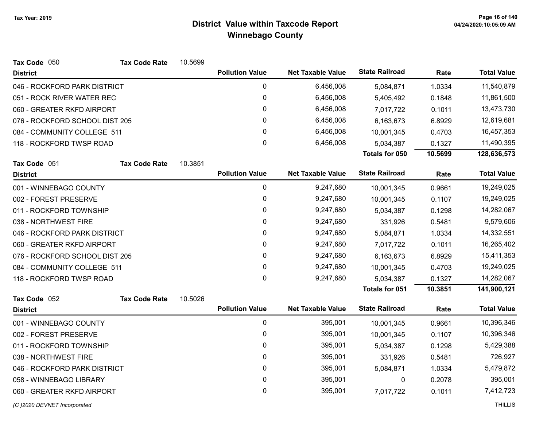| Tax Code 050                   | <b>Tax Code Rate</b>         | 10.5699 |                        |                          |                       |         |                    |
|--------------------------------|------------------------------|---------|------------------------|--------------------------|-----------------------|---------|--------------------|
| <b>District</b>                |                              |         | <b>Pollution Value</b> | <b>Net Taxable Value</b> | <b>State Railroad</b> | Rate    | <b>Total Value</b> |
| 046 - ROCKFORD PARK DISTRICT   |                              |         | 0                      | 6,456,008                | 5,084,871             | 1.0334  | 11,540,879         |
| 051 - ROCK RIVER WATER REC     |                              |         | $\pmb{0}$              | 6,456,008                | 5,405,492             | 0.1848  | 11,861,500         |
| 060 - GREATER RKFD AIRPORT     |                              |         | 0                      | 6,456,008                | 7,017,722             | 0.1011  | 13,473,730         |
| 076 - ROCKFORD SCHOOL DIST 205 |                              |         | 0                      | 6,456,008                | 6,163,673             | 6.8929  | 12,619,681         |
| 084 - COMMUNITY COLLEGE 511    |                              |         | 0                      | 6,456,008                | 10,001,345            | 0.4703  | 16,457,353         |
| 118 - ROCKFORD TWSP ROAD       |                              |         | $\mathbf 0$            | 6,456,008                | 5,034,387             | 0.1327  | 11,490,395         |
|                                |                              |         |                        |                          | Totals for 050        | 10.5699 | 128,636,573        |
| Tax Code 051                   | <b>Tax Code Rate</b>         | 10.3851 |                        |                          |                       |         |                    |
| <b>District</b>                |                              |         | <b>Pollution Value</b> | <b>Net Taxable Value</b> | <b>State Railroad</b> | Rate    | <b>Total Value</b> |
| 001 - WINNEBAGO COUNTY         |                              |         | 0                      | 9,247,680                | 10,001,345            | 0.9661  | 19,249,025         |
| 002 - FOREST PRESERVE          |                              |         | $\pmb{0}$              | 9,247,680                | 10,001,345            | 0.1107  | 19,249,025         |
| 011 - ROCKFORD TOWNSHIP        |                              |         | 0                      | 9,247,680                | 5,034,387             | 0.1298  | 14,282,067         |
| 038 - NORTHWEST FIRE           |                              |         | $\pmb{0}$              | 9,247,680                | 331,926               | 0.5481  | 9,579,606          |
| 046 - ROCKFORD PARK DISTRICT   |                              |         | $\pmb{0}$              | 9,247,680                | 5,084,871             | 1.0334  | 14,332,551         |
| 060 - GREATER RKFD AIRPORT     |                              |         | 0                      | 9,247,680                | 7,017,722             | 0.1011  | 16,265,402         |
| 076 - ROCKFORD SCHOOL DIST 205 |                              |         | 0                      | 9,247,680                | 6,163,673             | 6.8929  | 15,411,353         |
| 084 - COMMUNITY COLLEGE 511    |                              |         | $\mathbf 0$            | 9,247,680                | 10,001,345            | 0.4703  | 19,249,025         |
| 118 - ROCKFORD TWSP ROAD       |                              |         | $\mathbf 0$            | 9,247,680                | 5,034,387             | 0.1327  | 14,282,067         |
|                                |                              |         |                        |                          | Totals for 051        | 10.3851 | 141,900,121        |
| Tax Code 052                   | <b>Tax Code Rate</b>         | 10.5026 |                        |                          |                       |         |                    |
| <b>District</b>                |                              |         | <b>Pollution Value</b> | <b>Net Taxable Value</b> | <b>State Railroad</b> | Rate    | <b>Total Value</b> |
| 001 - WINNEBAGO COUNTY         |                              |         | $\pmb{0}$              | 395,001                  | 10,001,345            | 0.9661  | 10,396,346         |
| 002 - FOREST PRESERVE          |                              |         | $\pmb{0}$              | 395,001                  | 10,001,345            | 0.1107  | 10,396,346         |
| 011 - ROCKFORD TOWNSHIP        |                              |         | 0                      | 395,001                  | 5,034,387             | 0.1298  | 5,429,388          |
| 038 - NORTHWEST FIRE           |                              |         | 0                      | 395,001                  | 331,926               | 0.5481  | 726,927            |
|                                | 046 - ROCKFORD PARK DISTRICT |         | $\pmb{0}$              | 395,001                  | 5,084,871             | 1.0334  | 5,479,872          |
| 058 - WINNEBAGO LIBRARY        |                              |         | 0                      | 395,001                  | 0                     | 0.2078  | 395,001            |
| 060 - GREATER RKFD AIRPORT     |                              |         | 0                      | 395,001                  | 7,017,722             | 0.1011  | 7,412,723          |
|                                |                              |         |                        |                          |                       |         |                    |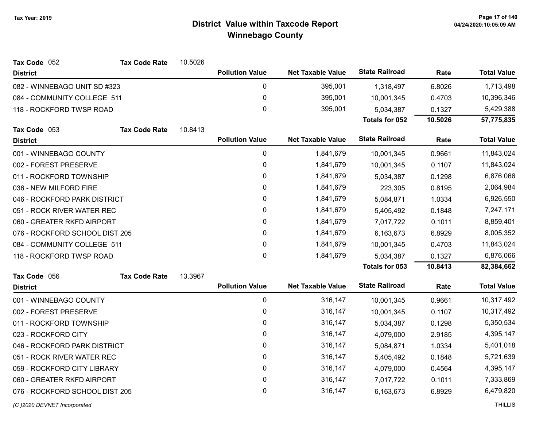| Tax Code 052<br><b>Tax Code Rate</b> | 10.5026 |                        |                          |                       |         |                    |
|--------------------------------------|---------|------------------------|--------------------------|-----------------------|---------|--------------------|
| <b>District</b>                      |         | <b>Pollution Value</b> | <b>Net Taxable Value</b> | <b>State Railroad</b> | Rate    | <b>Total Value</b> |
| 082 - WINNEBAGO UNIT SD #323         |         | $\pmb{0}$              | 395,001                  | 1,318,497             | 6.8026  | 1,713,498          |
| 084 - COMMUNITY COLLEGE 511          |         | $\pmb{0}$              | 395,001                  | 10,001,345            | 0.4703  | 10,396,346         |
| 118 - ROCKFORD TWSP ROAD             |         | $\mathbf 0$            | 395,001                  | 5,034,387             | 0.1327  | 5,429,388          |
|                                      |         |                        |                          | Totals for 052        | 10.5026 | 57,775,835         |
| Tax Code 053<br><b>Tax Code Rate</b> | 10.8413 |                        |                          |                       |         |                    |
| <b>District</b>                      |         | <b>Pollution Value</b> | <b>Net Taxable Value</b> | <b>State Railroad</b> | Rate    | <b>Total Value</b> |
| 001 - WINNEBAGO COUNTY               |         | $\pmb{0}$              | 1,841,679                | 10,001,345            | 0.9661  | 11,843,024         |
| 002 - FOREST PRESERVE                |         | $\pmb{0}$              | 1,841,679                | 10,001,345            | 0.1107  | 11,843,024         |
| 011 - ROCKFORD TOWNSHIP              |         | $\pmb{0}$              | 1,841,679                | 5,034,387             | 0.1298  | 6,876,066          |
| 036 - NEW MILFORD FIRE               |         | $\pmb{0}$              | 1,841,679                | 223,305               | 0.8195  | 2,064,984          |
| 046 - ROCKFORD PARK DISTRICT         |         | $\pmb{0}$              | 1,841,679                | 5,084,871             | 1.0334  | 6,926,550          |
| 051 - ROCK RIVER WATER REC           |         | 0                      | 1,841,679                | 5,405,492             | 0.1848  | 7,247,171          |
| 060 - GREATER RKFD AIRPORT           |         | $\pmb{0}$              | 1,841,679                | 7,017,722             | 0.1011  | 8,859,401          |
| 076 - ROCKFORD SCHOOL DIST 205       |         | $\pmb{0}$              | 1,841,679                | 6,163,673             | 6.8929  | 8,005,352          |
| 084 - COMMUNITY COLLEGE 511          |         | $\pmb{0}$              | 1,841,679                | 10,001,345            | 0.4703  | 11,843,024         |
| 118 - ROCKFORD TWSP ROAD             |         | $\mathbf 0$            | 1,841,679                | 5,034,387             | 0.1327  | 6,876,066          |
|                                      |         |                        |                          | Totals for 053        | 10.8413 | 82,384,662         |
| Tax Code 056<br><b>Tax Code Rate</b> | 13.3967 |                        |                          |                       |         |                    |
| <b>District</b>                      |         | <b>Pollution Value</b> | <b>Net Taxable Value</b> | <b>State Railroad</b> | Rate    | <b>Total Value</b> |
| 001 - WINNEBAGO COUNTY               |         | $\pmb{0}$              | 316,147                  | 10,001,345            | 0.9661  | 10,317,492         |
| 002 - FOREST PRESERVE                |         | 0                      | 316,147                  | 10,001,345            | 0.1107  | 10,317,492         |
| 011 - ROCKFORD TOWNSHIP              |         | $\pmb{0}$              | 316,147                  | 5,034,387             | 0.1298  | 5,350,534          |
| 023 - ROCKFORD CITY                  |         | $\pmb{0}$              | 316,147                  | 4,079,000             | 2.9185  | 4,395,147          |
| 046 - ROCKFORD PARK DISTRICT         |         | $\pmb{0}$              | 316,147                  | 5,084,871             | 1.0334  | 5,401,018          |
| 051 - ROCK RIVER WATER REC           |         | 0                      | 316,147                  | 5,405,492             | 0.1848  | 5,721,639          |
| 059 - ROCKFORD CITY LIBRARY          |         | $\pmb{0}$              | 316,147                  | 4,079,000             | 0.4564  | 4,395,147          |
| 060 - GREATER RKFD AIRPORT           |         | 0                      | 316,147                  | 7,017,722             | 0.1011  | 7,333,869          |
| 076 - ROCKFORD SCHOOL DIST 205       |         | 0                      | 316,147                  | 6,163,673             | 6.8929  | 6,479,820          |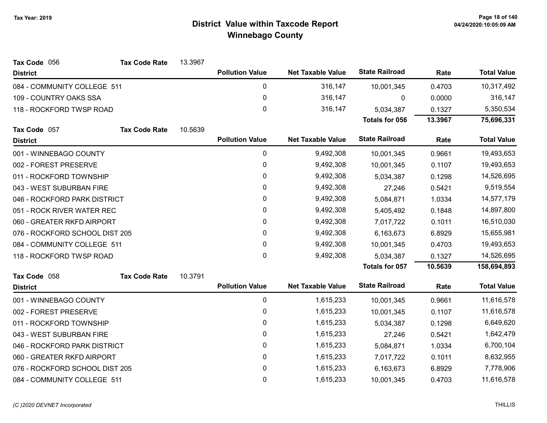| Tax Code 056                   | <b>Tax Code Rate</b> | 13.3967 |                        |                          |                       |         |                    |
|--------------------------------|----------------------|---------|------------------------|--------------------------|-----------------------|---------|--------------------|
| <b>District</b>                |                      |         | <b>Pollution Value</b> | <b>Net Taxable Value</b> | <b>State Railroad</b> | Rate    | <b>Total Value</b> |
| 084 - COMMUNITY COLLEGE 511    |                      |         | 0                      | 316,147                  | 10,001,345            | 0.4703  | 10,317,492         |
| 109 - COUNTRY OAKS SSA         |                      |         | 0                      | 316,147                  | $\mathbf{0}$          | 0.0000  | 316,147            |
| 118 - ROCKFORD TWSP ROAD       |                      |         | 0                      | 316,147                  | 5,034,387             | 0.1327  | 5,350,534          |
|                                |                      |         |                        |                          | <b>Totals for 056</b> | 13.3967 | 75,696,331         |
| Tax Code 057                   | <b>Tax Code Rate</b> | 10.5639 |                        |                          |                       |         |                    |
| <b>District</b>                |                      |         | <b>Pollution Value</b> | <b>Net Taxable Value</b> | <b>State Railroad</b> | Rate    | <b>Total Value</b> |
| 001 - WINNEBAGO COUNTY         |                      |         | 0                      | 9,492,308                | 10,001,345            | 0.9661  | 19,493,653         |
| 002 - FOREST PRESERVE          |                      |         | 0                      | 9,492,308                | 10,001,345            | 0.1107  | 19,493,653         |
| 011 - ROCKFORD TOWNSHIP        |                      |         | 0                      | 9,492,308                | 5,034,387             | 0.1298  | 14,526,695         |
| 043 - WEST SUBURBAN FIRE       |                      |         | 0                      | 9,492,308                | 27,246                | 0.5421  | 9,519,554          |
| 046 - ROCKFORD PARK DISTRICT   |                      |         | 0                      | 9,492,308                | 5,084,871             | 1.0334  | 14,577,179         |
| 051 - ROCK RIVER WATER REC     |                      |         | 0                      | 9,492,308                | 5,405,492             | 0.1848  | 14,897,800         |
| 060 - GREATER RKFD AIRPORT     |                      |         | 0                      | 9,492,308                | 7,017,722             | 0.1011  | 16,510,030         |
| 076 - ROCKFORD SCHOOL DIST 205 |                      |         | 0                      | 9,492,308                | 6,163,673             | 6.8929  | 15,655,981         |
| 084 - COMMUNITY COLLEGE 511    |                      |         | 0                      | 9,492,308                | 10,001,345            | 0.4703  | 19,493,653         |
| 118 - ROCKFORD TWSP ROAD       |                      |         | 0                      | 9,492,308                | 5,034,387             | 0.1327  | 14,526,695         |
|                                |                      |         |                        |                          | <b>Totals for 057</b> | 10.5639 | 158,694,893        |
| Tax Code 058                   | <b>Tax Code Rate</b> | 10.3791 |                        |                          |                       |         |                    |
| <b>District</b>                |                      |         | <b>Pollution Value</b> | <b>Net Taxable Value</b> | <b>State Railroad</b> | Rate    | <b>Total Value</b> |
| 001 - WINNEBAGO COUNTY         |                      |         | 0                      | 1,615,233                | 10,001,345            | 0.9661  | 11,616,578         |
| 002 - FOREST PRESERVE          |                      |         | 0                      | 1,615,233                | 10,001,345            | 0.1107  | 11,616,578         |
| 011 - ROCKFORD TOWNSHIP        |                      |         | 0                      | 1,615,233                | 5,034,387             | 0.1298  | 6,649,620          |
| 043 - WEST SUBURBAN FIRE       |                      |         | 0                      | 1,615,233                | 27,246                | 0.5421  | 1,642,479          |
| 046 - ROCKFORD PARK DISTRICT   |                      |         | 0                      | 1,615,233                | 5,084,871             | 1.0334  | 6,700,104          |
| 060 - GREATER RKFD AIRPORT     |                      |         | 0                      | 1,615,233                | 7,017,722             | 0.1011  | 8,632,955          |
| 076 - ROCKFORD SCHOOL DIST 205 |                      |         | 0                      | 1,615,233                | 6,163,673             | 6.8929  | 7,778,906          |
| 084 - COMMUNITY COLLEGE 511    |                      |         | 0                      | 1,615,233                | 10,001,345            | 0.4703  | 11,616,578         |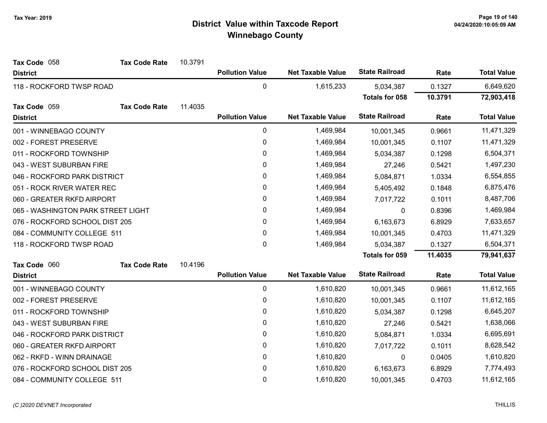| Tax Code 058                       | <b>Tax Code Rate</b> | 10.3791 |                        |                          |                       |         |                    |
|------------------------------------|----------------------|---------|------------------------|--------------------------|-----------------------|---------|--------------------|
| <b>District</b>                    |                      |         | <b>Pollution Value</b> | <b>Net Taxable Value</b> | <b>State Railroad</b> | Rate    | <b>Total Value</b> |
| 118 - ROCKFORD TWSP ROAD           |                      |         | $\mathbf 0$            | 1,615,233                | 5,034,387             | 0.1327  | 6,649,620          |
|                                    |                      |         |                        |                          | <b>Totals for 058</b> | 10.3791 | 72,903,418         |
| Tax Code 059                       | <b>Tax Code Rate</b> | 11.4035 |                        |                          |                       |         |                    |
| <b>District</b>                    |                      |         | <b>Pollution Value</b> | <b>Net Taxable Value</b> | <b>State Railroad</b> | Rate    | <b>Total Value</b> |
| 001 - WINNEBAGO COUNTY             |                      |         | 0                      | 1,469,984                | 10,001,345            | 0.9661  | 11,471,329         |
| 002 - FOREST PRESERVE              |                      |         | 0                      | 1,469,984                | 10,001,345            | 0.1107  | 11,471,329         |
| 011 - ROCKFORD TOWNSHIP            |                      |         | 0                      | 1,469,984                | 5,034,387             | 0.1298  | 6,504,371          |
| 043 - WEST SUBURBAN FIRE           |                      |         | 0                      | 1,469,984                | 27,246                | 0.5421  | 1,497,230          |
| 046 - ROCKFORD PARK DISTRICT       |                      |         | 0                      | 1,469,984                | 5,084,871             | 1.0334  | 6,554,855          |
| 051 - ROCK RIVER WATER REC         |                      |         | 0                      | 1,469,984                | 5,405,492             | 0.1848  | 6,875,476          |
| 060 - GREATER RKFD AIRPORT         |                      |         | 0                      | 1,469,984                | 7,017,722             | 0.1011  | 8,487,706          |
| 065 - WASHINGTON PARK STREET LIGHT |                      |         | $\mathbf 0$            | 1,469,984                | 0                     | 0.8396  | 1,469,984          |
| 076 - ROCKFORD SCHOOL DIST 205     |                      |         | 0                      | 1,469,984                | 6,163,673             | 6.8929  | 7,633,657          |
| 084 - COMMUNITY COLLEGE 511        |                      |         | 0                      | 1,469,984                | 10,001,345            | 0.4703  | 11,471,329         |
| 118 - ROCKFORD TWSP ROAD           |                      |         | 0                      | 1,469,984                | 5,034,387             | 0.1327  | 6,504,371          |
|                                    |                      |         |                        |                          | Totals for 059        | 11.4035 | 79,941,637         |
| Tax Code 060                       | <b>Tax Code Rate</b> | 10.4196 |                        |                          |                       |         |                    |
| <b>District</b>                    |                      |         | <b>Pollution Value</b> | <b>Net Taxable Value</b> | <b>State Railroad</b> | Rate    | <b>Total Value</b> |
| 001 - WINNEBAGO COUNTY             |                      |         | 0                      | 1,610,820                | 10,001,345            | 0.9661  | 11,612,165         |
| 002 - FOREST PRESERVE              |                      |         | 0                      | 1,610,820                | 10,001,345            | 0.1107  | 11,612,165         |
| 011 - ROCKFORD TOWNSHIP            |                      |         | 0                      | 1,610,820                | 5,034,387             | 0.1298  | 6,645,207          |
| 043 - WEST SUBURBAN FIRE           |                      |         | 0                      | 1,610,820                | 27,246                | 0.5421  | 1,638,066          |
| 046 - ROCKFORD PARK DISTRICT       |                      |         | 0                      | 1,610,820                | 5,084,871             | 1.0334  | 6,695,691          |
| 060 - GREATER RKFD AIRPORT         |                      |         | 0                      | 1,610,820                | 7,017,722             | 0.1011  | 8,628,542          |
| 062 - RKFD - WINN DRAINAGE         |                      |         | 0                      | 1,610,820                | 0                     | 0.0405  | 1,610,820          |
| 076 - ROCKFORD SCHOOL DIST 205     |                      |         | 0                      | 1,610,820                | 6,163,673             | 6.8929  | 7,774,493          |
| 084 - COMMUNITY COLLEGE 511        |                      |         | 0                      | 1,610,820                | 10,001,345            | 0.4703  | 11,612,165         |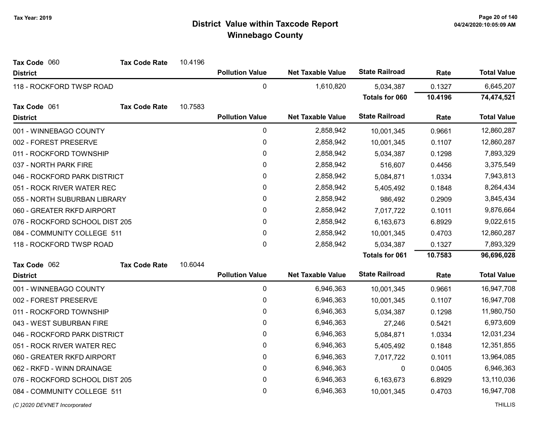| Tax Code 060                   | <b>Tax Code Rate</b> | 10.4196 |                        |                          |                       |         |                    |
|--------------------------------|----------------------|---------|------------------------|--------------------------|-----------------------|---------|--------------------|
| <b>District</b>                |                      |         | <b>Pollution Value</b> | <b>Net Taxable Value</b> | <b>State Railroad</b> | Rate    | <b>Total Value</b> |
| 118 - ROCKFORD TWSP ROAD       |                      |         | $\pmb{0}$              | 1,610,820                | 5,034,387             | 0.1327  | 6,645,207          |
|                                |                      |         |                        |                          | <b>Totals for 060</b> | 10.4196 | 74,474,521         |
| Tax Code 061                   | <b>Tax Code Rate</b> | 10.7583 |                        |                          |                       |         |                    |
| <b>District</b>                |                      |         | <b>Pollution Value</b> | <b>Net Taxable Value</b> | <b>State Railroad</b> | Rate    | <b>Total Value</b> |
| 001 - WINNEBAGO COUNTY         |                      |         | $\pmb{0}$              | 2,858,942                | 10,001,345            | 0.9661  | 12,860,287         |
| 002 - FOREST PRESERVE          |                      |         | $\pmb{0}$              | 2,858,942                | 10,001,345            | 0.1107  | 12,860,287         |
| 011 - ROCKFORD TOWNSHIP        |                      |         | 0                      | 2,858,942                | 5,034,387             | 0.1298  | 7,893,329          |
| 037 - NORTH PARK FIRE          |                      |         | 0                      | 2,858,942                | 516,607               | 0.4456  | 3,375,549          |
| 046 - ROCKFORD PARK DISTRICT   |                      |         | $\pmb{0}$              | 2,858,942                | 5,084,871             | 1.0334  | 7,943,813          |
| 051 - ROCK RIVER WATER REC     |                      |         | 0                      | 2,858,942                | 5,405,492             | 0.1848  | 8,264,434          |
| 055 - NORTH SUBURBAN LIBRARY   |                      |         | 0                      | 2,858,942                | 986,492               | 0.2909  | 3,845,434          |
| 060 - GREATER RKFD AIRPORT     |                      |         | 0                      | 2,858,942                | 7,017,722             | 0.1011  | 9,876,664          |
| 076 - ROCKFORD SCHOOL DIST 205 |                      |         | 0                      | 2,858,942                | 6,163,673             | 6.8929  | 9,022,615          |
| 084 - COMMUNITY COLLEGE 511    |                      |         | 0                      | 2,858,942                | 10,001,345            | 0.4703  | 12,860,287         |
| 118 - ROCKFORD TWSP ROAD       |                      |         | 0                      | 2,858,942                | 5,034,387             | 0.1327  | 7,893,329          |
|                                |                      |         |                        |                          | <b>Totals for 061</b> | 10.7583 | 96,696,028         |
| Tax Code 062                   | <b>Tax Code Rate</b> | 10.6044 |                        |                          |                       |         |                    |
| <b>District</b>                |                      |         | <b>Pollution Value</b> | <b>Net Taxable Value</b> | <b>State Railroad</b> | Rate    | <b>Total Value</b> |
| 001 - WINNEBAGO COUNTY         |                      |         | $\pmb{0}$              | 6,946,363                | 10,001,345            | 0.9661  | 16,947,708         |
| 002 - FOREST PRESERVE          |                      |         | 0                      | 6,946,363                | 10,001,345            | 0.1107  | 16,947,708         |
| 011 - ROCKFORD TOWNSHIP        |                      |         | 0                      | 6,946,363                | 5,034,387             | 0.1298  | 11,980,750         |
| 043 - WEST SUBURBAN FIRE       |                      |         | $\pmb{0}$              | 6,946,363                | 27,246                | 0.5421  | 6,973,609          |
| 046 - ROCKFORD PARK DISTRICT   |                      |         | 0                      | 6,946,363                | 5,084,871             | 1.0334  | 12,031,234         |
| 051 - ROCK RIVER WATER REC     |                      |         | 0                      | 6,946,363                | 5,405,492             | 0.1848  | 12,351,855         |
| 060 - GREATER RKFD AIRPORT     |                      |         | 0                      | 6,946,363                | 7,017,722             | 0.1011  | 13,964,085         |
| 062 - RKFD - WINN DRAINAGE     |                      |         | $\pmb{0}$              | 6,946,363                | 0                     | 0.0405  | 6,946,363          |
| 076 - ROCKFORD SCHOOL DIST 205 |                      |         | 0                      | 6,946,363                | 6,163,673             | 6.8929  | 13,110,036         |
| 084 - COMMUNITY COLLEGE 511    |                      |         | 0                      | 6,946,363                | 10,001,345            | 0.4703  | 16,947,708         |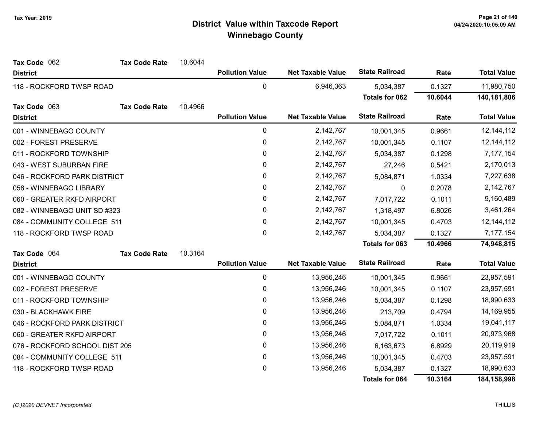| Tax Code 062                   | <b>Tax Code Rate</b> | 10.6044 |                        |                          |                       |         |                    |
|--------------------------------|----------------------|---------|------------------------|--------------------------|-----------------------|---------|--------------------|
| <b>District</b>                |                      |         | <b>Pollution Value</b> | <b>Net Taxable Value</b> | <b>State Railroad</b> | Rate    | <b>Total Value</b> |
| 118 - ROCKFORD TWSP ROAD       |                      |         | $\mathbf 0$            | 6,946,363                | 5,034,387             | 0.1327  | 11,980,750         |
|                                |                      |         |                        |                          | <b>Totals for 062</b> | 10.6044 | 140,181,806        |
| Tax Code 063                   | <b>Tax Code Rate</b> | 10.4966 |                        |                          |                       |         |                    |
| <b>District</b>                |                      |         | <b>Pollution Value</b> | <b>Net Taxable Value</b> | <b>State Railroad</b> | Rate    | <b>Total Value</b> |
| 001 - WINNEBAGO COUNTY         |                      |         | 0                      | 2,142,767                | 10,001,345            | 0.9661  | 12, 144, 112       |
| 002 - FOREST PRESERVE          |                      |         | 0                      | 2,142,767                | 10,001,345            | 0.1107  | 12, 144, 112       |
| 011 - ROCKFORD TOWNSHIP        |                      |         | $\pmb{0}$              | 2,142,767                | 5,034,387             | 0.1298  | 7,177,154          |
| 043 - WEST SUBURBAN FIRE       |                      |         | 0                      | 2,142,767                | 27,246                | 0.5421  | 2,170,013          |
| 046 - ROCKFORD PARK DISTRICT   |                      |         | $\pmb{0}$              | 2,142,767                | 5,084,871             | 1.0334  | 7,227,638          |
| 058 - WINNEBAGO LIBRARY        |                      |         | 0                      | 2,142,767                | 0                     | 0.2078  | 2,142,767          |
| 060 - GREATER RKFD AIRPORT     |                      |         | 0                      | 2,142,767                | 7,017,722             | 0.1011  | 9,160,489          |
| 082 - WINNEBAGO UNIT SD #323   |                      |         | 0                      | 2,142,767                | 1,318,497             | 6.8026  | 3,461,264          |
| 084 - COMMUNITY COLLEGE 511    |                      |         | 0                      | 2,142,767                | 10,001,345            | 0.4703  | 12, 144, 112       |
| 118 - ROCKFORD TWSP ROAD       |                      |         | $\pmb{0}$              | 2,142,767                | 5,034,387             | 0.1327  | 7,177,154          |
|                                |                      |         |                        |                          | Totals for 063        | 10.4966 | 74,948,815         |
| Tax Code 064                   | <b>Tax Code Rate</b> | 10.3164 |                        |                          |                       |         |                    |
| <b>District</b>                |                      |         | <b>Pollution Value</b> | <b>Net Taxable Value</b> | <b>State Railroad</b> | Rate    | <b>Total Value</b> |
| 001 - WINNEBAGO COUNTY         |                      |         | 0                      | 13,956,246               | 10,001,345            | 0.9661  | 23,957,591         |
| 002 - FOREST PRESERVE          |                      |         | $\pmb{0}$              | 13,956,246               | 10,001,345            | 0.1107  | 23,957,591         |
| 011 - ROCKFORD TOWNSHIP        |                      |         | 0                      | 13,956,246               | 5,034,387             | 0.1298  | 18,990,633         |
| 030 - BLACKHAWK FIRE           |                      |         | 0                      | 13,956,246               | 213,709               | 0.4794  | 14,169,955         |
| 046 - ROCKFORD PARK DISTRICT   |                      |         | 0                      | 13,956,246               | 5,084,871             | 1.0334  | 19,041,117         |
| 060 - GREATER RKFD AIRPORT     |                      |         | 0                      | 13,956,246               | 7,017,722             | 0.1011  | 20,973,968         |
| 076 - ROCKFORD SCHOOL DIST 205 |                      |         | $\pmb{0}$              | 13,956,246               | 6,163,673             | 6.8929  | 20,119,919         |
| 084 - COMMUNITY COLLEGE 511    |                      |         | $\pmb{0}$              | 13,956,246               | 10,001,345            | 0.4703  | 23,957,591         |
| 118 - ROCKFORD TWSP ROAD       |                      |         | $\pmb{0}$              | 13,956,246               | 5,034,387             | 0.1327  | 18,990,633         |
|                                |                      |         |                        |                          | <b>Totals for 064</b> | 10.3164 | 184,158,998        |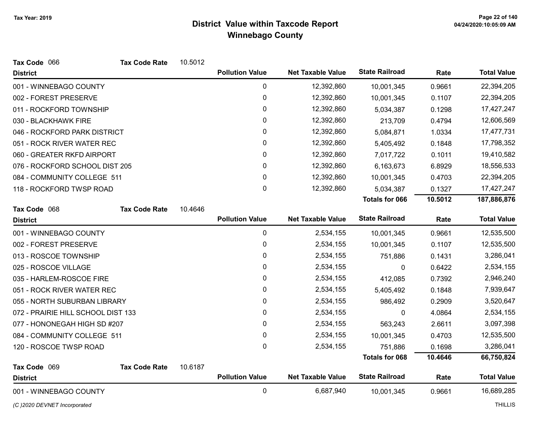| Tax Code 066                       | <b>Tax Code Rate</b> | 10.5012 |                        |                          |                       |         |                    |
|------------------------------------|----------------------|---------|------------------------|--------------------------|-----------------------|---------|--------------------|
| <b>District</b>                    |                      |         | <b>Pollution Value</b> | <b>Net Taxable Value</b> | <b>State Railroad</b> | Rate    | <b>Total Value</b> |
| 001 - WINNEBAGO COUNTY             |                      |         | $\mathbf 0$            | 12,392,860               | 10,001,345            | 0.9661  | 22,394,205         |
| 002 - FOREST PRESERVE              |                      |         | $\pmb{0}$              | 12,392,860               | 10,001,345            | 0.1107  | 22,394,205         |
| 011 - ROCKFORD TOWNSHIP            |                      |         | 0                      | 12,392,860               | 5,034,387             | 0.1298  | 17,427,247         |
| 030 - BLACKHAWK FIRE               |                      |         | 0                      | 12,392,860               | 213,709               | 0.4794  | 12,606,569         |
| 046 - ROCKFORD PARK DISTRICT       |                      |         | 0                      | 12,392,860               | 5,084,871             | 1.0334  | 17,477,731         |
| 051 - ROCK RIVER WATER REC         |                      |         | 0                      | 12,392,860               | 5,405,492             | 0.1848  | 17,798,352         |
| 060 - GREATER RKFD AIRPORT         |                      |         | 0                      | 12,392,860               | 7,017,722             | 0.1011  | 19,410,582         |
| 076 - ROCKFORD SCHOOL DIST 205     |                      |         | 0                      | 12,392,860               | 6,163,673             | 6.8929  | 18,556,533         |
| 084 - COMMUNITY COLLEGE 511        |                      |         | 0                      | 12,392,860               | 10,001,345            | 0.4703  | 22,394,205         |
| 118 - ROCKFORD TWSP ROAD           |                      |         | 0                      | 12,392,860               | 5,034,387             | 0.1327  | 17,427,247         |
|                                    |                      |         |                        |                          | <b>Totals for 066</b> | 10.5012 | 187,886,876        |
| Tax Code 068                       | <b>Tax Code Rate</b> | 10.4646 |                        |                          |                       |         |                    |
| <b>District</b>                    |                      |         | <b>Pollution Value</b> | <b>Net Taxable Value</b> | <b>State Railroad</b> | Rate    | <b>Total Value</b> |
| 001 - WINNEBAGO COUNTY             |                      |         | 0                      | 2,534,155                | 10,001,345            | 0.9661  | 12,535,500         |
| 002 - FOREST PRESERVE              |                      |         | 0                      | 2,534,155                | 10,001,345            | 0.1107  | 12,535,500         |
| 013 - ROSCOE TOWNSHIP              |                      |         | 0                      | 2,534,155                | 751,886               | 0.1431  | 3,286,041          |
| 025 - ROSCOE VILLAGE               |                      |         | 0                      | 2,534,155                | 0                     | 0.6422  | 2,534,155          |
| 035 - HARLEM-ROSCOE FIRE           |                      |         | 0                      | 2,534,155                | 412,085               | 0.7392  | 2,946,240          |
| 051 - ROCK RIVER WATER REC         |                      |         | 0                      | 2,534,155                | 5,405,492             | 0.1848  | 7,939,647          |
| 055 - NORTH SUBURBAN LIBRARY       |                      |         | 0                      | 2,534,155                | 986,492               | 0.2909  | 3,520,647          |
| 072 - PRAIRIE HILL SCHOOL DIST 133 |                      |         | 0                      | 2,534,155                | 0                     | 4.0864  | 2,534,155          |
| 077 - HONONEGAH HIGH SD #207       |                      |         | 0                      | 2,534,155                | 563,243               | 2.6611  | 3,097,398          |
| 084 - COMMUNITY COLLEGE 511        |                      |         | 0                      | 2,534,155                | 10,001,345            | 0.4703  | 12,535,500         |
| 120 - ROSCOE TWSP ROAD             |                      |         | $\mathbf 0$            | 2,534,155                | 751,886               | 0.1698  | 3,286,041          |
|                                    |                      |         |                        |                          | <b>Totals for 068</b> | 10.4646 | 66,750,824         |
| Tax Code 069                       | <b>Tax Code Rate</b> | 10.6187 |                        |                          |                       |         |                    |
| <b>District</b>                    |                      |         | <b>Pollution Value</b> | <b>Net Taxable Value</b> | <b>State Railroad</b> | Rate    | <b>Total Value</b> |
| 001 - WINNEBAGO COUNTY             |                      |         | 0                      | 6,687,940                | 10,001,345            | 0.9661  | 16,689,285         |

(C)2020 DEVNET Incorporated THILLIS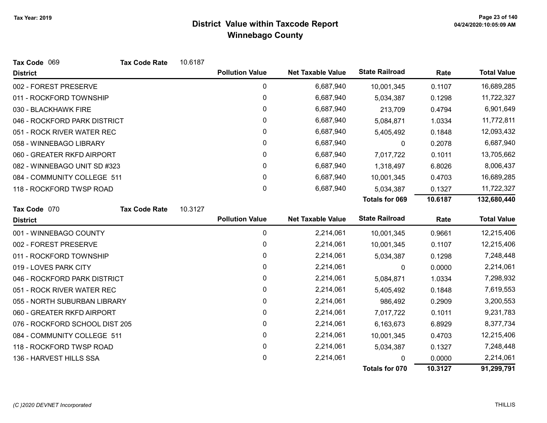| Tax Code 069                   | <b>Tax Code Rate</b> | 10.6187 |                        |                          |                       |         |                    |
|--------------------------------|----------------------|---------|------------------------|--------------------------|-----------------------|---------|--------------------|
| <b>District</b>                |                      |         | <b>Pollution Value</b> | <b>Net Taxable Value</b> | <b>State Railroad</b> | Rate    | <b>Total Value</b> |
| 002 - FOREST PRESERVE          |                      |         | 0                      | 6,687,940                | 10,001,345            | 0.1107  | 16,689,285         |
| 011 - ROCKFORD TOWNSHIP        |                      |         | 0                      | 6,687,940                | 5,034,387             | 0.1298  | 11,722,327         |
| 030 - BLACKHAWK FIRE           |                      |         | $\pmb{0}$              | 6,687,940                | 213,709               | 0.4794  | 6,901,649          |
| 046 - ROCKFORD PARK DISTRICT   |                      |         | 0                      | 6,687,940                | 5,084,871             | 1.0334  | 11,772,811         |
| 051 - ROCK RIVER WATER REC     |                      |         | 0                      | 6,687,940                | 5,405,492             | 0.1848  | 12,093,432         |
| 058 - WINNEBAGO LIBRARY        |                      |         | $\pmb{0}$              | 6,687,940                | 0                     | 0.2078  | 6,687,940          |
| 060 - GREATER RKFD AIRPORT     |                      |         | 0                      | 6,687,940                | 7,017,722             | 0.1011  | 13,705,662         |
| 082 - WINNEBAGO UNIT SD #323   |                      |         | 0                      | 6,687,940                | 1,318,497             | 6.8026  | 8,006,437          |
| 084 - COMMUNITY COLLEGE 511    |                      |         | $\mathbf{0}$           | 6,687,940                | 10,001,345            | 0.4703  | 16,689,285         |
| 118 - ROCKFORD TWSP ROAD       |                      |         | 0                      | 6,687,940                | 5,034,387             | 0.1327  | 11,722,327         |
|                                |                      |         |                        |                          | <b>Totals for 069</b> | 10.6187 | 132,680,440        |
| Tax Code 070                   | <b>Tax Code Rate</b> | 10.3127 |                        |                          |                       |         |                    |
| <b>District</b>                |                      |         | <b>Pollution Value</b> | <b>Net Taxable Value</b> | <b>State Railroad</b> | Rate    | <b>Total Value</b> |
| 001 - WINNEBAGO COUNTY         |                      |         | $\pmb{0}$              | 2,214,061                | 10,001,345            | 0.9661  | 12,215,406         |
| 002 - FOREST PRESERVE          |                      |         | 0                      | 2,214,061                | 10,001,345            | 0.1107  | 12,215,406         |
| 011 - ROCKFORD TOWNSHIP        |                      |         | $\pmb{0}$              | 2,214,061                | 5,034,387             | 0.1298  | 7,248,448          |
| 019 - LOVES PARK CITY          |                      |         | 0                      | 2,214,061                | 0                     | 0.0000  | 2,214,061          |
| 046 - ROCKFORD PARK DISTRICT   |                      |         | 0                      | 2,214,061                | 5,084,871             | 1.0334  | 7,298,932          |
| 051 - ROCK RIVER WATER REC     |                      |         | 0                      | 2,214,061                | 5,405,492             | 0.1848  | 7,619,553          |
| 055 - NORTH SUBURBAN LIBRARY   |                      |         | $\pmb{0}$              | 2,214,061                | 986,492               | 0.2909  | 3,200,553          |
| 060 - GREATER RKFD AIRPORT     |                      |         | 0                      | 2,214,061                | 7,017,722             | 0.1011  | 9,231,783          |
| 076 - ROCKFORD SCHOOL DIST 205 |                      |         | 0                      | 2,214,061                | 6,163,673             | 6.8929  | 8,377,734          |
| 084 - COMMUNITY COLLEGE 511    |                      |         | 0                      | 2,214,061                | 10,001,345            | 0.4703  | 12,215,406         |
| 118 - ROCKFORD TWSP ROAD       |                      |         | 0                      | 2,214,061                | 5,034,387             | 0.1327  | 7,248,448          |
| 136 - HARVEST HILLS SSA        |                      |         | 0                      | 2,214,061                | 0                     | 0.0000  | 2,214,061          |
|                                |                      |         |                        |                          | Totals for 070        | 10.3127 | 91,299,791         |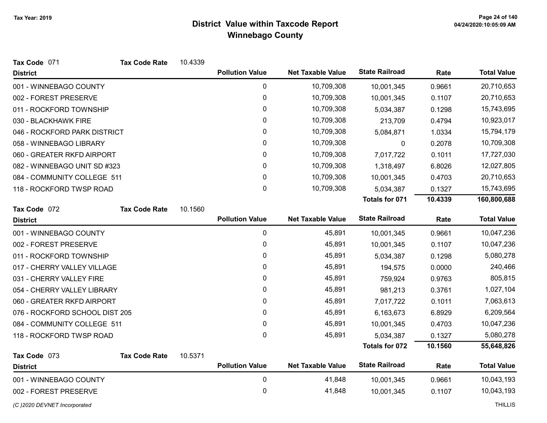| Tax Code 071                   | <b>Tax Code Rate</b> | 10.4339 |                        |                          |                       |         |                    |
|--------------------------------|----------------------|---------|------------------------|--------------------------|-----------------------|---------|--------------------|
| <b>District</b>                |                      |         | <b>Pollution Value</b> | <b>Net Taxable Value</b> | <b>State Railroad</b> | Rate    | <b>Total Value</b> |
| 001 - WINNEBAGO COUNTY         |                      |         | $\pmb{0}$              | 10,709,308               | 10,001,345            | 0.9661  | 20,710,653         |
| 002 - FOREST PRESERVE          |                      |         | 0                      | 10,709,308               | 10,001,345            | 0.1107  | 20,710,653         |
| 011 - ROCKFORD TOWNSHIP        |                      |         | 0                      | 10,709,308               | 5,034,387             | 0.1298  | 15,743,695         |
| 030 - BLACKHAWK FIRE           |                      |         | 0                      | 10,709,308               | 213,709               | 0.4794  | 10,923,017         |
| 046 - ROCKFORD PARK DISTRICT   |                      |         | 0                      | 10,709,308               | 5,084,871             | 1.0334  | 15,794,179         |
| 058 - WINNEBAGO LIBRARY        |                      |         | 0                      | 10,709,308               | 0                     | 0.2078  | 10,709,308         |
| 060 - GREATER RKFD AIRPORT     |                      |         | 0                      | 10,709,308               | 7,017,722             | 0.1011  | 17,727,030         |
| 082 - WINNEBAGO UNIT SD #323   |                      |         | 0                      | 10,709,308               | 1,318,497             | 6.8026  | 12,027,805         |
| 084 - COMMUNITY COLLEGE 511    |                      |         | $\mathbf{0}$           | 10,709,308               | 10,001,345            | 0.4703  | 20,710,653         |
| 118 - ROCKFORD TWSP ROAD       |                      |         | 0                      | 10,709,308               | 5,034,387             | 0.1327  | 15,743,695         |
|                                |                      |         |                        |                          | Totals for 071        | 10.4339 | 160,800,688        |
| Tax Code 072                   | <b>Tax Code Rate</b> | 10.1560 |                        |                          |                       |         |                    |
| <b>District</b>                |                      |         | <b>Pollution Value</b> | <b>Net Taxable Value</b> | <b>State Railroad</b> | Rate    | <b>Total Value</b> |
| 001 - WINNEBAGO COUNTY         |                      |         | $\pmb{0}$              | 45,891                   | 10,001,345            | 0.9661  | 10,047,236         |
| 002 - FOREST PRESERVE          |                      |         | $\mathbf 0$            | 45,891                   | 10,001,345            | 0.1107  | 10,047,236         |
| 011 - ROCKFORD TOWNSHIP        |                      |         | 0                      | 45,891                   | 5,034,387             | 0.1298  | 5,080,278          |
| 017 - CHERRY VALLEY VILLAGE    |                      |         | 0                      | 45,891                   | 194,575               | 0.0000  | 240,466            |
| 031 - CHERRY VALLEY FIRE       |                      |         | 0                      | 45,891                   | 759,924               | 0.9763  | 805,815            |
| 054 - CHERRY VALLEY LIBRARY    |                      |         | 0                      | 45,891                   | 981,213               | 0.3761  | 1,027,104          |
| 060 - GREATER RKFD AIRPORT     |                      |         | 0                      | 45,891                   | 7,017,722             | 0.1011  | 7,063,613          |
| 076 - ROCKFORD SCHOOL DIST 205 |                      |         | $\mathbf{0}$           | 45,891                   | 6,163,673             | 6.8929  | 6,209,564          |
| 084 - COMMUNITY COLLEGE 511    |                      |         | $\mathbf 0$            | 45,891                   | 10,001,345            | 0.4703  | 10,047,236         |
| 118 - ROCKFORD TWSP ROAD       |                      |         | 0                      | 45,891                   | 5,034,387             | 0.1327  | 5,080,278          |
|                                |                      |         |                        |                          | <b>Totals for 072</b> | 10.1560 | 55,648,826         |
| Tax Code 073                   | <b>Tax Code Rate</b> | 10.5371 |                        |                          |                       |         |                    |
| <b>District</b>                |                      |         | <b>Pollution Value</b> | <b>Net Taxable Value</b> | <b>State Railroad</b> | Rate    | <b>Total Value</b> |
| 001 - WINNEBAGO COUNTY         |                      |         | $\pmb{0}$              | 41,848                   | 10,001,345            | 0.9661  | 10,043,193         |
| 002 - FOREST PRESERVE          |                      |         | 0                      | 41,848                   | 10,001,345            | 0.1107  | 10,043,193         |
| (C)2020 DEVNET Incorporated    |                      |         |                        |                          |                       |         | <b>THILLIS</b>     |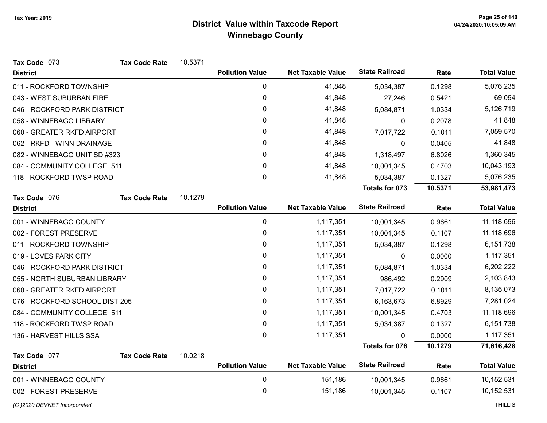| Tax Code 073                    | <b>Tax Code Rate</b> | 10.5371 |                        |                          |                       |            |                    |
|---------------------------------|----------------------|---------|------------------------|--------------------------|-----------------------|------------|--------------------|
| <b>District</b>                 |                      |         | <b>Pollution Value</b> | <b>Net Taxable Value</b> | <b>State Railroad</b> | Rate       | <b>Total Value</b> |
| 011 - ROCKFORD TOWNSHIP         |                      |         | 0                      | 41,848                   | 5,034,387             | 0.1298     | 5,076,235          |
| 043 - WEST SUBURBAN FIRE        |                      |         | $\pmb{0}$              | 41,848                   | 27,246                | 0.5421     | 69,094             |
| 046 - ROCKFORD PARK DISTRICT    |                      |         | 0                      | 41,848                   | 5,084,871             | 1.0334     | 5,126,719          |
| 058 - WINNEBAGO LIBRARY         |                      |         | $\pmb{0}$              | 41,848                   | 0                     | 0.2078     | 41,848             |
| 060 - GREATER RKFD AIRPORT      |                      |         | 0                      | 41,848                   | 7,017,722             | 0.1011     | 7,059,570          |
| 062 - RKFD - WINN DRAINAGE      |                      |         | 0                      | 41,848                   | 0                     | 0.0405     | 41,848             |
| 082 - WINNEBAGO UNIT SD #323    |                      |         | 0                      | 41,848                   | 1,318,497             | 6.8026     | 1,360,345          |
| 084 - COMMUNITY COLLEGE 511     |                      | 0       | 41,848                 | 10,001,345               | 0.4703                | 10,043,193 |                    |
| 118 - ROCKFORD TWSP ROAD        |                      |         | $\pmb{0}$              | 41,848                   | 5,034,387             | 0.1327     | 5,076,235          |
|                                 |                      |         |                        |                          | <b>Totals for 073</b> | 10.5371    | 53,981,473         |
| Tax Code 076                    | <b>Tax Code Rate</b> | 10.1279 |                        |                          |                       |            |                    |
| <b>District</b>                 |                      |         | <b>Pollution Value</b> | <b>Net Taxable Value</b> | <b>State Railroad</b> | Rate       | <b>Total Value</b> |
| 001 - WINNEBAGO COUNTY          |                      |         | 0                      | 1,117,351                | 10,001,345            | 0.9661     | 11,118,696         |
| 002 - FOREST PRESERVE           |                      |         | $\pmb{0}$              | 1,117,351                | 10,001,345            | 0.1107     | 11,118,696         |
| 011 - ROCKFORD TOWNSHIP         |                      |         | 0                      | 1,117,351                | 5,034,387             | 0.1298     | 6,151,738          |
| 019 - LOVES PARK CITY           |                      |         | 0                      | 1,117,351                | $\mathbf{0}$          | 0.0000     | 1,117,351          |
| 046 - ROCKFORD PARK DISTRICT    |                      |         | 0                      | 1,117,351                | 5,084,871             | 1.0334     | 6,202,222          |
| 055 - NORTH SUBURBAN LIBRARY    |                      |         | 0                      | 1,117,351                | 986,492               | 0.2909     | 2,103,843          |
| 060 - GREATER RKFD AIRPORT      |                      |         | 0                      | 1,117,351                | 7,017,722             | 0.1011     | 8,135,073          |
| 076 - ROCKFORD SCHOOL DIST 205  |                      |         | 0                      | 1,117,351                | 6,163,673             | 6.8929     | 7,281,024          |
| 084 - COMMUNITY COLLEGE 511     |                      |         | 0                      | 1,117,351                | 10,001,345            | 0.4703     | 11,118,696         |
| 118 - ROCKFORD TWSP ROAD        |                      |         | $\pmb{0}$              | 1,117,351                | 5,034,387             | 0.1327     | 6,151,738          |
| 136 - HARVEST HILLS SSA         |                      |         | $\mathbf 0$            | 1,117,351                | $\mathbf{0}$          | 0.0000     | 1,117,351          |
|                                 |                      |         |                        |                          | <b>Totals for 076</b> | 10.1279    | 71,616,428         |
| Tax Code 077<br><b>District</b> | <b>Tax Code Rate</b> | 10.0218 | <b>Pollution Value</b> | <b>Net Taxable Value</b> | <b>State Railroad</b> | Rate       | <b>Total Value</b> |
| 001 - WINNEBAGO COUNTY          |                      |         | 0                      | 151,186                  | 10,001,345            | 0.9661     | 10,152,531         |
| 002 - FOREST PRESERVE           |                      |         | 0                      | 151,186                  | 10,001,345            | 0.1107     | 10,152,531         |
|                                 |                      |         |                        |                          |                       |            |                    |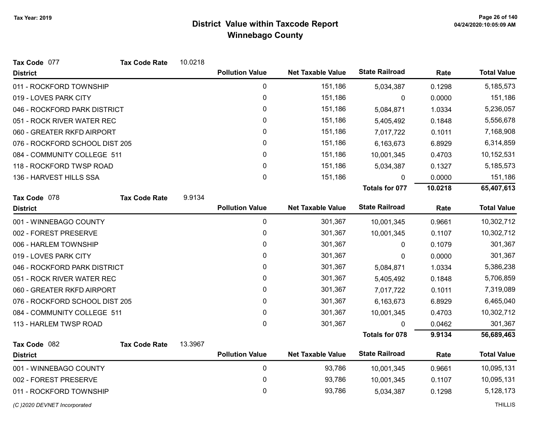| Tax Code 077                   | <b>Tax Code Rate</b> | 10.0218 |                        |                          |                       |           |                    |
|--------------------------------|----------------------|---------|------------------------|--------------------------|-----------------------|-----------|--------------------|
| <b>District</b>                |                      |         | <b>Pollution Value</b> | <b>Net Taxable Value</b> | <b>State Railroad</b> | Rate      | <b>Total Value</b> |
| 011 - ROCKFORD TOWNSHIP        |                      |         | 0                      | 151,186                  | 5,034,387             | 0.1298    | 5,185,573          |
| 019 - LOVES PARK CITY          |                      |         | $\mathbf 0$            | 151,186                  | 0                     | 0.0000    | 151,186            |
| 046 - ROCKFORD PARK DISTRICT   |                      |         | 0                      | 151,186                  | 5,084,871             | 1.0334    | 5,236,057          |
| 051 - ROCK RIVER WATER REC     |                      |         | 0                      | 151,186                  | 5,405,492             | 0.1848    | 5,556,678          |
| 060 - GREATER RKFD AIRPORT     |                      |         | 0                      | 151,186                  | 7,017,722             | 0.1011    | 7,168,908          |
| 076 - ROCKFORD SCHOOL DIST 205 |                      |         | 0                      | 151,186                  | 6,163,673             | 6.8929    | 6,314,859          |
| 084 - COMMUNITY COLLEGE 511    |                      |         | 0                      | 151,186                  | 10,001,345            | 0.4703    | 10,152,531         |
| 118 - ROCKFORD TWSP ROAD       |                      | 0       | 151,186                | 5,034,387                | 0.1327                | 5,185,573 |                    |
| 136 - HARVEST HILLS SSA        |                      |         | 0                      | 151,186                  | $\mathbf{0}$          | 0.0000    | 151,186            |
|                                |                      |         |                        |                          | Totals for 077        | 10.0218   | 65,407,613         |
| Tax Code 078                   | <b>Tax Code Rate</b> | 9.9134  |                        |                          |                       |           |                    |
| <b>District</b>                |                      |         | <b>Pollution Value</b> | <b>Net Taxable Value</b> | <b>State Railroad</b> | Rate      | <b>Total Value</b> |
| 001 - WINNEBAGO COUNTY         |                      |         | $\pmb{0}$              | 301,367                  | 10,001,345            | 0.9661    | 10,302,712         |
| 002 - FOREST PRESERVE          |                      |         | $\pmb{0}$              | 301,367                  | 10,001,345            | 0.1107    | 10,302,712         |
| 006 - HARLEM TOWNSHIP          |                      |         | 0                      | 301,367                  | $\mathbf{0}$          | 0.1079    | 301,367            |
| 019 - LOVES PARK CITY          |                      |         | 0                      | 301,367                  | 0                     | 0.0000    | 301,367            |
| 046 - ROCKFORD PARK DISTRICT   |                      |         | 0                      | 301,367                  | 5,084,871             | 1.0334    | 5,386,238          |
| 051 - ROCK RIVER WATER REC     |                      |         | 0                      | 301,367                  | 5,405,492             | 0.1848    | 5,706,859          |
| 060 - GREATER RKFD AIRPORT     |                      |         | 0                      | 301,367                  | 7,017,722             | 0.1011    | 7,319,089          |
| 076 - ROCKFORD SCHOOL DIST 205 |                      |         | 0                      | 301,367                  | 6,163,673             | 6.8929    | 6,465,040          |
| 084 - COMMUNITY COLLEGE 511    |                      |         | 0                      | 301,367                  | 10,001,345            | 0.4703    | 10,302,712         |
| 113 - HARLEM TWSP ROAD         |                      |         | 0                      | 301,367                  | $\Omega$              | 0.0462    | 301,367            |
|                                |                      |         |                        |                          | <b>Totals for 078</b> | 9.9134    | 56,689,463         |
| Tax Code 082                   | <b>Tax Code Rate</b> | 13.3967 |                        |                          |                       |           |                    |
| <b>District</b>                |                      |         | <b>Pollution Value</b> | <b>Net Taxable Value</b> | <b>State Railroad</b> | Rate      | <b>Total Value</b> |
| 001 - WINNEBAGO COUNTY         |                      |         | $\pmb{0}$              | 93,786                   | 10,001,345            | 0.9661    | 10,095,131         |
| 002 - FOREST PRESERVE          |                      |         | 0                      | 93,786                   | 10,001,345            | 0.1107    | 10,095,131         |
| 011 - ROCKFORD TOWNSHIP        |                      |         | 0                      | 93,786                   | 5,034,387             | 0.1298    | 5,128,173          |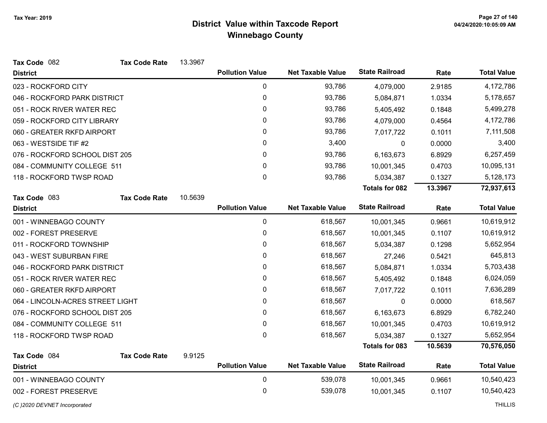| Tax Code 082                     | <b>Tax Code Rate</b> | 13.3967      |                        |                          |                       |            |                    |
|----------------------------------|----------------------|--------------|------------------------|--------------------------|-----------------------|------------|--------------------|
| <b>District</b>                  |                      |              | <b>Pollution Value</b> | <b>Net Taxable Value</b> | <b>State Railroad</b> | Rate       | <b>Total Value</b> |
| 023 - ROCKFORD CITY              |                      |              | 0                      | 93,786                   | 4,079,000             | 2.9185     | 4,172,786          |
| 046 - ROCKFORD PARK DISTRICT     |                      |              | 0                      | 93,786                   | 5,084,871             | 1.0334     | 5,178,657          |
| 051 - ROCK RIVER WATER REC       |                      |              | 0                      | 93,786                   | 5,405,492             | 0.1848     | 5,499,278          |
| 059 - ROCKFORD CITY LIBRARY      |                      |              | 0                      | 93,786                   | 4,079,000             | 0.4564     | 4,172,786          |
| 060 - GREATER RKFD AIRPORT       |                      |              | 0                      | 93,786                   | 7,017,722             | 0.1011     | 7,111,508          |
| 063 - WESTSIDE TIF #2            |                      |              | 0                      | 3,400                    | 0                     | 0.0000     | 3,400              |
| 076 - ROCKFORD SCHOOL DIST 205   |                      | 0            | 93,786                 | 6,163,673                | 6.8929                | 6,257,459  |                    |
| 084 - COMMUNITY COLLEGE 511      |                      | $\mathbf{0}$ | 93,786                 | 10,001,345               | 0.4703                | 10,095,131 |                    |
| 118 - ROCKFORD TWSP ROAD         |                      |              | $\mathbf 0$            | 93,786                   | 5,034,387             | 0.1327     | 5,128,173          |
|                                  |                      |              |                        |                          | <b>Totals for 082</b> | 13.3967    | 72,937,613         |
| Tax Code 083                     | <b>Tax Code Rate</b> | 10.5639      |                        |                          |                       |            |                    |
| <b>District</b>                  |                      |              | <b>Pollution Value</b> | <b>Net Taxable Value</b> | <b>State Railroad</b> | Rate       | <b>Total Value</b> |
| 001 - WINNEBAGO COUNTY           |                      |              | 0                      | 618,567                  | 10,001,345            | 0.9661     | 10,619,912         |
| 002 - FOREST PRESERVE            |                      |              | 0                      | 618,567                  | 10,001,345            | 0.1107     | 10,619,912         |
| 011 - ROCKFORD TOWNSHIP          |                      |              | $\mathbf{0}$           | 618,567                  | 5,034,387             | 0.1298     | 5,652,954          |
| 043 - WEST SUBURBAN FIRE         |                      |              | 0                      | 618,567                  | 27,246                | 0.5421     | 645,813            |
| 046 - ROCKFORD PARK DISTRICT     |                      |              | 0                      | 618,567                  | 5,084,871             | 1.0334     | 5,703,438          |
| 051 - ROCK RIVER WATER REC       |                      |              | 0                      | 618,567                  | 5,405,492             | 0.1848     | 6,024,059          |
| 060 - GREATER RKFD AIRPORT       |                      |              | $\mathbf{0}$           | 618,567                  | 7,017,722             | 0.1011     | 7,636,289          |
| 064 - LINCOLN-ACRES STREET LIGHT |                      |              | 0                      | 618,567                  | 0                     | 0.0000     | 618,567            |
| 076 - ROCKFORD SCHOOL DIST 205   |                      |              | $\mathbf{0}$           | 618,567                  | 6,163,673             | 6.8929     | 6,782,240          |
| 084 - COMMUNITY COLLEGE 511      |                      |              | $\mathbf 0$            | 618,567                  | 10,001,345            | 0.4703     | 10,619,912         |
| 118 - ROCKFORD TWSP ROAD         |                      |              | $\mathbf 0$            | 618,567                  | 5,034,387             | 0.1327     | 5,652,954          |
|                                  |                      |              |                        |                          | <b>Totals for 083</b> | 10.5639    | 70,576,050         |
| Tax Code 084                     | <b>Tax Code Rate</b> | 9.9125       |                        |                          |                       |            |                    |
| <b>District</b>                  |                      |              | <b>Pollution Value</b> | <b>Net Taxable Value</b> | <b>State Railroad</b> | Rate       | <b>Total Value</b> |
| 001 - WINNEBAGO COUNTY           |                      |              | 0                      | 539,078                  | 10,001,345            | 0.9661     | 10,540,423         |
| 002 - FOREST PRESERVE            |                      |              | 0                      | 539,078                  | 10,001,345            | 0.1107     | 10,540,423         |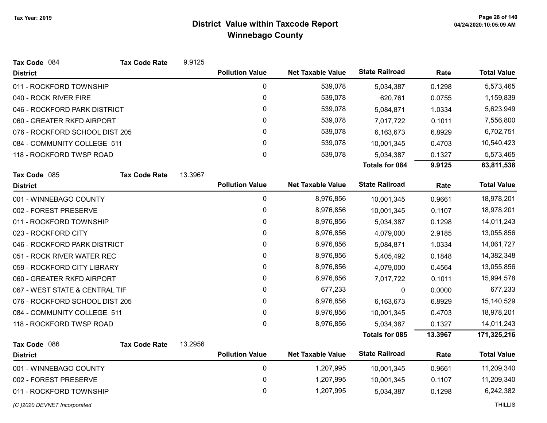| Tax Code 084                   | <b>Tax Code Rate</b> | 9.9125  |                        |                          |                       |         |                    |
|--------------------------------|----------------------|---------|------------------------|--------------------------|-----------------------|---------|--------------------|
| <b>District</b>                |                      |         | <b>Pollution Value</b> | <b>Net Taxable Value</b> | <b>State Railroad</b> | Rate    | <b>Total Value</b> |
| 011 - ROCKFORD TOWNSHIP        |                      |         | $\pmb{0}$              | 539,078                  | 5,034,387             | 0.1298  | 5,573,465          |
| 040 - ROCK RIVER FIRE          |                      |         | 0                      | 539,078                  | 620,761               | 0.0755  | 1,159,839          |
| 046 - ROCKFORD PARK DISTRICT   |                      |         | 0                      | 539,078                  | 5,084,871             | 1.0334  | 5,623,949          |
| 060 - GREATER RKFD AIRPORT     |                      |         | 0                      | 539,078                  | 7,017,722             | 0.1011  | 7,556,800          |
| 076 - ROCKFORD SCHOOL DIST 205 |                      |         | 0                      | 539,078                  | 6,163,673             | 6.8929  | 6,702,751          |
| 084 - COMMUNITY COLLEGE 511    |                      |         | 0                      | 539,078                  | 10,001,345            | 0.4703  | 10,540,423         |
| 118 - ROCKFORD TWSP ROAD       |                      |         | 0                      | 539,078                  | 5,034,387             | 0.1327  | 5,573,465          |
|                                |                      |         |                        |                          | <b>Totals for 084</b> | 9.9125  | 63,811,538         |
| Tax Code 085                   | <b>Tax Code Rate</b> | 13.3967 |                        |                          |                       |         |                    |
| <b>District</b>                |                      |         | <b>Pollution Value</b> | <b>Net Taxable Value</b> | <b>State Railroad</b> | Rate    | <b>Total Value</b> |
| 001 - WINNEBAGO COUNTY         |                      |         | $\mathbf 0$            | 8,976,856                | 10,001,345            | 0.9661  | 18,978,201         |
| 002 - FOREST PRESERVE          |                      |         | 0                      | 8,976,856                | 10,001,345            | 0.1107  | 18,978,201         |
| 011 - ROCKFORD TOWNSHIP        |                      |         | 0                      | 8,976,856                | 5,034,387             | 0.1298  | 14,011,243         |
| 023 - ROCKFORD CITY            |                      |         | 0                      | 8,976,856                | 4,079,000             | 2.9185  | 13,055,856         |
| 046 - ROCKFORD PARK DISTRICT   |                      |         | 0                      | 8,976,856                | 5,084,871             | 1.0334  | 14,061,727         |
| 051 - ROCK RIVER WATER REC     |                      |         | 0                      | 8,976,856                | 5,405,492             | 0.1848  | 14,382,348         |
| 059 - ROCKFORD CITY LIBRARY    |                      |         | 0                      | 8,976,856                | 4,079,000             | 0.4564  | 13,055,856         |
| 060 - GREATER RKFD AIRPORT     |                      |         | 0                      | 8,976,856                | 7,017,722             | 0.1011  | 15,994,578         |
| 067 - WEST STATE & CENTRAL TIF |                      |         | 0                      | 677,233                  | 0                     | 0.0000  | 677,233            |
| 076 - ROCKFORD SCHOOL DIST 205 |                      |         | 0                      | 8,976,856                | 6,163,673             | 6.8929  | 15,140,529         |
| 084 - COMMUNITY COLLEGE 511    |                      |         | 0                      | 8,976,856                | 10,001,345            | 0.4703  | 18,978,201         |
| 118 - ROCKFORD TWSP ROAD       |                      |         | 0                      | 8,976,856                | 5,034,387             | 0.1327  | 14,011,243         |
|                                |                      |         |                        |                          | <b>Totals for 085</b> | 13.3967 | 171,325,216        |
| Tax Code 086                   | <b>Tax Code Rate</b> | 13.2956 |                        |                          |                       |         |                    |
| <b>District</b>                |                      |         | <b>Pollution Value</b> | <b>Net Taxable Value</b> | <b>State Railroad</b> | Rate    | <b>Total Value</b> |
| 001 - WINNEBAGO COUNTY         |                      |         | $\mathbf 0$            | 1,207,995                | 10,001,345            | 0.9661  | 11,209,340         |
| 002 - FOREST PRESERVE          |                      |         | 0                      | 1,207,995                | 10,001,345            | 0.1107  | 11,209,340         |
| 011 - ROCKFORD TOWNSHIP        |                      |         | 0                      | 1,207,995                | 5,034,387             | 0.1298  | 6,242,382          |
|                                |                      |         |                        |                          |                       |         |                    |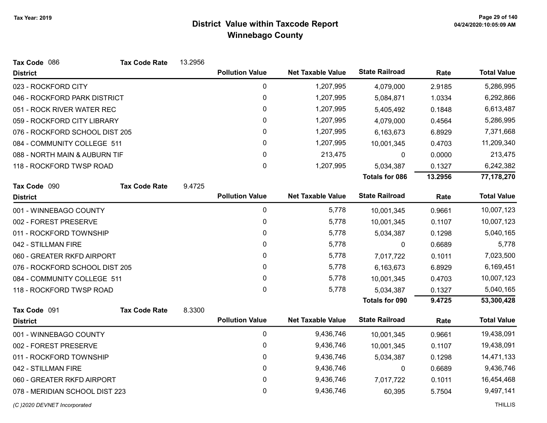| Tax Code 086                   | <b>Tax Code Rate</b> | 13.2956 |                        |                          |                       |         |                    |
|--------------------------------|----------------------|---------|------------------------|--------------------------|-----------------------|---------|--------------------|
| <b>District</b>                |                      |         | <b>Pollution Value</b> | <b>Net Taxable Value</b> | <b>State Railroad</b> | Rate    | <b>Total Value</b> |
| 023 - ROCKFORD CITY            |                      |         | 0                      | 1,207,995                | 4,079,000             | 2.9185  | 5,286,995          |
| 046 - ROCKFORD PARK DISTRICT   |                      |         | $\pmb{0}$              | 1,207,995                | 5,084,871             | 1.0334  | 6,292,866          |
| 051 - ROCK RIVER WATER REC     |                      |         | $\mathbf{0}$           | 1,207,995                | 5,405,492             | 0.1848  | 6,613,487          |
| 059 - ROCKFORD CITY LIBRARY    |                      |         | 0                      | 1,207,995                | 4,079,000             | 0.4564  | 5,286,995          |
| 076 - ROCKFORD SCHOOL DIST 205 |                      |         | 0                      | 1,207,995                | 6,163,673             | 6.8929  | 7,371,668          |
| 084 - COMMUNITY COLLEGE 511    |                      |         | 0                      | 1,207,995                | 10,001,345            | 0.4703  | 11,209,340         |
| 088 - NORTH MAIN & AUBURN TIF  |                      |         | 0                      | 213,475                  | $\mathbf 0$           | 0.0000  | 213,475            |
| 118 - ROCKFORD TWSP ROAD       |                      |         | 0                      | 1,207,995                | 5,034,387             | 0.1327  | 6,242,382          |
|                                |                      |         |                        |                          | <b>Totals for 086</b> | 13.2956 | 77,178,270         |
| Tax Code 090                   | <b>Tax Code Rate</b> | 9.4725  |                        |                          |                       |         |                    |
| <b>District</b>                |                      |         | <b>Pollution Value</b> | <b>Net Taxable Value</b> | <b>State Railroad</b> | Rate    | <b>Total Value</b> |
| 001 - WINNEBAGO COUNTY         |                      |         | 0                      | 5,778                    | 10,001,345            | 0.9661  | 10,007,123         |
| 002 - FOREST PRESERVE          |                      |         | 0                      | 5,778                    | 10,001,345            | 0.1107  | 10,007,123         |
| 011 - ROCKFORD TOWNSHIP        |                      |         | 0                      | 5,778                    | 5,034,387             | 0.1298  | 5,040,165          |
| 042 - STILLMAN FIRE            |                      |         | $\mathbf{0}$           | 5,778                    | 0                     | 0.6689  | 5,778              |
| 060 - GREATER RKFD AIRPORT     |                      |         | 0                      | 5,778                    | 7,017,722             | 0.1011  | 7,023,500          |
| 076 - ROCKFORD SCHOOL DIST 205 |                      |         | $\mathbf{0}$           | 5,778                    | 6,163,673             | 6.8929  | 6,169,451          |
| 084 - COMMUNITY COLLEGE 511    |                      |         | 0                      | 5,778                    | 10,001,345            | 0.4703  | 10,007,123         |
| 118 - ROCKFORD TWSP ROAD       |                      |         | $\mathbf 0$            | 5,778                    | 5,034,387             | 0.1327  | 5,040,165          |
|                                |                      |         |                        |                          | Totals for 090        | 9.4725  | 53,300,428         |
| Tax Code 091                   | <b>Tax Code Rate</b> | 8.3300  |                        |                          |                       |         |                    |
| <b>District</b>                |                      |         | <b>Pollution Value</b> | <b>Net Taxable Value</b> | <b>State Railroad</b> | Rate    | <b>Total Value</b> |
| 001 - WINNEBAGO COUNTY         |                      |         | $\mathbf 0$            | 9,436,746                | 10,001,345            | 0.9661  | 19,438,091         |
| 002 - FOREST PRESERVE          |                      |         | 0                      | 9,436,746                | 10,001,345            | 0.1107  | 19,438,091         |
| 011 - ROCKFORD TOWNSHIP        |                      |         | 0                      | 9,436,746                | 5,034,387             | 0.1298  | 14,471,133         |
| 042 - STILLMAN FIRE            |                      |         | 0                      | 9,436,746                | 0                     | 0.6689  | 9,436,746          |
| 060 - GREATER RKFD AIRPORT     |                      |         | 0                      | 9,436,746                | 7,017,722             | 0.1011  | 16,454,468         |
| 078 - MERIDIAN SCHOOL DIST 223 |                      |         | 0                      | 9,436,746                | 60,395                | 5.7504  | 9,497,141          |
| (C) 2020 DEVNET Incorporated   |                      |         |                        |                          |                       |         | <b>THILLIS</b>     |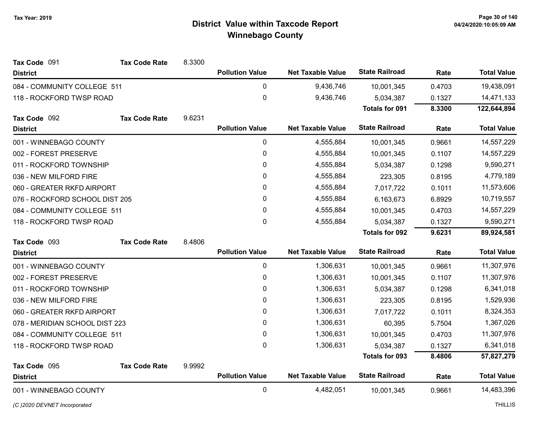| Tax Code 091                   | <b>Tax Code Rate</b> | 8.3300 |                        |                          |                       |            |                    |
|--------------------------------|----------------------|--------|------------------------|--------------------------|-----------------------|------------|--------------------|
| <b>District</b>                |                      |        | <b>Pollution Value</b> | <b>Net Taxable Value</b> | <b>State Railroad</b> | Rate       | <b>Total Value</b> |
| 084 - COMMUNITY COLLEGE 511    |                      |        | 0                      | 9,436,746                | 10,001,345            | 0.4703     | 19,438,091         |
| 118 - ROCKFORD TWSP ROAD       |                      |        | 0                      | 9,436,746                | 5,034,387             | 0.1327     | 14,471,133         |
|                                |                      |        |                        |                          | <b>Totals for 091</b> | 8.3300     | 122,644,894        |
| Tax Code 092                   | <b>Tax Code Rate</b> | 9.6231 |                        |                          |                       |            |                    |
| <b>District</b>                |                      |        | <b>Pollution Value</b> | <b>Net Taxable Value</b> | <b>State Railroad</b> | Rate       | <b>Total Value</b> |
| 001 - WINNEBAGO COUNTY         |                      |        | $\mathbf 0$            | 4,555,884                | 10,001,345            | 0.9661     | 14,557,229         |
| 002 - FOREST PRESERVE          |                      |        | 0                      | 4,555,884                | 10,001,345            | 0.1107     | 14,557,229         |
| 011 - ROCKFORD TOWNSHIP        |                      |        | 0                      | 4,555,884                | 5,034,387             | 0.1298     | 9,590,271          |
| 036 - NEW MILFORD FIRE         |                      |        | 0                      | 4,555,884                | 223,305               | 0.8195     | 4,779,189          |
| 060 - GREATER RKFD AIRPORT     |                      | 0      | 4,555,884              | 7,017,722                | 0.1011                | 11,573,606 |                    |
| 076 - ROCKFORD SCHOOL DIST 205 |                      | 0      | 4,555,884              | 6,163,673                | 6.8929                | 10,719,557 |                    |
| 084 - COMMUNITY COLLEGE 511    |                      | 0      | 4,555,884              | 10,001,345               | 0.4703                | 14,557,229 |                    |
| 118 - ROCKFORD TWSP ROAD       |                      |        | 0                      | 4,555,884                | 5,034,387             | 0.1327     | 9,590,271          |
|                                |                      |        |                        |                          | <b>Totals for 092</b> | 9.6231     | 89,924,581         |
|                                |                      |        |                        |                          |                       |            |                    |
| Tax Code 093                   | <b>Tax Code Rate</b> | 8.4806 |                        |                          |                       |            |                    |
| <b>District</b>                |                      |        | <b>Pollution Value</b> | <b>Net Taxable Value</b> | <b>State Railroad</b> | Rate       | <b>Total Value</b> |
| 001 - WINNEBAGO COUNTY         |                      |        | $\mathbf 0$            | 1,306,631                | 10,001,345            | 0.9661     | 11,307,976         |
| 002 - FOREST PRESERVE          |                      |        | 0                      | 1,306,631                | 10,001,345            | 0.1107     | 11,307,976         |
| 011 - ROCKFORD TOWNSHIP        |                      |        | 0                      | 1,306,631                | 5,034,387             | 0.1298     | 6,341,018          |
| 036 - NEW MILFORD FIRE         |                      |        | 0                      | 1,306,631                | 223,305               | 0.8195     | 1,529,936          |
| 060 - GREATER RKFD AIRPORT     |                      |        | 0                      | 1,306,631                | 7,017,722             | 0.1011     | 8,324,353          |
| 078 - MERIDIAN SCHOOL DIST 223 |                      |        | 0                      | 1,306,631                | 60,395                | 5.7504     | 1,367,026          |
| 084 - COMMUNITY COLLEGE 511    |                      |        | 0                      | 1,306,631                | 10,001,345            | 0.4703     | 11,307,976         |
| 118 - ROCKFORD TWSP ROAD       |                      |        | 0                      | 1,306,631                | 5,034,387             | 0.1327     | 6,341,018          |
|                                |                      |        |                        |                          | <b>Totals for 093</b> | 8.4806     | 57,827,279         |
| Tax Code 095                   | <b>Tax Code Rate</b> | 9.9992 |                        |                          |                       |            |                    |
| <b>District</b>                |                      |        | <b>Pollution Value</b> | <b>Net Taxable Value</b> | <b>State Railroad</b> | Rate       | <b>Total Value</b> |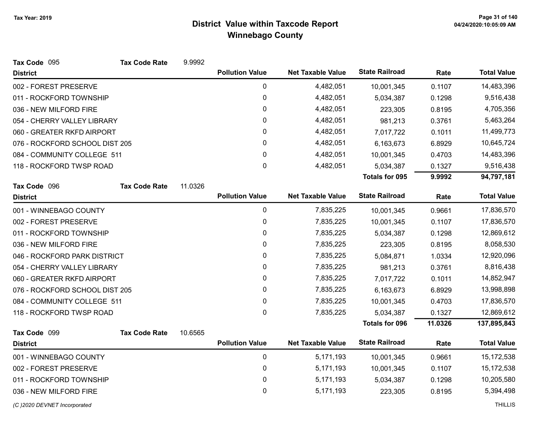| Tax Code 095                   | <b>Tax Code Rate</b> | 9.9992  |                        |                          |                       |            |                    |
|--------------------------------|----------------------|---------|------------------------|--------------------------|-----------------------|------------|--------------------|
| <b>District</b>                |                      |         | <b>Pollution Value</b> | <b>Net Taxable Value</b> | <b>State Railroad</b> | Rate       | <b>Total Value</b> |
| 002 - FOREST PRESERVE          |                      |         | 0                      | 4,482,051                | 10,001,345            | 0.1107     | 14,483,396         |
| 011 - ROCKFORD TOWNSHIP        |                      |         | $\mathbf 0$            | 4,482,051                | 5,034,387             | 0.1298     | 9,516,438          |
| 036 - NEW MILFORD FIRE         |                      |         | 0                      | 4,482,051                | 223,305               | 0.8195     | 4,705,356          |
| 054 - CHERRY VALLEY LIBRARY    |                      |         | $\pmb{0}$              | 4,482,051                | 981,213               | 0.3761     | 5,463,264          |
| 060 - GREATER RKFD AIRPORT     |                      |         | 0                      | 4,482,051                | 7,017,722             | 0.1011     | 11,499,773         |
| 076 - ROCKFORD SCHOOL DIST 205 |                      |         | 0                      | 4,482,051                | 6,163,673             | 6.8929     | 10,645,724         |
| 084 - COMMUNITY COLLEGE 511    |                      | 0       | 4,482,051              | 10,001,345               | 0.4703                | 14,483,396 |                    |
| 118 - ROCKFORD TWSP ROAD       |                      |         | $\mathbf 0$            | 4,482,051                | 5,034,387             | 0.1327     | 9,516,438          |
|                                |                      |         |                        |                          | <b>Totals for 095</b> | 9.9992     | 94,797,181         |
| Tax Code 096                   | <b>Tax Code Rate</b> | 11.0326 |                        |                          |                       |            |                    |
| <b>District</b>                |                      |         | <b>Pollution Value</b> | <b>Net Taxable Value</b> | <b>State Railroad</b> | Rate       | <b>Total Value</b> |
| 001 - WINNEBAGO COUNTY         |                      |         | $\mathbf 0$            | 7,835,225                | 10,001,345            | 0.9661     | 17,836,570         |
| 002 - FOREST PRESERVE          |                      |         | 0                      | 7,835,225                | 10,001,345            | 0.1107     | 17,836,570         |
| 011 - ROCKFORD TOWNSHIP        |                      |         | 0                      | 7,835,225                | 5,034,387             | 0.1298     | 12,869,612         |
| 036 - NEW MILFORD FIRE         |                      |         | 0                      | 7,835,225                | 223,305               | 0.8195     | 8,058,530          |
| 046 - ROCKFORD PARK DISTRICT   |                      |         | 0                      | 7,835,225                | 5,084,871             | 1.0334     | 12,920,096         |
| 054 - CHERRY VALLEY LIBRARY    |                      |         | 0                      | 7,835,225                | 981,213               | 0.3761     | 8,816,438          |
| 060 - GREATER RKFD AIRPORT     |                      |         | 0                      | 7,835,225                | 7,017,722             | 0.1011     | 14,852,947         |
| 076 - ROCKFORD SCHOOL DIST 205 |                      |         | 0                      | 7,835,225                | 6,163,673             | 6.8929     | 13,998,898         |
| 084 - COMMUNITY COLLEGE 511    |                      |         | 0                      | 7,835,225                | 10,001,345            | 0.4703     | 17,836,570         |
| 118 - ROCKFORD TWSP ROAD       |                      |         | 0                      | 7,835,225                | 5,034,387             | 0.1327     | 12,869,612         |
|                                |                      |         |                        |                          | <b>Totals for 096</b> | 11.0326    | 137,895,843        |
| Tax Code 099                   | <b>Tax Code Rate</b> | 10.6565 |                        |                          |                       |            |                    |
| <b>District</b>                |                      |         | <b>Pollution Value</b> | <b>Net Taxable Value</b> | <b>State Railroad</b> | Rate       | <b>Total Value</b> |
| 001 - WINNEBAGO COUNTY         |                      |         | $\mathbf 0$            | 5,171,193                | 10,001,345            | 0.9661     | 15,172,538         |
| 002 - FOREST PRESERVE          |                      | 0       | 5,171,193              | 10,001,345               | 0.1107                | 15,172,538 |                    |
| 011 - ROCKFORD TOWNSHIP        |                      | 0       | 5,171,193              | 5,034,387                | 0.1298                | 10,205,580 |                    |
| 036 - NEW MILFORD FIRE         |                      |         | $\mathbf 0$            | 5,171,193                | 223,305               | 0.8195     | 5,394,498          |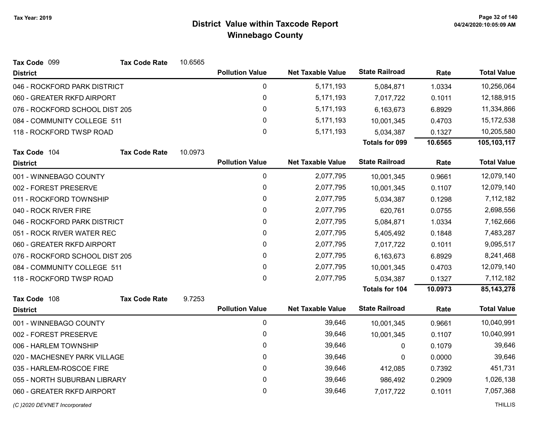| <b>State Railroad</b><br><b>Pollution Value</b><br><b>Net Taxable Value</b><br>Rate<br><b>District</b><br>0<br>5,171,193<br>1.0334<br>046 - ROCKFORD PARK DISTRICT<br>5,084,871<br>$\mathbf 0$<br>060 - GREATER RKFD AIRPORT<br>5,171,193<br>0.1011<br>7,017,722<br>0<br>076 - ROCKFORD SCHOOL DIST 205<br>5,171,193<br>6,163,673<br>6.8929 | <b>Total Value</b><br>10,256,064<br>12,188,915<br>11,334,866<br>15,172,538<br>10,205,580 |
|---------------------------------------------------------------------------------------------------------------------------------------------------------------------------------------------------------------------------------------------------------------------------------------------------------------------------------------------|------------------------------------------------------------------------------------------|
|                                                                                                                                                                                                                                                                                                                                             |                                                                                          |
|                                                                                                                                                                                                                                                                                                                                             |                                                                                          |
|                                                                                                                                                                                                                                                                                                                                             |                                                                                          |
|                                                                                                                                                                                                                                                                                                                                             |                                                                                          |
| $\mathbf 0$<br>084 - COMMUNITY COLLEGE 511<br>5,171,193<br>0.4703<br>10,001,345                                                                                                                                                                                                                                                             |                                                                                          |
| 0<br>5,171,193<br>118 - ROCKFORD TWSP ROAD<br>5,034,387<br>0.1327                                                                                                                                                                                                                                                                           |                                                                                          |
| 10.6565<br>Totals for 099                                                                                                                                                                                                                                                                                                                   | 105,103,117                                                                              |
| 10.0973<br><b>Tax Code Rate</b><br>Tax Code 104                                                                                                                                                                                                                                                                                             |                                                                                          |
| <b>State Railroad</b><br><b>Pollution Value</b><br><b>Net Taxable Value</b><br>Rate<br><b>District</b>                                                                                                                                                                                                                                      | <b>Total Value</b>                                                                       |
| $\pmb{0}$<br>2,077,795<br>001 - WINNEBAGO COUNTY<br>10,001,345<br>0.9661                                                                                                                                                                                                                                                                    | 12,079,140                                                                               |
| $\mathbf 0$<br>002 - FOREST PRESERVE<br>2,077,795<br>10,001,345<br>0.1107                                                                                                                                                                                                                                                                   | 12,079,140                                                                               |
| 0<br>2,077,795<br>011 - ROCKFORD TOWNSHIP<br>0.1298<br>5,034,387                                                                                                                                                                                                                                                                            | 7,112,182                                                                                |
| 0<br>2,077,795<br>040 - ROCK RIVER FIRE<br>620,761<br>0.0755                                                                                                                                                                                                                                                                                | 2,698,556                                                                                |
| $\mathbf 0$<br>2,077,795<br>046 - ROCKFORD PARK DISTRICT<br>1.0334<br>5,084,871                                                                                                                                                                                                                                                             | 7,162,666                                                                                |
| $\mathbf 0$<br>2,077,795<br>051 - ROCK RIVER WATER REC<br>5,405,492<br>0.1848                                                                                                                                                                                                                                                               | 7,483,287                                                                                |
| 0<br>2,077,795<br>060 - GREATER RKFD AIRPORT<br>0.1011<br>7,017,722                                                                                                                                                                                                                                                                         | 9,095,517                                                                                |
| 0<br>2,077,795<br>076 - ROCKFORD SCHOOL DIST 205<br>6,163,673<br>6.8929                                                                                                                                                                                                                                                                     | 8,241,468                                                                                |
| 0<br>2,077,795<br>084 - COMMUNITY COLLEGE 511<br>10,001,345<br>0.4703                                                                                                                                                                                                                                                                       | 12,079,140                                                                               |
| 0<br>2,077,795<br>118 - ROCKFORD TWSP ROAD<br>5,034,387<br>0.1327                                                                                                                                                                                                                                                                           | 7,112,182                                                                                |
| <b>Totals for 104</b><br>10.0973                                                                                                                                                                                                                                                                                                            | 85, 143, 278                                                                             |
| Tax Code 108<br><b>Tax Code Rate</b><br>9.7253                                                                                                                                                                                                                                                                                              |                                                                                          |
| <b>State Railroad</b><br><b>Pollution Value</b><br><b>Net Taxable Value</b><br>Rate<br><b>District</b>                                                                                                                                                                                                                                      | <b>Total Value</b>                                                                       |
| $\pmb{0}$<br>39,646<br>001 - WINNEBAGO COUNTY<br>10,001,345<br>0.9661                                                                                                                                                                                                                                                                       | 10,040,991                                                                               |
| 0<br>002 - FOREST PRESERVE<br>39,646<br>10,001,345<br>0.1107                                                                                                                                                                                                                                                                                | 10,040,991                                                                               |
| 0<br>39,646<br>006 - HARLEM TOWNSHIP<br>0<br>0.1079                                                                                                                                                                                                                                                                                         | 39,646                                                                                   |
| 0<br>39,646<br>020 - MACHESNEY PARK VILLAGE<br>0.0000<br>0                                                                                                                                                                                                                                                                                  | 39,646                                                                                   |
| $\pmb{0}$<br>39,646<br>035 - HARLEM-ROSCOE FIRE<br>412,085<br>0.7392                                                                                                                                                                                                                                                                        | 451,731                                                                                  |
| 055 - NORTH SUBURBAN LIBRARY<br>0<br>39,646<br>0.2909<br>986,492                                                                                                                                                                                                                                                                            | 1,026,138                                                                                |
| 0<br>39,646<br>060 - GREATER RKFD AIRPORT<br>7,017,722<br>0.1011                                                                                                                                                                                                                                                                            | 7,057,368                                                                                |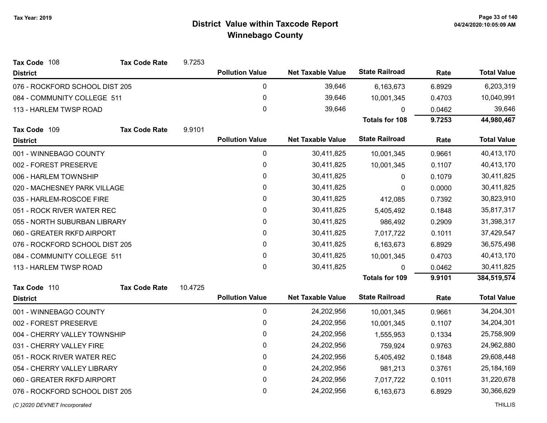| Tax Code 108                   | <b>Tax Code Rate</b> | 9.7253  |                        |                          |                       |        |                    |
|--------------------------------|----------------------|---------|------------------------|--------------------------|-----------------------|--------|--------------------|
| <b>District</b>                |                      |         | <b>Pollution Value</b> | <b>Net Taxable Value</b> | <b>State Railroad</b> | Rate   | <b>Total Value</b> |
| 076 - ROCKFORD SCHOOL DIST 205 |                      |         | $\pmb{0}$              | 39,646                   | 6,163,673             | 6.8929 | 6,203,319          |
| 084 - COMMUNITY COLLEGE 511    |                      |         | $\pmb{0}$              | 39,646                   | 10,001,345            | 0.4703 | 10,040,991         |
| 113 - HARLEM TWSP ROAD         |                      |         | $\mathbf 0$            | 39,646                   | $\Omega$              | 0.0462 | 39,646             |
|                                |                      |         |                        |                          | <b>Totals for 108</b> | 9.7253 | 44,980,467         |
| Tax Code 109                   | <b>Tax Code Rate</b> | 9.9101  |                        |                          |                       |        |                    |
| <b>District</b>                |                      |         | <b>Pollution Value</b> | <b>Net Taxable Value</b> | <b>State Railroad</b> | Rate   | <b>Total Value</b> |
| 001 - WINNEBAGO COUNTY         |                      |         | $\pmb{0}$              | 30,411,825               | 10,001,345            | 0.9661 | 40,413,170         |
| 002 - FOREST PRESERVE          |                      |         | $\pmb{0}$              | 30,411,825               | 10,001,345            | 0.1107 | 40,413,170         |
| 006 - HARLEM TOWNSHIP          |                      |         | 0                      | 30,411,825               | 0                     | 0.1079 | 30,411,825         |
| 020 - MACHESNEY PARK VILLAGE   |                      |         | 0                      | 30,411,825               | 0                     | 0.0000 | 30,411,825         |
| 035 - HARLEM-ROSCOE FIRE       |                      |         | 0                      | 30,411,825               | 412,085               | 0.7392 | 30,823,910         |
| 051 - ROCK RIVER WATER REC     |                      |         | $\pmb{0}$              | 30,411,825               | 5,405,492             | 0.1848 | 35,817,317         |
| 055 - NORTH SUBURBAN LIBRARY   |                      |         | $\pmb{0}$              | 30,411,825               | 986,492               | 0.2909 | 31,398,317         |
| 060 - GREATER RKFD AIRPORT     |                      |         | $\pmb{0}$              | 30,411,825               | 7,017,722             | 0.1011 | 37,429,547         |
| 076 - ROCKFORD SCHOOL DIST 205 |                      |         | 0                      | 30,411,825               | 6,163,673             | 6.8929 | 36,575,498         |
| 084 - COMMUNITY COLLEGE 511    |                      |         | $\mathbf 0$            | 30,411,825               | 10,001,345            | 0.4703 | 40,413,170         |
| 113 - HARLEM TWSP ROAD         |                      |         | $\mathbf 0$            | 30,411,825               | $\Omega$              | 0.0462 | 30,411,825         |
|                                |                      |         |                        |                          | <b>Totals for 109</b> | 9.9101 | 384,519,574        |
| Tax Code 110                   | <b>Tax Code Rate</b> | 10.4725 |                        |                          |                       |        |                    |
| <b>District</b>                |                      |         | <b>Pollution Value</b> | <b>Net Taxable Value</b> | <b>State Railroad</b> | Rate   | <b>Total Value</b> |
| 001 - WINNEBAGO COUNTY         |                      |         | 0                      | 24,202,956               | 10,001,345            | 0.9661 | 34,204,301         |
| 002 - FOREST PRESERVE          |                      |         | 0                      | 24,202,956               | 10,001,345            | 0.1107 | 34,204,301         |
| 004 - CHERRY VALLEY TOWNSHIP   |                      |         | $\mathbf 0$            | 24,202,956               | 1,555,953             | 0.1334 | 25,758,909         |
| 031 - CHERRY VALLEY FIRE       |                      |         | 0                      | 24,202,956               | 759,924               | 0.9763 | 24,962,880         |
| 051 - ROCK RIVER WATER REC     |                      |         | $\pmb{0}$              | 24,202,956               | 5,405,492             | 0.1848 | 29,608,448         |
| 054 - CHERRY VALLEY LIBRARY    |                      |         | 0                      | 24,202,956               | 981,213               | 0.3761 | 25, 184, 169       |
| 060 - GREATER RKFD AIRPORT     |                      |         | $\pmb{0}$              | 24,202,956               | 7,017,722             | 0.1011 | 31,220,678         |
| 076 - ROCKFORD SCHOOL DIST 205 |                      |         | $\mathbf 0$            | 24,202,956               | 6,163,673             | 6.8929 | 30,366,629         |
|                                |                      |         |                        |                          |                       |        |                    |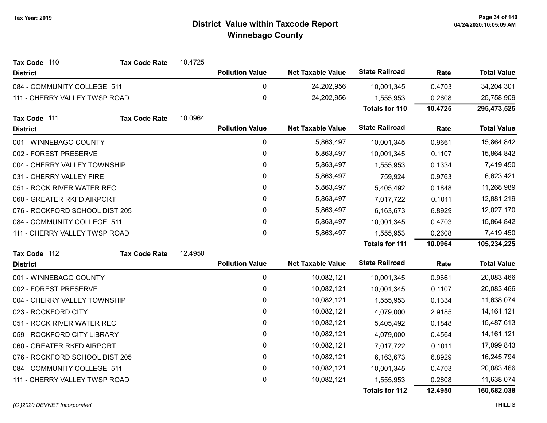| Tax Code 110                   | <b>Tax Code Rate</b>       | 10.4725 |                        |                          |                       |            |                    |
|--------------------------------|----------------------------|---------|------------------------|--------------------------|-----------------------|------------|--------------------|
| <b>District</b>                |                            |         | <b>Pollution Value</b> | <b>Net Taxable Value</b> | <b>State Railroad</b> | Rate       | <b>Total Value</b> |
| 084 - COMMUNITY COLLEGE 511    |                            |         | 0                      | 24,202,956               | 10,001,345            | 0.4703     | 34,204,301         |
| 111 - CHERRY VALLEY TWSP ROAD  |                            |         | 0                      | 24,202,956               | 1,555,953             | 0.2608     | 25,758,909         |
|                                |                            |         |                        |                          | <b>Totals for 110</b> | 10.4725    | 295,473,525        |
| Tax Code 111                   | <b>Tax Code Rate</b>       | 10.0964 |                        |                          |                       |            |                    |
| <b>District</b>                |                            |         | <b>Pollution Value</b> | <b>Net Taxable Value</b> | <b>State Railroad</b> | Rate       | <b>Total Value</b> |
| 001 - WINNEBAGO COUNTY         |                            |         | 0                      | 5,863,497                | 10,001,345            | 0.9661     | 15,864,842         |
| 002 - FOREST PRESERVE          |                            |         | 0                      | 5,863,497                | 10,001,345            | 0.1107     | 15,864,842         |
| 004 - CHERRY VALLEY TOWNSHIP   |                            |         | 0                      | 5,863,497                | 1,555,953             | 0.1334     | 7,419,450          |
| 031 - CHERRY VALLEY FIRE       |                            |         | 0                      | 5,863,497                | 759,924               | 0.9763     | 6,623,421          |
|                                | 051 - ROCK RIVER WATER REC |         | 0                      | 5,863,497                | 5,405,492             | 0.1848     | 11,268,989         |
| 060 - GREATER RKFD AIRPORT     |                            |         | 0                      | 5,863,497                | 7,017,722             | 0.1011     | 12,881,219         |
| 076 - ROCKFORD SCHOOL DIST 205 |                            |         | 0                      | 5,863,497                | 6,163,673             | 6.8929     | 12,027,170         |
| 084 - COMMUNITY COLLEGE 511    |                            | 0       | 5,863,497              | 10,001,345               | 0.4703                | 15,864,842 |                    |
| 111 - CHERRY VALLEY TWSP ROAD  |                            |         | $\mathbf 0$            | 5,863,497                | 1,555,953             | 0.2608     | 7,419,450          |
|                                |                            |         |                        |                          | <b>Totals for 111</b> | 10.0964    | 105,234,225        |
| Tax Code 112                   | <b>Tax Code Rate</b>       | 12.4950 |                        |                          |                       |            |                    |
| <b>District</b>                |                            |         | <b>Pollution Value</b> | <b>Net Taxable Value</b> | <b>State Railroad</b> | Rate       | <b>Total Value</b> |
| 001 - WINNEBAGO COUNTY         |                            |         | $\mathbf 0$            | 10,082,121               | 10,001,345            | 0.9661     | 20,083,466         |
| 002 - FOREST PRESERVE          |                            |         | 0                      | 10,082,121               | 10,001,345            | 0.1107     | 20,083,466         |
| 004 - CHERRY VALLEY TOWNSHIP   |                            |         | 0                      | 10,082,121               | 1,555,953             | 0.1334     | 11,638,074         |
| 023 - ROCKFORD CITY            |                            |         | 0                      | 10,082,121               | 4,079,000             | 2.9185     | 14, 161, 121       |
| 051 - ROCK RIVER WATER REC     |                            |         | 0                      | 10,082,121               | 5,405,492             | 0.1848     | 15,487,613         |
| 059 - ROCKFORD CITY LIBRARY    |                            |         | 0                      | 10,082,121               | 4,079,000             | 0.4564     | 14, 161, 121       |
| 060 - GREATER RKFD AIRPORT     |                            |         | $\pmb{0}$              | 10,082,121               | 7,017,722             | 0.1011     | 17,099,843         |
| 076 - ROCKFORD SCHOOL DIST 205 |                            |         | 0                      | 10,082,121               | 6,163,673             | 6.8929     | 16,245,794         |
| 084 - COMMUNITY COLLEGE 511    |                            |         | 0                      | 10,082,121               | 10,001,345            | 0.4703     | 20,083,466         |
| 111 - CHERRY VALLEY TWSP ROAD  |                            |         | 0                      | 10,082,121               | 1,555,953             | 0.2608     | 11,638,074         |
|                                |                            |         |                        |                          | <b>Totals for 112</b> | 12.4950    | 160,682,038        |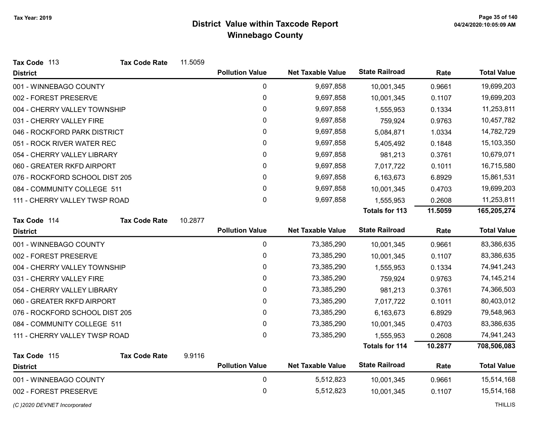| Tax Code 113                   | <b>Tax Code Rate</b> | 11.5059 |                        |                          |                       |         |                    |
|--------------------------------|----------------------|---------|------------------------|--------------------------|-----------------------|---------|--------------------|
| <b>District</b>                |                      |         | <b>Pollution Value</b> | <b>Net Taxable Value</b> | <b>State Railroad</b> | Rate    | <b>Total Value</b> |
| 001 - WINNEBAGO COUNTY         |                      |         | $\mathbf 0$            | 9,697,858                | 10,001,345            | 0.9661  | 19,699,203         |
| 002 - FOREST PRESERVE          |                      |         | 0                      | 9,697,858                | 10,001,345            | 0.1107  | 19,699,203         |
| 004 - CHERRY VALLEY TOWNSHIP   |                      |         | $\pmb{0}$              | 9,697,858                | 1,555,953             | 0.1334  | 11,253,811         |
| 031 - CHERRY VALLEY FIRE       |                      |         | $\mathbf{0}$           | 9,697,858                | 759,924               | 0.9763  | 10,457,782         |
| 046 - ROCKFORD PARK DISTRICT   |                      |         | $\pmb{0}$              | 9,697,858                | 5,084,871             | 1.0334  | 14,782,729         |
| 051 - ROCK RIVER WATER REC     |                      |         | $\pmb{0}$              | 9,697,858                | 5,405,492             | 0.1848  | 15,103,350         |
| 054 - CHERRY VALLEY LIBRARY    |                      |         | $\pmb{0}$              | 9,697,858                | 981,213               | 0.3761  | 10,679,071         |
| 060 - GREATER RKFD AIRPORT     |                      |         | $\pmb{0}$              | 9,697,858                | 7,017,722             | 0.1011  | 16,715,580         |
| 076 - ROCKFORD SCHOOL DIST 205 |                      |         | $\mathbf{0}$           | 9,697,858                | 6,163,673             | 6.8929  | 15,861,531         |
| 084 - COMMUNITY COLLEGE 511    |                      |         | $\pmb{0}$              | 9,697,858                | 10,001,345            | 0.4703  | 19,699,203         |
| 111 - CHERRY VALLEY TWSP ROAD  |                      |         | $\mathbf 0$            | 9,697,858                | 1,555,953             | 0.2608  | 11,253,811         |
|                                |                      |         |                        |                          | <b>Totals for 113</b> | 11.5059 | 165,205,274        |
| Tax Code 114                   | <b>Tax Code Rate</b> | 10.2877 |                        |                          |                       |         |                    |
| <b>District</b>                |                      |         | <b>Pollution Value</b> | <b>Net Taxable Value</b> | <b>State Railroad</b> | Rate    | <b>Total Value</b> |
| 001 - WINNEBAGO COUNTY         |                      |         | $\pmb{0}$              | 73,385,290               | 10,001,345            | 0.9661  | 83,386,635         |
| 002 - FOREST PRESERVE          |                      |         | $\mathbf 0$            | 73,385,290               | 10,001,345            | 0.1107  | 83,386,635         |
| 004 - CHERRY VALLEY TOWNSHIP   |                      |         | 0                      | 73,385,290               | 1,555,953             | 0.1334  | 74,941,243         |
| 031 - CHERRY VALLEY FIRE       |                      |         | 0                      | 73,385,290               | 759,924               | 0.9763  | 74, 145, 214       |
| 054 - CHERRY VALLEY LIBRARY    |                      |         | 0                      | 73,385,290               | 981,213               | 0.3761  | 74,366,503         |
| 060 - GREATER RKFD AIRPORT     |                      |         | $\pmb{0}$              | 73,385,290               | 7,017,722             | 0.1011  | 80,403,012         |
| 076 - ROCKFORD SCHOOL DIST 205 |                      |         | 0                      | 73,385,290               | 6,163,673             | 6.8929  | 79,548,963         |
| 084 - COMMUNITY COLLEGE 511    |                      |         | 0                      | 73,385,290               | 10,001,345            | 0.4703  | 83,386,635         |
| 111 - CHERRY VALLEY TWSP ROAD  |                      |         | 0                      | 73,385,290               | 1,555,953             | 0.2608  | 74,941,243         |
|                                |                      |         |                        |                          | <b>Totals for 114</b> | 10.2877 | 708,506,083        |
| Tax Code 115                   | <b>Tax Code Rate</b> | 9.9116  |                        |                          |                       |         |                    |
| <b>District</b>                |                      |         | <b>Pollution Value</b> | <b>Net Taxable Value</b> | <b>State Railroad</b> | Rate    | <b>Total Value</b> |
| 001 - WINNEBAGO COUNTY         |                      |         | $\mathbf 0$            | 5,512,823                | 10,001,345            | 0.9661  | 15,514,168         |
| 002 - FOREST PRESERVE          |                      |         | 0                      | 5,512,823                | 10,001,345            | 0.1107  | 15,514,168         |
| (C)2020 DEVNET Incorporated    |                      |         |                        |                          |                       |         | <b>THILLIS</b>     |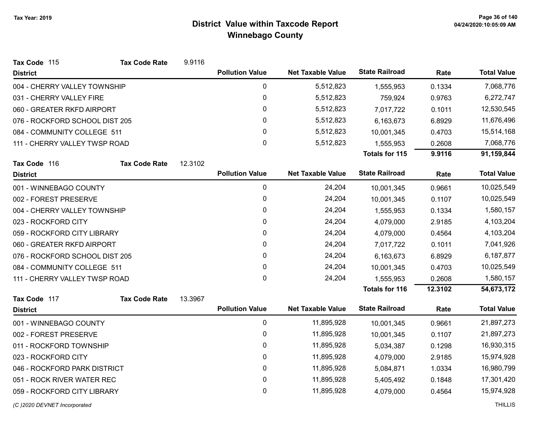| Tax Code 115                   | <b>Tax Code Rate</b> | 9.9116       |                        |                          |                       |            |                    |
|--------------------------------|----------------------|--------------|------------------------|--------------------------|-----------------------|------------|--------------------|
| <b>District</b>                |                      |              | <b>Pollution Value</b> | <b>Net Taxable Value</b> | <b>State Railroad</b> | Rate       | <b>Total Value</b> |
| 004 - CHERRY VALLEY TOWNSHIP   |                      |              | $\pmb{0}$              | 5,512,823                | 1,555,953             | 0.1334     | 7,068,776          |
| 031 - CHERRY VALLEY FIRE       |                      |              | $\mathbf 0$            | 5,512,823                | 759,924               | 0.9763     | 6,272,747          |
| 060 - GREATER RKFD AIRPORT     |                      |              | 0                      | 5,512,823                | 7,017,722             | 0.1011     | 12,530,545         |
| 076 - ROCKFORD SCHOOL DIST 205 |                      |              | 0                      | 5,512,823                | 6,163,673             | 6.8929     | 11,676,496         |
| 084 - COMMUNITY COLLEGE 511    |                      | 0            | 5,512,823              | 10,001,345               | 0.4703                | 15,514,168 |                    |
| 111 - CHERRY VALLEY TWSP ROAD  |                      |              | 0                      | 5,512,823                | 1,555,953             | 0.2608     | 7,068,776          |
|                                |                      |              |                        |                          | <b>Totals for 115</b> | 9.9116     | 91,159,844         |
| Tax Code 116                   | <b>Tax Code Rate</b> | 12.3102      |                        |                          | <b>State Railroad</b> |            |                    |
| <b>District</b>                |                      |              | <b>Pollution Value</b> | <b>Net Taxable Value</b> |                       | Rate       | <b>Total Value</b> |
| 001 - WINNEBAGO COUNTY         |                      |              | $\mathbf 0$            | 24,204                   | 10,001,345            | 0.9661     | 10,025,549         |
| 002 - FOREST PRESERVE          |                      | $\mathbf 0$  | 24,204                 | 10,001,345               | 0.1107                | 10,025,549 |                    |
| 004 - CHERRY VALLEY TOWNSHIP   |                      | $\mathbf{0}$ | 24,204                 | 1,555,953                | 0.1334                | 1,580,157  |                    |
| 023 - ROCKFORD CITY            |                      | 0            | 24,204                 | 4,079,000                | 2.9185                | 4,103,204  |                    |
| 059 - ROCKFORD CITY LIBRARY    |                      | 0            | 24,204                 | 4,079,000                | 0.4564                | 4,103,204  |                    |
| 060 - GREATER RKFD AIRPORT     |                      |              | $\pmb{0}$              | 24,204                   | 7,017,722             | 0.1011     | 7,041,926          |
| 076 - ROCKFORD SCHOOL DIST 205 |                      |              | 0                      | 24,204                   | 6,163,673             | 6.8929     | 6,187,877          |
| 084 - COMMUNITY COLLEGE 511    |                      |              | $\pmb{0}$              | 24,204                   | 10,001,345            | 0.4703     | 10,025,549         |
| 111 - CHERRY VALLEY TWSP ROAD  |                      |              | $\mathbf 0$            | 24,204                   | 1,555,953             | 0.2608     | 1,580,157          |
|                                |                      |              |                        |                          | <b>Totals for 116</b> | 12.3102    | 54,673,172         |
| Tax Code 117                   | <b>Tax Code Rate</b> | 13.3967      |                        |                          |                       |            |                    |
| <b>District</b>                |                      |              | <b>Pollution Value</b> | <b>Net Taxable Value</b> | <b>State Railroad</b> | Rate       | <b>Total Value</b> |
| 001 - WINNEBAGO COUNTY         |                      |              | $\pmb{0}$              | 11,895,928               | 10,001,345            | 0.9661     | 21,897,273         |
| 002 - FOREST PRESERVE          |                      |              | $\pmb{0}$              | 11,895,928               | 10,001,345            | 0.1107     | 21,897,273         |
| 011 - ROCKFORD TOWNSHIP        |                      |              | 0                      | 11,895,928               | 5,034,387             | 0.1298     | 16,930,315         |
| 023 - ROCKFORD CITY            |                      |              | 0                      | 11,895,928               | 4,079,000             | 2.9185     | 15,974,928         |
| 046 - ROCKFORD PARK DISTRICT   |                      |              | $\pmb{0}$              | 11,895,928               | 5,084,871             | 1.0334     | 16,980,799         |
| 051 - ROCK RIVER WATER REC     |                      |              | 0                      | 11,895,928               | 5,405,492             | 0.1848     | 17,301,420         |
| 059 - ROCKFORD CITY LIBRARY    |                      |              | 0                      | 11,895,928               | 4,079,000             | 0.4564     | 15,974,928         |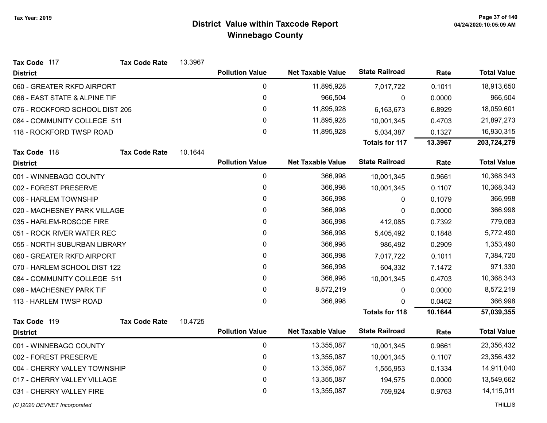| Tax Code 117                   | <b>Tax Code Rate</b>        | 13.3967 |                        |                          |                       |         |                    |
|--------------------------------|-----------------------------|---------|------------------------|--------------------------|-----------------------|---------|--------------------|
| <b>District</b>                |                             |         | <b>Pollution Value</b> | <b>Net Taxable Value</b> | <b>State Railroad</b> | Rate    | <b>Total Value</b> |
| 060 - GREATER RKFD AIRPORT     |                             |         | 0                      | 11,895,928               | 7,017,722             | 0.1011  | 18,913,650         |
| 066 - EAST STATE & ALPINE TIF  |                             |         | 0                      | 966,504                  | 0                     | 0.0000  | 966,504            |
| 076 - ROCKFORD SCHOOL DIST 205 |                             |         | 0                      | 11,895,928               | 6,163,673             | 6.8929  | 18,059,601         |
|                                | 084 - COMMUNITY COLLEGE 511 |         | 0                      | 11,895,928               | 10,001,345            | 0.4703  | 21,897,273         |
| 118 - ROCKFORD TWSP ROAD       |                             |         | 0                      | 11,895,928               | 5,034,387             | 0.1327  | 16,930,315         |
|                                |                             |         |                        |                          | <b>Totals for 117</b> | 13.3967 | 203,724,279        |
| Tax Code 118                   | <b>Tax Code Rate</b>        | 10.1644 |                        |                          |                       |         |                    |
| <b>District</b>                |                             |         | <b>Pollution Value</b> | <b>Net Taxable Value</b> | <b>State Railroad</b> | Rate    | <b>Total Value</b> |
| 001 - WINNEBAGO COUNTY         |                             |         | $\pmb{0}$              | 366,998                  | 10,001,345            | 0.9661  | 10,368,343         |
| 002 - FOREST PRESERVE          |                             |         | 0                      | 366,998                  | 10,001,345            | 0.1107  | 10,368,343         |
| 006 - HARLEM TOWNSHIP          |                             |         | 0                      | 366,998                  | 0                     | 0.1079  | 366,998            |
| 020 - MACHESNEY PARK VILLAGE   |                             |         | 0                      | 366,998                  | 0                     | 0.0000  | 366,998            |
| 035 - HARLEM-ROSCOE FIRE       |                             |         | $\pmb{0}$              | 366,998                  | 412,085               | 0.7392  | 779,083            |
| 051 - ROCK RIVER WATER REC     |                             |         | 0                      | 366,998                  | 5,405,492             | 0.1848  | 5,772,490          |
| 055 - NORTH SUBURBAN LIBRARY   |                             |         | 0                      | 366,998                  | 986,492               | 0.2909  | 1,353,490          |
| 060 - GREATER RKFD AIRPORT     |                             |         | 0                      | 366,998                  | 7,017,722             | 0.1011  | 7,384,720          |
| 070 - HARLEM SCHOOL DIST 122   |                             |         | $\pmb{0}$              | 366,998                  | 604,332               | 7.1472  | 971,330            |
| 084 - COMMUNITY COLLEGE 511    |                             |         | 0                      | 366,998                  | 10,001,345            | 0.4703  | 10,368,343         |
| 098 - MACHESNEY PARK TIF       |                             |         | 0                      | 8,572,219                | 0                     | 0.0000  | 8,572,219          |
| 113 - HARLEM TWSP ROAD         |                             |         | $\mathbf 0$            | 366,998                  | $\Omega$              | 0.0462  | 366,998            |
|                                |                             |         |                        |                          | <b>Totals for 118</b> | 10.1644 | 57,039,355         |
| Tax Code 119                   | <b>Tax Code Rate</b>        | 10.4725 |                        |                          |                       |         |                    |
| <b>District</b>                |                             |         | <b>Pollution Value</b> | <b>Net Taxable Value</b> | <b>State Railroad</b> | Rate    | <b>Total Value</b> |
| 001 - WINNEBAGO COUNTY         |                             |         | 0                      | 13,355,087               | 10,001,345            | 0.9661  | 23,356,432         |
| 002 - FOREST PRESERVE          |                             |         | 0                      | 13,355,087               | 10,001,345            | 0.1107  | 23,356,432         |
| 004 - CHERRY VALLEY TOWNSHIP   |                             |         | 0                      | 13,355,087               | 1,555,953             | 0.1334  | 14,911,040         |
| 017 - CHERRY VALLEY VILLAGE    |                             |         | 0                      | 13,355,087               | 194,575               | 0.0000  | 13,549,662         |
| 031 - CHERRY VALLEY FIRE       |                             |         | 0                      | 13,355,087               | 759,924               | 0.9763  | 14,115,011         |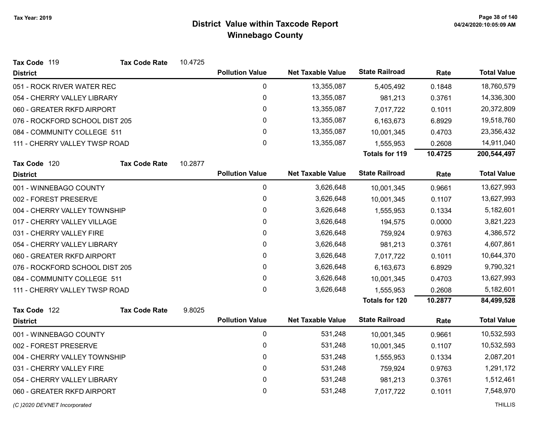| <b>State Railroad</b><br><b>Pollution Value</b><br><b>Net Taxable Value</b><br><b>Total Value</b><br>Rate<br><b>District</b><br>$\mathbf 0$<br>13,355,087<br>18,760,579<br>051 - ROCK RIVER WATER REC<br>0.1848<br>5,405,492<br>0<br>13,355,087<br>14,336,300<br>054 - CHERRY VALLEY LIBRARY<br>0.3761<br>981,213<br>0<br>13,355,087<br>20,372,809<br>060 - GREATER RKFD AIRPORT<br>7,017,722<br>0.1011<br>0<br>076 - ROCKFORD SCHOOL DIST 205<br>13,355,087<br>19,518,760<br>6,163,673<br>6.8929<br>$\mathbf 0$<br>084 - COMMUNITY COLLEGE 511<br>13,355,087<br>23,356,432<br>10,001,345<br>0.4703<br>0<br>13,355,087<br>14,911,040<br>111 - CHERRY VALLEY TWSP ROAD<br>0.2608<br>1,555,953<br><b>Totals for 119</b><br>10.4725<br>200,544,497<br>10.2877<br>Tax Code 120<br><b>Tax Code Rate</b><br><b>State Railroad</b><br><b>Pollution Value</b><br><b>Net Taxable Value</b><br><b>Total Value</b><br>Rate<br><b>District</b><br>0<br>3,626,648<br>001 - WINNEBAGO COUNTY<br>13,627,993<br>10,001,345<br>0.9661<br>0<br>13,627,993<br>002 - FOREST PRESERVE<br>3,626,648<br>10,001,345<br>0.1107<br>0<br>3,626,648<br>5,182,601<br>004 - CHERRY VALLEY TOWNSHIP<br>0.1334<br>1,555,953<br>0<br>017 - CHERRY VALLEY VILLAGE<br>3,626,648<br>3,821,223<br>194,575<br>0.0000<br>0<br>3,626,648<br>4,386,572<br>031 - CHERRY VALLEY FIRE<br>759,924<br>0.9763<br>0<br>4,607,861<br>054 - CHERRY VALLEY LIBRARY<br>3,626,648<br>981,213<br>0.3761<br>0<br>060 - GREATER RKFD AIRPORT<br>3,626,648<br>0.1011<br>10,644,370<br>7,017,722<br>076 - ROCKFORD SCHOOL DIST 205<br>0<br>9,790,321<br>3,626,648<br>6,163,673<br>6.8929<br>$\mathbf 0$<br>084 - COMMUNITY COLLEGE 511<br>3,626,648<br>13,627,993<br>10,001,345<br>0.4703<br>$\mathbf{0}$<br>5,182,601<br>111 - CHERRY VALLEY TWSP ROAD<br>3,626,648<br>0.2608<br>1,555,953<br><b>Totals for 120</b><br>10.2877<br>84,499,528 |
|-------------------------------------------------------------------------------------------------------------------------------------------------------------------------------------------------------------------------------------------------------------------------------------------------------------------------------------------------------------------------------------------------------------------------------------------------------------------------------------------------------------------------------------------------------------------------------------------------------------------------------------------------------------------------------------------------------------------------------------------------------------------------------------------------------------------------------------------------------------------------------------------------------------------------------------------------------------------------------------------------------------------------------------------------------------------------------------------------------------------------------------------------------------------------------------------------------------------------------------------------------------------------------------------------------------------------------------------------------------------------------------------------------------------------------------------------------------------------------------------------------------------------------------------------------------------------------------------------------------------------------------------------------------------------------------------------------------------------------------------------------------------------------------------------------------------------------------------------------------------------------------|
|                                                                                                                                                                                                                                                                                                                                                                                                                                                                                                                                                                                                                                                                                                                                                                                                                                                                                                                                                                                                                                                                                                                                                                                                                                                                                                                                                                                                                                                                                                                                                                                                                                                                                                                                                                                                                                                                                     |
|                                                                                                                                                                                                                                                                                                                                                                                                                                                                                                                                                                                                                                                                                                                                                                                                                                                                                                                                                                                                                                                                                                                                                                                                                                                                                                                                                                                                                                                                                                                                                                                                                                                                                                                                                                                                                                                                                     |
|                                                                                                                                                                                                                                                                                                                                                                                                                                                                                                                                                                                                                                                                                                                                                                                                                                                                                                                                                                                                                                                                                                                                                                                                                                                                                                                                                                                                                                                                                                                                                                                                                                                                                                                                                                                                                                                                                     |
|                                                                                                                                                                                                                                                                                                                                                                                                                                                                                                                                                                                                                                                                                                                                                                                                                                                                                                                                                                                                                                                                                                                                                                                                                                                                                                                                                                                                                                                                                                                                                                                                                                                                                                                                                                                                                                                                                     |
|                                                                                                                                                                                                                                                                                                                                                                                                                                                                                                                                                                                                                                                                                                                                                                                                                                                                                                                                                                                                                                                                                                                                                                                                                                                                                                                                                                                                                                                                                                                                                                                                                                                                                                                                                                                                                                                                                     |
|                                                                                                                                                                                                                                                                                                                                                                                                                                                                                                                                                                                                                                                                                                                                                                                                                                                                                                                                                                                                                                                                                                                                                                                                                                                                                                                                                                                                                                                                                                                                                                                                                                                                                                                                                                                                                                                                                     |
|                                                                                                                                                                                                                                                                                                                                                                                                                                                                                                                                                                                                                                                                                                                                                                                                                                                                                                                                                                                                                                                                                                                                                                                                                                                                                                                                                                                                                                                                                                                                                                                                                                                                                                                                                                                                                                                                                     |
|                                                                                                                                                                                                                                                                                                                                                                                                                                                                                                                                                                                                                                                                                                                                                                                                                                                                                                                                                                                                                                                                                                                                                                                                                                                                                                                                                                                                                                                                                                                                                                                                                                                                                                                                                                                                                                                                                     |
|                                                                                                                                                                                                                                                                                                                                                                                                                                                                                                                                                                                                                                                                                                                                                                                                                                                                                                                                                                                                                                                                                                                                                                                                                                                                                                                                                                                                                                                                                                                                                                                                                                                                                                                                                                                                                                                                                     |
|                                                                                                                                                                                                                                                                                                                                                                                                                                                                                                                                                                                                                                                                                                                                                                                                                                                                                                                                                                                                                                                                                                                                                                                                                                                                                                                                                                                                                                                                                                                                                                                                                                                                                                                                                                                                                                                                                     |
|                                                                                                                                                                                                                                                                                                                                                                                                                                                                                                                                                                                                                                                                                                                                                                                                                                                                                                                                                                                                                                                                                                                                                                                                                                                                                                                                                                                                                                                                                                                                                                                                                                                                                                                                                                                                                                                                                     |
|                                                                                                                                                                                                                                                                                                                                                                                                                                                                                                                                                                                                                                                                                                                                                                                                                                                                                                                                                                                                                                                                                                                                                                                                                                                                                                                                                                                                                                                                                                                                                                                                                                                                                                                                                                                                                                                                                     |
|                                                                                                                                                                                                                                                                                                                                                                                                                                                                                                                                                                                                                                                                                                                                                                                                                                                                                                                                                                                                                                                                                                                                                                                                                                                                                                                                                                                                                                                                                                                                                                                                                                                                                                                                                                                                                                                                                     |
|                                                                                                                                                                                                                                                                                                                                                                                                                                                                                                                                                                                                                                                                                                                                                                                                                                                                                                                                                                                                                                                                                                                                                                                                                                                                                                                                                                                                                                                                                                                                                                                                                                                                                                                                                                                                                                                                                     |
|                                                                                                                                                                                                                                                                                                                                                                                                                                                                                                                                                                                                                                                                                                                                                                                                                                                                                                                                                                                                                                                                                                                                                                                                                                                                                                                                                                                                                                                                                                                                                                                                                                                                                                                                                                                                                                                                                     |
|                                                                                                                                                                                                                                                                                                                                                                                                                                                                                                                                                                                                                                                                                                                                                                                                                                                                                                                                                                                                                                                                                                                                                                                                                                                                                                                                                                                                                                                                                                                                                                                                                                                                                                                                                                                                                                                                                     |
|                                                                                                                                                                                                                                                                                                                                                                                                                                                                                                                                                                                                                                                                                                                                                                                                                                                                                                                                                                                                                                                                                                                                                                                                                                                                                                                                                                                                                                                                                                                                                                                                                                                                                                                                                                                                                                                                                     |
|                                                                                                                                                                                                                                                                                                                                                                                                                                                                                                                                                                                                                                                                                                                                                                                                                                                                                                                                                                                                                                                                                                                                                                                                                                                                                                                                                                                                                                                                                                                                                                                                                                                                                                                                                                                                                                                                                     |
|                                                                                                                                                                                                                                                                                                                                                                                                                                                                                                                                                                                                                                                                                                                                                                                                                                                                                                                                                                                                                                                                                                                                                                                                                                                                                                                                                                                                                                                                                                                                                                                                                                                                                                                                                                                                                                                                                     |
|                                                                                                                                                                                                                                                                                                                                                                                                                                                                                                                                                                                                                                                                                                                                                                                                                                                                                                                                                                                                                                                                                                                                                                                                                                                                                                                                                                                                                                                                                                                                                                                                                                                                                                                                                                                                                                                                                     |
|                                                                                                                                                                                                                                                                                                                                                                                                                                                                                                                                                                                                                                                                                                                                                                                                                                                                                                                                                                                                                                                                                                                                                                                                                                                                                                                                                                                                                                                                                                                                                                                                                                                                                                                                                                                                                                                                                     |
| 9.8025<br>Tax Code 122<br><b>Tax Code Rate</b>                                                                                                                                                                                                                                                                                                                                                                                                                                                                                                                                                                                                                                                                                                                                                                                                                                                                                                                                                                                                                                                                                                                                                                                                                                                                                                                                                                                                                                                                                                                                                                                                                                                                                                                                                                                                                                      |
| <b>State Railroad</b><br><b>Pollution Value</b><br><b>Net Taxable Value</b><br><b>Total Value</b><br>Rate<br><b>District</b>                                                                                                                                                                                                                                                                                                                                                                                                                                                                                                                                                                                                                                                                                                                                                                                                                                                                                                                                                                                                                                                                                                                                                                                                                                                                                                                                                                                                                                                                                                                                                                                                                                                                                                                                                        |
| $\mathbf 0$<br>001 - WINNEBAGO COUNTY<br>531,248<br>10,532,593<br>0.9661<br>10,001,345                                                                                                                                                                                                                                                                                                                                                                                                                                                                                                                                                                                                                                                                                                                                                                                                                                                                                                                                                                                                                                                                                                                                                                                                                                                                                                                                                                                                                                                                                                                                                                                                                                                                                                                                                                                              |
| 0<br>002 - FOREST PRESERVE<br>531,248<br>0.1107<br>10,532,593<br>10,001,345                                                                                                                                                                                                                                                                                                                                                                                                                                                                                                                                                                                                                                                                                                                                                                                                                                                                                                                                                                                                                                                                                                                                                                                                                                                                                                                                                                                                                                                                                                                                                                                                                                                                                                                                                                                                         |
| 0<br>2,087,201<br>004 - CHERRY VALLEY TOWNSHIP<br>531,248<br>1,555,953<br>0.1334                                                                                                                                                                                                                                                                                                                                                                                                                                                                                                                                                                                                                                                                                                                                                                                                                                                                                                                                                                                                                                                                                                                                                                                                                                                                                                                                                                                                                                                                                                                                                                                                                                                                                                                                                                                                    |
| 0<br>031 - CHERRY VALLEY FIRE<br>531,248<br>1,291,172<br>759,924<br>0.9763                                                                                                                                                                                                                                                                                                                                                                                                                                                                                                                                                                                                                                                                                                                                                                                                                                                                                                                                                                                                                                                                                                                                                                                                                                                                                                                                                                                                                                                                                                                                                                                                                                                                                                                                                                                                          |
| 0<br>054 - CHERRY VALLEY LIBRARY<br>531,248<br>1,512,461<br>981,213<br>0.3761                                                                                                                                                                                                                                                                                                                                                                                                                                                                                                                                                                                                                                                                                                                                                                                                                                                                                                                                                                                                                                                                                                                                                                                                                                                                                                                                                                                                                                                                                                                                                                                                                                                                                                                                                                                                       |
| 0<br>531,248<br>7,548,970<br>060 - GREATER RKFD AIRPORT<br>0.1011<br>7,017,722                                                                                                                                                                                                                                                                                                                                                                                                                                                                                                                                                                                                                                                                                                                                                                                                                                                                                                                                                                                                                                                                                                                                                                                                                                                                                                                                                                                                                                                                                                                                                                                                                                                                                                                                                                                                      |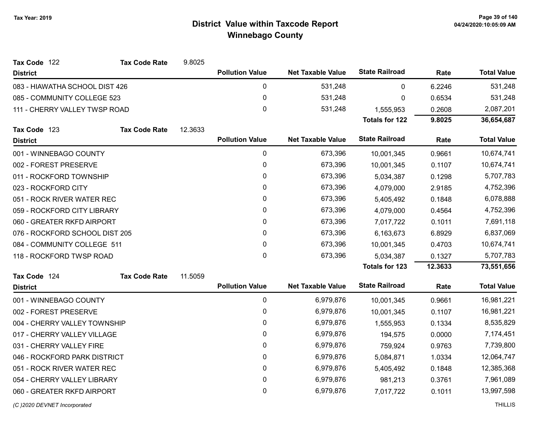| Tax Code 122                   | <b>Tax Code Rate</b> | 9.8025  |                        |                          |                       |         |                    |
|--------------------------------|----------------------|---------|------------------------|--------------------------|-----------------------|---------|--------------------|
| <b>District</b>                |                      |         | <b>Pollution Value</b> | <b>Net Taxable Value</b> | <b>State Railroad</b> | Rate    | <b>Total Value</b> |
| 083 - HIAWATHA SCHOOL DIST 426 |                      |         | $\pmb{0}$              | 531,248                  | 0                     | 6.2246  | 531,248            |
| 085 - COMMUNITY COLLEGE 523    |                      |         | $\pmb{0}$              | 531,248                  | 0                     | 0.6534  | 531,248            |
| 111 - CHERRY VALLEY TWSP ROAD  |                      |         | $\pmb{0}$              | 531,248                  | 1,555,953             | 0.2608  | 2,087,201          |
|                                |                      |         |                        |                          | <b>Totals for 122</b> | 9.8025  | 36,654,687         |
| Tax Code 123                   | <b>Tax Code Rate</b> | 12.3633 |                        |                          |                       |         |                    |
| <b>District</b>                |                      |         | <b>Pollution Value</b> | <b>Net Taxable Value</b> | <b>State Railroad</b> | Rate    | <b>Total Value</b> |
| 001 - WINNEBAGO COUNTY         |                      |         | $\pmb{0}$              | 673,396                  | 10,001,345            | 0.9661  | 10,674,741         |
| 002 - FOREST PRESERVE          |                      |         | $\pmb{0}$              | 673,396                  | 10,001,345            | 0.1107  | 10,674,741         |
| 011 - ROCKFORD TOWNSHIP        |                      |         | $\pmb{0}$              | 673,396                  | 5,034,387             | 0.1298  | 5,707,783          |
| 023 - ROCKFORD CITY            |                      |         | 0                      | 673,396                  | 4,079,000             | 2.9185  | 4,752,396          |
| 051 - ROCK RIVER WATER REC     |                      |         | 0                      | 673,396                  | 5,405,492             | 0.1848  | 6,078,888          |
| 059 - ROCKFORD CITY LIBRARY    |                      |         | 0                      | 673,396                  | 4,079,000             | 0.4564  | 4,752,396          |
| 060 - GREATER RKFD AIRPORT     |                      |         | 0                      | 673,396                  | 7,017,722             | 0.1011  | 7,691,118          |
| 076 - ROCKFORD SCHOOL DIST 205 |                      |         | $\mathbf 0$            | 673,396                  | 6,163,673             | 6.8929  | 6,837,069          |
| 084 - COMMUNITY COLLEGE 511    |                      |         | 0                      | 673,396                  | 10,001,345            | 0.4703  | 10,674,741         |
| 118 - ROCKFORD TWSP ROAD       |                      |         | 0                      | 673,396                  | 5,034,387             | 0.1327  | 5,707,783          |
|                                |                      |         |                        |                          | <b>Totals for 123</b> | 12.3633 | 73,551,656         |
| Tax Code 124                   | <b>Tax Code Rate</b> | 11.5059 |                        |                          |                       |         |                    |
| <b>District</b>                |                      |         | <b>Pollution Value</b> | <b>Net Taxable Value</b> | <b>State Railroad</b> | Rate    | <b>Total Value</b> |
| 001 - WINNEBAGO COUNTY         |                      |         | $\mathbf 0$            | 6,979,876                | 10,001,345            | 0.9661  | 16,981,221         |
| 002 - FOREST PRESERVE          |                      |         | $\mathbf 0$            | 6,979,876                | 10,001,345            | 0.1107  | 16,981,221         |
| 004 - CHERRY VALLEY TOWNSHIP   |                      |         | $\mathbf 0$            | 6,979,876                | 1,555,953             | 0.1334  | 8,535,829          |
| 017 - CHERRY VALLEY VILLAGE    |                      |         | $\pmb{0}$              | 6,979,876                | 194,575               | 0.0000  | 7,174,451          |
| 031 - CHERRY VALLEY FIRE       |                      |         | $\pmb{0}$              | 6,979,876                | 759,924               | 0.9763  | 7,739,800          |
| 046 - ROCKFORD PARK DISTRICT   |                      |         | 0                      | 6,979,876                | 5,084,871             | 1.0334  | 12,064,747         |
| 051 - ROCK RIVER WATER REC     |                      |         | $\pmb{0}$              | 6,979,876                | 5,405,492             | 0.1848  | 12,385,368         |
| 054 - CHERRY VALLEY LIBRARY    |                      |         | $\pmb{0}$              | 6,979,876                | 981,213               | 0.3761  | 7,961,089          |
| 060 - GREATER RKFD AIRPORT     |                      |         | 0                      | 6,979,876                | 7,017,722             | 0.1011  | 13,997,598         |
|                                |                      |         |                        |                          |                       |         |                    |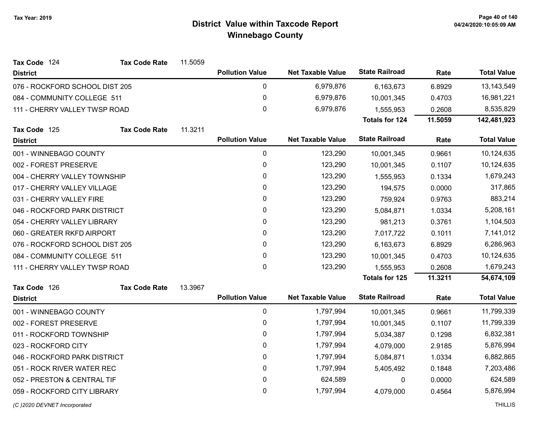| Tax Code 124                   | <b>Tax Code Rate</b>        | 11.5059   |                        |                          |                       |           |                    |
|--------------------------------|-----------------------------|-----------|------------------------|--------------------------|-----------------------|-----------|--------------------|
| <b>District</b>                |                             |           | <b>Pollution Value</b> | <b>Net Taxable Value</b> | <b>State Railroad</b> | Rate      | <b>Total Value</b> |
| 076 - ROCKFORD SCHOOL DIST 205 |                             |           | 0                      | 6,979,876                | 6,163,673             | 6.8929    | 13,143,549         |
| 084 - COMMUNITY COLLEGE 511    |                             |           | 0                      | 6,979,876                | 10,001,345            | 0.4703    | 16,981,221         |
| 111 - CHERRY VALLEY TWSP ROAD  |                             |           | $\mathbf 0$            | 6,979,876                | 1,555,953             | 0.2608    | 8,535,829          |
|                                |                             |           |                        |                          | <b>Totals for 124</b> | 11.5059   | 142,481,923        |
| Tax Code 125                   | <b>Tax Code Rate</b>        | 11.3211   |                        |                          |                       |           |                    |
| <b>District</b>                |                             |           | <b>Pollution Value</b> | <b>Net Taxable Value</b> | <b>State Railroad</b> | Rate      | <b>Total Value</b> |
| 001 - WINNEBAGO COUNTY         |                             |           | $\pmb{0}$              | 123,290                  | 10,001,345            | 0.9661    | 10,124,635         |
| 002 - FOREST PRESERVE          |                             |           | $\pmb{0}$              | 123,290                  | 10,001,345            | 0.1107    | 10,124,635         |
| 004 - CHERRY VALLEY TOWNSHIP   |                             |           | 0                      | 123,290                  | 1,555,953             | 0.1334    | 1,679,243          |
| 017 - CHERRY VALLEY VILLAGE    |                             |           | $\mathbf 0$            | 123,290                  | 194,575               | 0.0000    | 317,865            |
| 031 - CHERRY VALLEY FIRE       |                             | $\pmb{0}$ | 123,290                | 759,924                  | 0.9763                | 883,214   |                    |
| 046 - ROCKFORD PARK DISTRICT   |                             |           | 0                      | 123,290                  | 5,084,871             | 1.0334    | 5,208,161          |
| 054 - CHERRY VALLEY LIBRARY    |                             |           | $\pmb{0}$              | 123,290                  | 981,213               | 0.3761    | 1,104,503          |
| 060 - GREATER RKFD AIRPORT     |                             | 0         | 123,290                | 7,017,722                | 0.1011                | 7,141,012 |                    |
| 076 - ROCKFORD SCHOOL DIST 205 |                             | $\pmb{0}$ | 123,290                | 6,163,673                | 6.8929                | 6,286,963 |                    |
|                                | 084 - COMMUNITY COLLEGE 511 |           | $\pmb{0}$              | 123,290                  | 10,001,345            | 0.4703    | 10,124,635         |
| 111 - CHERRY VALLEY TWSP ROAD  |                             |           | $\mathbf 0$            | 123,290                  | 1,555,953             | 0.2608    | 1,679,243          |
|                                |                             |           |                        |                          | Totals for 125        | 11.3211   | 54,674,109         |
| Tax Code 126                   | <b>Tax Code Rate</b>        | 13.3967   |                        |                          |                       |           |                    |
| <b>District</b>                |                             |           | <b>Pollution Value</b> | <b>Net Taxable Value</b> | <b>State Railroad</b> | Rate      | <b>Total Value</b> |
| 001 - WINNEBAGO COUNTY         |                             |           | 0                      | 1,797,994                | 10,001,345            | 0.9661    | 11,799,339         |
| 002 - FOREST PRESERVE          |                             |           | $\pmb{0}$              | 1,797,994                | 10,001,345            | 0.1107    | 11,799,339         |
| 011 - ROCKFORD TOWNSHIP        |                             |           | $\pmb{0}$              | 1,797,994                | 5,034,387             | 0.1298    | 6,832,381          |
| 023 - ROCKFORD CITY            |                             |           | 0                      | 1,797,994                | 4,079,000             | 2.9185    | 5,876,994          |
| 046 - ROCKFORD PARK DISTRICT   |                             |           | $\pmb{0}$              | 1,797,994                | 5,084,871             | 1.0334    | 6,882,865          |
| 051 - ROCK RIVER WATER REC     |                             |           | 0                      | 1,797,994                | 5,405,492             | 0.1848    | 7,203,486          |
| 052 - PRESTON & CENTRAL TIF    |                             |           | $\pmb{0}$              | 624,589                  | 0                     | 0.0000    | 624,589            |
| 059 - ROCKFORD CITY LIBRARY    |                             |           | 0                      | 1,797,994                | 4,079,000             | 0.4564    | 5,876,994          |
| (C)2020 DEVNET Incorporated    |                             |           |                        |                          |                       |           | <b>THILLIS</b>     |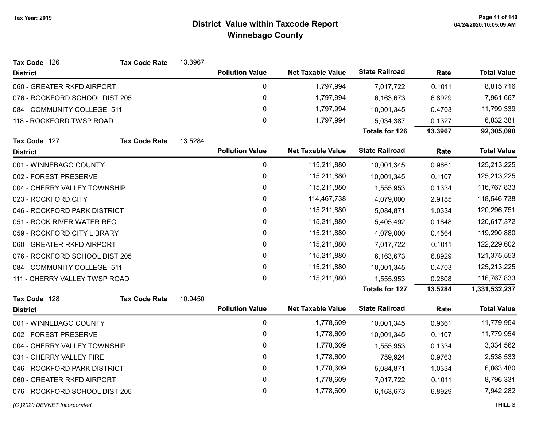| Tax Code 126                   | <b>Tax Code Rate</b> | 13.3967   |                        |                          |                       |             |                    |
|--------------------------------|----------------------|-----------|------------------------|--------------------------|-----------------------|-------------|--------------------|
| <b>District</b>                |                      |           | <b>Pollution Value</b> | <b>Net Taxable Value</b> | <b>State Railroad</b> | Rate        | <b>Total Value</b> |
| 060 - GREATER RKFD AIRPORT     |                      |           | $\pmb{0}$              | 1,797,994                | 7,017,722             | 0.1011      | 8,815,716          |
| 076 - ROCKFORD SCHOOL DIST 205 |                      |           | 0                      | 1,797,994                | 6,163,673             | 6.8929      | 7,961,667          |
| 084 - COMMUNITY COLLEGE 511    |                      |           | $\pmb{0}$              | 1,797,994                | 10,001,345            | 0.4703      | 11,799,339         |
| 118 - ROCKFORD TWSP ROAD       |                      |           | $\mathbf 0$            | 1,797,994                | 5,034,387             | 0.1327      | 6,832,381          |
|                                |                      |           |                        |                          | <b>Totals for 126</b> | 13.3967     | 92,305,090         |
| Tax Code 127                   | <b>Tax Code Rate</b> | 13.5284   |                        |                          |                       |             |                    |
| <b>District</b>                |                      |           | <b>Pollution Value</b> | <b>Net Taxable Value</b> | <b>State Railroad</b> | Rate        | <b>Total Value</b> |
| 001 - WINNEBAGO COUNTY         |                      |           | $\pmb{0}$              | 115,211,880              | 10,001,345            | 0.9661      | 125,213,225        |
| 002 - FOREST PRESERVE          |                      |           | $\pmb{0}$              | 115,211,880              | 10,001,345            | 0.1107      | 125,213,225        |
| 004 - CHERRY VALLEY TOWNSHIP   |                      | $\pmb{0}$ | 115,211,880            | 1,555,953                | 0.1334                | 116,767,833 |                    |
| 023 - ROCKFORD CITY            |                      | $\pmb{0}$ | 114,467,738            | 4,079,000                | 2.9185                | 118,546,738 |                    |
| 046 - ROCKFORD PARK DISTRICT   |                      |           | 0                      | 115,211,880              | 5,084,871             | 1.0334      | 120,296,751        |
| 051 - ROCK RIVER WATER REC     |                      | $\pmb{0}$ | 115,211,880            | 5,405,492                | 0.1848                | 120,617,372 |                    |
| 059 - ROCKFORD CITY LIBRARY    |                      | 0         | 115,211,880            | 4,079,000                | 0.4564                | 119,290,880 |                    |
| 060 - GREATER RKFD AIRPORT     |                      | $\pmb{0}$ | 115,211,880            | 7,017,722                | 0.1011                | 122,229,602 |                    |
| 076 - ROCKFORD SCHOOL DIST 205 |                      |           | 0                      | 115,211,880              | 6,163,673             | 6.8929      | 121,375,553        |
| 084 - COMMUNITY COLLEGE 511    |                      |           | $\pmb{0}$              | 115,211,880              | 10,001,345            | 0.4703      | 125,213,225        |
| 111 - CHERRY VALLEY TWSP ROAD  |                      |           | $\mathbf 0$            | 115,211,880              | 1,555,953             | 0.2608      | 116,767,833        |
|                                |                      |           |                        |                          | <b>Totals for 127</b> | 13.5284     | 1,331,532,237      |
| Tax Code 128                   | <b>Tax Code Rate</b> | 10.9450   |                        |                          |                       |             |                    |
| <b>District</b>                |                      |           | <b>Pollution Value</b> | <b>Net Taxable Value</b> | <b>State Railroad</b> | Rate        | <b>Total Value</b> |
| 001 - WINNEBAGO COUNTY         |                      |           | $\pmb{0}$              | 1,778,609                | 10,001,345            | 0.9661      | 11,779,954         |
| 002 - FOREST PRESERVE          |                      |           | $\pmb{0}$              | 1,778,609                | 10,001,345            | 0.1107      | 11,779,954         |
| 004 - CHERRY VALLEY TOWNSHIP   |                      |           | $\pmb{0}$              | 1,778,609                | 1,555,953             | 0.1334      | 3,334,562          |
| 031 - CHERRY VALLEY FIRE       |                      |           | $\pmb{0}$              | 1,778,609                | 759,924               | 0.9763      | 2,538,533          |
| 046 - ROCKFORD PARK DISTRICT   |                      |           | 0                      | 1,778,609                | 5,084,871             | 1.0334      | 6,863,480          |
| 060 - GREATER RKFD AIRPORT     |                      |           | $\pmb{0}$              | 1,778,609                | 7,017,722             | 0.1011      | 8,796,331          |
| 076 - ROCKFORD SCHOOL DIST 205 |                      |           | $\pmb{0}$              | 1,778,609                | 6,163,673             | 6.8929      | 7,942,282          |
| (C) 2020 DEVNET Incorporated   |                      |           |                        |                          |                       |             | <b>THILLIS</b>     |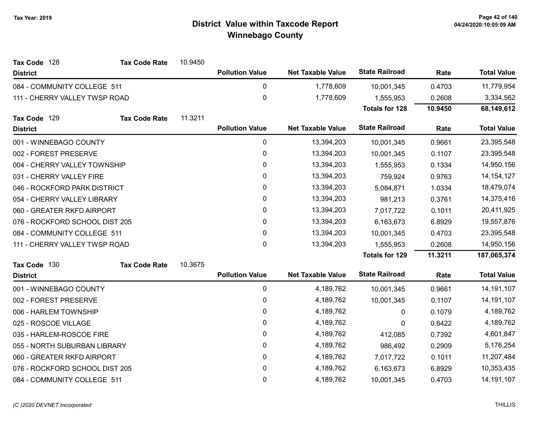| Tax Code 128                   | <b>Tax Code Rate</b> | 10.9450 |                        |                          |                       |         |                    |
|--------------------------------|----------------------|---------|------------------------|--------------------------|-----------------------|---------|--------------------|
| <b>District</b>                |                      |         | <b>Pollution Value</b> | <b>Net Taxable Value</b> | <b>State Railroad</b> | Rate    | <b>Total Value</b> |
| 084 - COMMUNITY COLLEGE 511    |                      |         | 0                      | 1,778,609                | 10,001,345            | 0.4703  | 11,779,954         |
| 111 - CHERRY VALLEY TWSP ROAD  |                      |         | 0                      | 1,778,609                | 1,555,953             | 0.2608  | 3,334,562          |
|                                |                      |         |                        |                          | <b>Totals for 128</b> | 10.9450 | 68,149,612         |
| Tax Code 129                   | <b>Tax Code Rate</b> | 11.3211 |                        |                          |                       |         |                    |
| <b>District</b>                |                      |         | <b>Pollution Value</b> | <b>Net Taxable Value</b> | <b>State Railroad</b> | Rate    | <b>Total Value</b> |
| 001 - WINNEBAGO COUNTY         |                      |         | 0                      | 13,394,203               | 10,001,345            | 0.9661  | 23,395,548         |
| 002 - FOREST PRESERVE          |                      |         | $\mathbf 0$            | 13,394,203               | 10,001,345            | 0.1107  | 23,395,548         |
| 004 - CHERRY VALLEY TOWNSHIP   |                      |         | 0                      | 13,394,203               | 1,555,953             | 0.1334  | 14,950,156         |
| 031 - CHERRY VALLEY FIRE       |                      |         | 0                      | 13,394,203               | 759,924               | 0.9763  | 14, 154, 127       |
| 046 - ROCKFORD PARK DISTRICT   |                      |         | 0                      | 13,394,203               | 5,084,871             | 1.0334  | 18,479,074         |
| 054 - CHERRY VALLEY LIBRARY    |                      |         | 0                      | 13,394,203               | 981,213               | 0.3761  | 14,375,416         |
| 060 - GREATER RKFD AIRPORT     |                      |         | 0                      | 13,394,203               | 7,017,722             | 0.1011  | 20,411,925         |
| 076 - ROCKFORD SCHOOL DIST 205 |                      |         | 0                      | 13,394,203               | 6,163,673             | 6.8929  | 19,557,876         |
| 084 - COMMUNITY COLLEGE 511    |                      |         | $\pmb{0}$              | 13,394,203               | 10,001,345            | 0.4703  | 23,395,548         |
| 111 - CHERRY VALLEY TWSP ROAD  |                      |         | 0                      | 13,394,203               | 1,555,953             | 0.2608  | 14,950,156         |
|                                |                      |         |                        |                          | <b>Totals for 129</b> | 11.3211 | 187,065,374        |
| Tax Code 130                   | <b>Tax Code Rate</b> | 10.3675 |                        |                          |                       |         |                    |
| <b>District</b>                |                      |         | <b>Pollution Value</b> | <b>Net Taxable Value</b> | <b>State Railroad</b> | Rate    | <b>Total Value</b> |
| 001 - WINNEBAGO COUNTY         |                      |         | $\mathbf 0$            | 4,189,762                | 10,001,345            | 0.9661  | 14, 191, 107       |
| 002 - FOREST PRESERVE          |                      |         | 0                      | 4,189,762                | 10,001,345            | 0.1107  | 14, 191, 107       |
| 006 - HARLEM TOWNSHIP          |                      |         | $\pmb{0}$              | 4,189,762                | 0                     | 0.1079  | 4,189,762          |
| 025 - ROSCOE VILLAGE           |                      |         | 0                      | 4,189,762                | 0                     | 0.6422  | 4,189,762          |
| 035 - HARLEM-ROSCOE FIRE       |                      |         | 0                      | 4,189,762                | 412,085               | 0.7392  | 4,601,847          |
| 055 - NORTH SUBURBAN LIBRARY   |                      |         | $\pmb{0}$              | 4,189,762                | 986,492               | 0.2909  | 5,176,254          |
| 060 - GREATER RKFD AIRPORT     |                      |         | 0                      | 4,189,762                | 7,017,722             | 0.1011  | 11,207,484         |
| 076 - ROCKFORD SCHOOL DIST 205 |                      |         | 0                      | 4,189,762                | 6,163,673             | 6.8929  | 10,353,435         |
| 084 - COMMUNITY COLLEGE 511    |                      |         | 0                      | 4,189,762                | 10,001,345            | 0.4703  | 14, 191, 107       |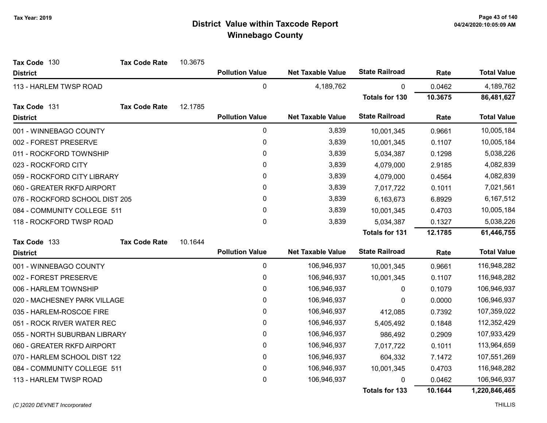| Tax Code 130                   | <b>Tax Code Rate</b> | 10.3675 |                        |                          |                       |         |                    |
|--------------------------------|----------------------|---------|------------------------|--------------------------|-----------------------|---------|--------------------|
| <b>District</b>                |                      |         | <b>Pollution Value</b> | <b>Net Taxable Value</b> | <b>State Railroad</b> | Rate    | <b>Total Value</b> |
| 113 - HARLEM TWSP ROAD         |                      |         | $\mathbf 0$            | 4,189,762                | 0                     | 0.0462  | 4,189,762          |
|                                |                      |         |                        |                          | <b>Totals for 130</b> | 10.3675 | 86,481,627         |
| Tax Code 131                   | <b>Tax Code Rate</b> | 12.1785 |                        |                          |                       |         |                    |
| <b>District</b>                |                      |         | <b>Pollution Value</b> | <b>Net Taxable Value</b> | <b>State Railroad</b> | Rate    | <b>Total Value</b> |
| 001 - WINNEBAGO COUNTY         |                      |         | $\pmb{0}$              | 3,839                    | 10,001,345            | 0.9661  | 10,005,184         |
| 002 - FOREST PRESERVE          |                      |         | 0                      | 3,839                    | 10,001,345            | 0.1107  | 10,005,184         |
| 011 - ROCKFORD TOWNSHIP        |                      |         | 0                      | 3,839                    | 5,034,387             | 0.1298  | 5,038,226          |
| 023 - ROCKFORD CITY            |                      |         | 0                      | 3,839                    | 4,079,000             | 2.9185  | 4,082,839          |
| 059 - ROCKFORD CITY LIBRARY    |                      |         | 0                      | 3,839                    | 4,079,000             | 0.4564  | 4,082,839          |
| 060 - GREATER RKFD AIRPORT     |                      |         | 0                      | 3,839                    | 7,017,722             | 0.1011  | 7,021,561          |
| 076 - ROCKFORD SCHOOL DIST 205 |                      |         | 0                      | 3,839                    | 6,163,673             | 6.8929  | 6,167,512          |
| 084 - COMMUNITY COLLEGE 511    |                      |         | $\mathbf 0$            | 3,839                    | 10,001,345            | 0.4703  | 10,005,184         |
| 118 - ROCKFORD TWSP ROAD       |                      |         | $\mathbf 0$            | 3,839                    | 5,034,387             | 0.1327  | 5,038,226          |
|                                |                      |         |                        |                          | <b>Totals for 131</b> | 12.1785 | 61,446,755         |
| Tax Code 133                   | <b>Tax Code Rate</b> | 10.1644 |                        |                          |                       |         |                    |
| <b>District</b>                |                      |         | <b>Pollution Value</b> | <b>Net Taxable Value</b> | <b>State Railroad</b> | Rate    | <b>Total Value</b> |
| 001 - WINNEBAGO COUNTY         |                      |         | 0                      | 106,946,937              | 10,001,345            | 0.9661  | 116,948,282        |
| 002 - FOREST PRESERVE          |                      |         | 0                      | 106,946,937              | 10,001,345            | 0.1107  | 116,948,282        |
| 006 - HARLEM TOWNSHIP          |                      |         | $\mathbf{0}$           | 106,946,937              | 0                     | 0.1079  | 106,946,937        |
| 020 - MACHESNEY PARK VILLAGE   |                      |         | $\pmb{0}$              | 106,946,937              | 0                     | 0.0000  | 106,946,937        |
| 035 - HARLEM-ROSCOE FIRE       |                      |         | 0                      | 106,946,937              | 412,085               | 0.7392  | 107,359,022        |
| 051 - ROCK RIVER WATER REC     |                      |         | 0                      | 106,946,937              | 5,405,492             | 0.1848  | 112,352,429        |
| 055 - NORTH SUBURBAN LIBRARY   |                      |         | 0                      | 106,946,937              | 986,492               | 0.2909  | 107,933,429        |
| 060 - GREATER RKFD AIRPORT     |                      |         | $\pmb{0}$              | 106,946,937              | 7,017,722             | 0.1011  | 113,964,659        |
| 070 - HARLEM SCHOOL DIST 122   |                      |         | 0                      | 106,946,937              | 604,332               | 7.1472  | 107,551,269        |
| 084 - COMMUNITY COLLEGE 511    |                      |         | 0                      | 106,946,937              | 10,001,345            | 0.4703  | 116,948,282        |
| 113 - HARLEM TWSP ROAD         |                      |         | 0                      | 106,946,937              | 0                     | 0.0462  | 106,946,937        |
|                                |                      |         |                        |                          | <b>Totals for 133</b> | 10.1644 | 1,220,846,465      |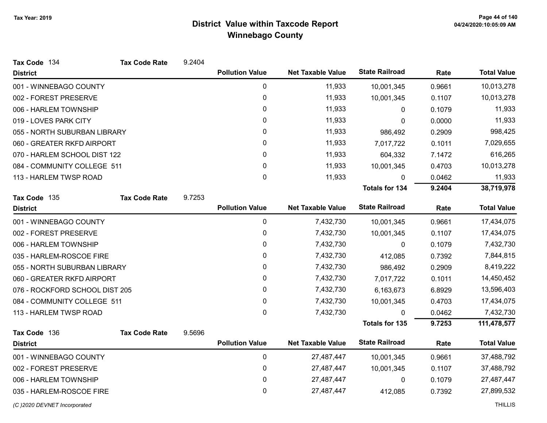| Tax Code 134                   | <b>Tax Code Rate</b> | 9.2404 |                        |                          |                       |        |                    |
|--------------------------------|----------------------|--------|------------------------|--------------------------|-----------------------|--------|--------------------|
| <b>District</b>                |                      |        | <b>Pollution Value</b> | <b>Net Taxable Value</b> | <b>State Railroad</b> | Rate   | <b>Total Value</b> |
| 001 - WINNEBAGO COUNTY         |                      |        | $\mathbf 0$            | 11,933                   | 10,001,345            | 0.9661 | 10,013,278         |
| 002 - FOREST PRESERVE          |                      |        | 0                      | 11,933                   | 10,001,345            | 0.1107 | 10,013,278         |
| 006 - HARLEM TOWNSHIP          |                      |        | 0                      | 11,933                   | 0                     | 0.1079 | 11,933             |
| 019 - LOVES PARK CITY          |                      |        | 0                      | 11,933                   | 0                     | 0.0000 | 11,933             |
| 055 - NORTH SUBURBAN LIBRARY   |                      |        | 0                      | 11,933                   | 986,492               | 0.2909 | 998,425            |
| 060 - GREATER RKFD AIRPORT     |                      |        | 0                      | 11,933                   | 7,017,722             | 0.1011 | 7,029,655          |
| 070 - HARLEM SCHOOL DIST 122   |                      |        | 0                      | 11,933                   | 604,332               | 7.1472 | 616,265            |
| 084 - COMMUNITY COLLEGE 511    |                      |        | 0                      | 11,933                   | 10,001,345            | 0.4703 | 10,013,278         |
| 113 - HARLEM TWSP ROAD         |                      |        | 0                      | 11,933                   | 0                     | 0.0462 | 11,933             |
|                                |                      |        |                        |                          | <b>Totals for 134</b> | 9.2404 | 38,719,978         |
| Tax Code 135                   | <b>Tax Code Rate</b> | 9.7253 |                        |                          |                       |        |                    |
| <b>District</b>                |                      |        | <b>Pollution Value</b> | <b>Net Taxable Value</b> | <b>State Railroad</b> | Rate   | <b>Total Value</b> |
| 001 - WINNEBAGO COUNTY         |                      |        | 0                      | 7,432,730                | 10,001,345            | 0.9661 | 17,434,075         |
| 002 - FOREST PRESERVE          |                      |        | 0                      | 7,432,730                | 10,001,345            | 0.1107 | 17,434,075         |
| 006 - HARLEM TOWNSHIP          |                      |        | $\mathbf 0$            | 7,432,730                | 0                     | 0.1079 | 7,432,730          |
| 035 - HARLEM-ROSCOE FIRE       |                      |        | 0                      | 7,432,730                | 412,085               | 0.7392 | 7,844,815          |
| 055 - NORTH SUBURBAN LIBRARY   |                      |        | $\mathbf{0}$           | 7,432,730                | 986,492               | 0.2909 | 8,419,222          |
| 060 - GREATER RKFD AIRPORT     |                      |        | 0                      | 7,432,730                | 7,017,722             | 0.1011 | 14,450,452         |
| 076 - ROCKFORD SCHOOL DIST 205 |                      |        | 0                      | 7,432,730                | 6,163,673             | 6.8929 | 13,596,403         |
| 084 - COMMUNITY COLLEGE 511    |                      |        | $\pmb{0}$              | 7,432,730                | 10,001,345            | 0.4703 | 17,434,075         |
| 113 - HARLEM TWSP ROAD         |                      |        | $\mathbf 0$            | 7,432,730                | $\Omega$              | 0.0462 | 7,432,730          |
|                                |                      |        |                        |                          | <b>Totals for 135</b> | 9.7253 | 111,478,577        |
| Tax Code 136                   | <b>Tax Code Rate</b> | 9.5696 |                        |                          |                       |        |                    |
| <b>District</b>                |                      |        | <b>Pollution Value</b> | <b>Net Taxable Value</b> | <b>State Railroad</b> | Rate   | <b>Total Value</b> |
| 001 - WINNEBAGO COUNTY         |                      |        | $\mathbf 0$            | 27,487,447               | 10,001,345            | 0.9661 | 37,488,792         |
| 002 - FOREST PRESERVE          |                      |        | 0                      | 27,487,447               | 10,001,345            | 0.1107 | 37,488,792         |
| 006 - HARLEM TOWNSHIP          |                      |        | 0                      | 27,487,447               | 0                     | 0.1079 | 27,487,447         |
| 035 - HARLEM-ROSCOE FIRE       |                      |        | $\mathbf 0$            | 27,487,447               | 412,085               | 0.7392 | 27,899,532         |
| (C) 2020 DEVNET Incorporated   |                      |        |                        |                          |                       |        | <b>THILLIS</b>     |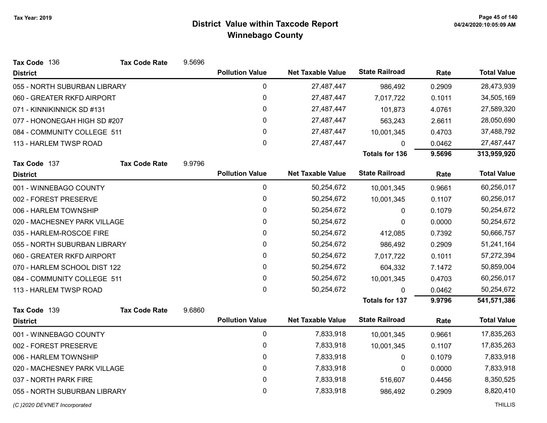| Tax Code 136                 | <b>Tax Code Rate</b> | 9.5696 |                        |                          |                       |        |                    |
|------------------------------|----------------------|--------|------------------------|--------------------------|-----------------------|--------|--------------------|
| <b>District</b>              |                      |        | <b>Pollution Value</b> | <b>Net Taxable Value</b> | <b>State Railroad</b> | Rate   | <b>Total Value</b> |
| 055 - NORTH SUBURBAN LIBRARY |                      |        | $\pmb{0}$              | 27,487,447               | 986,492               | 0.2909 | 28,473,939         |
| 060 - GREATER RKFD AIRPORT   |                      |        | $\pmb{0}$              | 27,487,447               | 7,017,722             | 0.1011 | 34,505,169         |
| 071 - KINNIKINNICK SD #131   |                      |        | 0                      | 27,487,447               | 101,873               | 4.0761 | 27,589,320         |
| 077 - HONONEGAH HIGH SD #207 |                      |        | 0                      | 27,487,447               | 563,243               | 2.6611 | 28,050,690         |
| 084 - COMMUNITY COLLEGE 511  |                      |        | 0                      | 27,487,447               | 10,001,345            | 0.4703 | 37,488,792         |
| 113 - HARLEM TWSP ROAD       |                      |        | 0                      | 27,487,447               | 0                     | 0.0462 | 27,487,447         |
|                              |                      |        |                        |                          | <b>Totals for 136</b> | 9.5696 | 313,959,920        |
| Tax Code 137                 | <b>Tax Code Rate</b> | 9.9796 |                        |                          |                       |        |                    |
| <b>District</b>              |                      |        | <b>Pollution Value</b> | <b>Net Taxable Value</b> | <b>State Railroad</b> | Rate   | <b>Total Value</b> |
| 001 - WINNEBAGO COUNTY       |                      |        | 0                      | 50,254,672               | 10,001,345            | 0.9661 | 60,256,017         |
| 002 - FOREST PRESERVE        |                      |        | 0                      | 50,254,672               | 10,001,345            | 0.1107 | 60,256,017         |
| 006 - HARLEM TOWNSHIP        |                      |        | 0                      | 50,254,672               | $\mathbf{0}$          | 0.1079 | 50,254,672         |
| 020 - MACHESNEY PARK VILLAGE |                      |        | 0                      | 50,254,672               | 0                     | 0.0000 | 50,254,672         |
| 035 - HARLEM-ROSCOE FIRE     |                      |        | 0                      | 50,254,672               | 412,085               | 0.7392 | 50,666,757         |
| 055 - NORTH SUBURBAN LIBRARY |                      |        | 0                      | 50,254,672               | 986,492               | 0.2909 | 51,241,164         |
| 060 - GREATER RKFD AIRPORT   |                      |        | 0                      | 50,254,672               | 7,017,722             | 0.1011 | 57,272,394         |
| 070 - HARLEM SCHOOL DIST 122 |                      |        | 0                      | 50,254,672               | 604,332               | 7.1472 | 50,859,004         |
| 084 - COMMUNITY COLLEGE 511  |                      |        | 0                      | 50,254,672               | 10,001,345            | 0.4703 | 60,256,017         |
| 113 - HARLEM TWSP ROAD       |                      |        | 0                      | 50,254,672               | 0                     | 0.0462 | 50,254,672         |
|                              |                      |        |                        |                          | <b>Totals for 137</b> | 9.9796 | 541,571,386        |
| Tax Code 139                 | <b>Tax Code Rate</b> | 9.6860 |                        |                          |                       |        |                    |
| <b>District</b>              |                      |        | <b>Pollution Value</b> | <b>Net Taxable Value</b> | <b>State Railroad</b> | Rate   | <b>Total Value</b> |
| 001 - WINNEBAGO COUNTY       |                      |        | $\pmb{0}$              | 7,833,918                | 10,001,345            | 0.9661 | 17,835,263         |
| 002 - FOREST PRESERVE        |                      |        | 0                      | 7,833,918                | 10,001,345            | 0.1107 | 17,835,263         |
| 006 - HARLEM TOWNSHIP        |                      |        | 0                      | 7,833,918                | 0                     | 0.1079 | 7,833,918          |
| 020 - MACHESNEY PARK VILLAGE |                      |        | 0                      | 7,833,918                | 0                     | 0.0000 | 7,833,918          |
| 037 - NORTH PARK FIRE        |                      |        | 0                      | 7,833,918                | 516,607               | 0.4456 | 8,350,525          |
| 055 - NORTH SUBURBAN LIBRARY |                      |        | 0                      | 7,833,918                | 986,492               | 0.2909 | 8,820,410          |
| (C) 2020 DEVNET Incorporated |                      |        |                        |                          |                       |        | <b>THILLIS</b>     |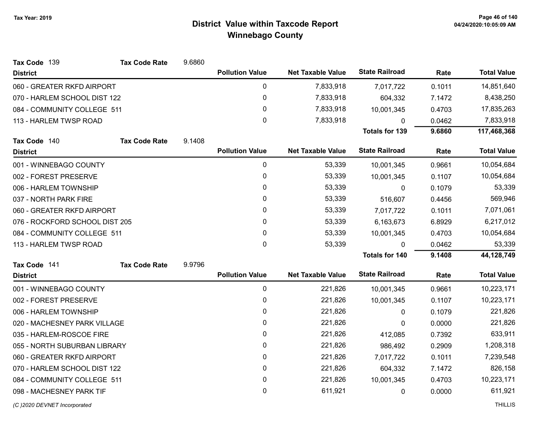| Tax Code 139                   | <b>Tax Code Rate</b> | 9.6860       |                        |                          |                       |            |                    |
|--------------------------------|----------------------|--------------|------------------------|--------------------------|-----------------------|------------|--------------------|
| <b>District</b>                |                      |              | <b>Pollution Value</b> | <b>Net Taxable Value</b> | <b>State Railroad</b> | Rate       | <b>Total Value</b> |
| 060 - GREATER RKFD AIRPORT     |                      |              | 0                      | 7,833,918                | 7,017,722             | 0.1011     | 14,851,640         |
| 070 - HARLEM SCHOOL DIST 122   |                      |              | 0                      | 7,833,918                | 604,332               | 7.1472     | 8,438,250          |
| 084 - COMMUNITY COLLEGE 511    |                      |              | 0                      | 7,833,918                | 10,001,345            | 0.4703     | 17,835,263         |
| 113 - HARLEM TWSP ROAD         |                      |              | 0                      | 7,833,918                | 0                     | 0.0462     | 7,833,918          |
|                                |                      |              |                        |                          | <b>Totals for 139</b> | 9.6860     | 117,468,368        |
| Tax Code 140                   | <b>Tax Code Rate</b> | 9.1408       |                        |                          |                       |            |                    |
| <b>District</b>                |                      |              | <b>Pollution Value</b> | <b>Net Taxable Value</b> | <b>State Railroad</b> | Rate       | <b>Total Value</b> |
| 001 - WINNEBAGO COUNTY         |                      |              | 0                      | 53,339                   | 10,001,345            | 0.9661     | 10,054,684         |
| 002 - FOREST PRESERVE          |                      |              | 0                      | 53,339                   | 10,001,345            | 0.1107     | 10,054,684         |
| 006 - HARLEM TOWNSHIP          |                      |              | 0                      | 53,339                   | $\mathbf{0}$          | 0.1079     | 53,339             |
| 037 - NORTH PARK FIRE          |                      | 0            | 53,339                 | 516,607                  | 0.4456                | 569,946    |                    |
| 060 - GREATER RKFD AIRPORT     |                      |              | $\mathbf{0}$           | 53,339                   | 7,017,722             | 0.1011     | 7,071,061          |
| 076 - ROCKFORD SCHOOL DIST 205 |                      |              | 0                      | 53,339                   | 6,163,673             | 6.8929     | 6,217,012          |
| 084 - COMMUNITY COLLEGE 511    |                      | $\mathbf{0}$ | 53,339                 | 10,001,345               | 0.4703                | 10,054,684 |                    |
| 113 - HARLEM TWSP ROAD         |                      |              | $\mathbf{0}$           | 53,339                   | $\mathbf{0}$          | 0.0462     | 53,339             |
|                                |                      |              |                        |                          | <b>Totals for 140</b> | 9.1408     | 44,128,749         |
| Tax Code 141                   | <b>Tax Code Rate</b> | 9.9796       |                        |                          |                       |            |                    |
| <b>District</b>                |                      |              | <b>Pollution Value</b> | <b>Net Taxable Value</b> | <b>State Railroad</b> | Rate       | <b>Total Value</b> |
| 001 - WINNEBAGO COUNTY         |                      |              | 0                      | 221,826                  | 10,001,345            | 0.9661     | 10,223,171         |
| 002 - FOREST PRESERVE          |                      |              | 0                      | 221,826                  | 10,001,345            | 0.1107     | 10,223,171         |
| 006 - HARLEM TOWNSHIP          |                      |              | 0                      | 221,826                  | $\mathbf{0}$          | 0.1079     | 221,826            |
| 020 - MACHESNEY PARK VILLAGE   |                      |              | 0                      | 221,826                  | 0                     | 0.0000     | 221,826            |
| 035 - HARLEM-ROSCOE FIRE       |                      |              | 0                      | 221,826                  | 412,085               | 0.7392     | 633,911            |
| 055 - NORTH SUBURBAN LIBRARY   |                      |              | 0                      | 221,826                  | 986,492               | 0.2909     | 1,208,318          |
| 060 - GREATER RKFD AIRPORT     |                      |              | 0                      | 221,826                  | 7,017,722             | 0.1011     | 7,239,548          |
| 070 - HARLEM SCHOOL DIST 122   |                      |              | 0                      | 221,826                  | 604,332               | 7.1472     | 826,158            |
| 084 - COMMUNITY COLLEGE 511    |                      |              | 0                      | 221,826                  | 10,001,345            | 0.4703     | 10,223,171         |
| 098 - MACHESNEY PARK TIF       |                      |              | $\mathbf 0$            | 611,921                  | 0                     | 0.0000     | 611,921            |
|                                |                      |              |                        |                          |                       |            |                    |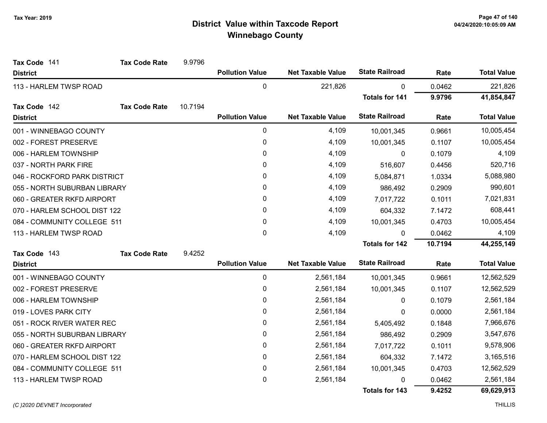| Tax Code 141                 | <b>Tax Code Rate</b> | 9.9796    |                        |                          |                       |            |                    |
|------------------------------|----------------------|-----------|------------------------|--------------------------|-----------------------|------------|--------------------|
| <b>District</b>              |                      |           | <b>Pollution Value</b> | <b>Net Taxable Value</b> | <b>State Railroad</b> | Rate       | <b>Total Value</b> |
| 113 - HARLEM TWSP ROAD       |                      |           | $\mathbf 0$            | 221,826                  | 0                     | 0.0462     | 221,826            |
|                              |                      |           |                        |                          | <b>Totals for 141</b> | 9.9796     | 41,854,847         |
| Tax Code 142                 | <b>Tax Code Rate</b> | 10.7194   |                        |                          |                       |            |                    |
| <b>District</b>              |                      |           | <b>Pollution Value</b> | <b>Net Taxable Value</b> | <b>State Railroad</b> | Rate       | <b>Total Value</b> |
| 001 - WINNEBAGO COUNTY       |                      |           | $\pmb{0}$              | 4,109                    | 10,001,345            | 0.9661     | 10,005,454         |
| 002 - FOREST PRESERVE        |                      |           | 0                      | 4,109                    | 10,001,345            | 0.1107     | 10,005,454         |
| 006 - HARLEM TOWNSHIP        |                      |           | 0                      | 4,109                    | 0                     | 0.1079     | 4,109              |
| 037 - NORTH PARK FIRE        |                      |           | 0                      | 4,109                    | 516,607               | 0.4456     | 520,716            |
| 046 - ROCKFORD PARK DISTRICT |                      |           | 0                      | 4,109                    | 5,084,871             | 1.0334     | 5,088,980          |
| 055 - NORTH SUBURBAN LIBRARY |                      | 0         | 4,109                  | 986,492                  | 0.2909                | 990,601    |                    |
| 060 - GREATER RKFD AIRPORT   |                      | 0         | 4,109                  | 7,017,722                | 0.1011                | 7,021,831  |                    |
| 070 - HARLEM SCHOOL DIST 122 |                      | $\pmb{0}$ | 4,109                  | 604,332                  | 7.1472                | 608,441    |                    |
| 084 - COMMUNITY COLLEGE 511  |                      | 0         | 4,109                  | 10,001,345               | 0.4703                | 10,005,454 |                    |
| 113 - HARLEM TWSP ROAD       |                      |           | 0                      | 4,109                    | $\mathbf{0}$          | 0.0462     | 4,109              |
|                              |                      |           |                        |                          | <b>Totals for 142</b> | 10.7194    | 44,255,149         |
| Tax Code 143                 | <b>Tax Code Rate</b> | 9.4252    |                        |                          |                       |            |                    |
| <b>District</b>              |                      |           | <b>Pollution Value</b> | <b>Net Taxable Value</b> | <b>State Railroad</b> | Rate       | <b>Total Value</b> |
| 001 - WINNEBAGO COUNTY       |                      |           | 0                      | 2,561,184                | 10,001,345            | 0.9661     | 12,562,529         |
| 002 - FOREST PRESERVE        |                      |           | 0                      | 2,561,184                | 10,001,345            | 0.1107     | 12,562,529         |
| 006 - HARLEM TOWNSHIP        |                      |           | 0                      | 2,561,184                | 0                     | 0.1079     | 2,561,184          |
| 019 - LOVES PARK CITY        |                      |           | $\mathbf{0}$           | 2,561,184                | 0                     | 0.0000     | 2,561,184          |
| 051 - ROCK RIVER WATER REC   |                      |           | 0                      | 2,561,184                | 5,405,492             | 0.1848     | 7,966,676          |
| 055 - NORTH SUBURBAN LIBRARY |                      |           | 0                      | 2,561,184                | 986,492               | 0.2909     | 3,547,676          |
| 060 - GREATER RKFD AIRPORT   |                      |           | $\pmb{0}$              | 2,561,184                | 7,017,722             | 0.1011     | 9,578,906          |
| 070 - HARLEM SCHOOL DIST 122 |                      |           | 0                      | 2,561,184                | 604,332               | 7.1472     | 3,165,516          |
| 084 - COMMUNITY COLLEGE 511  |                      |           | 0                      | 2,561,184                | 10,001,345            | 0.4703     | 12,562,529         |
| 113 - HARLEM TWSP ROAD       |                      |           | 0                      | 2,561,184                | 0                     | 0.0462     | 2,561,184          |
|                              |                      |           |                        |                          | Totals for 143        | 9.4252     | 69,629,913         |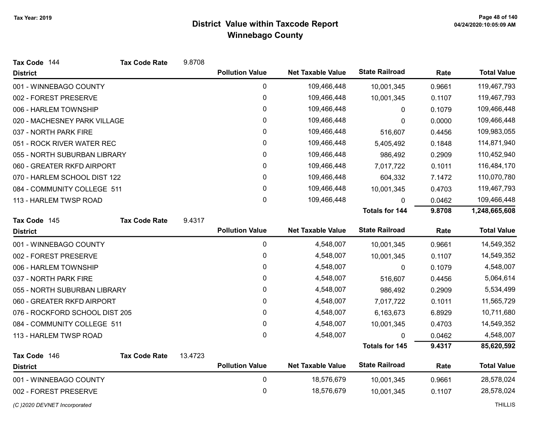| Tax Code 144                   | <b>Tax Code Rate</b> | 9.8708  |                        |                          |                       |             |                    |
|--------------------------------|----------------------|---------|------------------------|--------------------------|-----------------------|-------------|--------------------|
| <b>District</b>                |                      |         | <b>Pollution Value</b> | <b>Net Taxable Value</b> | <b>State Railroad</b> | Rate        | <b>Total Value</b> |
| 001 - WINNEBAGO COUNTY         |                      |         | 0                      | 109,466,448              | 10,001,345            | 0.9661      | 119,467,793        |
| 002 - FOREST PRESERVE          |                      |         | $\mathbf 0$            | 109,466,448              | 10,001,345            | 0.1107      | 119,467,793        |
| 006 - HARLEM TOWNSHIP          |                      |         | 0                      | 109,466,448              | 0                     | 0.1079      | 109,466,448        |
| 020 - MACHESNEY PARK VILLAGE   |                      |         | 0                      | 109,466,448              | 0                     | 0.0000      | 109,466,448        |
| 037 - NORTH PARK FIRE          |                      |         | 0                      | 109,466,448              | 516,607               | 0.4456      | 109,983,055        |
| 051 - ROCK RIVER WATER REC     |                      | 0       | 109,466,448            | 5,405,492                | 0.1848                | 114,871,940 |                    |
| 055 - NORTH SUBURBAN LIBRARY   |                      |         | 0                      | 109,466,448              | 986,492               | 0.2909      | 110,452,940        |
| 060 - GREATER RKFD AIRPORT     |                      |         | 0                      | 109,466,448              | 7,017,722             | 0.1011      | 116,484,170        |
| 070 - HARLEM SCHOOL DIST 122   |                      |         | 0                      | 109,466,448              | 604,332               | 7.1472      | 110,070,780        |
| 084 - COMMUNITY COLLEGE 511    |                      |         | $\mathbf{0}$           | 109,466,448              | 10,001,345            | 0.4703      | 119,467,793        |
| 113 - HARLEM TWSP ROAD         |                      |         | 0                      | 109,466,448              | 0                     | 0.0462      | 109,466,448        |
|                                |                      |         |                        |                          | <b>Totals for 144</b> | 9.8708      | 1,248,665,608      |
| Tax Code 145                   | <b>Tax Code Rate</b> | 9.4317  |                        |                          |                       |             |                    |
| <b>District</b>                |                      |         | <b>Pollution Value</b> | <b>Net Taxable Value</b> | <b>State Railroad</b> | Rate        | <b>Total Value</b> |
| 001 - WINNEBAGO COUNTY         |                      |         | 0                      | 4,548,007                | 10,001,345            | 0.9661      | 14,549,352         |
| 002 - FOREST PRESERVE          |                      |         | 0                      | 4,548,007                | 10,001,345            | 0.1107      | 14,549,352         |
| 006 - HARLEM TOWNSHIP          |                      |         | 0                      | 4,548,007                | 0                     | 0.1079      | 4,548,007          |
| 037 - NORTH PARK FIRE          |                      |         | 0                      | 4,548,007                | 516,607               | 0.4456      | 5,064,614          |
| 055 - NORTH SUBURBAN LIBRARY   |                      |         | $\mathbf{0}$           | 4,548,007                | 986,492               | 0.2909      | 5,534,499          |
| 060 - GREATER RKFD AIRPORT     |                      |         | 0                      | 4,548,007                | 7,017,722             | 0.1011      | 11,565,729         |
| 076 - ROCKFORD SCHOOL DIST 205 |                      |         | 0                      | 4,548,007                | 6,163,673             | 6.8929      | 10,711,680         |
| 084 - COMMUNITY COLLEGE 511    |                      |         | $\mathbf 0$            | 4,548,007                | 10,001,345            | 0.4703      | 14,549,352         |
| 113 - HARLEM TWSP ROAD         |                      |         | $\mathbf{0}$           | 4,548,007                | 0                     | 0.0462      | 4,548,007          |
|                                |                      |         |                        |                          | <b>Totals for 145</b> | 9.4317      | 85,620,592         |
| Tax Code 146                   | <b>Tax Code Rate</b> | 13.4723 |                        |                          |                       |             |                    |
| <b>District</b>                |                      |         | <b>Pollution Value</b> | <b>Net Taxable Value</b> | <b>State Railroad</b> | Rate        | <b>Total Value</b> |
| 001 - WINNEBAGO COUNTY         |                      |         | $\pmb{0}$              | 18,576,679               | 10,001,345            | 0.9661      | 28,578,024         |
| 002 - FOREST PRESERVE          |                      |         | 0                      | 18,576,679               | 10,001,345            | 0.1107      | 28,578,024         |
|                                |                      |         |                        |                          |                       |             |                    |

(C)2020 DEVNET Incorporated THILLIS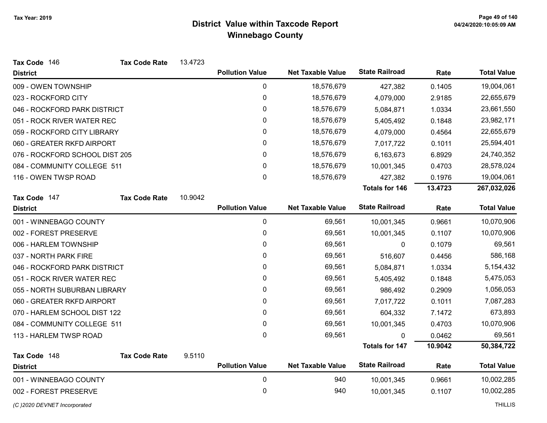| Tax Code 146                   | <b>Tax Code Rate</b> | 13.4723 |                        |                          |                       |         |                    |
|--------------------------------|----------------------|---------|------------------------|--------------------------|-----------------------|---------|--------------------|
| <b>District</b>                |                      |         | <b>Pollution Value</b> | <b>Net Taxable Value</b> | <b>State Railroad</b> | Rate    | <b>Total Value</b> |
| 009 - OWEN TOWNSHIP            |                      |         | 0                      | 18,576,679               | 427,382               | 0.1405  | 19,004,061         |
| 023 - ROCKFORD CITY            |                      |         | $\pmb{0}$              | 18,576,679               | 4,079,000             | 2.9185  | 22,655,679         |
| 046 - ROCKFORD PARK DISTRICT   |                      |         | 0                      | 18,576,679               | 5,084,871             | 1.0334  | 23,661,550         |
| 051 - ROCK RIVER WATER REC     |                      |         | 0                      | 18,576,679               | 5,405,492             | 0.1848  | 23,982,171         |
| 059 - ROCKFORD CITY LIBRARY    |                      |         | 0                      | 18,576,679               | 4,079,000             | 0.4564  | 22,655,679         |
| 060 - GREATER RKFD AIRPORT     |                      |         | $\mathbf 0$            | 18,576,679               | 7,017,722             | 0.1011  | 25,594,401         |
| 076 - ROCKFORD SCHOOL DIST 205 |                      |         | 0                      | 18,576,679               | 6,163,673             | 6.8929  | 24,740,352         |
| 084 - COMMUNITY COLLEGE 511    |                      |         | 0                      | 18,576,679               | 10,001,345            | 0.4703  | 28,578,024         |
| 116 - OWEN TWSP ROAD           |                      |         | 0                      | 18,576,679               | 427,382               | 0.1976  | 19,004,061         |
|                                |                      |         |                        |                          | <b>Totals for 146</b> | 13.4723 | 267,032,026        |
| Tax Code 147                   | <b>Tax Code Rate</b> | 10.9042 |                        |                          |                       |         |                    |
| <b>District</b>                |                      |         | <b>Pollution Value</b> | <b>Net Taxable Value</b> | <b>State Railroad</b> | Rate    | <b>Total Value</b> |
| 001 - WINNEBAGO COUNTY         |                      |         | $\pmb{0}$              | 69,561                   | 10,001,345            | 0.9661  | 10,070,906         |
| 002 - FOREST PRESERVE          |                      |         | 0                      | 69,561                   | 10,001,345            | 0.1107  | 10,070,906         |
| 006 - HARLEM TOWNSHIP          |                      |         | 0                      | 69,561                   | 0                     | 0.1079  | 69,561             |
| 037 - NORTH PARK FIRE          |                      |         | 0                      | 69,561                   | 516,607               | 0.4456  | 586,168            |
| 046 - ROCKFORD PARK DISTRICT   |                      |         | 0                      | 69,561                   | 5,084,871             | 1.0334  | 5,154,432          |
| 051 - ROCK RIVER WATER REC     |                      |         | 0                      | 69,561                   | 5,405,492             | 0.1848  | 5,475,053          |
| 055 - NORTH SUBURBAN LIBRARY   |                      |         | 0                      | 69,561                   | 986,492               | 0.2909  | 1,056,053          |
| 060 - GREATER RKFD AIRPORT     |                      |         | 0                      | 69,561                   | 7,017,722             | 0.1011  | 7,087,283          |
| 070 - HARLEM SCHOOL DIST 122   |                      |         | 0                      | 69,561                   | 604,332               | 7.1472  | 673,893            |
| 084 - COMMUNITY COLLEGE 511    |                      |         | 0                      | 69,561                   | 10,001,345            | 0.4703  | 10,070,906         |
| 113 - HARLEM TWSP ROAD         |                      |         | 0                      | 69,561                   | 0                     | 0.0462  | 69,561             |
|                                |                      |         |                        |                          | <b>Totals for 147</b> | 10.9042 | 50,384,722         |
| Tax Code 148                   | <b>Tax Code Rate</b> | 9.5110  |                        |                          |                       |         |                    |
| <b>District</b>                |                      |         | <b>Pollution Value</b> | <b>Net Taxable Value</b> | <b>State Railroad</b> | Rate    | <b>Total Value</b> |
| 001 - WINNEBAGO COUNTY         |                      |         | 0                      | 940                      | 10,001,345            | 0.9661  | 10,002,285         |
| 002 - FOREST PRESERVE          |                      |         | 0                      | 940                      | 10,001,345            | 0.1107  | 10,002,285         |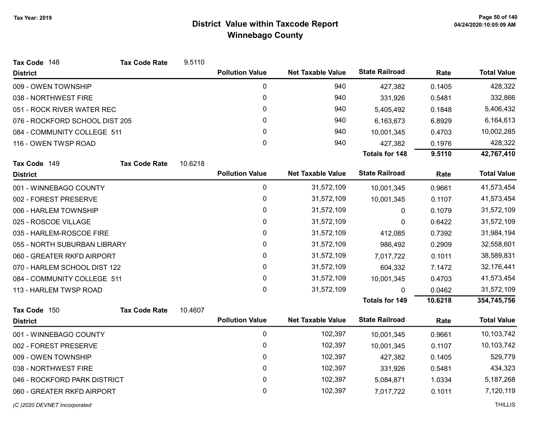| Tax Code 148                   | <b>Tax Code Rate</b> | 9.5110  |                        |                          |                       |         |                    |
|--------------------------------|----------------------|---------|------------------------|--------------------------|-----------------------|---------|--------------------|
| <b>District</b>                |                      |         | <b>Pollution Value</b> | <b>Net Taxable Value</b> | <b>State Railroad</b> | Rate    | <b>Total Value</b> |
| 009 - OWEN TOWNSHIP            |                      |         | $\mathbf 0$            | 940                      | 427,382               | 0.1405  | 428,322            |
| 038 - NORTHWEST FIRE           |                      |         | $\mathbf 0$            | 940                      | 331,926               | 0.5481  | 332,866            |
| 051 - ROCK RIVER WATER REC     |                      |         | 0                      | 940                      | 5,405,492             | 0.1848  | 5,406,432          |
| 076 - ROCKFORD SCHOOL DIST 205 |                      |         | 0                      | 940                      | 6,163,673             | 6.8929  | 6,164,613          |
| 084 - COMMUNITY COLLEGE 511    |                      |         | 0                      | 940                      | 10,001,345            | 0.4703  | 10,002,285         |
| 116 - OWEN TWSP ROAD           |                      |         | 0                      | 940                      | 427,382               | 0.1976  | 428,322            |
|                                |                      |         |                        |                          | Totals for 148        | 9.5110  | 42,767,410         |
| Tax Code 149                   | <b>Tax Code Rate</b> | 10.6218 |                        |                          |                       |         |                    |
| <b>District</b>                |                      |         | <b>Pollution Value</b> | <b>Net Taxable Value</b> | <b>State Railroad</b> | Rate    | <b>Total Value</b> |
| 001 - WINNEBAGO COUNTY         |                      |         | 0                      | 31,572,109               | 10,001,345            | 0.9661  | 41,573,454         |
| 002 - FOREST PRESERVE          |                      |         | $\pmb{0}$              | 31,572,109               | 10,001,345            | 0.1107  | 41,573,454         |
| 006 - HARLEM TOWNSHIP          |                      |         | 0                      | 31,572,109               | 0                     | 0.1079  | 31,572,109         |
| 025 - ROSCOE VILLAGE           |                      |         | 0                      | 31,572,109               | 0                     | 0.6422  | 31,572,109         |
| 035 - HARLEM-ROSCOE FIRE       |                      |         | 0                      | 31,572,109               | 412,085               | 0.7392  | 31,984,194         |
| 055 - NORTH SUBURBAN LIBRARY   |                      |         | 0                      | 31,572,109               | 986,492               | 0.2909  | 32,558,601         |
| 060 - GREATER RKFD AIRPORT     |                      |         | 0                      | 31,572,109               | 7,017,722             | 0.1011  | 38,589,831         |
| 070 - HARLEM SCHOOL DIST 122   |                      |         | 0                      | 31,572,109               | 604,332               | 7.1472  | 32,176,441         |
| 084 - COMMUNITY COLLEGE 511    |                      |         | 0                      | 31,572,109               | 10,001,345            | 0.4703  | 41,573,454         |
| 113 - HARLEM TWSP ROAD         |                      |         | $\mathbf 0$            | 31,572,109               | $\mathbf{0}$          | 0.0462  | 31,572,109         |
|                                |                      |         |                        |                          | <b>Totals for 149</b> | 10.6218 | 354,745,756        |
| Tax Code 150                   | <b>Tax Code Rate</b> | 10.4607 |                        |                          |                       |         |                    |
| <b>District</b>                |                      |         | <b>Pollution Value</b> | <b>Net Taxable Value</b> | <b>State Railroad</b> | Rate    | <b>Total Value</b> |
| 001 - WINNEBAGO COUNTY         |                      |         | 0                      | 102,397                  | 10,001,345            | 0.9661  | 10,103,742         |
| 002 - FOREST PRESERVE          |                      |         | 0                      | 102,397                  | 10,001,345            | 0.1107  | 10,103,742         |
| 009 - OWEN TOWNSHIP            |                      |         | 0                      | 102,397                  | 427,382               | 0.1405  | 529,779            |
| 038 - NORTHWEST FIRE           |                      |         | $\pmb{0}$              | 102,397                  | 331,926               | 0.5481  | 434,323            |
| 046 - ROCKFORD PARK DISTRICT   |                      |         | 0                      | 102,397                  | 5,084,871             | 1.0334  | 5,187,268          |
| 060 - GREATER RKFD AIRPORT     |                      |         | 0                      | 102,397                  | 7,017,722             | 0.1011  | 7,120,119          |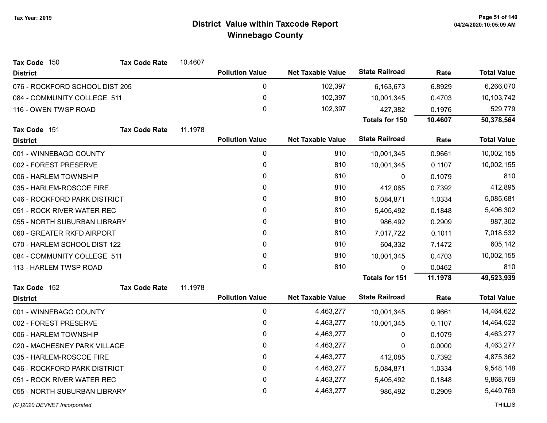| Tax Code 150                   | <b>Tax Code Rate</b> | 10.4607 |                        |                          |                       |         |                    |
|--------------------------------|----------------------|---------|------------------------|--------------------------|-----------------------|---------|--------------------|
| <b>District</b>                |                      |         | <b>Pollution Value</b> | <b>Net Taxable Value</b> | <b>State Railroad</b> | Rate    | <b>Total Value</b> |
| 076 - ROCKFORD SCHOOL DIST 205 |                      |         | $\pmb{0}$              | 102,397                  | 6,163,673             | 6.8929  | 6,266,070          |
| 084 - COMMUNITY COLLEGE 511    |                      |         | 0                      | 102,397                  | 10,001,345            | 0.4703  | 10,103,742         |
| 116 - OWEN TWSP ROAD           |                      |         | $\mathbf 0$            | 102,397                  | 427,382               | 0.1976  | 529,779            |
|                                |                      |         |                        |                          | Totals for 150        | 10.4607 | 50,378,564         |
| Tax Code 151                   | <b>Tax Code Rate</b> | 11.1978 |                        |                          |                       |         |                    |
| <b>District</b>                |                      |         | <b>Pollution Value</b> | <b>Net Taxable Value</b> | <b>State Railroad</b> | Rate    | <b>Total Value</b> |
| 001 - WINNEBAGO COUNTY         |                      |         | 0                      | 810                      | 10,001,345            | 0.9661  | 10,002,155         |
| 002 - FOREST PRESERVE          |                      |         | 0                      | 810                      | 10,001,345            | 0.1107  | 10,002,155         |
| 006 - HARLEM TOWNSHIP          |                      |         | 0                      | 810                      | $\Omega$              | 0.1079  | 810                |
| 035 - HARLEM-ROSCOE FIRE       |                      |         | 0                      | 810                      | 412,085               | 0.7392  | 412,895            |
| 046 - ROCKFORD PARK DISTRICT   |                      |         | $\pmb{0}$              | 810                      | 5,084,871             | 1.0334  | 5,085,681          |
| 051 - ROCK RIVER WATER REC     |                      |         | 0                      | 810                      | 5,405,492             | 0.1848  | 5,406,302          |
| 055 - NORTH SUBURBAN LIBRARY   |                      |         | $\mathbf 0$            | 810                      | 986,492               | 0.2909  | 987,302            |
| 060 - GREATER RKFD AIRPORT     |                      |         | $\mathbf{0}$           | 810                      | 7,017,722             | 0.1011  | 7,018,532          |
| 070 - HARLEM SCHOOL DIST 122   |                      |         | 0                      | 810                      | 604,332               | 7.1472  | 605,142            |
| 084 - COMMUNITY COLLEGE 511    |                      |         | 0                      | 810                      | 10,001,345            | 0.4703  | 10,002,155         |
| 113 - HARLEM TWSP ROAD         |                      |         | $\mathbf{0}$           | 810                      | $\Omega$              | 0.0462  | 810                |
|                                |                      |         |                        |                          | <b>Totals for 151</b> | 11.1978 | 49,523,939         |
| Tax Code 152                   | <b>Tax Code Rate</b> | 11.1978 |                        |                          |                       |         |                    |
| <b>District</b>                |                      |         | <b>Pollution Value</b> | <b>Net Taxable Value</b> | <b>State Railroad</b> | Rate    | <b>Total Value</b> |
| 001 - WINNEBAGO COUNTY         |                      |         | $\pmb{0}$              | 4,463,277                | 10,001,345            | 0.9661  | 14,464,622         |
| 002 - FOREST PRESERVE          |                      |         | $\pmb{0}$              | 4,463,277                | 10,001,345            | 0.1107  | 14,464,622         |
| 006 - HARLEM TOWNSHIP          |                      |         | $\mathbf 0$            | 4,463,277                | $\Omega$              | 0.1079  | 4,463,277          |
| 020 - MACHESNEY PARK VILLAGE   |                      |         | $\mathbf{0}$           | 4,463,277                | 0                     | 0.0000  | 4,463,277          |
| 035 - HARLEM-ROSCOE FIRE       |                      |         | $\mathbf 0$            | 4,463,277                | 412,085               | 0.7392  | 4,875,362          |
| 046 - ROCKFORD PARK DISTRICT   |                      |         | 0                      | 4,463,277                | 5,084,871             | 1.0334  | 9,548,148          |
| 051 - ROCK RIVER WATER REC     |                      |         | $\pmb{0}$              | 4,463,277                | 5,405,492             | 0.1848  | 9,868,769          |
| 055 - NORTH SUBURBAN LIBRARY   |                      |         | 0                      | 4,463,277                | 986,492               | 0.2909  | 5,449,769          |
| (C) 2020 DEVNET Incorporated   |                      |         |                        |                          |                       |         | <b>THILLIS</b>     |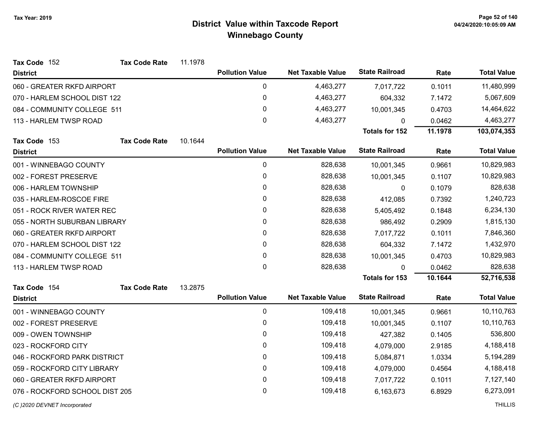| Tax Code 152                   | <b>Tax Code Rate</b> | 11.1978 |                        |                          |                       |         |                    |
|--------------------------------|----------------------|---------|------------------------|--------------------------|-----------------------|---------|--------------------|
| <b>District</b>                |                      |         | <b>Pollution Value</b> | <b>Net Taxable Value</b> | <b>State Railroad</b> | Rate    | <b>Total Value</b> |
| 060 - GREATER RKFD AIRPORT     |                      |         | $\mathbf 0$            | 4,463,277                | 7,017,722             | 0.1011  | 11,480,999         |
| 070 - HARLEM SCHOOL DIST 122   |                      |         | 0                      | 4,463,277                | 604,332               | 7.1472  | 5,067,609          |
| 084 - COMMUNITY COLLEGE 511    |                      |         | $\mathbf 0$            | 4,463,277                | 10,001,345            | 0.4703  | 14,464,622         |
| 113 - HARLEM TWSP ROAD         |                      |         | $\mathbf 0$            | 4,463,277                | U                     | 0.0462  | 4,463,277          |
|                                |                      |         |                        |                          | Totals for 152        | 11.1978 | 103,074,353        |
| Tax Code 153                   | <b>Tax Code Rate</b> | 10.1644 |                        |                          |                       |         |                    |
| <b>District</b>                |                      |         | <b>Pollution Value</b> | <b>Net Taxable Value</b> | <b>State Railroad</b> | Rate    | <b>Total Value</b> |
| 001 - WINNEBAGO COUNTY         |                      |         | 0                      | 828,638                  | 10,001,345            | 0.9661  | 10,829,983         |
| 002 - FOREST PRESERVE          |                      |         | 0                      | 828,638                  | 10,001,345            | 0.1107  | 10,829,983         |
| 006 - HARLEM TOWNSHIP          |                      |         | $\mathbf 0$            | 828,638                  | 0                     | 0.1079  | 828,638            |
| 035 - HARLEM-ROSCOE FIRE       |                      |         | 0                      | 828,638                  | 412,085               | 0.7392  | 1,240,723          |
| 051 - ROCK RIVER WATER REC     |                      |         | 0                      | 828,638                  | 5,405,492             | 0.1848  | 6,234,130          |
| 055 - NORTH SUBURBAN LIBRARY   |                      |         | 0                      | 828,638                  | 986,492               | 0.2909  | 1,815,130          |
| 060 - GREATER RKFD AIRPORT     |                      |         | $\mathbf{0}$           | 828,638                  | 7,017,722             | 0.1011  | 7,846,360          |
| 070 - HARLEM SCHOOL DIST 122   |                      |         | 0                      | 828,638                  | 604,332               | 7.1472  | 1,432,970          |
| 084 - COMMUNITY COLLEGE 511    |                      |         | 0                      | 828,638                  | 10,001,345            | 0.4703  | 10,829,983         |
| 113 - HARLEM TWSP ROAD         |                      |         | $\mathbf{0}$           | 828,638                  | $\Omega$              | 0.0462  | 828,638            |
|                                |                      |         |                        |                          | <b>Totals for 153</b> | 10.1644 | 52,716,538         |
| Tax Code 154                   | <b>Tax Code Rate</b> | 13.2875 |                        |                          |                       |         |                    |
| <b>District</b>                |                      |         | <b>Pollution Value</b> | <b>Net Taxable Value</b> | <b>State Railroad</b> | Rate    | <b>Total Value</b> |
| 001 - WINNEBAGO COUNTY         |                      |         | $\pmb{0}$              | 109,418                  | 10,001,345            | 0.9661  | 10,110,763         |
| 002 - FOREST PRESERVE          |                      |         | $\mathbf 0$            | 109,418                  | 10,001,345            | 0.1107  | 10,110,763         |
| 009 - OWEN TOWNSHIP            |                      |         | 0                      | 109,418                  | 427,382               | 0.1405  | 536,800            |
| 023 - ROCKFORD CITY            |                      |         | $\mathbf{0}$           | 109,418                  | 4,079,000             | 2.9185  | 4,188,418          |
| 046 - ROCKFORD PARK DISTRICT   |                      |         | $\mathbf 0$            | 109,418                  | 5,084,871             | 1.0334  | 5,194,289          |
| 059 - ROCKFORD CITY LIBRARY    |                      |         | 0                      | 109,418                  | 4,079,000             | 0.4564  | 4,188,418          |
| 060 - GREATER RKFD AIRPORT     |                      |         | 0                      | 109,418                  | 7,017,722             | 0.1011  | 7,127,140          |
| 076 - ROCKFORD SCHOOL DIST 205 |                      |         | 0                      | 109,418                  | 6,163,673             | 6.8929  | 6,273,091          |
| (C) 2020 DEVNET Incorporated   |                      |         |                        |                          |                       |         | <b>THILLIS</b>     |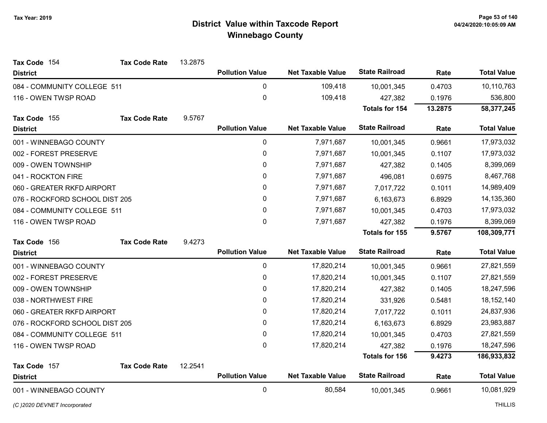| Tax Code 154                   | <b>Tax Code Rate</b> | 13.2875 |                        |                          |                       |         |                    |
|--------------------------------|----------------------|---------|------------------------|--------------------------|-----------------------|---------|--------------------|
| <b>District</b>                |                      |         | <b>Pollution Value</b> | <b>Net Taxable Value</b> | <b>State Railroad</b> | Rate    | <b>Total Value</b> |
| 084 - COMMUNITY COLLEGE 511    |                      |         | 0                      | 109,418                  | 10,001,345            | 0.4703  | 10,110,763         |
| 116 - OWEN TWSP ROAD           |                      |         | $\pmb{0}$              | 109,418                  | 427,382               | 0.1976  | 536,800            |
|                                |                      |         |                        |                          | Totals for 154        | 13.2875 | 58,377,245         |
| Tax Code 155                   | <b>Tax Code Rate</b> | 9.5767  |                        |                          |                       |         |                    |
| <b>District</b>                |                      |         | <b>Pollution Value</b> | <b>Net Taxable Value</b> | <b>State Railroad</b> | Rate    | <b>Total Value</b> |
| 001 - WINNEBAGO COUNTY         |                      |         | 0                      | 7,971,687                | 10,001,345            | 0.9661  | 17,973,032         |
| 002 - FOREST PRESERVE          |                      |         | $\pmb{0}$              | 7,971,687                | 10,001,345            | 0.1107  | 17,973,032         |
| 009 - OWEN TOWNSHIP            |                      |         | 0                      | 7,971,687                | 427,382               | 0.1405  | 8,399,069          |
| 041 - ROCKTON FIRE             |                      |         | 0                      | 7,971,687                | 496,081               | 0.6975  | 8,467,768          |
| 060 - GREATER RKFD AIRPORT     |                      |         | 0                      | 7,971,687                | 7,017,722             | 0.1011  | 14,989,409         |
| 076 - ROCKFORD SCHOOL DIST 205 |                      |         | 0                      | 7,971,687                | 6,163,673             | 6.8929  | 14,135,360         |
| 084 - COMMUNITY COLLEGE 511    |                      |         | $\mathbf{0}$           | 7,971,687                | 10,001,345            | 0.4703  | 17,973,032         |
| 116 - OWEN TWSP ROAD           |                      |         | $\mathbf 0$            | 7,971,687                | 427,382               | 0.1976  | 8,399,069          |
|                                |                      |         |                        |                          | <b>Totals for 155</b> | 9.5767  | 108,309,771        |
| Tax Code 156                   | <b>Tax Code Rate</b> | 9.4273  |                        |                          |                       |         |                    |
| <b>District</b>                |                      |         | <b>Pollution Value</b> | <b>Net Taxable Value</b> | <b>State Railroad</b> | Rate    | <b>Total Value</b> |
| 001 - WINNEBAGO COUNTY         |                      |         | $\mathbf 0$            | 17,820,214               | 10,001,345            | 0.9661  | 27,821,559         |
| 002 - FOREST PRESERVE          |                      |         | 0                      | 17,820,214               | 10,001,345            | 0.1107  | 27,821,559         |
| 009 - OWEN TOWNSHIP            |                      |         | 0                      | 17,820,214               | 427,382               | 0.1405  | 18,247,596         |
| 038 - NORTHWEST FIRE           |                      |         | 0                      | 17,820,214               | 331,926               | 0.5481  | 18, 152, 140       |
| 060 - GREATER RKFD AIRPORT     |                      |         | 0                      | 17,820,214               | 7,017,722             | 0.1011  | 24,837,936         |
| 076 - ROCKFORD SCHOOL DIST 205 |                      |         | 0                      | 17,820,214               | 6,163,673             | 6.8929  | 23,983,887         |
| 084 - COMMUNITY COLLEGE 511    |                      |         | 0                      | 17,820,214               | 10,001,345            | 0.4703  | 27,821,559         |
| 116 - OWEN TWSP ROAD           |                      |         | 0                      | 17,820,214               | 427,382               | 0.1976  | 18,247,596         |
|                                |                      |         |                        |                          | <b>Totals for 156</b> | 9.4273  | 186,933,832        |
| Tax Code 157                   | <b>Tax Code Rate</b> | 12.2541 |                        |                          |                       |         |                    |
| <b>District</b>                |                      |         | <b>Pollution Value</b> | <b>Net Taxable Value</b> | <b>State Railroad</b> | Rate    | <b>Total Value</b> |
| 001 - WINNEBAGO COUNTY         |                      |         | $\mathbf 0$            | 80,584                   | 10,001,345            | 0.9661  | 10,081,929         |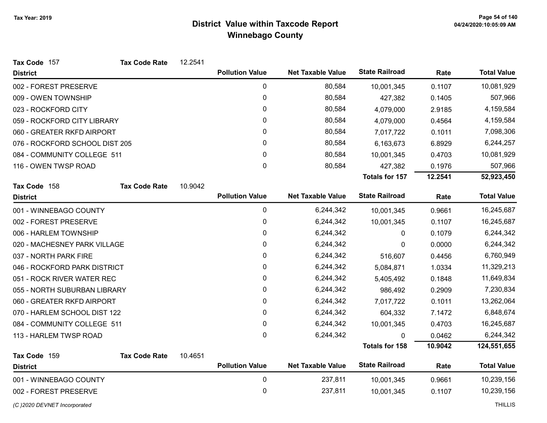| Tax Code 157                   | <b>Tax Code Rate</b> | 12.2541 |                        |                          |                       |         |                    |
|--------------------------------|----------------------|---------|------------------------|--------------------------|-----------------------|---------|--------------------|
| <b>District</b>                |                      |         | <b>Pollution Value</b> | <b>Net Taxable Value</b> | <b>State Railroad</b> | Rate    | <b>Total Value</b> |
| 002 - FOREST PRESERVE          |                      |         | $\pmb{0}$              | 80,584                   | 10,001,345            | 0.1107  | 10,081,929         |
| 009 - OWEN TOWNSHIP            |                      |         | 0                      | 80,584                   | 427,382               | 0.1405  | 507,966            |
| 023 - ROCKFORD CITY            |                      |         | 0                      | 80,584                   | 4,079,000             | 2.9185  | 4,159,584          |
| 059 - ROCKFORD CITY LIBRARY    |                      |         | 0                      | 80,584                   | 4,079,000             | 0.4564  | 4,159,584          |
| 060 - GREATER RKFD AIRPORT     |                      |         | 0                      | 80,584                   | 7,017,722             | 0.1011  | 7,098,306          |
| 076 - ROCKFORD SCHOOL DIST 205 |                      |         | 0                      | 80,584                   | 6,163,673             | 6.8929  | 6,244,257          |
| 084 - COMMUNITY COLLEGE 511    |                      |         | 0                      | 80,584                   | 10,001,345            | 0.4703  | 10,081,929         |
| 116 - OWEN TWSP ROAD           |                      |         | 0                      | 80,584                   | 427,382               | 0.1976  | 507,966            |
|                                |                      |         |                        |                          | <b>Totals for 157</b> | 12.2541 | 52,923,450         |
| Tax Code 158                   | <b>Tax Code Rate</b> | 10.9042 |                        |                          |                       |         |                    |
| <b>District</b>                |                      |         | <b>Pollution Value</b> | <b>Net Taxable Value</b> | <b>State Railroad</b> | Rate    | <b>Total Value</b> |
| 001 - WINNEBAGO COUNTY         |                      |         | 0                      | 6,244,342                | 10,001,345            | 0.9661  | 16,245,687         |
| 002 - FOREST PRESERVE          |                      |         | 0                      | 6,244,342                | 10,001,345            | 0.1107  | 16,245,687         |
| 006 - HARLEM TOWNSHIP          |                      |         | 0                      | 6,244,342                | 0                     | 0.1079  | 6,244,342          |
| 020 - MACHESNEY PARK VILLAGE   |                      |         | 0                      | 6,244,342                | 0                     | 0.0000  | 6,244,342          |
| 037 - NORTH PARK FIRE          |                      |         | 0                      | 6,244,342                | 516,607               | 0.4456  | 6,760,949          |
| 046 - ROCKFORD PARK DISTRICT   |                      |         | 0                      | 6,244,342                | 5,084,871             | 1.0334  | 11,329,213         |
| 051 - ROCK RIVER WATER REC     |                      |         | 0                      | 6,244,342                | 5,405,492             | 0.1848  | 11,649,834         |
| 055 - NORTH SUBURBAN LIBRARY   |                      |         | 0                      | 6,244,342                | 986,492               | 0.2909  | 7,230,834          |
| 060 - GREATER RKFD AIRPORT     |                      |         | 0                      | 6,244,342                | 7,017,722             | 0.1011  | 13,262,064         |
| 070 - HARLEM SCHOOL DIST 122   |                      |         | 0                      | 6,244,342                | 604,332               | 7.1472  | 6,848,674          |
| 084 - COMMUNITY COLLEGE 511    |                      |         | $\mathbf 0$            | 6,244,342                | 10,001,345            | 0.4703  | 16,245,687         |
| 113 - HARLEM TWSP ROAD         |                      |         | 0                      | 6,244,342                | 0                     | 0.0462  | 6,244,342          |
|                                |                      |         |                        |                          | <b>Totals for 158</b> | 10.9042 | 124,551,655        |
| Tax Code 159                   | <b>Tax Code Rate</b> | 10.4651 |                        |                          |                       |         |                    |
| <b>District</b>                |                      |         | <b>Pollution Value</b> | <b>Net Taxable Value</b> | <b>State Railroad</b> | Rate    | <b>Total Value</b> |
| 001 - WINNEBAGO COUNTY         |                      |         | $\mathbf 0$            | 237,811                  | 10,001,345            | 0.9661  | 10,239,156         |
| 002 - FOREST PRESERVE          |                      |         | 0                      | 237,811                  | 10,001,345            | 0.1107  | 10,239,156         |

(C)2020 DEVNET Incorporated THILLIS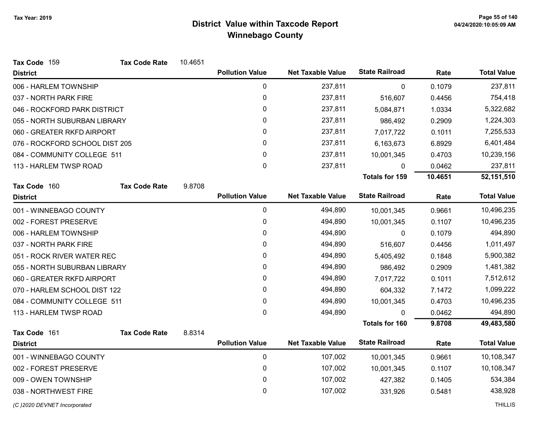| Tax Code 159                   | <b>Tax Code Rate</b> | 10.4651 |                        |                          |                       |         |                    |
|--------------------------------|----------------------|---------|------------------------|--------------------------|-----------------------|---------|--------------------|
| <b>District</b>                |                      |         | <b>Pollution Value</b> | <b>Net Taxable Value</b> | <b>State Railroad</b> | Rate    | <b>Total Value</b> |
| 006 - HARLEM TOWNSHIP          |                      |         | 0                      | 237,811                  | 0                     | 0.1079  | 237,811            |
| 037 - NORTH PARK FIRE          |                      |         | 0                      | 237,811                  | 516,607               | 0.4456  | 754,418            |
| 046 - ROCKFORD PARK DISTRICT   |                      |         | 0                      | 237,811                  | 5,084,871             | 1.0334  | 5,322,682          |
| 055 - NORTH SUBURBAN LIBRARY   |                      |         | 0                      | 237,811                  | 986,492               | 0.2909  | 1,224,303          |
| 060 - GREATER RKFD AIRPORT     |                      |         | 0                      | 237,811                  | 7,017,722             | 0.1011  | 7,255,533          |
| 076 - ROCKFORD SCHOOL DIST 205 |                      |         | 0                      | 237,811                  | 6,163,673             | 6.8929  | 6,401,484          |
| 084 - COMMUNITY COLLEGE 511    |                      |         | 0                      | 237,811                  | 10,001,345            | 0.4703  | 10,239,156         |
| 113 - HARLEM TWSP ROAD         |                      |         | 0                      | 237,811                  | 0                     | 0.0462  | 237,811            |
|                                |                      |         |                        |                          | <b>Totals for 159</b> | 10.4651 | 52,151,510         |
| Tax Code 160                   | <b>Tax Code Rate</b> | 9.8708  |                        |                          |                       |         |                    |
| <b>District</b>                |                      |         | <b>Pollution Value</b> | <b>Net Taxable Value</b> | <b>State Railroad</b> | Rate    | <b>Total Value</b> |
| 001 - WINNEBAGO COUNTY         |                      |         | $\pmb{0}$              | 494,890                  | 10,001,345            | 0.9661  | 10,496,235         |
| 002 - FOREST PRESERVE          |                      |         | 0                      | 494,890                  | 10,001,345            | 0.1107  | 10,496,235         |
| 006 - HARLEM TOWNSHIP          |                      |         | 0                      | 494,890                  | 0                     | 0.1079  | 494,890            |
| 037 - NORTH PARK FIRE          |                      |         | 0                      | 494,890                  | 516,607               | 0.4456  | 1,011,497          |
| 051 - ROCK RIVER WATER REC     |                      |         | 0                      | 494,890                  | 5,405,492             | 0.1848  | 5,900,382          |
| 055 - NORTH SUBURBAN LIBRARY   |                      |         | 0                      | 494,890                  | 986,492               | 0.2909  | 1,481,382          |
| 060 - GREATER RKFD AIRPORT     |                      |         | 0                      | 494,890                  | 7,017,722             | 0.1011  | 7,512,612          |
| 070 - HARLEM SCHOOL DIST 122   |                      |         | 0                      | 494,890                  | 604,332               | 7.1472  | 1,099,222          |
| 084 - COMMUNITY COLLEGE 511    |                      |         | 0                      | 494,890                  | 10,001,345            | 0.4703  | 10,496,235         |
| 113 - HARLEM TWSP ROAD         |                      |         | 0                      | 494,890                  | $\Omega$              | 0.0462  | 494,890            |
|                                |                      |         |                        |                          | <b>Totals for 160</b> | 9.8708  | 49,483,580         |
| Tax Code 161                   | <b>Tax Code Rate</b> | 8.8314  |                        |                          |                       |         |                    |
| <b>District</b>                |                      |         | <b>Pollution Value</b> | <b>Net Taxable Value</b> | <b>State Railroad</b> | Rate    | <b>Total Value</b> |
| 001 - WINNEBAGO COUNTY         |                      |         | $\pmb{0}$              | 107,002                  | 10,001,345            | 0.9661  | 10,108,347         |
| 002 - FOREST PRESERVE          |                      |         | 0                      | 107,002                  | 10,001,345            | 0.1107  | 10,108,347         |
| 009 - OWEN TOWNSHIP            |                      |         | 0                      | 107,002                  | 427,382               | 0.1405  | 534,384            |
| 038 - NORTHWEST FIRE           |                      |         | 0                      | 107,002                  | 331,926               | 0.5481  | 438,928            |
| (C) 2020 DEVNET Incorporated   |                      |         |                        |                          |                       |         | <b>THILLIS</b>     |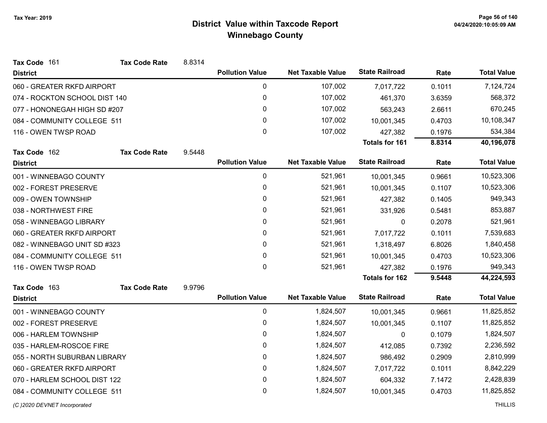| Tax Code 161                  | <b>Tax Code Rate</b> | 8.8314 |                        |                          |                       |        |                    |
|-------------------------------|----------------------|--------|------------------------|--------------------------|-----------------------|--------|--------------------|
| <b>District</b>               |                      |        | <b>Pollution Value</b> | <b>Net Taxable Value</b> | <b>State Railroad</b> | Rate   | <b>Total Value</b> |
| 060 - GREATER RKFD AIRPORT    |                      |        | $\mathbf 0$            | 107,002                  | 7,017,722             | 0.1011 | 7,124,724          |
| 074 - ROCKTON SCHOOL DIST 140 |                      |        | 0                      | 107,002                  | 461,370               | 3.6359 | 568,372            |
| 077 - HONONEGAH HIGH SD #207  |                      |        | 0                      | 107,002                  | 563,243               | 2.6611 | 670,245            |
| 084 - COMMUNITY COLLEGE 511   |                      |        | 0                      | 107,002                  | 10,001,345            | 0.4703 | 10,108,347         |
| 116 - OWEN TWSP ROAD          |                      |        | 0                      | 107,002                  | 427,382               | 0.1976 | 534,384            |
|                               |                      |        |                        |                          | <b>Totals for 161</b> | 8.8314 | 40,196,078         |
| Tax Code 162                  | <b>Tax Code Rate</b> | 9.5448 |                        |                          |                       |        |                    |
| <b>District</b>               |                      |        | <b>Pollution Value</b> | <b>Net Taxable Value</b> | <b>State Railroad</b> | Rate   | <b>Total Value</b> |
| 001 - WINNEBAGO COUNTY        |                      |        | 0                      | 521,961                  | 10,001,345            | 0.9661 | 10,523,306         |
| 002 - FOREST PRESERVE         |                      |        | 0                      | 521,961                  | 10,001,345            | 0.1107 | 10,523,306         |
| 009 - OWEN TOWNSHIP           |                      |        | 0                      | 521,961                  | 427,382               | 0.1405 | 949,343            |
| 038 - NORTHWEST FIRE          |                      |        | 0                      | 521,961                  | 331,926               | 0.5481 | 853,887            |
| 058 - WINNEBAGO LIBRARY       |                      |        | 0                      | 521,961                  | 0                     | 0.2078 | 521,961            |
| 060 - GREATER RKFD AIRPORT    |                      |        | 0                      | 521,961                  | 7,017,722             | 0.1011 | 7,539,683          |
| 082 - WINNEBAGO UNIT SD #323  |                      |        | 0                      | 521,961                  | 1,318,497             | 6.8026 | 1,840,458          |
| 084 - COMMUNITY COLLEGE 511   |                      |        | 0                      | 521,961                  | 10,001,345            | 0.4703 | 10,523,306         |
| 116 - OWEN TWSP ROAD          |                      |        | $\Omega$               | 521,961                  | 427,382               | 0.1976 | 949,343            |
|                               |                      |        |                        |                          | Totals for 162        | 9.5448 | 44,224,593         |
| Tax Code 163                  | <b>Tax Code Rate</b> | 9.9796 |                        |                          |                       |        |                    |
| <b>District</b>               |                      |        | <b>Pollution Value</b> | <b>Net Taxable Value</b> | <b>State Railroad</b> | Rate   | <b>Total Value</b> |
| 001 - WINNEBAGO COUNTY        |                      |        | $\mathbf 0$            | 1,824,507                | 10,001,345            | 0.9661 | 11,825,852         |
| 002 - FOREST PRESERVE         |                      |        | 0                      | 1,824,507                | 10,001,345            | 0.1107 | 11,825,852         |
| 006 - HARLEM TOWNSHIP         |                      |        | 0                      | 1,824,507                | 0                     | 0.1079 | 1,824,507          |
| 035 - HARLEM-ROSCOE FIRE      |                      |        | 0                      | 1,824,507                | 412,085               | 0.7392 | 2,236,592          |
| 055 - NORTH SUBURBAN LIBRARY  |                      |        | 0                      | 1,824,507                | 986,492               | 0.2909 | 2,810,999          |
| 060 - GREATER RKFD AIRPORT    |                      |        | 0                      | 1,824,507                | 7,017,722             | 0.1011 | 8,842,229          |
| 070 - HARLEM SCHOOL DIST 122  |                      |        | $\mathbf 0$            | 1,824,507                | 604,332               | 7.1472 | 2,428,839          |
| 084 - COMMUNITY COLLEGE 511   |                      |        | 0                      | 1,824,507                | 10,001,345            | 0.4703 | 11,825,852         |
| (C) 2020 DEVNET Incorporated  |                      |        |                        |                          |                       |        | <b>THILLIS</b>     |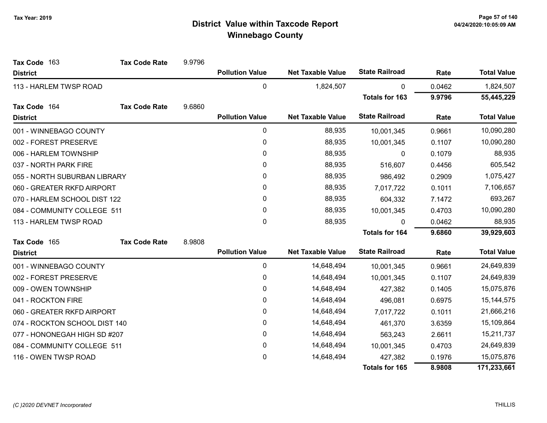| Tax Code 163                  | <b>Tax Code Rate</b> | 9.9796 |                        |                          |                       |        |                    |
|-------------------------------|----------------------|--------|------------------------|--------------------------|-----------------------|--------|--------------------|
| <b>District</b>               |                      |        | <b>Pollution Value</b> | <b>Net Taxable Value</b> | <b>State Railroad</b> | Rate   | <b>Total Value</b> |
| 113 - HARLEM TWSP ROAD        |                      |        | $\mathbf 0$            | 1,824,507                | $\mathbf{0}$          | 0.0462 | 1,824,507          |
|                               |                      |        |                        |                          | <b>Totals for 163</b> | 9.9796 | 55,445,229         |
| Tax Code 164                  | <b>Tax Code Rate</b> | 9.6860 |                        |                          |                       |        |                    |
| <b>District</b>               |                      |        | <b>Pollution Value</b> | <b>Net Taxable Value</b> | <b>State Railroad</b> | Rate   | <b>Total Value</b> |
| 001 - WINNEBAGO COUNTY        |                      |        | 0                      | 88,935                   | 10,001,345            | 0.9661 | 10,090,280         |
| 002 - FOREST PRESERVE         |                      |        | $\pmb{0}$              | 88,935                   | 10,001,345            | 0.1107 | 10,090,280         |
| 006 - HARLEM TOWNSHIP         |                      |        | 0                      | 88,935                   | 0                     | 0.1079 | 88,935             |
| 037 - NORTH PARK FIRE         |                      |        | $\mathbf{0}$           | 88,935                   | 516,607               | 0.4456 | 605,542            |
| 055 - NORTH SUBURBAN LIBRARY  |                      |        | $\pmb{0}$              | 88,935                   | 986,492               | 0.2909 | 1,075,427          |
| 060 - GREATER RKFD AIRPORT    |                      |        | 0                      | 88,935                   | 7,017,722             | 0.1011 | 7,106,657          |
| 070 - HARLEM SCHOOL DIST 122  |                      |        | 0                      | 88,935                   | 604,332               | 7.1472 | 693,267            |
| 084 - COMMUNITY COLLEGE 511   |                      |        | 0                      | 88,935                   | 10,001,345            | 0.4703 | 10,090,280         |
| 113 - HARLEM TWSP ROAD        |                      |        | 0                      | 88,935                   | $\Omega$              | 0.0462 | 88,935             |
|                               |                      |        |                        |                          | <b>Totals for 164</b> | 9.6860 | 39,929,603         |
| Tax Code 165                  | <b>Tax Code Rate</b> | 8.9808 |                        |                          |                       |        |                    |
| <b>District</b>               |                      |        | <b>Pollution Value</b> | <b>Net Taxable Value</b> | <b>State Railroad</b> | Rate   | <b>Total Value</b> |
| 001 - WINNEBAGO COUNTY        |                      |        | 0                      | 14,648,494               | 10,001,345            | 0.9661 | 24,649,839         |
| 002 - FOREST PRESERVE         |                      |        | $\pmb{0}$              | 14,648,494               | 10,001,345            | 0.1107 | 24,649,839         |
| 009 - OWEN TOWNSHIP           |                      |        | $\pmb{0}$              | 14,648,494               | 427,382               | 0.1405 | 15,075,876         |
| 041 - ROCKTON FIRE            |                      |        | 0                      | 14,648,494               | 496,081               | 0.6975 | 15, 144, 575       |
| 060 - GREATER RKFD AIRPORT    |                      |        | 0                      | 14,648,494               | 7,017,722             | 0.1011 | 21,666,216         |
| 074 - ROCKTON SCHOOL DIST 140 |                      |        | 0                      | 14,648,494               | 461,370               | 3.6359 | 15,109,864         |
| 077 - HONONEGAH HIGH SD #207  |                      |        | 0                      | 14,648,494               | 563,243               | 2.6611 | 15,211,737         |
| 084 - COMMUNITY COLLEGE 511   |                      |        | 0                      | 14,648,494               | 10,001,345            | 0.4703 | 24,649,839         |
| 116 - OWEN TWSP ROAD          |                      |        | 0                      | 14,648,494               | 427,382               | 0.1976 | 15,075,876         |
|                               |                      |        |                        |                          | <b>Totals for 165</b> | 8.9808 | 171,233,661        |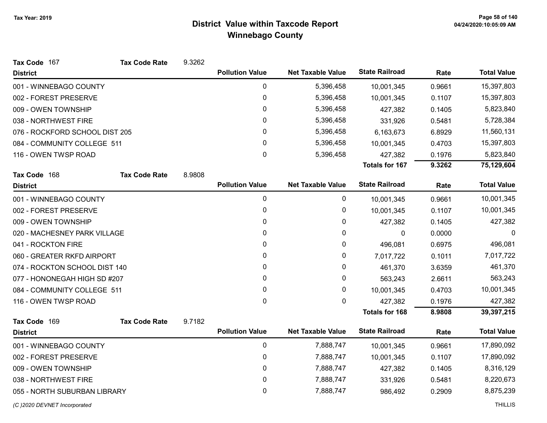| Tax Code 167                   | <b>Tax Code Rate</b> | 9.3262 |                        |                          |                       |        |                    |
|--------------------------------|----------------------|--------|------------------------|--------------------------|-----------------------|--------|--------------------|
| <b>District</b>                |                      |        | <b>Pollution Value</b> | <b>Net Taxable Value</b> | <b>State Railroad</b> | Rate   | <b>Total Value</b> |
| 001 - WINNEBAGO COUNTY         |                      |        | 0                      | 5,396,458                | 10,001,345            | 0.9661 | 15,397,803         |
| 002 - FOREST PRESERVE          |                      |        | 0                      | 5,396,458                | 10,001,345            | 0.1107 | 15,397,803         |
| 009 - OWEN TOWNSHIP            |                      |        | 0                      | 5,396,458                | 427,382               | 0.1405 | 5,823,840          |
| 038 - NORTHWEST FIRE           |                      |        | 0                      | 5,396,458                | 331,926               | 0.5481 | 5,728,384          |
| 076 - ROCKFORD SCHOOL DIST 205 |                      |        | 0                      | 5,396,458                | 6,163,673             | 6.8929 | 11,560,131         |
| 084 - COMMUNITY COLLEGE 511    |                      |        | 0                      | 5,396,458                | 10,001,345            | 0.4703 | 15,397,803         |
| 116 - OWEN TWSP ROAD           |                      |        | 0                      | 5,396,458                | 427,382               | 0.1976 | 5,823,840          |
|                                |                      |        |                        |                          | <b>Totals for 167</b> | 9.3262 | 75,129,604         |
| Tax Code 168                   | <b>Tax Code Rate</b> | 8.9808 |                        |                          |                       |        |                    |
| <b>District</b>                |                      |        | <b>Pollution Value</b> | <b>Net Taxable Value</b> | <b>State Railroad</b> | Rate   | <b>Total Value</b> |
| 001 - WINNEBAGO COUNTY         |                      |        | 0                      | 0                        | 10,001,345            | 0.9661 | 10,001,345         |
| 002 - FOREST PRESERVE          |                      |        | 0                      | 0                        | 10,001,345            | 0.1107 | 10,001,345         |
| 009 - OWEN TOWNSHIP            |                      |        | 0                      | 0                        | 427,382               | 0.1405 | 427,382            |
| 020 - MACHESNEY PARK VILLAGE   |                      |        | 0                      | 0                        | 0                     | 0.0000 | $\mathbf 0$        |
| 041 - ROCKTON FIRE             |                      |        | 0                      | 0                        | 496,081               | 0.6975 | 496,081            |
| 060 - GREATER RKFD AIRPORT     |                      |        | 0                      | 0                        | 7,017,722             | 0.1011 | 7,017,722          |
| 074 - ROCKTON SCHOOL DIST 140  |                      |        | 0                      | 0                        | 461,370               | 3.6359 | 461,370            |
| 077 - HONONEGAH HIGH SD #207   |                      |        | 0                      | 0                        | 563,243               | 2.6611 | 563,243            |
| 084 - COMMUNITY COLLEGE 511    |                      |        | 0                      | 0                        | 10,001,345            | 0.4703 | 10,001,345         |
| 116 - OWEN TWSP ROAD           |                      |        | 0                      | 0                        | 427,382               | 0.1976 | 427,382            |
|                                |                      |        |                        |                          | <b>Totals for 168</b> | 8.9808 | 39,397,215         |
| Tax Code 169                   | <b>Tax Code Rate</b> | 9.7182 |                        |                          |                       |        |                    |
| <b>District</b>                |                      |        | <b>Pollution Value</b> | <b>Net Taxable Value</b> | <b>State Railroad</b> | Rate   | <b>Total Value</b> |
| 001 - WINNEBAGO COUNTY         |                      |        | 0                      | 7,888,747                | 10,001,345            | 0.9661 | 17,890,092         |
| 002 - FOREST PRESERVE          |                      |        | 0                      | 7,888,747                | 10,001,345            | 0.1107 | 17,890,092         |
| 009 - OWEN TOWNSHIP            |                      |        | 0                      | 7,888,747                | 427,382               | 0.1405 | 8,316,129          |
| 038 - NORTHWEST FIRE           |                      |        | 0                      | 7,888,747                | 331,926               | 0.5481 | 8,220,673          |
| 055 - NORTH SUBURBAN LIBRARY   |                      |        | 0                      | 7,888,747                | 986,492               | 0.2909 | 8,875,239          |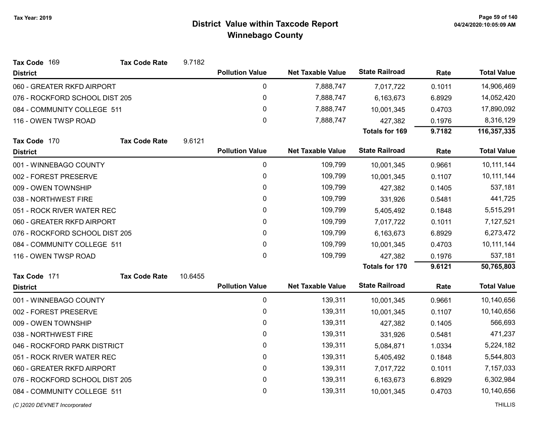| Tax Code 169                   | <b>Tax Code Rate</b> | 9.7182  |                        |                          |                       |        |                    |
|--------------------------------|----------------------|---------|------------------------|--------------------------|-----------------------|--------|--------------------|
| <b>District</b>                |                      |         | <b>Pollution Value</b> | <b>Net Taxable Value</b> | <b>State Railroad</b> | Rate   | <b>Total Value</b> |
| 060 - GREATER RKFD AIRPORT     |                      |         | 0                      | 7,888,747                | 7,017,722             | 0.1011 | 14,906,469         |
| 076 - ROCKFORD SCHOOL DIST 205 |                      |         | $\pmb{0}$              | 7,888,747                | 6,163,673             | 6.8929 | 14,052,420         |
| 084 - COMMUNITY COLLEGE 511    |                      |         | 0                      | 7,888,747                | 10,001,345            | 0.4703 | 17,890,092         |
| 116 - OWEN TWSP ROAD           |                      |         | $\mathbf 0$            | 7,888,747                | 427,382               | 0.1976 | 8,316,129          |
|                                |                      |         |                        |                          | <b>Totals for 169</b> | 9.7182 | 116,357,335        |
| Tax Code 170                   | <b>Tax Code Rate</b> | 9.6121  |                        |                          |                       |        |                    |
| <b>District</b>                |                      |         | <b>Pollution Value</b> | <b>Net Taxable Value</b> | <b>State Railroad</b> | Rate   | <b>Total Value</b> |
| 001 - WINNEBAGO COUNTY         |                      |         | 0                      | 109,799                  | 10,001,345            | 0.9661 | 10,111,144         |
| 002 - FOREST PRESERVE          |                      |         | $\pmb{0}$              | 109,799                  | 10,001,345            | 0.1107 | 10,111,144         |
| 009 - OWEN TOWNSHIP            |                      |         | 0                      | 109,799                  | 427,382               | 0.1405 | 537,181            |
| 038 - NORTHWEST FIRE           |                      |         | $\pmb{0}$              | 109,799                  | 331,926               | 0.5481 | 441,725            |
| 051 - ROCK RIVER WATER REC     |                      |         | 0                      | 109,799                  | 5,405,492             | 0.1848 | 5,515,291          |
| 060 - GREATER RKFD AIRPORT     |                      |         | 0                      | 109,799                  | 7,017,722             | 0.1011 | 7,127,521          |
| 076 - ROCKFORD SCHOOL DIST 205 |                      |         | 0                      | 109,799                  | 6,163,673             | 6.8929 | 6,273,472          |
| 084 - COMMUNITY COLLEGE 511    |                      |         | $\pmb{0}$              | 109,799                  | 10,001,345            | 0.4703 | 10,111,144         |
| 116 - OWEN TWSP ROAD           |                      |         | $\mathbf 0$            | 109,799                  | 427,382               | 0.1976 | 537,181            |
|                                |                      |         |                        |                          | <b>Totals for 170</b> | 9.6121 | 50,765,803         |
| Tax Code 171                   | <b>Tax Code Rate</b> | 10.6455 |                        |                          |                       |        |                    |
| <b>District</b>                |                      |         | <b>Pollution Value</b> | <b>Net Taxable Value</b> | <b>State Railroad</b> | Rate   | <b>Total Value</b> |
| 001 - WINNEBAGO COUNTY         |                      |         | $\pmb{0}$              | 139,311                  | 10,001,345            | 0.9661 | 10,140,656         |
| 002 - FOREST PRESERVE          |                      |         | 0                      | 139,311                  | 10,001,345            | 0.1107 | 10,140,656         |
| 009 - OWEN TOWNSHIP            |                      |         | $\pmb{0}$              | 139,311                  | 427,382               | 0.1405 | 566,693            |
| 038 - NORTHWEST FIRE           |                      |         | 0                      | 139,311                  | 331,926               | 0.5481 | 471,237            |
| 046 - ROCKFORD PARK DISTRICT   |                      |         | $\pmb{0}$              | 139,311                  | 5,084,871             | 1.0334 | 5,224,182          |
| 051 - ROCK RIVER WATER REC     |                      |         | 0                      | 139,311                  | 5,405,492             | 0.1848 | 5,544,803          |
| 060 - GREATER RKFD AIRPORT     |                      |         | 0                      | 139,311                  | 7,017,722             | 0.1011 | 7,157,033          |
| 076 - ROCKFORD SCHOOL DIST 205 |                      |         | 0                      | 139,311                  | 6,163,673             | 6.8929 | 6,302,984          |
| 084 - COMMUNITY COLLEGE 511    |                      |         | $\mathbf{0}$           | 139,311                  | 10,001,345            | 0.4703 | 10,140,656         |
|                                |                      |         |                        |                          |                       |        |                    |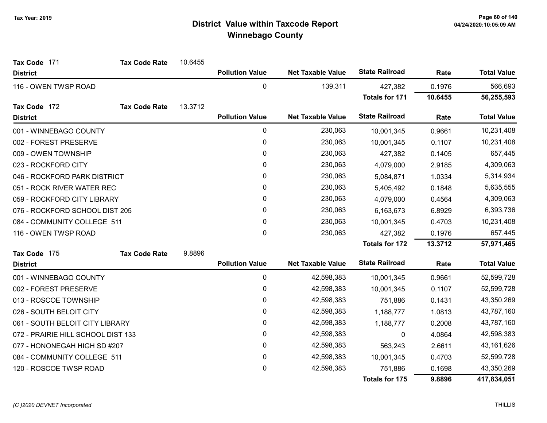| Tax Code 171                       | <b>Tax Code Rate</b> | 10.6455 |                        |                          |                       |         |                    |
|------------------------------------|----------------------|---------|------------------------|--------------------------|-----------------------|---------|--------------------|
| <b>District</b>                    |                      |         | <b>Pollution Value</b> | <b>Net Taxable Value</b> | <b>State Railroad</b> | Rate    | <b>Total Value</b> |
| 116 - OWEN TWSP ROAD               |                      |         | 0                      | 139,311                  | 427,382               | 0.1976  | 566,693            |
|                                    |                      |         |                        |                          | <b>Totals for 171</b> | 10.6455 | 56,255,593         |
| Tax Code 172                       | <b>Tax Code Rate</b> | 13.3712 |                        |                          |                       |         |                    |
| <b>District</b>                    |                      |         | <b>Pollution Value</b> | <b>Net Taxable Value</b> | <b>State Railroad</b> | Rate    | <b>Total Value</b> |
| 001 - WINNEBAGO COUNTY             |                      |         | $\pmb{0}$              | 230,063                  | 10,001,345            | 0.9661  | 10,231,408         |
| 002 - FOREST PRESERVE              |                      |         | 0                      | 230,063                  | 10,001,345            | 0.1107  | 10,231,408         |
| 009 - OWEN TOWNSHIP                |                      |         | $\pmb{0}$              | 230,063                  | 427,382               | 0.1405  | 657,445            |
| 023 - ROCKFORD CITY                |                      |         | 0                      | 230,063                  | 4,079,000             | 2.9185  | 4,309,063          |
| 046 - ROCKFORD PARK DISTRICT       |                      |         | 0                      | 230,063                  | 5,084,871             | 1.0334  | 5,314,934          |
| 051 - ROCK RIVER WATER REC         |                      |         | $\pmb{0}$              | 230,063                  | 5,405,492             | 0.1848  | 5,635,555          |
| 059 - ROCKFORD CITY LIBRARY        |                      |         | 0                      | 230,063                  | 4,079,000             | 0.4564  | 4,309,063          |
| 076 - ROCKFORD SCHOOL DIST 205     |                      |         | 0                      | 230,063                  | 6,163,673             | 6.8929  | 6,393,736          |
| 084 - COMMUNITY COLLEGE 511        |                      |         | 0                      | 230,063                  | 10,001,345            | 0.4703  | 10,231,408         |
| 116 - OWEN TWSP ROAD               |                      |         | 0                      | 230,063                  | 427,382               | 0.1976  | 657,445            |
|                                    |                      |         |                        |                          | Totals for 172        | 13.3712 | 57,971,465         |
| Tax Code 175                       | <b>Tax Code Rate</b> | 9.8896  |                        |                          |                       |         |                    |
| <b>District</b>                    |                      |         | <b>Pollution Value</b> | <b>Net Taxable Value</b> | <b>State Railroad</b> | Rate    | <b>Total Value</b> |
| 001 - WINNEBAGO COUNTY             |                      |         | 0                      | 42,598,383               | 10,001,345            | 0.9661  | 52,599,728         |
| 002 - FOREST PRESERVE              |                      |         | 0                      | 42,598,383               | 10,001,345            | 0.1107  | 52,599,728         |
| 013 - ROSCOE TOWNSHIP              |                      |         | 0                      | 42,598,383               | 751,886               | 0.1431  | 43,350,269         |
| 026 - SOUTH BELOIT CITY            |                      |         | $\mathbf{0}$           | 42,598,383               | 1,188,777             | 1.0813  | 43,787,160         |
| 061 - SOUTH BELOIT CITY LIBRARY    |                      |         | 0                      | 42,598,383               | 1,188,777             | 0.2008  | 43,787,160         |
| 072 - PRAIRIE HILL SCHOOL DIST 133 |                      |         | 0                      | 42,598,383               | 0                     | 4.0864  | 42,598,383         |
| 077 - HONONEGAH HIGH SD #207       |                      |         | 0                      | 42,598,383               | 563,243               | 2.6611  | 43, 161, 626       |
| 084 - COMMUNITY COLLEGE 511        |                      |         | 0                      | 42,598,383               | 10,001,345            | 0.4703  | 52,599,728         |
| 120 - ROSCOE TWSP ROAD             |                      |         | 0                      | 42,598,383               | 751,886               | 0.1698  | 43,350,269         |
|                                    |                      |         |                        |                          | Totals for 175        | 9.8896  | 417,834,051        |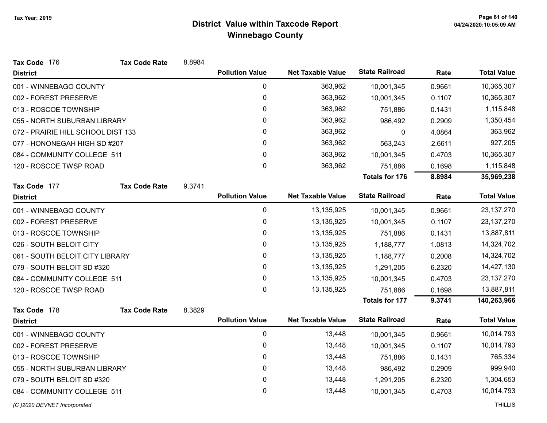| Tax Code 176                       | <b>Tax Code Rate</b> | 8.8984 |                        |                          |                       |        |                    |
|------------------------------------|----------------------|--------|------------------------|--------------------------|-----------------------|--------|--------------------|
| <b>District</b>                    |                      |        | <b>Pollution Value</b> | <b>Net Taxable Value</b> | <b>State Railroad</b> | Rate   | <b>Total Value</b> |
| 001 - WINNEBAGO COUNTY             |                      |        | $\pmb{0}$              | 363,962                  | 10,001,345            | 0.9661 | 10,365,307         |
| 002 - FOREST PRESERVE              |                      |        | 0                      | 363,962                  | 10,001,345            | 0.1107 | 10,365,307         |
| 013 - ROSCOE TOWNSHIP              |                      |        | $\mathbf{0}$           | 363,962                  | 751,886               | 0.1431 | 1,115,848          |
| 055 - NORTH SUBURBAN LIBRARY       |                      |        | 0                      | 363,962                  | 986,492               | 0.2909 | 1,350,454          |
| 072 - PRAIRIE HILL SCHOOL DIST 133 |                      |        | 0                      | 363,962                  | 0                     | 4.0864 | 363,962            |
| 077 - HONONEGAH HIGH SD #207       |                      |        | $\pmb{0}$              | 363,962                  | 563,243               | 2.6611 | 927,205            |
| 084 - COMMUNITY COLLEGE 511        |                      |        | $\pmb{0}$              | 363,962                  | 10,001,345            | 0.4703 | 10,365,307         |
| 120 - ROSCOE TWSP ROAD             |                      |        | $\mathbf 0$            | 363,962                  | 751,886               | 0.1698 | 1,115,848          |
|                                    |                      |        |                        |                          | <b>Totals for 176</b> | 8.8984 | 35,969,238         |
| Tax Code 177                       | <b>Tax Code Rate</b> | 9.3741 |                        |                          |                       |        |                    |
| <b>District</b>                    |                      |        | <b>Pollution Value</b> | <b>Net Taxable Value</b> | <b>State Railroad</b> | Rate   | <b>Total Value</b> |
| 001 - WINNEBAGO COUNTY             |                      |        | 0                      | 13,135,925               | 10,001,345            | 0.9661 | 23, 137, 270       |
| 002 - FOREST PRESERVE              |                      |        | $\pmb{0}$              | 13,135,925               | 10,001,345            | 0.1107 | 23, 137, 270       |
| 013 - ROSCOE TOWNSHIP              |                      |        | $\pmb{0}$              | 13,135,925               | 751,886               | 0.1431 | 13,887,811         |
| 026 - SOUTH BELOIT CITY            |                      |        | 0                      | 13,135,925               | 1,188,777             | 1.0813 | 14,324,702         |
| 061 - SOUTH BELOIT CITY LIBRARY    |                      |        | $\pmb{0}$              | 13,135,925               | 1,188,777             | 0.2008 | 14,324,702         |
| 079 - SOUTH BELOIT SD #320         |                      |        | 0                      | 13,135,925               | 1,291,205             | 6.2320 | 14,427,130         |
| 084 - COMMUNITY COLLEGE 511        |                      |        | $\pmb{0}$              | 13,135,925               | 10,001,345            | 0.4703 | 23, 137, 270       |
| 120 - ROSCOE TWSP ROAD             |                      |        | $\mathbf 0$            | 13,135,925               | 751,886               | 0.1698 | 13,887,811         |
|                                    |                      |        |                        |                          | <b>Totals for 177</b> | 9.3741 | 140,263,966        |
| Tax Code 178                       | <b>Tax Code Rate</b> | 8.3829 |                        |                          |                       |        |                    |
| <b>District</b>                    |                      |        | <b>Pollution Value</b> | <b>Net Taxable Value</b> | <b>State Railroad</b> | Rate   | <b>Total Value</b> |
| 001 - WINNEBAGO COUNTY             |                      |        | $\mathbf 0$            | 13,448                   | 10,001,345            | 0.9661 | 10,014,793         |
| 002 - FOREST PRESERVE              |                      |        | 0                      | 13,448                   | 10,001,345            | 0.1107 | 10,014,793         |
| 013 - ROSCOE TOWNSHIP              |                      |        | $\pmb{0}$              | 13,448                   | 751,886               | 0.1431 | 765,334            |
| 055 - NORTH SUBURBAN LIBRARY       |                      |        | 0                      | 13,448                   | 986,492               | 0.2909 | 999,940            |
| 079 - SOUTH BELOIT SD #320         |                      |        | $\pmb{0}$              | 13,448                   | 1,291,205             | 6.2320 | 1,304,653          |
| 084 - COMMUNITY COLLEGE 511        |                      |        | 0                      | 13,448                   | 10,001,345            | 0.4703 | 10,014,793         |
| (C) 2020 DEVNET Incorporated       |                      |        |                        |                          |                       |        | <b>THILLIS</b>     |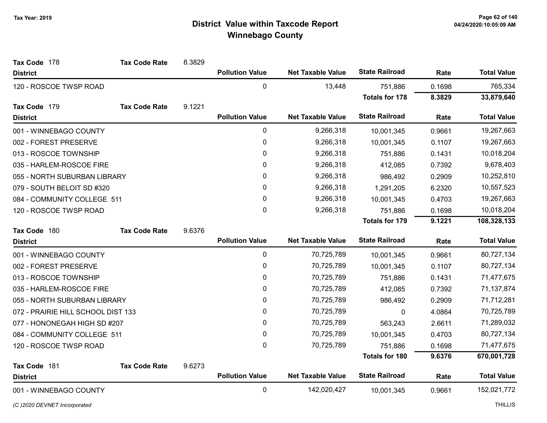| Tax Code 178                       | <b>Tax Code Rate</b> | 8.3829 |                        |                          |                       |        |                    |
|------------------------------------|----------------------|--------|------------------------|--------------------------|-----------------------|--------|--------------------|
| <b>District</b>                    |                      |        | <b>Pollution Value</b> | <b>Net Taxable Value</b> | <b>State Railroad</b> | Rate   | <b>Total Value</b> |
| 120 - ROSCOE TWSP ROAD             |                      |        | $\mathbf 0$            | 13,448                   | 751,886               | 0.1698 | 765,334            |
|                                    |                      |        |                        |                          | <b>Totals for 178</b> | 8.3829 | 33,879,640         |
| Tax Code 179                       | <b>Tax Code Rate</b> | 9.1221 |                        |                          |                       |        |                    |
| <b>District</b>                    |                      |        | <b>Pollution Value</b> | <b>Net Taxable Value</b> | <b>State Railroad</b> | Rate   | <b>Total Value</b> |
| 001 - WINNEBAGO COUNTY             |                      |        | $\pmb{0}$              | 9,266,318                | 10,001,345            | 0.9661 | 19,267,663         |
| 002 - FOREST PRESERVE              |                      |        | 0                      | 9,266,318                | 10,001,345            | 0.1107 | 19,267,663         |
| 013 - ROSCOE TOWNSHIP              |                      |        | 0                      | 9,266,318                | 751,886               | 0.1431 | 10,018,204         |
| 035 - HARLEM-ROSCOE FIRE           |                      |        | 0                      | 9,266,318                | 412,085               | 0.7392 | 9,678,403          |
| 055 - NORTH SUBURBAN LIBRARY       |                      |        | $\pmb{0}$              | 9,266,318                | 986,492               | 0.2909 | 10,252,810         |
| 079 - SOUTH BELOIT SD #320         |                      |        | 0                      | 9,266,318                | 1,291,205             | 6.2320 | 10,557,523         |
| 084 - COMMUNITY COLLEGE 511        |                      |        | 0                      | 9,266,318                | 10,001,345            | 0.4703 | 19,267,663         |
| 120 - ROSCOE TWSP ROAD             |                      |        | 0                      | 9,266,318                | 751,886               | 0.1698 | 10,018,204         |
|                                    |                      |        |                        |                          | <b>Totals for 179</b> | 9.1221 | 108,328,133        |
| Tax Code 180                       | <b>Tax Code Rate</b> | 9.6376 |                        |                          |                       |        |                    |
| <b>District</b>                    |                      |        | <b>Pollution Value</b> | <b>Net Taxable Value</b> | <b>State Railroad</b> | Rate   | <b>Total Value</b> |
| 001 - WINNEBAGO COUNTY             |                      |        | 0                      | 70,725,789               | 10,001,345            | 0.9661 | 80,727,134         |
| 002 - FOREST PRESERVE              |                      |        | $\mathbf 0$            | 70,725,789               | 10,001,345            | 0.1107 | 80,727,134         |
| 013 - ROSCOE TOWNSHIP              |                      |        | $\pmb{0}$              | 70,725,789               | 751,886               | 0.1431 | 71,477,675         |
| 035 - HARLEM-ROSCOE FIRE           |                      |        | 0                      | 70,725,789               | 412,085               | 0.7392 | 71,137,874         |
| 055 - NORTH SUBURBAN LIBRARY       |                      |        | 0                      | 70,725,789               | 986,492               | 0.2909 | 71,712,281         |
| 072 - PRAIRIE HILL SCHOOL DIST 133 |                      |        | $\pmb{0}$              | 70,725,789               | $\mathbf 0$           | 4.0864 | 70,725,789         |
| 077 - HONONEGAH HIGH SD #207       |                      |        | $\mathbf{0}$           | 70,725,789               | 563,243               | 2.6611 | 71,289,032         |
| 084 - COMMUNITY COLLEGE 511        |                      |        | 0                      | 70,725,789               | 10,001,345            | 0.4703 | 80,727,134         |
| 120 - ROSCOE TWSP ROAD             |                      |        | 0                      | 70,725,789               | 751,886               | 0.1698 | 71,477,675         |
|                                    |                      |        |                        |                          | <b>Totals for 180</b> | 9.6376 | 670,001,728        |
| Tax Code 181                       | <b>Tax Code Rate</b> | 9.6273 |                        |                          |                       |        |                    |
| <b>District</b>                    |                      |        | <b>Pollution Value</b> | <b>Net Taxable Value</b> | <b>State Railroad</b> | Rate   | <b>Total Value</b> |
| 001 - WINNEBAGO COUNTY             |                      |        | $\pmb{0}$              | 142,020,427              | 10,001,345            | 0.9661 | 152,021,772        |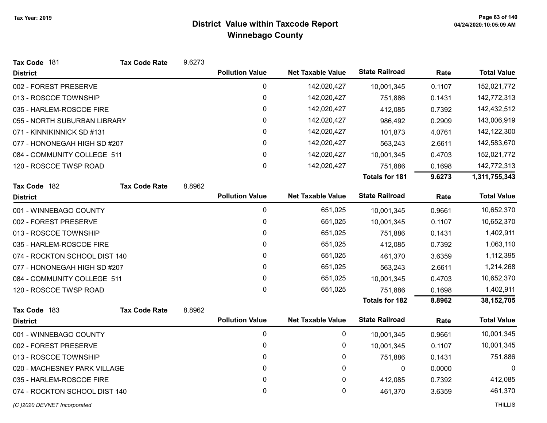| Tax Code 181                  | <b>Tax Code Rate</b> | 9.6273 |                        |                          |                       |        |                    |
|-------------------------------|----------------------|--------|------------------------|--------------------------|-----------------------|--------|--------------------|
| <b>District</b>               |                      |        | <b>Pollution Value</b> | <b>Net Taxable Value</b> | <b>State Railroad</b> | Rate   | <b>Total Value</b> |
| 002 - FOREST PRESERVE         |                      |        | 0                      | 142,020,427              | 10,001,345            | 0.1107 | 152,021,772        |
| 013 - ROSCOE TOWNSHIP         |                      |        | $\pmb{0}$              | 142,020,427              | 751,886               | 0.1431 | 142,772,313        |
| 035 - HARLEM-ROSCOE FIRE      |                      |        | 0                      | 142,020,427              | 412,085               | 0.7392 | 142,432,512        |
| 055 - NORTH SUBURBAN LIBRARY  |                      |        | 0                      | 142,020,427              | 986,492               | 0.2909 | 143,006,919        |
| 071 - KINNIKINNICK SD #131    |                      |        | 0                      | 142,020,427              | 101,873               | 4.0761 | 142,122,300        |
| 077 - HONONEGAH HIGH SD #207  |                      |        | 0                      | 142,020,427              | 563,243               | 2.6611 | 142,583,670        |
| 084 - COMMUNITY COLLEGE 511   |                      |        | 0                      | 142,020,427              | 10,001,345            | 0.4703 | 152,021,772        |
| 120 - ROSCOE TWSP ROAD        |                      |        | 0                      | 142,020,427              | 751,886               | 0.1698 | 142,772,313        |
|                               |                      |        |                        |                          | <b>Totals for 181</b> | 9.6273 | 1,311,755,343      |
| Tax Code 182                  | <b>Tax Code Rate</b> | 8.8962 |                        |                          |                       |        |                    |
| <b>District</b>               |                      |        | <b>Pollution Value</b> | <b>Net Taxable Value</b> | <b>State Railroad</b> | Rate   | <b>Total Value</b> |
| 001 - WINNEBAGO COUNTY        |                      |        | 0                      | 651,025                  | 10,001,345            | 0.9661 | 10,652,370         |
| 002 - FOREST PRESERVE         |                      |        | 0                      | 651,025                  | 10,001,345            | 0.1107 | 10,652,370         |
| 013 - ROSCOE TOWNSHIP         |                      |        | 0                      | 651,025                  | 751,886               | 0.1431 | 1,402,911          |
| 035 - HARLEM-ROSCOE FIRE      |                      |        | 0                      | 651,025                  | 412,085               | 0.7392 | 1,063,110          |
| 074 - ROCKTON SCHOOL DIST 140 |                      |        | 0                      | 651,025                  | 461,370               | 3.6359 | 1,112,395          |
| 077 - HONONEGAH HIGH SD #207  |                      |        | 0                      | 651,025                  | 563,243               | 2.6611 | 1,214,268          |
| 084 - COMMUNITY COLLEGE 511   |                      |        | 0                      | 651,025                  | 10,001,345            | 0.4703 | 10,652,370         |
| 120 - ROSCOE TWSP ROAD        |                      |        | $\mathbf 0$            | 651,025                  | 751,886               | 0.1698 | 1,402,911          |
|                               |                      |        |                        |                          | <b>Totals for 182</b> | 8.8962 | 38, 152, 705       |
| Tax Code 183                  | <b>Tax Code Rate</b> | 8.8962 |                        |                          |                       |        |                    |
| <b>District</b>               |                      |        | <b>Pollution Value</b> | <b>Net Taxable Value</b> | <b>State Railroad</b> | Rate   | <b>Total Value</b> |
| 001 - WINNEBAGO COUNTY        |                      |        | 0                      | 0                        | 10,001,345            | 0.9661 | 10,001,345         |
| 002 - FOREST PRESERVE         |                      |        | 0                      | 0                        | 10,001,345            | 0.1107 | 10,001,345         |
| 013 - ROSCOE TOWNSHIP         |                      |        | 0                      | 0                        | 751,886               | 0.1431 | 751,886            |
| 020 - MACHESNEY PARK VILLAGE  |                      |        | 0                      | 0                        | 0                     | 0.0000 | 0                  |
| 035 - HARLEM-ROSCOE FIRE      |                      |        | 0                      | 0                        | 412,085               | 0.7392 | 412,085            |
| 074 - ROCKTON SCHOOL DIST 140 |                      |        | $\mathbf 0$            | 0                        | 461,370               | 3.6359 | 461,370            |
| (C)2020 DEVNET Incorporated   |                      |        |                        |                          |                       |        | <b>THILLIS</b>     |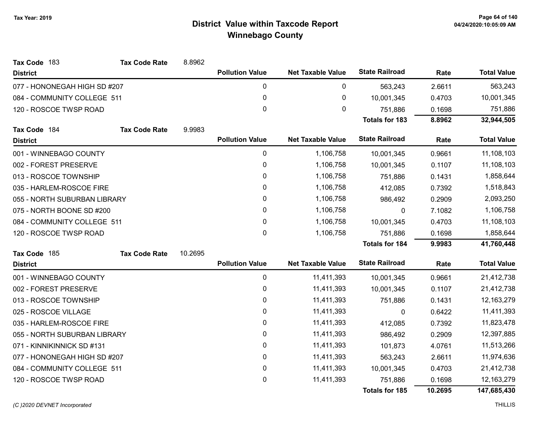| Tax Code 183                 | <b>Tax Code Rate</b> | 8.8962  |                        |                          |                       |         |                    |
|------------------------------|----------------------|---------|------------------------|--------------------------|-----------------------|---------|--------------------|
| <b>District</b>              |                      |         | <b>Pollution Value</b> | <b>Net Taxable Value</b> | <b>State Railroad</b> | Rate    | <b>Total Value</b> |
| 077 - HONONEGAH HIGH SD #207 |                      |         | 0                      | 0                        | 563,243               | 2.6611  | 563,243            |
| 084 - COMMUNITY COLLEGE 511  |                      |         | $\pmb{0}$              | 0                        | 10,001,345            | 0.4703  | 10,001,345         |
| 120 - ROSCOE TWSP ROAD       |                      |         | 0                      | 0                        | 751,886               | 0.1698  | 751,886            |
|                              |                      |         |                        |                          | <b>Totals for 183</b> | 8.8962  | 32,944,505         |
| Tax Code 184                 | <b>Tax Code Rate</b> | 9.9983  |                        |                          |                       |         |                    |
| <b>District</b>              |                      |         | <b>Pollution Value</b> | <b>Net Taxable Value</b> | <b>State Railroad</b> | Rate    | <b>Total Value</b> |
| 001 - WINNEBAGO COUNTY       |                      |         | $\pmb{0}$              | 1,106,758                | 10,001,345            | 0.9661  | 11,108,103         |
| 002 - FOREST PRESERVE        |                      |         | 0                      | 1,106,758                | 10,001,345            | 0.1107  | 11,108,103         |
| 013 - ROSCOE TOWNSHIP        |                      |         | $\pmb{0}$              | 1,106,758                | 751,886               | 0.1431  | 1,858,644          |
| 035 - HARLEM-ROSCOE FIRE     |                      |         | 0                      | 1,106,758                | 412,085               | 0.7392  | 1,518,843          |
| 055 - NORTH SUBURBAN LIBRARY |                      |         | 0                      | 1,106,758                | 986,492               | 0.2909  | 2,093,250          |
| 075 - NORTH BOONE SD #200    |                      |         | 0                      | 1,106,758                | 0                     | 7.1082  | 1,106,758          |
| 084 - COMMUNITY COLLEGE 511  |                      |         | $\pmb{0}$              | 1,106,758                | 10,001,345            | 0.4703  | 11,108,103         |
| 120 - ROSCOE TWSP ROAD       |                      |         | 0                      | 1,106,758                | 751,886               | 0.1698  | 1,858,644          |
|                              |                      |         |                        |                          | <b>Totals for 184</b> | 9.9983  | 41,760,448         |
| Tax Code 185                 | <b>Tax Code Rate</b> | 10.2695 |                        |                          |                       |         |                    |
| <b>District</b>              |                      |         | <b>Pollution Value</b> | <b>Net Taxable Value</b> | <b>State Railroad</b> | Rate    | <b>Total Value</b> |
| 001 - WINNEBAGO COUNTY       |                      |         | $\mathbf 0$            | 11,411,393               | 10,001,345            | 0.9661  | 21,412,738         |
| 002 - FOREST PRESERVE        |                      |         | 0                      | 11,411,393               | 10,001,345            | 0.1107  | 21,412,738         |
| 013 - ROSCOE TOWNSHIP        |                      |         | $\pmb{0}$              | 11,411,393               | 751,886               | 0.1431  | 12,163,279         |
| 025 - ROSCOE VILLAGE         |                      |         | 0                      | 11,411,393               | 0                     | 0.6422  | 11,411,393         |
| 035 - HARLEM-ROSCOE FIRE     |                      |         | 0                      | 11,411,393               | 412,085               | 0.7392  | 11,823,478         |
| 055 - NORTH SUBURBAN LIBRARY |                      |         | 0                      | 11,411,393               | 986,492               | 0.2909  | 12,397,885         |
| 071 - KINNIKINNICK SD #131   |                      |         | $\pmb{0}$              | 11,411,393               | 101,873               | 4.0761  | 11,513,266         |
| 077 - HONONEGAH HIGH SD #207 |                      |         | 0                      | 11,411,393               | 563,243               | 2.6611  | 11,974,636         |
| 084 - COMMUNITY COLLEGE 511  |                      |         | $\pmb{0}$              | 11,411,393               | 10,001,345            | 0.4703  | 21,412,738         |
| 120 - ROSCOE TWSP ROAD       |                      |         | 0                      | 11,411,393               | 751,886               | 0.1698  | 12,163,279         |
|                              |                      |         |                        |                          | <b>Totals for 185</b> | 10.2695 | 147,685,430        |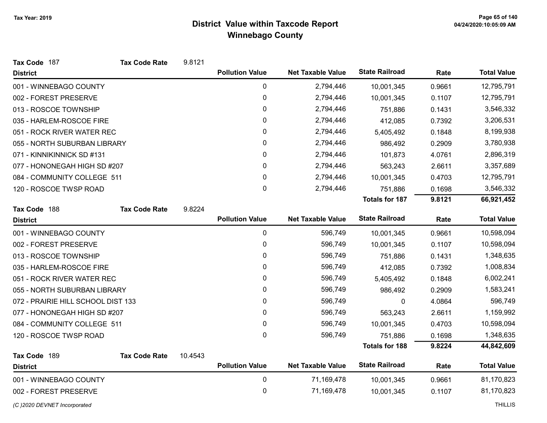| Tax Code 187                       | <b>Tax Code Rate</b> | 9.8121  |                        |                          |                       |        |                    |
|------------------------------------|----------------------|---------|------------------------|--------------------------|-----------------------|--------|--------------------|
| <b>District</b>                    |                      |         | <b>Pollution Value</b> | <b>Net Taxable Value</b> | <b>State Railroad</b> | Rate   | <b>Total Value</b> |
| 001 - WINNEBAGO COUNTY             |                      |         | $\pmb{0}$              | 2,794,446                | 10,001,345            | 0.9661 | 12,795,791         |
| 002 - FOREST PRESERVE              |                      |         | 0                      | 2,794,446                | 10,001,345            | 0.1107 | 12,795,791         |
| 013 - ROSCOE TOWNSHIP              |                      |         | 0                      | 2,794,446                | 751,886               | 0.1431 | 3,546,332          |
| 035 - HARLEM-ROSCOE FIRE           |                      |         | 0                      | 2,794,446                | 412,085               | 0.7392 | 3,206,531          |
| 051 - ROCK RIVER WATER REC         |                      |         | $\pmb{0}$              | 2,794,446                | 5,405,492             | 0.1848 | 8,199,938          |
| 055 - NORTH SUBURBAN LIBRARY       |                      |         | 0                      | 2,794,446                | 986,492               | 0.2909 | 3,780,938          |
| 071 - KINNIKINNICK SD #131         |                      |         | 0                      | 2,794,446                | 101,873               | 4.0761 | 2,896,319          |
| 077 - HONONEGAH HIGH SD #207       |                      |         | 0                      | 2,794,446                | 563,243               | 2.6611 | 3,357,689          |
| 084 - COMMUNITY COLLEGE 511        |                      |         | 0                      | 2,794,446                | 10,001,345            | 0.4703 | 12,795,791         |
| 120 - ROSCOE TWSP ROAD             |                      |         | 0                      | 2,794,446                | 751,886               | 0.1698 | 3,546,332          |
|                                    |                      |         |                        |                          | <b>Totals for 187</b> | 9.8121 | 66,921,452         |
| Tax Code 188                       | <b>Tax Code Rate</b> | 9.8224  |                        |                          |                       |        |                    |
| <b>District</b>                    |                      |         | <b>Pollution Value</b> | <b>Net Taxable Value</b> | <b>State Railroad</b> | Rate   | <b>Total Value</b> |
| 001 - WINNEBAGO COUNTY             |                      |         | 0                      | 596,749                  | 10,001,345            | 0.9661 | 10,598,094         |
| 002 - FOREST PRESERVE              |                      |         | 0                      | 596,749                  | 10,001,345            | 0.1107 | 10,598,094         |
| 013 - ROSCOE TOWNSHIP              |                      |         | $\pmb{0}$              | 596,749                  | 751,886               | 0.1431 | 1,348,635          |
| 035 - HARLEM-ROSCOE FIRE           |                      |         | 0                      | 596,749                  | 412,085               | 0.7392 | 1,008,834          |
| 051 - ROCK RIVER WATER REC         |                      |         | 0                      | 596,749                  | 5,405,492             | 0.1848 | 6,002,241          |
| 055 - NORTH SUBURBAN LIBRARY       |                      |         | 0                      | 596,749                  | 986,492               | 0.2909 | 1,583,241          |
| 072 - PRAIRIE HILL SCHOOL DIST 133 |                      |         | $\pmb{0}$              | 596,749                  | 0                     | 4.0864 | 596,749            |
| 077 - HONONEGAH HIGH SD #207       |                      |         | 0                      | 596,749                  | 563,243               | 2.6611 | 1,159,992          |
| 084 - COMMUNITY COLLEGE 511        |                      |         | $\pmb{0}$              | 596,749                  | 10,001,345            | 0.4703 | 10,598,094         |
| 120 - ROSCOE TWSP ROAD             |                      |         | 0                      | 596,749                  | 751,886               | 0.1698 | 1,348,635          |
|                                    |                      |         |                        |                          | <b>Totals for 188</b> | 9.8224 | 44,842,609         |
| Tax Code 189                       | <b>Tax Code Rate</b> | 10.4543 |                        |                          |                       |        |                    |
| <b>District</b>                    |                      |         | <b>Pollution Value</b> | <b>Net Taxable Value</b> | <b>State Railroad</b> | Rate   | <b>Total Value</b> |
| 001 - WINNEBAGO COUNTY             |                      |         | $\pmb{0}$              | 71,169,478               | 10,001,345            | 0.9661 | 81,170,823         |
| 002 - FOREST PRESERVE              |                      |         | 0                      | 71,169,478               | 10,001,345            | 0.1107 | 81,170,823         |
| (C)2020 DEVNET Incorporated        |                      |         |                        |                          |                       |        | <b>THILLIS</b>     |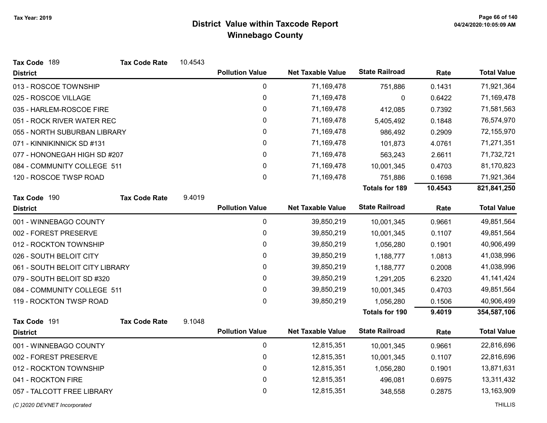| Tax Code 189                    | <b>Tax Code Rate</b> | 10.4543 |                        |                          |                       |         |                    |
|---------------------------------|----------------------|---------|------------------------|--------------------------|-----------------------|---------|--------------------|
| <b>District</b>                 |                      |         | <b>Pollution Value</b> | <b>Net Taxable Value</b> | <b>State Railroad</b> | Rate    | <b>Total Value</b> |
| 013 - ROSCOE TOWNSHIP           |                      |         | 0                      | 71,169,478               | 751,886               | 0.1431  | 71,921,364         |
| 025 - ROSCOE VILLAGE            |                      |         | 0                      | 71,169,478               | 0                     | 0.6422  | 71,169,478         |
| 035 - HARLEM-ROSCOE FIRE        |                      |         | 0                      | 71,169,478               | 412,085               | 0.7392  | 71,581,563         |
| 051 - ROCK RIVER WATER REC      |                      |         | 0                      | 71,169,478               | 5,405,492             | 0.1848  | 76,574,970         |
| 055 - NORTH SUBURBAN LIBRARY    |                      |         | 0                      | 71,169,478               | 986,492               | 0.2909  | 72,155,970         |
| 071 - KINNIKINNICK SD #131      |                      |         | 0                      | 71,169,478               | 101,873               | 4.0761  | 71,271,351         |
| 077 - HONONEGAH HIGH SD #207    |                      |         | 0                      | 71,169,478               | 563,243               | 2.6611  | 71,732,721         |
| 084 - COMMUNITY COLLEGE 511     |                      |         | $\pmb{0}$              | 71,169,478               | 10,001,345            | 0.4703  | 81,170,823         |
| 120 - ROSCOE TWSP ROAD          |                      |         | 0                      | 71,169,478               | 751,886               | 0.1698  | 71,921,364         |
|                                 |                      |         |                        |                          | <b>Totals for 189</b> | 10.4543 | 821,841,250        |
| Tax Code 190                    | <b>Tax Code Rate</b> | 9.4019  |                        |                          |                       |         |                    |
| <b>District</b>                 |                      |         | <b>Pollution Value</b> | <b>Net Taxable Value</b> | <b>State Railroad</b> | Rate    | <b>Total Value</b> |
| 001 - WINNEBAGO COUNTY          |                      |         | $\pmb{0}$              | 39,850,219               | 10,001,345            | 0.9661  | 49,851,564         |
| 002 - FOREST PRESERVE           |                      |         | $\pmb{0}$              | 39,850,219               | 10,001,345            | 0.1107  | 49,851,564         |
| 012 - ROCKTON TOWNSHIP          |                      |         | 0                      | 39,850,219               | 1,056,280             | 0.1901  | 40,906,499         |
| 026 - SOUTH BELOIT CITY         |                      |         | 0                      | 39,850,219               | 1,188,777             | 1.0813  | 41,038,996         |
| 061 - SOUTH BELOIT CITY LIBRARY |                      |         | 0                      | 39,850,219               | 1,188,777             | 0.2008  | 41,038,996         |
| 079 - SOUTH BELOIT SD #320      |                      |         | 0                      | 39,850,219               | 1,291,205             | 6.2320  | 41, 141, 424       |
| 084 - COMMUNITY COLLEGE 511     |                      |         | 0                      | 39,850,219               | 10,001,345            | 0.4703  | 49,851,564         |
| 119 - ROCKTON TWSP ROAD         |                      |         | $\mathbf 0$            | 39,850,219               | 1,056,280             | 0.1506  | 40,906,499         |
|                                 |                      |         |                        |                          | <b>Totals for 190</b> | 9.4019  | 354,587,106        |
| Tax Code 191                    | <b>Tax Code Rate</b> | 9.1048  |                        |                          |                       |         |                    |
| <b>District</b>                 |                      |         | <b>Pollution Value</b> | <b>Net Taxable Value</b> | <b>State Railroad</b> | Rate    | <b>Total Value</b> |
| 001 - WINNEBAGO COUNTY          |                      |         | $\pmb{0}$              | 12,815,351               | 10,001,345            | 0.9661  | 22,816,696         |
| 002 - FOREST PRESERVE           |                      |         | 0                      | 12,815,351               | 10,001,345            | 0.1107  | 22,816,696         |
| 012 - ROCKTON TOWNSHIP          |                      |         | $\pmb{0}$              | 12,815,351               | 1,056,280             | 0.1901  | 13,871,631         |
| 041 - ROCKTON FIRE              |                      |         | 0                      | 12,815,351               | 496,081               | 0.6975  | 13,311,432         |
| 057 - TALCOTT FREE LIBRARY      |                      |         | 0                      | 12,815,351               | 348,558               | 0.2875  | 13,163,909         |

(C)2020 DEVNET Incorporated THILLIS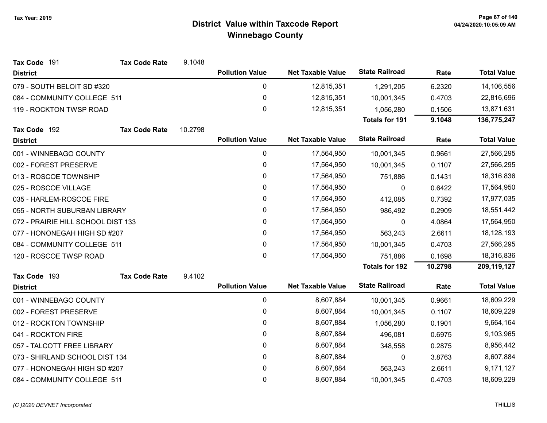| Tax Code 191                       | <b>Tax Code Rate</b> | 9.1048  |                        |                          |                       |         |                    |
|------------------------------------|----------------------|---------|------------------------|--------------------------|-----------------------|---------|--------------------|
| <b>District</b>                    |                      |         | <b>Pollution Value</b> | <b>Net Taxable Value</b> | <b>State Railroad</b> | Rate    | <b>Total Value</b> |
| 079 - SOUTH BELOIT SD #320         |                      |         | 0                      | 12,815,351               | 1,291,205             | 6.2320  | 14,106,556         |
| 084 - COMMUNITY COLLEGE 511        |                      |         | $\mathbf 0$            | 12,815,351               | 10,001,345            | 0.4703  | 22,816,696         |
| 119 - ROCKTON TWSP ROAD            |                      |         | 0                      | 12,815,351               | 1,056,280             | 0.1506  | 13,871,631         |
|                                    |                      |         |                        |                          | <b>Totals for 191</b> | 9.1048  | 136,775,247        |
| Tax Code 192                       | <b>Tax Code Rate</b> | 10.2798 |                        |                          |                       |         |                    |
| <b>District</b>                    |                      |         | <b>Pollution Value</b> | <b>Net Taxable Value</b> | <b>State Railroad</b> | Rate    | <b>Total Value</b> |
| 001 - WINNEBAGO COUNTY             |                      |         | $\mathbf 0$            | 17,564,950               | 10,001,345            | 0.9661  | 27,566,295         |
| 002 - FOREST PRESERVE              |                      |         | 0                      | 17,564,950               | 10,001,345            | 0.1107  | 27,566,295         |
| 013 - ROSCOE TOWNSHIP              |                      |         | 0                      | 17,564,950               | 751,886               | 0.1431  | 18,316,836         |
| 025 - ROSCOE VILLAGE               |                      |         | 0                      | 17,564,950               | 0                     | 0.6422  | 17,564,950         |
| 035 - HARLEM-ROSCOE FIRE           |                      |         | 0                      | 17,564,950               | 412,085               | 0.7392  | 17,977,035         |
| 055 - NORTH SUBURBAN LIBRARY       |                      |         | 0                      | 17,564,950               | 986,492               | 0.2909  | 18,551,442         |
| 072 - PRAIRIE HILL SCHOOL DIST 133 |                      |         | 0                      | 17,564,950               | 0                     | 4.0864  | 17,564,950         |
| 077 - HONONEGAH HIGH SD #207       |                      |         | 0                      | 17,564,950               | 563,243               | 2.6611  | 18,128,193         |
| 084 - COMMUNITY COLLEGE 511        |                      |         | 0                      | 17,564,950               | 10,001,345            | 0.4703  | 27,566,295         |
| 120 - ROSCOE TWSP ROAD             |                      |         | 0                      | 17,564,950               | 751,886               | 0.1698  | 18,316,836         |
|                                    |                      |         |                        |                          | <b>Totals for 192</b> | 10.2798 | 209,119,127        |
| Tax Code 193                       | <b>Tax Code Rate</b> | 9.4102  |                        |                          |                       |         |                    |
| <b>District</b>                    |                      |         | <b>Pollution Value</b> | <b>Net Taxable Value</b> | <b>State Railroad</b> | Rate    | <b>Total Value</b> |
| 001 - WINNEBAGO COUNTY             |                      |         | 0                      | 8,607,884                | 10,001,345            | 0.9661  | 18,609,229         |
| 002 - FOREST PRESERVE              |                      |         | 0                      | 8,607,884                | 10,001,345            | 0.1107  | 18,609,229         |
| 012 - ROCKTON TOWNSHIP             |                      |         | 0                      | 8,607,884                | 1,056,280             | 0.1901  | 9,664,164          |
| 041 - ROCKTON FIRE                 |                      |         | 0                      | 8,607,884                | 496,081               | 0.6975  | 9,103,965          |
| 057 - TALCOTT FREE LIBRARY         |                      |         | 0                      | 8,607,884                | 348,558               | 0.2875  | 8,956,442          |
| 073 - SHIRLAND SCHOOL DIST 134     |                      |         | $\mathbf 0$            | 8,607,884                | 0                     | 3.8763  | 8,607,884          |
| 077 - HONONEGAH HIGH SD #207       |                      |         | 0                      | 8,607,884                | 563,243               | 2.6611  | 9,171,127          |
| 084 - COMMUNITY COLLEGE 511        |                      |         | 0                      | 8,607,884                | 10,001,345            | 0.4703  | 18,609,229         |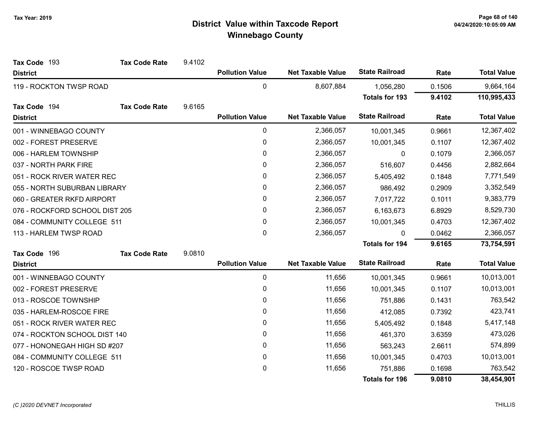| Tax Code 193                   | <b>Tax Code Rate</b> | 9.4102 |                        |                          |                       |           |                    |
|--------------------------------|----------------------|--------|------------------------|--------------------------|-----------------------|-----------|--------------------|
| <b>District</b>                |                      |        | <b>Pollution Value</b> | <b>Net Taxable Value</b> | <b>State Railroad</b> | Rate      | <b>Total Value</b> |
| 119 - ROCKTON TWSP ROAD        |                      |        | 0                      | 8,607,884                | 1,056,280             | 0.1506    | 9,664,164          |
|                                |                      |        |                        |                          | <b>Totals for 193</b> | 9.4102    | 110,995,433        |
| Tax Code 194                   | <b>Tax Code Rate</b> | 9.6165 |                        |                          |                       |           |                    |
| <b>District</b>                |                      |        | <b>Pollution Value</b> | <b>Net Taxable Value</b> | <b>State Railroad</b> | Rate      | <b>Total Value</b> |
| 001 - WINNEBAGO COUNTY         |                      |        | 0                      | 2,366,057                | 10,001,345            | 0.9661    | 12,367,402         |
| 002 - FOREST PRESERVE          |                      |        | 0                      | 2,366,057                | 10,001,345            | 0.1107    | 12,367,402         |
| 006 - HARLEM TOWNSHIP          |                      |        | $\mathbf 0$            | 2,366,057                | 0                     | 0.1079    | 2,366,057          |
| 037 - NORTH PARK FIRE          |                      |        | $\mathbf{0}$           | 2,366,057                | 516,607               | 0.4456    | 2,882,664          |
| 051 - ROCK RIVER WATER REC     |                      |        | 0                      | 2,366,057                | 5,405,492             | 0.1848    | 7,771,549          |
| 055 - NORTH SUBURBAN LIBRARY   |                      |        | 0                      | 2,366,057                | 986,492               | 0.2909    | 3,352,549          |
| 060 - GREATER RKFD AIRPORT     |                      | 0      | 2,366,057              | 7,017,722                | 0.1011                | 9,383,779 |                    |
| 076 - ROCKFORD SCHOOL DIST 205 |                      |        | 0                      | 2,366,057                | 6,163,673             | 6.8929    | 8,529,730          |
| 084 - COMMUNITY COLLEGE 511    |                      |        | $\mathbf{0}$           | 2,366,057                | 10,001,345            | 0.4703    | 12,367,402         |
| 113 - HARLEM TWSP ROAD         |                      |        | 0                      | 2,366,057                | $\Omega$              | 0.0462    | 2,366,057          |
|                                |                      |        |                        |                          | <b>Totals for 194</b> | 9.6165    | 73,754,591         |
| Tax Code 196                   | <b>Tax Code Rate</b> | 9.0810 |                        |                          |                       |           |                    |
| <b>District</b>                |                      |        | <b>Pollution Value</b> | <b>Net Taxable Value</b> | <b>State Railroad</b> | Rate      | <b>Total Value</b> |
| 001 - WINNEBAGO COUNTY         |                      |        | 0                      | 11,656                   | 10,001,345            | 0.9661    | 10,013,001         |
| 002 - FOREST PRESERVE          |                      |        | $\pmb{0}$              | 11,656                   | 10,001,345            | 0.1107    | 10,013,001         |
| 013 - ROSCOE TOWNSHIP          |                      |        | 0                      | 11,656                   | 751,886               | 0.1431    | 763,542            |
| 035 - HARLEM-ROSCOE FIRE       |                      |        | 0                      | 11,656                   | 412,085               | 0.7392    | 423,741            |
| 051 - ROCK RIVER WATER REC     |                      |        | $\mathbf{0}$           | 11,656                   | 5,405,492             | 0.1848    | 5,417,148          |
| 074 - ROCKTON SCHOOL DIST 140  |                      |        | 0                      | 11,656                   | 461,370               | 3.6359    | 473,026            |
| 077 - HONONEGAH HIGH SD #207   |                      |        | 0                      | 11,656                   | 563,243               | 2.6611    | 574,899            |
| 084 - COMMUNITY COLLEGE 511    |                      |        | 0                      | 11,656                   | 10,001,345            | 0.4703    | 10,013,001         |
| 120 - ROSCOE TWSP ROAD         |                      |        | 0                      | 11,656                   | 751,886               | 0.1698    | 763,542            |
|                                |                      |        |                        |                          | <b>Totals for 196</b> | 9.0810    | 38,454,901         |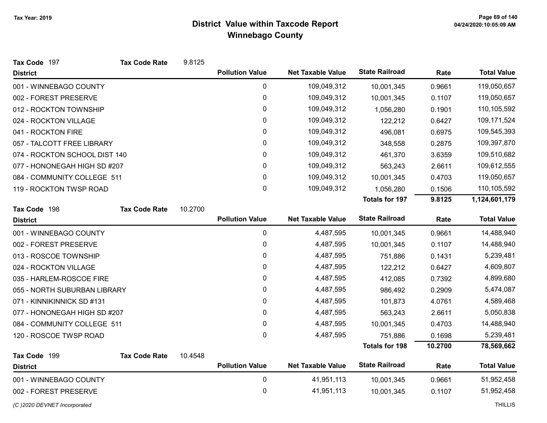| Tax Code 197                  | <b>Tax Code Rate</b> | 9.8125  |                        |                          |                       |         |                    |
|-------------------------------|----------------------|---------|------------------------|--------------------------|-----------------------|---------|--------------------|
| <b>District</b>               |                      |         | <b>Pollution Value</b> | <b>Net Taxable Value</b> | <b>State Railroad</b> | Rate    | <b>Total Value</b> |
| 001 - WINNEBAGO COUNTY        |                      |         | $\mathbf 0$            | 109,049,312              | 10,001,345            | 0.9661  | 119,050,657        |
| 002 - FOREST PRESERVE         |                      |         | 0                      | 109,049,312              | 10,001,345            | 0.1107  | 119,050,657        |
| 012 - ROCKTON TOWNSHIP        |                      |         | 0                      | 109,049,312              | 1,056,280             | 0.1901  | 110,105,592        |
| 024 - ROCKTON VILLAGE         |                      |         | 0                      | 109,049,312              | 122,212               | 0.6427  | 109,171,524        |
| 041 - ROCKTON FIRE            |                      |         | 0                      | 109,049,312              | 496,081               | 0.6975  | 109,545,393        |
| 057 - TALCOTT FREE LIBRARY    |                      |         | 0                      | 109,049,312              | 348,558               | 0.2875  | 109,397,870        |
| 074 - ROCKTON SCHOOL DIST 140 |                      |         | 0                      | 109,049,312              | 461,370               | 3.6359  | 109,510,682        |
| 077 - HONONEGAH HIGH SD #207  |                      |         | 0                      | 109,049,312              | 563,243               | 2.6611  | 109,612,555        |
| 084 - COMMUNITY COLLEGE 511   |                      |         | 0                      | 109,049,312              | 10,001,345            | 0.4703  | 119,050,657        |
| 119 - ROCKTON TWSP ROAD       |                      |         | 0                      | 109,049,312              | 1,056,280             | 0.1506  | 110,105,592        |
|                               |                      |         |                        |                          | <b>Totals for 197</b> | 9.8125  | 1,124,601,179      |
| Tax Code 198                  | <b>Tax Code Rate</b> | 10.2700 |                        |                          |                       |         |                    |
| <b>District</b>               |                      |         | <b>Pollution Value</b> | <b>Net Taxable Value</b> | <b>State Railroad</b> | Rate    | <b>Total Value</b> |
| 001 - WINNEBAGO COUNTY        |                      |         | $\mathbf 0$            | 4,487,595                | 10,001,345            | 0.9661  | 14,488,940         |
| 002 - FOREST PRESERVE         |                      |         | $\pmb{0}$              | 4,487,595                | 10,001,345            | 0.1107  | 14,488,940         |
| 013 - ROSCOE TOWNSHIP         |                      |         | 0                      | 4,487,595                | 751,886               | 0.1431  | 5,239,481          |
| 024 - ROCKTON VILLAGE         |                      |         | 0                      | 4,487,595                | 122,212               | 0.6427  | 4,609,807          |
| 035 - HARLEM-ROSCOE FIRE      |                      |         | 0                      | 4,487,595                | 412,085               | 0.7392  | 4,899,680          |
| 055 - NORTH SUBURBAN LIBRARY  |                      |         | 0                      | 4,487,595                | 986,492               | 0.2909  | 5,474,087          |
| 071 - KINNIKINNICK SD #131    |                      |         | 0                      | 4,487,595                | 101,873               | 4.0761  | 4,589,468          |
| 077 - HONONEGAH HIGH SD #207  |                      |         | 0                      | 4,487,595                | 563,243               | 2.6611  | 5,050,838          |
| 084 - COMMUNITY COLLEGE 511   |                      |         | 0                      | 4,487,595                | 10,001,345            | 0.4703  | 14,488,940         |
| 120 - ROSCOE TWSP ROAD        |                      |         | 0                      | 4,487,595                | 751,886               | 0.1698  | 5,239,481          |
|                               |                      |         |                        |                          | <b>Totals for 198</b> | 10.2700 | 78,569,662         |
| Tax Code 199                  | <b>Tax Code Rate</b> | 10.4548 |                        |                          |                       |         |                    |
| <b>District</b>               |                      |         | <b>Pollution Value</b> | <b>Net Taxable Value</b> | <b>State Railroad</b> | Rate    | <b>Total Value</b> |
| 001 - WINNEBAGO COUNTY        |                      |         | $\mathbf 0$            | 41,951,113               | 10,001,345            | 0.9661  | 51,952,458         |
| 002 - FOREST PRESERVE         |                      |         | 0                      | 41,951,113               | 10,001,345            | 0.1107  | 51,952,458         |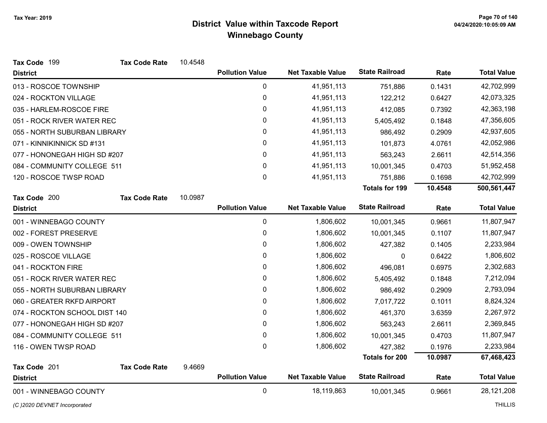| Tax Code 199                  | <b>Tax Code Rate</b> | 10.4548 |                        |                          |                       |         |                    |
|-------------------------------|----------------------|---------|------------------------|--------------------------|-----------------------|---------|--------------------|
| <b>District</b>               |                      |         | <b>Pollution Value</b> | <b>Net Taxable Value</b> | <b>State Railroad</b> | Rate    | <b>Total Value</b> |
| 013 - ROSCOE TOWNSHIP         |                      |         | $\mathbf 0$            | 41,951,113               | 751,886               | 0.1431  | 42,702,999         |
| 024 - ROCKTON VILLAGE         |                      |         | $\pmb{0}$              | 41,951,113               | 122,212               | 0.6427  | 42,073,325         |
| 035 - HARLEM-ROSCOE FIRE      |                      |         | 0                      | 41,951,113               | 412,085               | 0.7392  | 42,363,198         |
| 051 - ROCK RIVER WATER REC    |                      |         | 0                      | 41,951,113               | 5,405,492             | 0.1848  | 47,356,605         |
| 055 - NORTH SUBURBAN LIBRARY  |                      |         | 0                      | 41,951,113               | 986,492               | 0.2909  | 42,937,605         |
| 071 - KINNIKINNICK SD #131    |                      |         | 0                      | 41,951,113               | 101,873               | 4.0761  | 42,052,986         |
| 077 - HONONEGAH HIGH SD #207  |                      |         | 0                      | 41,951,113               | 563,243               | 2.6611  | 42,514,356         |
| 084 - COMMUNITY COLLEGE 511   |                      |         | 0                      | 41,951,113               | 10,001,345            | 0.4703  | 51,952,458         |
| 120 - ROSCOE TWSP ROAD        |                      |         | 0                      | 41,951,113               | 751,886               | 0.1698  | 42,702,999         |
|                               |                      |         |                        |                          | <b>Totals for 199</b> | 10.4548 | 500,561,447        |
| Tax Code 200                  | <b>Tax Code Rate</b> | 10.0987 |                        |                          |                       |         |                    |
| <b>District</b>               |                      |         | <b>Pollution Value</b> | <b>Net Taxable Value</b> | <b>State Railroad</b> | Rate    | <b>Total Value</b> |
| 001 - WINNEBAGO COUNTY        |                      |         | $\mathbf 0$            | 1,806,602                | 10,001,345            | 0.9661  | 11,807,947         |
| 002 - FOREST PRESERVE         |                      |         | 0                      | 1,806,602                | 10,001,345            | 0.1107  | 11,807,947         |
| 009 - OWEN TOWNSHIP           |                      |         | 0                      | 1,806,602                | 427,382               | 0.1405  | 2,233,984          |
| 025 - ROSCOE VILLAGE          |                      |         | 0                      | 1,806,602                | 0                     | 0.6422  | 1,806,602          |
| 041 - ROCKTON FIRE            |                      |         | 0                      | 1,806,602                | 496,081               | 0.6975  | 2,302,683          |
| 051 - ROCK RIVER WATER REC    |                      |         | 0                      | 1,806,602                | 5,405,492             | 0.1848  | 7,212,094          |
| 055 - NORTH SUBURBAN LIBRARY  |                      |         | 0                      | 1,806,602                | 986,492               | 0.2909  | 2,793,094          |
| 060 - GREATER RKFD AIRPORT    |                      |         | 0                      | 1,806,602                | 7,017,722             | 0.1011  | 8,824,324          |
| 074 - ROCKTON SCHOOL DIST 140 |                      |         | 0                      | 1,806,602                | 461,370               | 3.6359  | 2,267,972          |
| 077 - HONONEGAH HIGH SD #207  |                      |         | $\mathbf 0$            | 1,806,602                | 563,243               | 2.6611  | 2,369,845          |
| 084 - COMMUNITY COLLEGE 511   |                      |         | 0                      | 1,806,602                | 10,001,345            | 0.4703  | 11,807,947         |
| 116 - OWEN TWSP ROAD          |                      |         | 0                      | 1,806,602                | 427,382               | 0.1976  | 2,233,984          |
|                               |                      |         |                        |                          | <b>Totals for 200</b> | 10.0987 | 67,468,423         |
| Tax Code 201                  | <b>Tax Code Rate</b> | 9.4669  |                        |                          |                       |         |                    |
| <b>District</b>               |                      |         | <b>Pollution Value</b> | <b>Net Taxable Value</b> | <b>State Railroad</b> | Rate    | <b>Total Value</b> |
| 001 - WINNEBAGO COUNTY        |                      |         | $\mathbf 0$            | 18,119,863               | 10,001,345            | 0.9661  | 28,121,208         |

(C)2020 DEVNET Incorporated THILLIS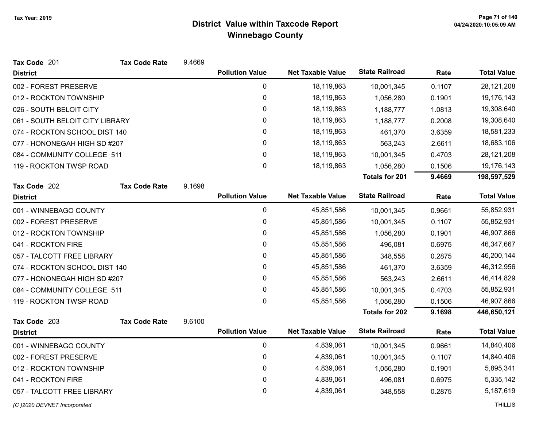| Tax Code 201                    | <b>Tax Code Rate</b> | 9.4669 |                        |                          |                       |        |                    |
|---------------------------------|----------------------|--------|------------------------|--------------------------|-----------------------|--------|--------------------|
| <b>District</b>                 |                      |        | <b>Pollution Value</b> | <b>Net Taxable Value</b> | <b>State Railroad</b> | Rate   | <b>Total Value</b> |
| 002 - FOREST PRESERVE           |                      |        | 0                      | 18,119,863               | 10,001,345            | 0.1107 | 28,121,208         |
| 012 - ROCKTON TOWNSHIP          |                      |        | 0                      | 18,119,863               | 1,056,280             | 0.1901 | 19,176,143         |
| 026 - SOUTH BELOIT CITY         |                      |        | 0                      | 18,119,863               | 1,188,777             | 1.0813 | 19,308,640         |
| 061 - SOUTH BELOIT CITY LIBRARY |                      |        | $\mathbf 0$            | 18,119,863               | 1,188,777             | 0.2008 | 19,308,640         |
| 074 - ROCKTON SCHOOL DIST 140   |                      |        | 0                      | 18,119,863               | 461,370               | 3.6359 | 18,581,233         |
| 077 - HONONEGAH HIGH SD #207    |                      |        | 0                      | 18,119,863               | 563,243               | 2.6611 | 18,683,106         |
| 084 - COMMUNITY COLLEGE 511     |                      |        | 0                      | 18,119,863               | 10,001,345            | 0.4703 | 28, 121, 208       |
| 119 - ROCKTON TWSP ROAD         |                      |        | 0                      | 18,119,863               | 1,056,280             | 0.1506 | 19,176,143         |
|                                 |                      |        |                        |                          | <b>Totals for 201</b> | 9.4669 | 198,597,529        |
| Tax Code 202                    | <b>Tax Code Rate</b> | 9.1698 |                        |                          |                       |        |                    |
| <b>District</b>                 |                      |        | <b>Pollution Value</b> | <b>Net Taxable Value</b> | <b>State Railroad</b> | Rate   | <b>Total Value</b> |
| 001 - WINNEBAGO COUNTY          |                      |        | $\mathbf 0$            | 45,851,586               | 10,001,345            | 0.9661 | 55,852,931         |
| 002 - FOREST PRESERVE           |                      |        | $\pmb{0}$              | 45,851,586               | 10,001,345            | 0.1107 | 55,852,931         |
| 012 - ROCKTON TOWNSHIP          |                      |        | 0                      | 45,851,586               | 1,056,280             | 0.1901 | 46,907,866         |
| 041 - ROCKTON FIRE              |                      |        | 0                      | 45,851,586               | 496,081               | 0.6975 | 46,347,667         |
| 057 - TALCOTT FREE LIBRARY      |                      |        | 0                      | 45,851,586               | 348,558               | 0.2875 | 46,200,144         |
| 074 - ROCKTON SCHOOL DIST 140   |                      |        | 0                      | 45,851,586               | 461,370               | 3.6359 | 46,312,956         |
| 077 - HONONEGAH HIGH SD #207    |                      |        | 0                      | 45,851,586               | 563,243               | 2.6611 | 46,414,829         |
| 084 - COMMUNITY COLLEGE 511     |                      |        | 0                      | 45,851,586               | 10,001,345            | 0.4703 | 55,852,931         |
| 119 - ROCKTON TWSP ROAD         |                      |        | $\mathbf 0$            | 45,851,586               | 1,056,280             | 0.1506 | 46,907,866         |
|                                 |                      |        |                        |                          | <b>Totals for 202</b> | 9.1698 | 446,650,121        |
| Tax Code 203                    | <b>Tax Code Rate</b> | 9.6100 | <b>Pollution Value</b> |                          | <b>State Railroad</b> |        |                    |
| <b>District</b>                 |                      |        |                        | <b>Net Taxable Value</b> |                       | Rate   | <b>Total Value</b> |
| 001 - WINNEBAGO COUNTY          |                      |        | $\mathbf 0$            | 4,839,061                | 10,001,345            | 0.9661 | 14,840,406         |
| 002 - FOREST PRESERVE           |                      |        | 0                      | 4,839,061                | 10,001,345            | 0.1107 | 14,840,406         |
| 012 - ROCKTON TOWNSHIP          |                      |        | 0                      | 4,839,061                | 1,056,280             | 0.1901 | 5,895,341          |
| 041 - ROCKTON FIRE              |                      |        | 0                      | 4,839,061                | 496,081               | 0.6975 | 5,335,142          |
| 057 - TALCOTT FREE LIBRARY      |                      |        | 0                      | 4,839,061                | 348,558               | 0.2875 | 5,187,619          |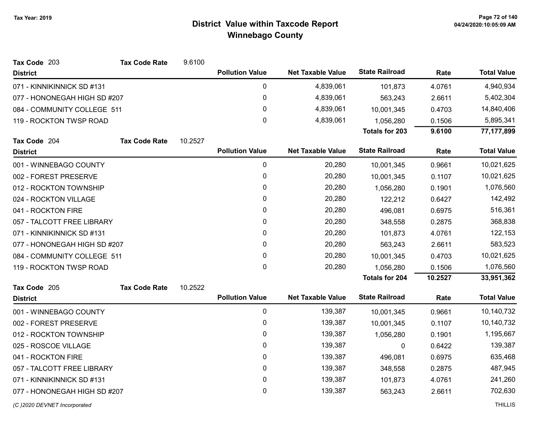| Tax Code 203                 | <b>Tax Code Rate</b> | 9.6100  |                        |                          |                       |         |                    |
|------------------------------|----------------------|---------|------------------------|--------------------------|-----------------------|---------|--------------------|
| <b>District</b>              |                      |         | <b>Pollution Value</b> | <b>Net Taxable Value</b> | <b>State Railroad</b> | Rate    | <b>Total Value</b> |
| 071 - KINNIKINNICK SD #131   |                      |         | 0                      | 4,839,061                | 101,873               | 4.0761  | 4,940,934          |
| 077 - HONONEGAH HIGH SD #207 |                      |         | 0                      | 4,839,061                | 563,243               | 2.6611  | 5,402,304          |
| 084 - COMMUNITY COLLEGE 511  |                      |         | 0                      | 4,839,061                | 10,001,345            | 0.4703  | 14,840,406         |
| 119 - ROCKTON TWSP ROAD      |                      |         | 0                      | 4,839,061                | 1,056,280             | 0.1506  | 5,895,341          |
|                              |                      |         |                        |                          | <b>Totals for 203</b> | 9.6100  | 77, 177, 899       |
| Tax Code 204                 | <b>Tax Code Rate</b> | 10.2527 |                        |                          |                       |         |                    |
| <b>District</b>              |                      |         | <b>Pollution Value</b> | <b>Net Taxable Value</b> | <b>State Railroad</b> | Rate    | <b>Total Value</b> |
| 001 - WINNEBAGO COUNTY       |                      |         | 0                      | 20,280                   | 10,001,345            | 0.9661  | 10,021,625         |
| 002 - FOREST PRESERVE        |                      |         | 0                      | 20,280                   | 10,001,345            | 0.1107  | 10,021,625         |
| 012 - ROCKTON TOWNSHIP       |                      |         | 0                      | 20,280                   | 1,056,280             | 0.1901  | 1,076,560          |
| 024 - ROCKTON VILLAGE        |                      |         | 0                      | 20,280                   | 122,212               | 0.6427  | 142,492            |
| 041 - ROCKTON FIRE           |                      |         | 0                      | 20,280                   | 496,081               | 0.6975  | 516,361            |
| 057 - TALCOTT FREE LIBRARY   |                      |         | 0                      | 20,280                   | 348,558               | 0.2875  | 368,838            |
| 071 - KINNIKINNICK SD #131   |                      |         | 0                      | 20,280                   | 101,873               | 4.0761  | 122,153            |
| 077 - HONONEGAH HIGH SD #207 |                      |         | $\mathbf{0}$           | 20,280                   | 563,243               | 2.6611  | 583,523            |
| 084 - COMMUNITY COLLEGE 511  |                      |         | 0                      | 20,280                   | 10,001,345            | 0.4703  | 10,021,625         |
| 119 - ROCKTON TWSP ROAD      |                      |         | $\Omega$               | 20,280                   | 1,056,280             | 0.1506  | 1,076,560          |
|                              |                      |         |                        |                          | <b>Totals for 204</b> | 10.2527 | 33,951,362         |
| Tax Code 205                 | <b>Tax Code Rate</b> | 10.2522 |                        |                          |                       |         |                    |
| <b>District</b>              |                      |         | <b>Pollution Value</b> | <b>Net Taxable Value</b> | <b>State Railroad</b> | Rate    | <b>Total Value</b> |
| 001 - WINNEBAGO COUNTY       |                      |         | 0                      | 139,387                  | 10,001,345            | 0.9661  | 10,140,732         |
| 002 - FOREST PRESERVE        |                      |         | 0                      | 139,387                  | 10,001,345            | 0.1107  | 10,140,732         |
| 012 - ROCKTON TOWNSHIP       |                      |         | 0                      | 139,387                  | 1,056,280             | 0.1901  | 1,195,667          |
| 025 - ROSCOE VILLAGE         |                      |         | 0                      | 139,387                  | 0                     | 0.6422  | 139,387            |
| 041 - ROCKTON FIRE           |                      |         | 0                      | 139,387                  | 496,081               | 0.6975  | 635,468            |
| 057 - TALCOTT FREE LIBRARY   |                      |         | 0                      | 139,387                  | 348,558               | 0.2875  | 487,945            |
| 071 - KINNIKINNICK SD #131   |                      |         | 0                      | 139,387                  | 101,873               | 4.0761  | 241,260            |
| 077 - HONONEGAH HIGH SD #207 |                      |         | 0                      | 139,387                  | 563,243               | 2.6611  | 702,630            |
| (C) 2020 DEVNET Incorporated |                      |         |                        |                          |                       |         | <b>THILLIS</b>     |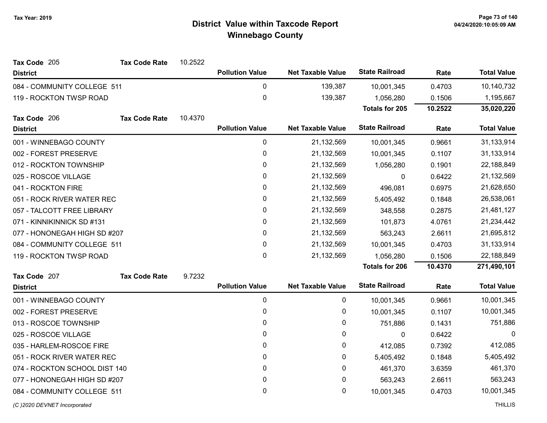| Tax Code 205                  | <b>Tax Code Rate</b> | 10.2522 |                        |                          |                       |         |                    |
|-------------------------------|----------------------|---------|------------------------|--------------------------|-----------------------|---------|--------------------|
| <b>District</b>               |                      |         | <b>Pollution Value</b> | <b>Net Taxable Value</b> | <b>State Railroad</b> | Rate    | <b>Total Value</b> |
| 084 - COMMUNITY COLLEGE 511   |                      |         | 0                      | 139,387                  | 10,001,345            | 0.4703  | 10,140,732         |
| 119 - ROCKTON TWSP ROAD       |                      |         | $\pmb{0}$              | 139,387                  | 1,056,280             | 0.1506  | 1,195,667          |
|                               |                      |         |                        |                          | <b>Totals for 205</b> | 10.2522 | 35,020,220         |
| Tax Code 206                  | <b>Tax Code Rate</b> | 10.4370 |                        |                          |                       |         |                    |
| <b>District</b>               |                      |         | <b>Pollution Value</b> | <b>Net Taxable Value</b> | <b>State Railroad</b> | Rate    | <b>Total Value</b> |
| 001 - WINNEBAGO COUNTY        |                      |         | 0                      | 21,132,569               | 10,001,345            | 0.9661  | 31,133,914         |
| 002 - FOREST PRESERVE         |                      |         | 0                      | 21,132,569               | 10,001,345            | 0.1107  | 31,133,914         |
| 012 - ROCKTON TOWNSHIP        |                      |         | 0                      | 21,132,569               | 1,056,280             | 0.1901  | 22,188,849         |
| 025 - ROSCOE VILLAGE          |                      |         | 0                      | 21,132,569               | $\mathbf{0}$          | 0.6422  | 21,132,569         |
| 041 - ROCKTON FIRE            |                      |         | 0                      | 21,132,569               | 496,081               | 0.6975  | 21,628,650         |
| 051 - ROCK RIVER WATER REC    |                      |         | 0                      | 21,132,569               | 5,405,492             | 0.1848  | 26,538,061         |
| 057 - TALCOTT FREE LIBRARY    |                      |         | 0                      | 21,132,569               | 348,558               | 0.2875  | 21,481,127         |
| 071 - KINNIKINNICK SD #131    |                      |         | 0                      | 21,132,569               | 101,873               | 4.0761  | 21,234,442         |
| 077 - HONONEGAH HIGH SD #207  |                      |         | 0                      | 21,132,569               | 563,243               | 2.6611  | 21,695,812         |
| 084 - COMMUNITY COLLEGE 511   |                      |         | 0                      | 21,132,569               | 10,001,345            | 0.4703  | 31,133,914         |
| 119 - ROCKTON TWSP ROAD       |                      |         | $\mathbf 0$            | 21,132,569               | 1,056,280             | 0.1506  | 22,188,849         |
|                               |                      |         |                        |                          | <b>Totals for 206</b> | 10.4370 | 271,490,101        |
| Tax Code 207                  | <b>Tax Code Rate</b> | 9.7232  |                        |                          |                       |         |                    |
| <b>District</b>               |                      |         | <b>Pollution Value</b> | <b>Net Taxable Value</b> | <b>State Railroad</b> | Rate    | <b>Total Value</b> |
| 001 - WINNEBAGO COUNTY        |                      |         | 0                      | 0                        | 10,001,345            | 0.9661  | 10,001,345         |
| 002 - FOREST PRESERVE         |                      |         | 0                      | 0                        | 10,001,345            | 0.1107  | 10,001,345         |
| 013 - ROSCOE TOWNSHIP         |                      |         | 0                      | 0                        | 751,886               | 0.1431  | 751,886            |
| 025 - ROSCOE VILLAGE          |                      |         | 0                      | 0                        | 0                     | 0.6422  | $\Omega$           |
| 035 - HARLEM-ROSCOE FIRE      |                      |         | 0                      | 0                        | 412,085               | 0.7392  | 412,085            |
| 051 - ROCK RIVER WATER REC    |                      |         | 0                      | 0                        | 5,405,492             | 0.1848  | 5,405,492          |
| 074 - ROCKTON SCHOOL DIST 140 |                      |         | 0                      | 0                        | 461,370               | 3.6359  | 461,370            |
| 077 - HONONEGAH HIGH SD #207  |                      |         | 0                      | 0                        | 563,243               | 2.6611  | 563,243            |
| 084 - COMMUNITY COLLEGE 511   |                      |         | 0                      | 0                        | 10,001,345            | 0.4703  | 10,001,345         |
| (C) 2020 DEVNET Incorporated  |                      |         |                        |                          |                       |         | <b>THILLIS</b>     |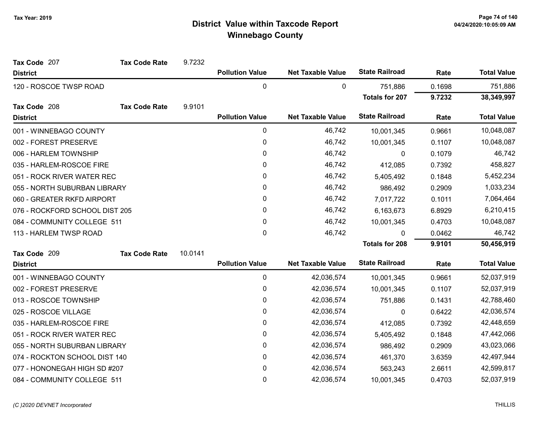| Tax Code 207                   | <b>Tax Code Rate</b> | 9.7232  |                        |                          |                       |        |                    |
|--------------------------------|----------------------|---------|------------------------|--------------------------|-----------------------|--------|--------------------|
| <b>District</b>                |                      |         | <b>Pollution Value</b> | <b>Net Taxable Value</b> | <b>State Railroad</b> | Rate   | <b>Total Value</b> |
| 120 - ROSCOE TWSP ROAD         |                      |         | 0                      | 0                        | 751,886               | 0.1698 | 751,886            |
|                                |                      |         |                        |                          | <b>Totals for 207</b> | 9.7232 | 38,349,997         |
| Tax Code 208                   | <b>Tax Code Rate</b> | 9.9101  |                        |                          |                       |        |                    |
| <b>District</b>                |                      |         | <b>Pollution Value</b> | <b>Net Taxable Value</b> | <b>State Railroad</b> | Rate   | <b>Total Value</b> |
| 001 - WINNEBAGO COUNTY         |                      |         | 0                      | 46,742                   | 10,001,345            | 0.9661 | 10,048,087         |
| 002 - FOREST PRESERVE          |                      |         | 0                      | 46,742                   | 10,001,345            | 0.1107 | 10,048,087         |
| 006 - HARLEM TOWNSHIP          |                      |         | 0                      | 46,742                   | 0                     | 0.1079 | 46,742             |
| 035 - HARLEM-ROSCOE FIRE       |                      |         | 0                      | 46,742                   | 412,085               | 0.7392 | 458,827            |
| 051 - ROCK RIVER WATER REC     |                      |         | 0                      | 46,742                   | 5,405,492             | 0.1848 | 5,452,234          |
| 055 - NORTH SUBURBAN LIBRARY   |                      |         | 0                      | 46,742                   | 986,492               | 0.2909 | 1,033,234          |
| 060 - GREATER RKFD AIRPORT     |                      |         | 0                      | 46,742                   | 7,017,722             | 0.1011 | 7,064,464          |
| 076 - ROCKFORD SCHOOL DIST 205 |                      |         | 0                      | 46,742                   | 6,163,673             | 6.8929 | 6,210,415          |
| 084 - COMMUNITY COLLEGE 511    |                      |         | 0                      | 46,742                   | 10,001,345            | 0.4703 | 10,048,087         |
| 113 - HARLEM TWSP ROAD         |                      |         | 0                      | 46,742                   | 0                     | 0.0462 | 46,742             |
|                                |                      |         |                        |                          | <b>Totals for 208</b> | 9.9101 | 50,456,919         |
| Tax Code 209                   | <b>Tax Code Rate</b> | 10.0141 |                        |                          |                       |        |                    |
| <b>District</b>                |                      |         | <b>Pollution Value</b> | <b>Net Taxable Value</b> | <b>State Railroad</b> | Rate   | <b>Total Value</b> |
| 001 - WINNEBAGO COUNTY         |                      |         | 0                      | 42,036,574               | 10,001,345            | 0.9661 | 52,037,919         |
| 002 - FOREST PRESERVE          |                      |         | 0                      | 42,036,574               | 10,001,345            | 0.1107 | 52,037,919         |
| 013 - ROSCOE TOWNSHIP          |                      |         | 0                      | 42,036,574               | 751,886               | 0.1431 | 42,788,460         |
| 025 - ROSCOE VILLAGE           |                      |         | 0                      | 42,036,574               | 0                     | 0.6422 | 42,036,574         |
| 035 - HARLEM-ROSCOE FIRE       |                      |         | 0                      | 42,036,574               | 412,085               | 0.7392 | 42,448,659         |
| 051 - ROCK RIVER WATER REC     |                      |         | 0                      | 42,036,574               | 5,405,492             | 0.1848 | 47,442,066         |
| 055 - NORTH SUBURBAN LIBRARY   |                      |         | 0                      | 42,036,574               | 986,492               | 0.2909 | 43,023,066         |
| 074 - ROCKTON SCHOOL DIST 140  |                      |         | 0                      | 42,036,574               | 461,370               | 3.6359 | 42,497,944         |
| 077 - HONONEGAH HIGH SD #207   |                      |         | 0                      | 42,036,574               | 563,243               | 2.6611 | 42,599,817         |
| 084 - COMMUNITY COLLEGE 511    |                      |         | 0                      | 42,036,574               | 10,001,345            | 0.4703 | 52,037,919         |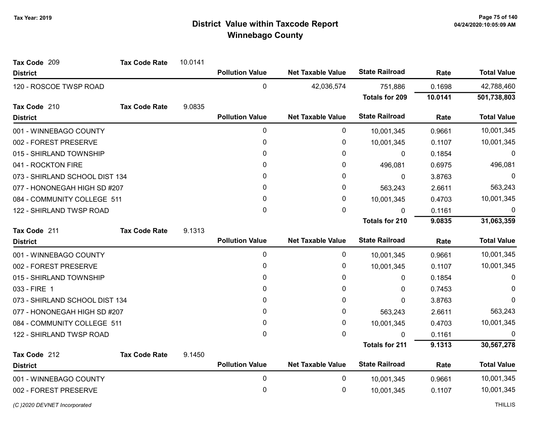| Tax Code 209                   | <b>Tax Code Rate</b> | 10.0141 |                        |                          |                       |         |                    |
|--------------------------------|----------------------|---------|------------------------|--------------------------|-----------------------|---------|--------------------|
| <b>District</b>                |                      |         | <b>Pollution Value</b> | <b>Net Taxable Value</b> | <b>State Railroad</b> | Rate    | <b>Total Value</b> |
| 120 - ROSCOE TWSP ROAD         |                      |         | $\mathbf 0$            | 42,036,574               | 751,886               | 0.1698  | 42,788,460         |
|                                |                      |         |                        |                          | <b>Totals for 209</b> | 10.0141 | 501,738,803        |
| Tax Code 210                   | <b>Tax Code Rate</b> | 9.0835  |                        |                          |                       |         |                    |
| <b>District</b>                |                      |         | <b>Pollution Value</b> | <b>Net Taxable Value</b> | <b>State Railroad</b> | Rate    | <b>Total Value</b> |
| 001 - WINNEBAGO COUNTY         |                      |         | 0                      | 0                        | 10,001,345            | 0.9661  | 10,001,345         |
| 002 - FOREST PRESERVE          |                      |         | 0                      | 0                        | 10,001,345            | 0.1107  | 10,001,345         |
| 015 - SHIRLAND TOWNSHIP        |                      |         | 0                      | 0                        | 0                     | 0.1854  | $\Omega$           |
| 041 - ROCKTON FIRE             |                      |         | 0                      | 0                        | 496,081               | 0.6975  | 496,081            |
| 073 - SHIRLAND SCHOOL DIST 134 |                      |         | 0                      | 0                        | $\mathbf{0}$          | 3.8763  | 0                  |
| 077 - HONONEGAH HIGH SD #207   |                      |         | 0                      | 0                        | 563,243               | 2.6611  | 563,243            |
| 084 - COMMUNITY COLLEGE 511    |                      |         | 0                      | 0                        | 10,001,345            | 0.4703  | 10,001,345         |
| 122 - SHIRLAND TWSP ROAD       |                      |         | 0                      | 0                        | 0                     | 0.1161  | 0                  |
|                                |                      |         |                        |                          | <b>Totals for 210</b> | 9.0835  | 31,063,359         |
| Tax Code 211                   | <b>Tax Code Rate</b> | 9.1313  |                        |                          |                       |         |                    |
| <b>District</b>                |                      |         | <b>Pollution Value</b> | <b>Net Taxable Value</b> | <b>State Railroad</b> | Rate    | <b>Total Value</b> |
| 001 - WINNEBAGO COUNTY         |                      |         | $\mathbf 0$            | 0                        | 10,001,345            | 0.9661  | 10,001,345         |
| 002 - FOREST PRESERVE          |                      |         | 0                      | 0                        | 10,001,345            | 0.1107  | 10,001,345         |
| 015 - SHIRLAND TOWNSHIP        |                      |         | 0                      | 0                        | 0                     | 0.1854  | $\Omega$           |
| 033 - FIRE 1                   |                      |         | 0                      | 0                        | 0                     | 0.7453  | <sup>0</sup>       |
| 073 - SHIRLAND SCHOOL DIST 134 |                      |         | 0                      | 0                        | 0                     | 3.8763  | 0                  |
| 077 - HONONEGAH HIGH SD #207   |                      |         | 0                      | 0                        | 563,243               | 2.6611  | 563,243            |
| 084 - COMMUNITY COLLEGE 511    |                      |         | 0                      | 0                        | 10,001,345            | 0.4703  | 10,001,345         |
| 122 - SHIRLAND TWSP ROAD       |                      |         | 0                      | 0                        | 0                     | 0.1161  |                    |
|                                |                      |         |                        |                          | <b>Totals for 211</b> | 9.1313  | 30,567,278         |
| Tax Code 212                   | <b>Tax Code Rate</b> | 9.1450  |                        |                          |                       |         |                    |
| <b>District</b>                |                      |         | <b>Pollution Value</b> | <b>Net Taxable Value</b> | <b>State Railroad</b> | Rate    | <b>Total Value</b> |
| 001 - WINNEBAGO COUNTY         |                      |         | 0                      | 0                        | 10,001,345            | 0.9661  | 10,001,345         |
| 002 - FOREST PRESERVE          |                      |         | 0                      | 0                        | 10,001,345            | 0.1107  | 10,001,345         |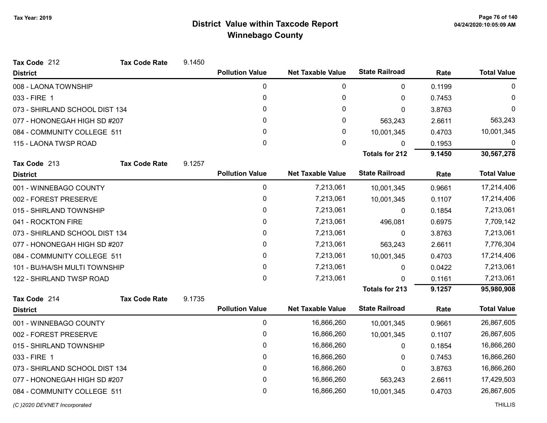| Tax Code 212                   | <b>Tax Code Rate</b> | 9.1450 |                        |                          |                       |        |                    |
|--------------------------------|----------------------|--------|------------------------|--------------------------|-----------------------|--------|--------------------|
| <b>District</b>                |                      |        | <b>Pollution Value</b> | <b>Net Taxable Value</b> | <b>State Railroad</b> | Rate   | <b>Total Value</b> |
| 008 - LAONA TOWNSHIP           |                      |        | 0                      | 0                        | $\mathbf{0}$          | 0.1199 | 0                  |
| 033 - FIRE 1                   |                      |        | 0                      | 0                        | $\mathbf{0}$          | 0.7453 | $\Omega$           |
| 073 - SHIRLAND SCHOOL DIST 134 |                      |        | 0                      | 0                        | $\Omega$              | 3.8763 | $\Omega$           |
| 077 - HONONEGAH HIGH SD #207   |                      |        | 0                      | 0                        | 563,243               | 2.6611 | 563,243            |
| 084 - COMMUNITY COLLEGE 511    |                      |        | 0                      | 0                        | 10,001,345            | 0.4703 | 10,001,345         |
| 115 - LAONA TWSP ROAD          |                      |        | $\Omega$               | $\mathbf{0}$             | 0                     | 0.1953 | 0                  |
|                                |                      |        |                        |                          | <b>Totals for 212</b> | 9.1450 | 30,567,278         |
| Tax Code 213                   | <b>Tax Code Rate</b> | 9.1257 |                        |                          |                       |        |                    |
| <b>District</b>                |                      |        | <b>Pollution Value</b> | <b>Net Taxable Value</b> | <b>State Railroad</b> | Rate   | <b>Total Value</b> |
| 001 - WINNEBAGO COUNTY         |                      |        | 0                      | 7,213,061                | 10,001,345            | 0.9661 | 17,214,406         |
| 002 - FOREST PRESERVE          |                      |        | 0                      | 7,213,061                | 10,001,345            | 0.1107 | 17,214,406         |
| 015 - SHIRLAND TOWNSHIP        |                      |        | 0                      | 7,213,061                | 0                     | 0.1854 | 7,213,061          |
| 041 - ROCKTON FIRE             |                      |        | 0                      | 7,213,061                | 496,081               | 0.6975 | 7,709,142          |
| 073 - SHIRLAND SCHOOL DIST 134 |                      |        | 0                      | 7,213,061                | $\mathbf{0}$          | 3.8763 | 7,213,061          |
| 077 - HONONEGAH HIGH SD #207   |                      |        | 0                      | 7,213,061                | 563,243               | 2.6611 | 7,776,304          |
| 084 - COMMUNITY COLLEGE 511    |                      |        | 0                      | 7,213,061                | 10,001,345            | 0.4703 | 17,214,406         |
| 101 - BU/HA/SH MULTI TOWNSHIP  |                      |        | 0                      | 7,213,061                | 0                     | 0.0422 | 7,213,061          |
| 122 - SHIRLAND TWSP ROAD       |                      |        | 0                      | 7,213,061                | $\Omega$              | 0.1161 | 7,213,061          |
|                                |                      |        |                        |                          | <b>Totals for 213</b> | 9.1257 | 95,980,908         |
| Tax Code 214                   | <b>Tax Code Rate</b> | 9.1735 |                        |                          |                       |        |                    |
| <b>District</b>                |                      |        | <b>Pollution Value</b> | <b>Net Taxable Value</b> | <b>State Railroad</b> | Rate   | <b>Total Value</b> |
| 001 - WINNEBAGO COUNTY         |                      |        | 0                      | 16,866,260               | 10,001,345            | 0.9661 | 26,867,605         |
| 002 - FOREST PRESERVE          |                      |        | 0                      | 16,866,260               | 10,001,345            | 0.1107 | 26,867,605         |
| 015 - SHIRLAND TOWNSHIP        |                      |        | 0                      | 16,866,260               | 0                     | 0.1854 | 16,866,260         |
| 033 - FIRE 1                   |                      |        | 0                      | 16,866,260               | $\Omega$              | 0.7453 | 16,866,260         |
| 073 - SHIRLAND SCHOOL DIST 134 |                      |        | 0                      | 16,866,260               | 0                     | 3.8763 | 16,866,260         |
| 077 - HONONEGAH HIGH SD #207   |                      |        | 0                      | 16,866,260               | 563,243               | 2.6611 | 17,429,503         |
| 084 - COMMUNITY COLLEGE 511    |                      |        | 0                      | 16,866,260               | 10,001,345            | 0.4703 | 26,867,605         |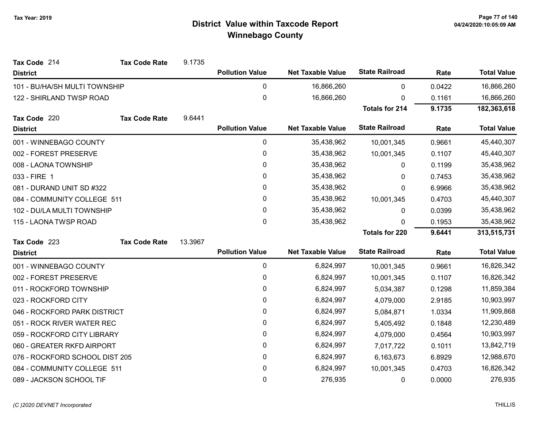| Tax Code 214                   | <b>Tax Code Rate</b> | 9.1735  |                        |                          |                       |        |                    |
|--------------------------------|----------------------|---------|------------------------|--------------------------|-----------------------|--------|--------------------|
| <b>District</b>                |                      |         | <b>Pollution Value</b> | <b>Net Taxable Value</b> | <b>State Railroad</b> | Rate   | <b>Total Value</b> |
| 101 - BU/HA/SH MULTI TOWNSHIP  |                      |         | 0                      | 16,866,260               | $\mathbf{0}$          | 0.0422 | 16,866,260         |
| 122 - SHIRLAND TWSP ROAD       |                      |         | $\pmb{0}$              | 16,866,260               | 0                     | 0.1161 | 16,866,260         |
|                                |                      |         |                        |                          | <b>Totals for 214</b> | 9.1735 | 182,363,618        |
| Tax Code 220                   | <b>Tax Code Rate</b> | 9.6441  |                        |                          |                       |        |                    |
| <b>District</b>                |                      |         | <b>Pollution Value</b> | <b>Net Taxable Value</b> | <b>State Railroad</b> | Rate   | <b>Total Value</b> |
| 001 - WINNEBAGO COUNTY         |                      |         | 0                      | 35,438,962               | 10,001,345            | 0.9661 | 45,440,307         |
| 002 - FOREST PRESERVE          |                      |         | 0                      | 35,438,962               | 10,001,345            | 0.1107 | 45,440,307         |
| 008 - LAONA TOWNSHIP           |                      |         | 0                      | 35,438,962               | 0                     | 0.1199 | 35,438,962         |
| 033 - FIRE 1                   |                      |         | 0                      | 35,438,962               | 0                     | 0.7453 | 35,438,962         |
| 081 - DURAND UNIT SD #322      |                      |         | 0                      | 35,438,962               | 0                     | 6.9966 | 35,438,962         |
| 084 - COMMUNITY COLLEGE 511    |                      |         | 0                      | 35,438,962               | 10,001,345            | 0.4703 | 45,440,307         |
| 102 - DU/LA MULTI TOWNSHIP     |                      |         | 0                      | 35,438,962               | 0                     | 0.0399 | 35,438,962         |
| 115 - LAONA TWSP ROAD          |                      |         | $\mathbf{0}$           | 35,438,962               | <sup>0</sup>          | 0.1953 | 35,438,962         |
|                                |                      |         |                        |                          | <b>Totals for 220</b> | 9.6441 | 313,515,731        |
| Tax Code 223                   | <b>Tax Code Rate</b> | 13.3967 |                        |                          |                       |        |                    |
| <b>District</b>                |                      |         | <b>Pollution Value</b> | <b>Net Taxable Value</b> | <b>State Railroad</b> | Rate   | <b>Total Value</b> |
| 001 - WINNEBAGO COUNTY         |                      |         | $\pmb{0}$              | 6,824,997                | 10,001,345            | 0.9661 | 16,826,342         |
| 002 - FOREST PRESERVE          |                      |         | $\pmb{0}$              | 6,824,997                | 10,001,345            | 0.1107 | 16,826,342         |
| 011 - ROCKFORD TOWNSHIP        |                      |         | 0                      | 6,824,997                | 5,034,387             | 0.1298 | 11,859,384         |
| 023 - ROCKFORD CITY            |                      |         | 0                      | 6,824,997                | 4,079,000             | 2.9185 | 10,903,997         |
| 046 - ROCKFORD PARK DISTRICT   |                      |         | 0                      | 6,824,997                | 5,084,871             | 1.0334 | 11,909,868         |
| 051 - ROCK RIVER WATER REC     |                      |         | 0                      | 6,824,997                | 5,405,492             | 0.1848 | 12,230,489         |
| 059 - ROCKFORD CITY LIBRARY    |                      |         | 0                      | 6,824,997                | 4,079,000             | 0.4564 | 10,903,997         |
| 060 - GREATER RKFD AIRPORT     |                      |         | $\pmb{0}$              | 6,824,997                | 7,017,722             | 0.1011 | 13,842,719         |
| 076 - ROCKFORD SCHOOL DIST 205 |                      |         | 0                      | 6,824,997                | 6,163,673             | 6.8929 | 12,988,670         |
| 084 - COMMUNITY COLLEGE 511    |                      |         | 0                      | 6,824,997                | 10,001,345            | 0.4703 | 16,826,342         |
| 089 - JACKSON SCHOOL TIF       |                      |         | $\mathbf 0$            | 276,935                  | 0                     | 0.0000 | 276,935            |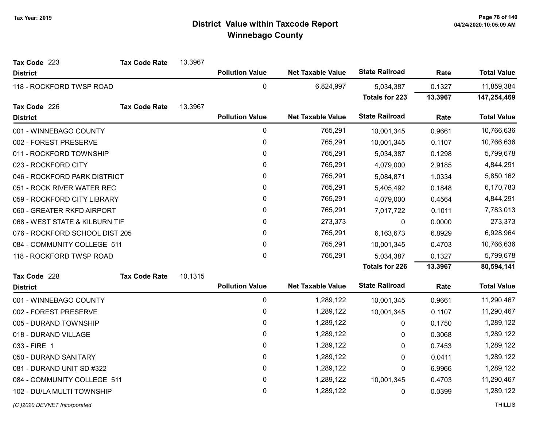| Tax Code 223                   | <b>Tax Code Rate</b> | 13.3967 |                        |                          |                       |         |                    |
|--------------------------------|----------------------|---------|------------------------|--------------------------|-----------------------|---------|--------------------|
| <b>District</b>                |                      |         | <b>Pollution Value</b> | <b>Net Taxable Value</b> | <b>State Railroad</b> | Rate    | <b>Total Value</b> |
| 118 - ROCKFORD TWSP ROAD       |                      |         | $\mathbf 0$            | 6,824,997                | 5,034,387             | 0.1327  | 11,859,384         |
|                                |                      |         |                        |                          | <b>Totals for 223</b> | 13.3967 | 147,254,469        |
| Tax Code 226                   | <b>Tax Code Rate</b> | 13.3967 |                        |                          |                       |         |                    |
| <b>District</b>                |                      |         | <b>Pollution Value</b> | <b>Net Taxable Value</b> | <b>State Railroad</b> | Rate    | <b>Total Value</b> |
| 001 - WINNEBAGO COUNTY         |                      |         | $\mathbf 0$            | 765,291                  | 10,001,345            | 0.9661  | 10,766,636         |
| 002 - FOREST PRESERVE          |                      |         | $\pmb{0}$              | 765,291                  | 10,001,345            | 0.1107  | 10,766,636         |
| 011 - ROCKFORD TOWNSHIP        |                      |         | $\pmb{0}$              | 765,291                  | 5,034,387             | 0.1298  | 5,799,678          |
| 023 - ROCKFORD CITY            |                      |         | $\mathbf 0$            | 765,291                  | 4,079,000             | 2.9185  | 4,844,291          |
| 046 - ROCKFORD PARK DISTRICT   |                      |         | $\pmb{0}$              | 765,291                  | 5,084,871             | 1.0334  | 5,850,162          |
| 051 - ROCK RIVER WATER REC     |                      |         | 0                      | 765,291                  | 5,405,492             | 0.1848  | 6,170,783          |
| 059 - ROCKFORD CITY LIBRARY    |                      |         | $\mathbf 0$            | 765,291                  | 4,079,000             | 0.4564  | 4,844,291          |
| 060 - GREATER RKFD AIRPORT     |                      |         | 0                      | 765,291                  | 7,017,722             | 0.1011  | 7,783,013          |
| 068 - WEST STATE & KILBURN TIF |                      |         | $\mathbf 0$            | 273,373                  | $\mathbf 0$           | 0.0000  | 273,373            |
| 076 - ROCKFORD SCHOOL DIST 205 |                      |         | 0                      | 765,291                  | 6,163,673             | 6.8929  | 6,928,964          |
| 084 - COMMUNITY COLLEGE 511    |                      |         | $\pmb{0}$              | 765,291                  | 10,001,345            | 0.4703  | 10,766,636         |
| 118 - ROCKFORD TWSP ROAD       |                      |         | $\mathbf 0$            | 765,291                  | 5,034,387             | 0.1327  | 5,799,678          |
|                                |                      |         |                        |                          | <b>Totals for 226</b> | 13.3967 | 80,594,141         |
| Tax Code 228                   | <b>Tax Code Rate</b> | 10.1315 |                        |                          |                       |         |                    |
| <b>District</b>                |                      |         | <b>Pollution Value</b> | <b>Net Taxable Value</b> | <b>State Railroad</b> | Rate    | <b>Total Value</b> |
| 001 - WINNEBAGO COUNTY         |                      |         | $\mathbf 0$            | 1,289,122                | 10,001,345            | 0.9661  | 11,290,467         |
| 002 - FOREST PRESERVE          |                      |         | $\pmb{0}$              | 1,289,122                | 10,001,345            | 0.1107  | 11,290,467         |
| 005 - DURAND TOWNSHIP          |                      |         | $\pmb{0}$              | 1,289,122                | 0                     | 0.1750  | 1,289,122          |
| 018 - DURAND VILLAGE           |                      |         | 0                      | 1,289,122                | 0                     | 0.3068  | 1,289,122          |
| 033 - FIRE 1                   |                      |         | $\mathbf 0$            | 1,289,122                | 0                     | 0.7453  | 1,289,122          |
| 050 - DURAND SANITARY          |                      |         | 0                      | 1,289,122                | 0                     | 0.0411  | 1,289,122          |
| 081 - DURAND UNIT SD #322      |                      |         | $\pmb{0}$              | 1,289,122                | 0                     | 6.9966  | 1,289,122          |
| 084 - COMMUNITY COLLEGE 511    |                      |         | $\pmb{0}$              | 1,289,122                | 10,001,345            | 0.4703  | 11,290,467         |
| 102 - DU/LA MULTI TOWNSHIP     |                      |         | $\mathbf 0$            | 1,289,122                | $\mathbf 0$           | 0.0399  | 1,289,122          |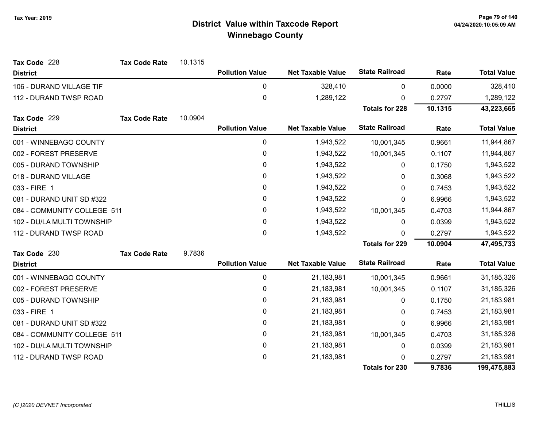| Tax Code 228                | <b>Tax Code Rate</b> | 10.1315 |                        |                          |                       |         |                    |
|-----------------------------|----------------------|---------|------------------------|--------------------------|-----------------------|---------|--------------------|
| <b>District</b>             |                      |         | <b>Pollution Value</b> | <b>Net Taxable Value</b> | <b>State Railroad</b> | Rate    | <b>Total Value</b> |
| 106 - DURAND VILLAGE TIF    |                      |         | 0                      | 328,410                  | 0                     | 0.0000  | 328,410            |
| 112 - DURAND TWSP ROAD      |                      |         | 0                      | 1,289,122                | 0                     | 0.2797  | 1,289,122          |
|                             |                      |         |                        |                          | <b>Totals for 228</b> | 10.1315 | 43,223,665         |
| Tax Code 229                | <b>Tax Code Rate</b> | 10.0904 |                        |                          |                       |         |                    |
| <b>District</b>             |                      |         | <b>Pollution Value</b> | <b>Net Taxable Value</b> | <b>State Railroad</b> | Rate    | <b>Total Value</b> |
| 001 - WINNEBAGO COUNTY      |                      |         | 0                      | 1,943,522                | 10,001,345            | 0.9661  | 11,944,867         |
| 002 - FOREST PRESERVE       |                      |         | $\pmb{0}$              | 1,943,522                | 10,001,345            | 0.1107  | 11,944,867         |
| 005 - DURAND TOWNSHIP       |                      |         | 0                      | 1,943,522                | 0                     | 0.1750  | 1,943,522          |
| 018 - DURAND VILLAGE        |                      |         | $\pmb{0}$              | 1,943,522                | 0                     | 0.3068  | 1,943,522          |
| 033 - FIRE 1                |                      |         | 0                      | 1,943,522                | 0                     | 0.7453  | 1,943,522          |
| 081 - DURAND UNIT SD #322   |                      |         | 0                      | 1,943,522                | 0                     | 6.9966  | 1,943,522          |
| 084 - COMMUNITY COLLEGE 511 |                      |         | 0                      | 1,943,522                | 10,001,345            | 0.4703  | 11,944,867         |
| 102 - DU/LA MULTI TOWNSHIP  |                      |         | 0                      | 1,943,522                | 0                     | 0.0399  | 1,943,522          |
| 112 - DURAND TWSP ROAD      |                      |         | 0                      | 1,943,522                | 0                     | 0.2797  | 1,943,522          |
|                             |                      |         |                        |                          | <b>Totals for 229</b> | 10.0904 | 47,495,733         |
| Tax Code 230                | <b>Tax Code Rate</b> | 9.7836  |                        |                          |                       |         |                    |
| <b>District</b>             |                      |         | <b>Pollution Value</b> | <b>Net Taxable Value</b> | <b>State Railroad</b> | Rate    | <b>Total Value</b> |
| 001 - WINNEBAGO COUNTY      |                      |         | $\pmb{0}$              | 21,183,981               | 10,001,345            | 0.9661  | 31,185,326         |
| 002 - FOREST PRESERVE       |                      |         | $\pmb{0}$              | 21,183,981               | 10,001,345            | 0.1107  | 31,185,326         |
| 005 - DURAND TOWNSHIP       |                      |         | $\pmb{0}$              | 21,183,981               | 0                     | 0.1750  | 21,183,981         |
| 033 - FIRE 1                |                      |         | 0                      | 21,183,981               | 0                     | 0.7453  | 21,183,981         |
| 081 - DURAND UNIT SD #322   |                      |         | $\pmb{0}$              | 21,183,981               | 0                     | 6.9966  | 21,183,981         |
| 084 - COMMUNITY COLLEGE 511 |                      |         | $\pmb{0}$              | 21,183,981               | 10,001,345            | 0.4703  | 31,185,326         |
| 102 - DU/LA MULTI TOWNSHIP  |                      |         | 0                      | 21,183,981               | 0                     | 0.0399  | 21,183,981         |
| 112 - DURAND TWSP ROAD      |                      |         | $\pmb{0}$              | 21,183,981               | U                     | 0.2797  | 21,183,981         |
|                             |                      |         |                        |                          | <b>Totals for 230</b> | 9.7836  | 199,475,883        |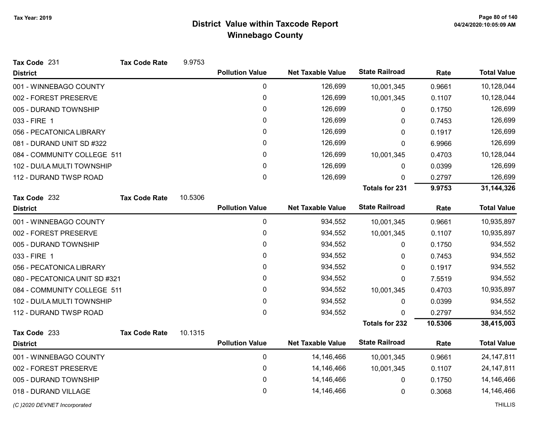| Tax Code 231                  | <b>Tax Code Rate</b> | 9.9753  |                        |                          |                       |         |                    |
|-------------------------------|----------------------|---------|------------------------|--------------------------|-----------------------|---------|--------------------|
| <b>District</b>               |                      |         | <b>Pollution Value</b> | <b>Net Taxable Value</b> | <b>State Railroad</b> | Rate    | <b>Total Value</b> |
| 001 - WINNEBAGO COUNTY        |                      |         | $\pmb{0}$              | 126,699                  | 10,001,345            | 0.9661  | 10,128,044         |
| 002 - FOREST PRESERVE         |                      |         | 0                      | 126,699                  | 10,001,345            | 0.1107  | 10,128,044         |
| 005 - DURAND TOWNSHIP         |                      |         | 0                      | 126,699                  | 0                     | 0.1750  | 126,699            |
| 033 - FIRE 1                  |                      |         | 0                      | 126,699                  | 0                     | 0.7453  | 126,699            |
| 056 - PECATONICA LIBRARY      |                      |         | 0                      | 126,699                  | 0                     | 0.1917  | 126,699            |
| 081 - DURAND UNIT SD #322     |                      |         | 0                      | 126,699                  | 0                     | 6.9966  | 126,699            |
| 084 - COMMUNITY COLLEGE 511   |                      |         | 0                      | 126,699                  | 10,001,345            | 0.4703  | 10,128,044         |
| 102 - DU/LA MULTI TOWNSHIP    |                      |         | 0                      | 126,699                  | 0                     | 0.0399  | 126,699            |
| 112 - DURAND TWSP ROAD        |                      |         | $\mathbf{0}$           | 126,699                  | 0                     | 0.2797  | 126,699            |
|                               |                      |         |                        |                          | <b>Totals for 231</b> | 9.9753  | 31,144,326         |
| Tax Code 232                  | <b>Tax Code Rate</b> | 10.5306 |                        |                          |                       |         |                    |
| <b>District</b>               |                      |         | <b>Pollution Value</b> | <b>Net Taxable Value</b> | <b>State Railroad</b> | Rate    | <b>Total Value</b> |
| 001 - WINNEBAGO COUNTY        |                      |         | 0                      | 934,552                  | 10,001,345            | 0.9661  | 10,935,897         |
| 002 - FOREST PRESERVE         |                      |         | 0                      | 934,552                  | 10,001,345            | 0.1107  | 10,935,897         |
| 005 - DURAND TOWNSHIP         |                      |         | 0                      | 934,552                  | 0                     | 0.1750  | 934,552            |
| 033 - FIRE 1                  |                      |         | 0                      | 934,552                  | 0                     | 0.7453  | 934,552            |
| 056 - PECATONICA LIBRARY      |                      |         | 0                      | 934,552                  | 0                     | 0.1917  | 934,552            |
| 080 - PECATONICA UNIT SD #321 |                      |         | 0                      | 934,552                  | 0                     | 7.5519  | 934,552            |
| 084 - COMMUNITY COLLEGE 511   |                      |         | 0                      | 934,552                  | 10,001,345            | 0.4703  | 10,935,897         |
| 102 - DU/LA MULTI TOWNSHIP    |                      |         | $\pmb{0}$              | 934,552                  | 0                     | 0.0399  | 934,552            |
| 112 - DURAND TWSP ROAD        |                      |         | $\mathbf 0$            | 934,552                  | $\Omega$              | 0.2797  | 934,552            |
|                               |                      |         |                        |                          | <b>Totals for 232</b> | 10.5306 | 38,415,003         |
| Tax Code 233                  | <b>Tax Code Rate</b> | 10.1315 |                        |                          |                       |         |                    |
| <b>District</b>               |                      |         | <b>Pollution Value</b> | <b>Net Taxable Value</b> | <b>State Railroad</b> | Rate    | <b>Total Value</b> |
| 001 - WINNEBAGO COUNTY        |                      |         | $\mathbf 0$            | 14,146,466               | 10,001,345            | 0.9661  | 24, 147, 811       |
| 002 - FOREST PRESERVE         |                      |         | 0                      | 14,146,466               | 10,001,345            | 0.1107  | 24, 147, 811       |
| 005 - DURAND TOWNSHIP         |                      |         | 0                      | 14,146,466               | 0                     | 0.1750  | 14,146,466         |
| 018 - DURAND VILLAGE          |                      |         | $\mathbf 0$            | 14,146,466               | 0                     | 0.3068  | 14,146,466         |
| (C)2020 DEVNET Incorporated   |                      |         |                        |                          |                       |         | <b>THILLIS</b>     |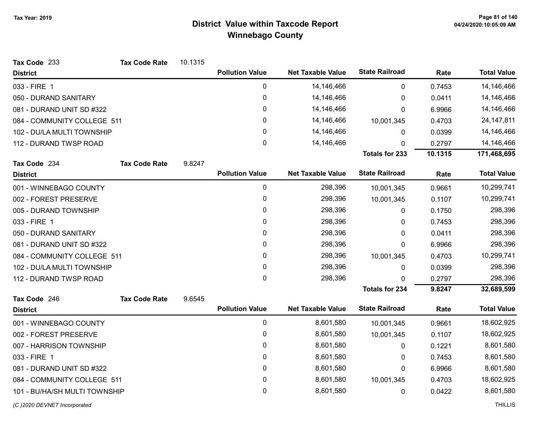| Tax Code 233                  | <b>Tax Code Rate</b> | 10.1315 |                        |                          |                       |         |                    |
|-------------------------------|----------------------|---------|------------------------|--------------------------|-----------------------|---------|--------------------|
| <b>District</b>               |                      |         | <b>Pollution Value</b> | <b>Net Taxable Value</b> | <b>State Railroad</b> | Rate    | <b>Total Value</b> |
| 033 - FIRE 1                  |                      |         | 0                      | 14,146,466               | $\pmb{0}$             | 0.7453  | 14,146,466         |
| 050 - DURAND SANITARY         |                      |         | $\mathsf 0$            | 14,146,466               | 0                     | 0.0411  | 14,146,466         |
| 081 - DURAND UNIT SD #322     |                      |         | 0                      | 14,146,466               | 0                     | 6.9966  | 14,146,466         |
| 084 - COMMUNITY COLLEGE 511   |                      |         | 0                      | 14,146,466               | 10,001,345            | 0.4703  | 24, 147, 811       |
| 102 - DU/LA MULTI TOWNSHIP    |                      |         | 0                      | 14,146,466               | 0                     | 0.0399  | 14,146,466         |
| 112 - DURAND TWSP ROAD        |                      |         | $\mathbf 0$            | 14,146,466               | 0                     | 0.2797  | 14,146,466         |
|                               |                      |         |                        |                          | <b>Totals for 233</b> | 10.1315 | 171,468,695        |
| Tax Code 234                  | <b>Tax Code Rate</b> | 9.8247  |                        |                          |                       |         |                    |
| <b>District</b>               |                      |         | <b>Pollution Value</b> | <b>Net Taxable Value</b> | <b>State Railroad</b> | Rate    | <b>Total Value</b> |
| 001 - WINNEBAGO COUNTY        |                      |         | 0                      | 298,396                  | 10,001,345            | 0.9661  | 10,299,741         |
| 002 - FOREST PRESERVE         |                      |         | 0                      | 298,396                  | 10,001,345            | 0.1107  | 10,299,741         |
| 005 - DURAND TOWNSHIP         |                      |         | 0                      | 298,396                  | 0                     | 0.1750  | 298,396            |
| 033 - FIRE 1                  |                      |         | 0                      | 298,396                  | 0                     | 0.7453  | 298,396            |
| 050 - DURAND SANITARY         |                      |         | 0                      | 298,396                  | 0                     | 0.0411  | 298,396            |
| 081 - DURAND UNIT SD #322     |                      |         | 0                      | 298,396                  | 0                     | 6.9966  | 298,396            |
| 084 - COMMUNITY COLLEGE 511   |                      |         | 0                      | 298,396                  | 10,001,345            | 0.4703  | 10,299,741         |
| 102 - DU/LA MULTI TOWNSHIP    |                      |         | 0                      | 298,396                  | 0                     | 0.0399  | 298,396            |
| 112 - DURAND TWSP ROAD        |                      |         | 0                      | 298,396                  | $\Omega$              | 0.2797  | 298,396            |
|                               |                      |         |                        |                          | <b>Totals for 234</b> | 9.8247  | 32,689,599         |
| Tax Code 246                  | <b>Tax Code Rate</b> | 9.6545  |                        |                          |                       |         |                    |
| <b>District</b>               |                      |         | <b>Pollution Value</b> | <b>Net Taxable Value</b> | <b>State Railroad</b> | Rate    | <b>Total Value</b> |
| 001 - WINNEBAGO COUNTY        |                      |         | $\pmb{0}$              | 8,601,580                | 10,001,345            | 0.9661  | 18,602,925         |
| 002 - FOREST PRESERVE         |                      |         | 0                      | 8,601,580                | 10,001,345            | 0.1107  | 18,602,925         |
| 007 - HARRISON TOWNSHIP       |                      |         | 0                      | 8,601,580                | 0                     | 0.1221  | 8,601,580          |
| 033 - FIRE 1                  |                      |         | 0                      | 8,601,580                | 0                     | 0.7453  | 8,601,580          |
| 081 - DURAND UNIT SD #322     |                      |         | 0                      | 8,601,580                | $\mathbf 0$           | 6.9966  | 8,601,580          |
| 084 - COMMUNITY COLLEGE 511   |                      |         | 0                      | 8,601,580                | 10,001,345            | 0.4703  | 18,602,925         |
| 101 - BU/HA/SH MULTI TOWNSHIP |                      |         | 0                      | 8,601,580                | 0                     | 0.0422  | 8,601,580          |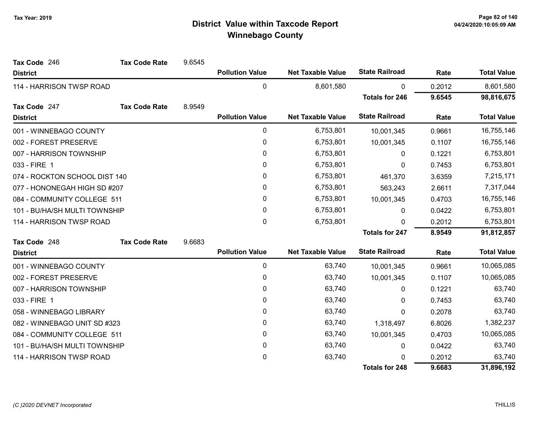| Tax Code 246                  | <b>Tax Code Rate</b> | 9.6545 |                        |                          |                       |        |                    |
|-------------------------------|----------------------|--------|------------------------|--------------------------|-----------------------|--------|--------------------|
| <b>District</b>               |                      |        | <b>Pollution Value</b> | <b>Net Taxable Value</b> | <b>State Railroad</b> | Rate   | <b>Total Value</b> |
| 114 - HARRISON TWSP ROAD      |                      |        | 0                      | 8,601,580                | $\pmb{0}$             | 0.2012 | 8,601,580          |
|                               |                      |        |                        |                          | <b>Totals for 246</b> | 9.6545 | 98,816,675         |
| Tax Code 247                  | <b>Tax Code Rate</b> | 8.9549 |                        |                          |                       |        |                    |
| <b>District</b>               |                      |        | <b>Pollution Value</b> | <b>Net Taxable Value</b> | <b>State Railroad</b> | Rate   | <b>Total Value</b> |
| 001 - WINNEBAGO COUNTY        |                      |        | 0                      | 6,753,801                | 10,001,345            | 0.9661 | 16,755,146         |
| 002 - FOREST PRESERVE         |                      |        | 0                      | 6,753,801                | 10,001,345            | 0.1107 | 16,755,146         |
| 007 - HARRISON TOWNSHIP       |                      |        | 0                      | 6,753,801                | $\mathbf{0}$          | 0.1221 | 6,753,801          |
| 033 - FIRE 1                  |                      |        | 0                      | 6,753,801                | $\mathbf{0}$          | 0.7453 | 6,753,801          |
| 074 - ROCKTON SCHOOL DIST 140 |                      |        | 0                      | 6,753,801                | 461,370               | 3.6359 | 7,215,171          |
| 077 - HONONEGAH HIGH SD #207  |                      |        | 0                      | 6,753,801                | 563,243               | 2.6611 | 7,317,044          |
| 084 - COMMUNITY COLLEGE 511   |                      |        | 0                      | 6,753,801                | 10,001,345            | 0.4703 | 16,755,146         |
| 101 - BU/HA/SH MULTI TOWNSHIP |                      |        | 0                      | 6,753,801                | 0                     | 0.0422 | 6,753,801          |
| 114 - HARRISON TWSP ROAD      |                      |        | 0                      | 6,753,801                | $\Omega$              | 0.2012 | 6,753,801          |
|                               |                      |        |                        |                          | <b>Totals for 247</b> | 8.9549 | 91,812,857         |
| Tax Code 248                  | <b>Tax Code Rate</b> | 9.6683 |                        |                          |                       |        |                    |
| <b>District</b>               |                      |        | <b>Pollution Value</b> | <b>Net Taxable Value</b> | <b>State Railroad</b> | Rate   | <b>Total Value</b> |
| 001 - WINNEBAGO COUNTY        |                      |        | 0                      | 63,740                   | 10,001,345            | 0.9661 | 10,065,085         |
| 002 - FOREST PRESERVE         |                      |        | 0                      | 63,740                   | 10,001,345            | 0.1107 | 10,065,085         |
| 007 - HARRISON TOWNSHIP       |                      |        | 0                      | 63,740                   | 0                     | 0.1221 | 63,740             |
| 033 - FIRE 1                  |                      |        | 0                      | 63,740                   | 0                     | 0.7453 | 63,740             |
| 058 - WINNEBAGO LIBRARY       |                      |        | 0                      | 63,740                   | $\mathbf{0}$          | 0.2078 | 63,740             |
| 082 - WINNEBAGO UNIT SD #323  |                      |        | 0                      | 63,740                   | 1,318,497             | 6.8026 | 1,382,237          |
| 084 - COMMUNITY COLLEGE 511   |                      |        | 0                      | 63,740                   | 10,001,345            | 0.4703 | 10,065,085         |
| 101 - BU/HA/SH MULTI TOWNSHIP |                      |        | 0                      | 63,740                   | 0                     | 0.0422 | 63,740             |
| 114 - HARRISON TWSP ROAD      |                      |        | 0                      | 63,740                   | 0                     | 0.2012 | 63,740             |
|                               |                      |        |                        |                          | <b>Totals for 248</b> | 9.6683 | 31,896,192         |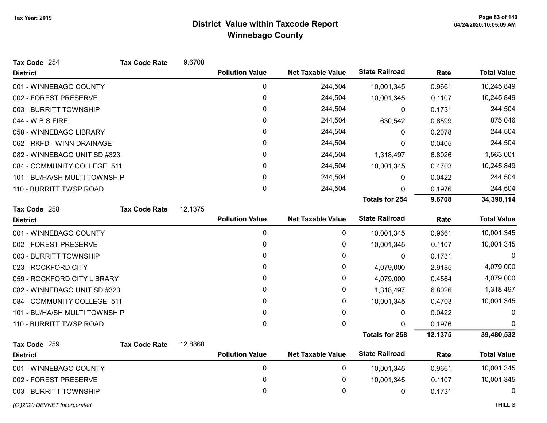| Tax Code 254                  | <b>Tax Code Rate</b> | 9.6708  |                        |                          |                       |         |                    |
|-------------------------------|----------------------|---------|------------------------|--------------------------|-----------------------|---------|--------------------|
| <b>District</b>               |                      |         | <b>Pollution Value</b> | <b>Net Taxable Value</b> | <b>State Railroad</b> | Rate    | <b>Total Value</b> |
| 001 - WINNEBAGO COUNTY        |                      |         | 0                      | 244,504                  | 10,001,345            | 0.9661  | 10,245,849         |
| 002 - FOREST PRESERVE         |                      |         | 0                      | 244,504                  | 10,001,345            | 0.1107  | 10,245,849         |
| 003 - BURRITT TOWNSHIP        |                      |         | 0                      | 244,504                  | $\Omega$              | 0.1731  | 244,504            |
| 044 - W B S FIRE              |                      |         | 0                      | 244,504                  | 630,542               | 0.6599  | 875,046            |
| 058 - WINNEBAGO LIBRARY       |                      |         | 0                      | 244,504                  | 0                     | 0.2078  | 244,504            |
| 062 - RKFD - WINN DRAINAGE    |                      |         | 0                      | 244,504                  | 0                     | 0.0405  | 244,504            |
| 082 - WINNEBAGO UNIT SD #323  |                      |         | 0                      | 244,504                  | 1,318,497             | 6.8026  | 1,563,001          |
| 084 - COMMUNITY COLLEGE 511   |                      |         | 0                      | 244,504                  | 10,001,345            | 0.4703  | 10,245,849         |
| 101 - BU/HA/SH MULTI TOWNSHIP |                      |         | 0                      | 244,504                  | $\mathbf{0}$          | 0.0422  | 244,504            |
| 110 - BURRITT TWSP ROAD       |                      |         | 0                      | 244,504                  | 0                     | 0.1976  | 244,504            |
|                               |                      |         |                        |                          | <b>Totals for 254</b> | 9.6708  | 34,398,114         |
| Tax Code 258                  | <b>Tax Code Rate</b> | 12.1375 |                        |                          |                       |         |                    |
| <b>District</b>               |                      |         | <b>Pollution Value</b> | <b>Net Taxable Value</b> | <b>State Railroad</b> | Rate    | <b>Total Value</b> |
| 001 - WINNEBAGO COUNTY        |                      |         | 0                      | 0                        | 10,001,345            | 0.9661  | 10,001,345         |
| 002 - FOREST PRESERVE         |                      |         | 0                      | 0                        | 10,001,345            | 0.1107  | 10,001,345         |
| 003 - BURRITT TOWNSHIP        |                      |         | 0                      | $\mathbf{0}$             | 0                     | 0.1731  | 0                  |
| 023 - ROCKFORD CITY           |                      |         | 0                      | 0                        | 4,079,000             | 2.9185  | 4,079,000          |
| 059 - ROCKFORD CITY LIBRARY   |                      |         | 0                      | 0                        | 4,079,000             | 0.4564  | 4,079,000          |
| 082 - WINNEBAGO UNIT SD #323  |                      |         | 0                      | 0                        | 1,318,497             | 6.8026  | 1,318,497          |
| 084 - COMMUNITY COLLEGE 511   |                      |         | 0                      | 0                        | 10,001,345            | 0.4703  | 10,001,345         |
| 101 - BU/HA/SH MULTI TOWNSHIP |                      |         | 0                      | 0                        | 0                     | 0.0422  | 0                  |
| 110 - BURRITT TWSP ROAD       |                      |         | 0                      | 0                        | $\mathbf 0$           | 0.1976  | $\Omega$           |
|                               |                      |         |                        |                          | <b>Totals for 258</b> | 12.1375 | 39,480,532         |
| Tax Code 259                  | <b>Tax Code Rate</b> | 12.8868 |                        |                          |                       |         |                    |
| <b>District</b>               |                      |         | <b>Pollution Value</b> | <b>Net Taxable Value</b> | <b>State Railroad</b> | Rate    | <b>Total Value</b> |
| 001 - WINNEBAGO COUNTY        |                      |         | 0                      | 0                        | 10,001,345            | 0.9661  | 10,001,345         |
| 002 - FOREST PRESERVE         |                      |         | 0                      | 0                        | 10,001,345            | 0.1107  | 10,001,345         |
| 003 - BURRITT TOWNSHIP        |                      |         | 0                      | 0                        | 0                     | 0.1731  | 0                  |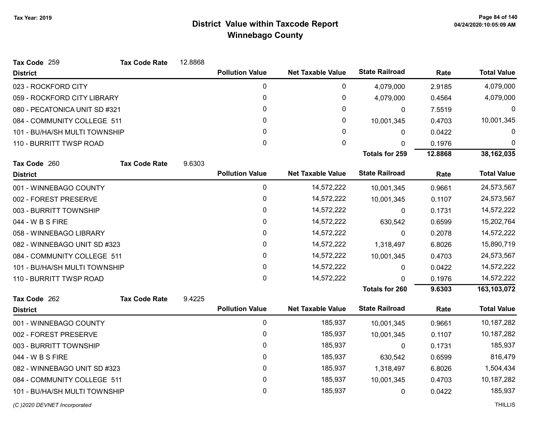| Tax Code 259                  | <b>Tax Code Rate</b> | 12.8868 |                        |                          |                       |         |                    |
|-------------------------------|----------------------|---------|------------------------|--------------------------|-----------------------|---------|--------------------|
| <b>District</b>               |                      |         | <b>Pollution Value</b> | <b>Net Taxable Value</b> | <b>State Railroad</b> | Rate    | <b>Total Value</b> |
| 023 - ROCKFORD CITY           |                      |         | 0                      | $\mathbf 0$              | 4,079,000             | 2.9185  | 4,079,000          |
| 059 - ROCKFORD CITY LIBRARY   |                      |         | 0                      | 0                        | 4,079,000             | 0.4564  | 4,079,000          |
| 080 - PECATONICA UNIT SD #321 |                      |         | 0                      | 0                        | 0                     | 7.5519  | 0                  |
| 084 - COMMUNITY COLLEGE 511   |                      |         | 0                      | 0                        | 10,001,345            | 0.4703  | 10,001,345         |
| 101 - BU/HA/SH MULTI TOWNSHIP |                      |         | 0                      | 0                        | 0                     | 0.0422  | 0                  |
| 110 - BURRITT TWSP ROAD       |                      |         | 0                      | $\mathbf{0}$             | 0                     | 0.1976  | $\Omega$           |
|                               |                      |         |                        |                          | <b>Totals for 259</b> | 12.8868 | 38,162,035         |
| Tax Code 260                  | <b>Tax Code Rate</b> | 9.6303  |                        |                          |                       |         |                    |
| <b>District</b>               |                      |         | <b>Pollution Value</b> | <b>Net Taxable Value</b> | <b>State Railroad</b> | Rate    | <b>Total Value</b> |
| 001 - WINNEBAGO COUNTY        |                      |         | 0                      | 14,572,222               | 10,001,345            | 0.9661  | 24,573,567         |
| 002 - FOREST PRESERVE         |                      |         | 0                      | 14,572,222               | 10,001,345            | 0.1107  | 24,573,567         |
| 003 - BURRITT TOWNSHIP        |                      |         | 0                      | 14,572,222               | $\Omega$              | 0.1731  | 14,572,222         |
| 044 - W B S FIRE              |                      |         | 0                      | 14,572,222               | 630,542               | 0.6599  | 15,202,764         |
| 058 - WINNEBAGO LIBRARY       |                      |         | 0                      | 14,572,222               | $\mathbf 0$           | 0.2078  | 14,572,222         |
| 082 - WINNEBAGO UNIT SD #323  |                      |         | 0                      | 14,572,222               | 1,318,497             | 6.8026  | 15,890,719         |
| 084 - COMMUNITY COLLEGE 511   |                      |         | 0                      | 14,572,222               | 10,001,345            | 0.4703  | 24,573,567         |
| 101 - BU/HA/SH MULTI TOWNSHIP |                      |         | 0                      | 14,572,222               | 0                     | 0.0422  | 14,572,222         |
| 110 - BURRITT TWSP ROAD       |                      |         | 0                      | 14,572,222               | 0                     | 0.1976  | 14,572,222         |
|                               |                      |         |                        |                          | <b>Totals for 260</b> | 9.6303  | 163,103,072        |
| Tax Code 262                  | <b>Tax Code Rate</b> | 9.4225  |                        |                          |                       |         |                    |
| <b>District</b>               |                      |         | <b>Pollution Value</b> | <b>Net Taxable Value</b> | <b>State Railroad</b> | Rate    | <b>Total Value</b> |
| 001 - WINNEBAGO COUNTY        |                      |         | 0                      | 185,937                  | 10,001,345            | 0.9661  | 10,187,282         |
| 002 - FOREST PRESERVE         |                      |         | 0                      | 185,937                  | 10,001,345            | 0.1107  | 10,187,282         |
| 003 - BURRITT TOWNSHIP        |                      |         | 0                      | 185,937                  | $\mathbf{0}$          | 0.1731  | 185,937            |
| 044 - W B S FIRE              |                      |         | 0                      | 185,937                  | 630,542               | 0.6599  | 816,479            |
| 082 - WINNEBAGO UNIT SD #323  |                      |         | 0                      | 185,937                  | 1,318,497             | 6.8026  | 1,504,434          |
| 084 - COMMUNITY COLLEGE 511   |                      |         | 0                      | 185,937                  | 10,001,345            | 0.4703  | 10,187,282         |
| 101 - BU/HA/SH MULTI TOWNSHIP |                      |         | 0                      | 185,937                  | 0                     | 0.0422  | 185,937            |
|                               |                      |         |                        |                          |                       |         |                    |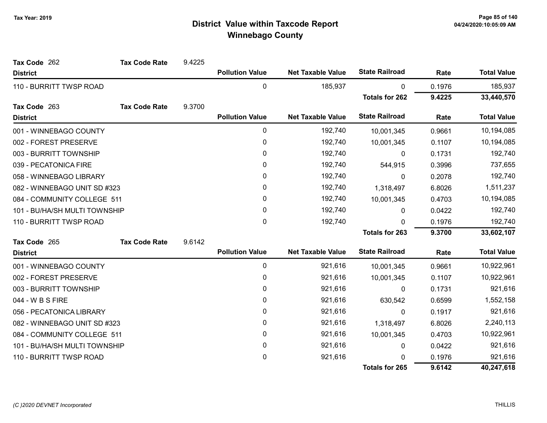| Tax Code 262                  | <b>Tax Code Rate</b> | 9.4225 |                        |                          |                       |        |                    |
|-------------------------------|----------------------|--------|------------------------|--------------------------|-----------------------|--------|--------------------|
| <b>District</b>               |                      |        | <b>Pollution Value</b> | <b>Net Taxable Value</b> | <b>State Railroad</b> | Rate   | <b>Total Value</b> |
| 110 - BURRITT TWSP ROAD       |                      |        | 0                      | 185,937                  | $\mathbf{0}$          | 0.1976 | 185,937            |
|                               |                      |        |                        |                          | <b>Totals for 262</b> | 9.4225 | 33,440,570         |
| Tax Code 263                  | <b>Tax Code Rate</b> | 9.3700 |                        |                          |                       |        |                    |
| <b>District</b>               |                      |        | <b>Pollution Value</b> | <b>Net Taxable Value</b> | <b>State Railroad</b> | Rate   | <b>Total Value</b> |
| 001 - WINNEBAGO COUNTY        |                      |        | $\mathbf 0$            | 192,740                  | 10,001,345            | 0.9661 | 10,194,085         |
| 002 - FOREST PRESERVE         |                      |        | $\pmb{0}$              | 192,740                  | 10,001,345            | 0.1107 | 10,194,085         |
| 003 - BURRITT TOWNSHIP        |                      |        | $\mathbf{0}$           | 192,740                  | $\mathbf{0}$          | 0.1731 | 192,740            |
| 039 - PECATONICA FIRE         |                      |        | $\mathbf{0}$           | 192,740                  | 544,915               | 0.3996 | 737,655            |
| 058 - WINNEBAGO LIBRARY       |                      |        | $\pmb{0}$              | 192,740                  | $\pmb{0}$             | 0.2078 | 192,740            |
| 082 - WINNEBAGO UNIT SD #323  |                      |        | $\mathbf{0}$           | 192,740                  | 1,318,497             | 6.8026 | 1,511,237          |
| 084 - COMMUNITY COLLEGE 511   |                      |        | $\mathbf{0}$           | 192,740                  | 10,001,345            | 0.4703 | 10,194,085         |
| 101 - BU/HA/SH MULTI TOWNSHIP |                      |        | 0                      | 192,740                  | $\Omega$              | 0.0422 | 192,740            |
| 110 - BURRITT TWSP ROAD       |                      |        | 0                      | 192,740                  | $\Omega$              | 0.1976 | 192,740            |
|                               |                      |        |                        |                          | <b>Totals for 263</b> | 9.3700 | 33,602,107         |
| Tax Code 265                  | <b>Tax Code Rate</b> | 9.6142 |                        |                          |                       |        |                    |
| <b>District</b>               |                      |        | <b>Pollution Value</b> | <b>Net Taxable Value</b> | <b>State Railroad</b> | Rate   | <b>Total Value</b> |
| 001 - WINNEBAGO COUNTY        |                      |        | 0                      | 921,616                  | 10,001,345            | 0.9661 | 10,922,961         |
| 002 - FOREST PRESERVE         |                      |        | 0                      | 921,616                  | 10,001,345            | 0.1107 | 10,922,961         |
| 003 - BURRITT TOWNSHIP        |                      |        | 0                      | 921,616                  | $\Omega$              | 0.1731 | 921,616            |
| 044 - W B S FIRE              |                      |        | 0                      | 921,616                  | 630,542               | 0.6599 | 1,552,158          |
| 056 - PECATONICA LIBRARY      |                      |        | 0                      | 921,616                  | $\mathbf{0}$          | 0.1917 | 921,616            |
| 082 - WINNEBAGO UNIT SD #323  |                      |        | 0                      | 921,616                  | 1,318,497             | 6.8026 | 2,240,113          |
| 084 - COMMUNITY COLLEGE 511   |                      |        | $\pmb{0}$              | 921,616                  | 10,001,345            | 0.4703 | 10,922,961         |
| 101 - BU/HA/SH MULTI TOWNSHIP |                      |        | 0                      | 921,616                  | $\mathbf{0}$          | 0.0422 | 921,616            |
| 110 - BURRITT TWSP ROAD       |                      |        | 0                      | 921,616                  | 0                     | 0.1976 | 921,616            |
|                               |                      |        |                        |                          | <b>Totals for 265</b> | 9.6142 | 40,247,618         |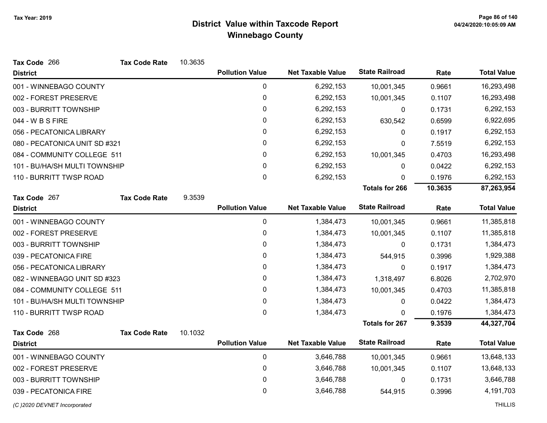| Tax Code 266                  | <b>Tax Code Rate</b> | 10.3635 |                        |                          |                       |         |                    |
|-------------------------------|----------------------|---------|------------------------|--------------------------|-----------------------|---------|--------------------|
| <b>District</b>               |                      |         | <b>Pollution Value</b> | <b>Net Taxable Value</b> | <b>State Railroad</b> | Rate    | <b>Total Value</b> |
| 001 - WINNEBAGO COUNTY        |                      |         | 0                      | 6,292,153                | 10,001,345            | 0.9661  | 16,293,498         |
| 002 - FOREST PRESERVE         |                      |         | $\pmb{0}$              | 6,292,153                | 10,001,345            | 0.1107  | 16,293,498         |
| 003 - BURRITT TOWNSHIP        |                      |         | $\mathbf 0$            | 6,292,153                | 0                     | 0.1731  | 6,292,153          |
| 044 - W B S FIRE              |                      |         | 0                      | 6,292,153                | 630,542               | 0.6599  | 6,922,695          |
| 056 - PECATONICA LIBRARY      |                      |         | 0                      | 6,292,153                | 0                     | 0.1917  | 6,292,153          |
| 080 - PECATONICA UNIT SD #321 |                      |         | $\pmb{0}$              | 6,292,153                | $\Omega$              | 7.5519  | 6,292,153          |
| 084 - COMMUNITY COLLEGE 511   |                      |         | 0                      | 6,292,153                | 10,001,345            | 0.4703  | 16,293,498         |
| 101 - BU/HA/SH MULTI TOWNSHIP |                      |         | $\pmb{0}$              | 6,292,153                | $\Omega$              | 0.0422  | 6,292,153          |
| 110 - BURRITT TWSP ROAD       |                      |         | $\mathbf 0$            | 6,292,153                | $\Omega$              | 0.1976  | 6,292,153          |
|                               |                      |         |                        |                          | <b>Totals for 266</b> | 10.3635 | 87,263,954         |
| Tax Code 267                  | <b>Tax Code Rate</b> | 9.3539  |                        |                          |                       |         |                    |
| <b>District</b>               |                      |         | <b>Pollution Value</b> | <b>Net Taxable Value</b> | <b>State Railroad</b> | Rate    | <b>Total Value</b> |
| 001 - WINNEBAGO COUNTY        |                      |         | $\pmb{0}$              | 1,384,473                | 10,001,345            | 0.9661  | 11,385,818         |
| 002 - FOREST PRESERVE         |                      |         | $\pmb{0}$              | 1,384,473                | 10,001,345            | 0.1107  | 11,385,818         |
| 003 - BURRITT TOWNSHIP        |                      |         | $\pmb{0}$              | 1,384,473                | 0                     | 0.1731  | 1,384,473          |
| 039 - PECATONICA FIRE         |                      |         | $\pmb{0}$              | 1,384,473                | 544,915               | 0.3996  | 1,929,388          |
| 056 - PECATONICA LIBRARY      |                      |         | $\pmb{0}$              | 1,384,473                | 0                     | 0.1917  | 1,384,473          |
| 082 - WINNEBAGO UNIT SD #323  |                      |         | $\pmb{0}$              | 1,384,473                | 1,318,497             | 6.8026  | 2,702,970          |
| 084 - COMMUNITY COLLEGE 511   |                      |         | $\pmb{0}$              | 1,384,473                | 10,001,345            | 0.4703  | 11,385,818         |
| 101 - BU/HA/SH MULTI TOWNSHIP |                      |         | $\pmb{0}$              | 1,384,473                | 0                     | 0.0422  | 1,384,473          |
| 110 - BURRITT TWSP ROAD       |                      |         | $\mathbf 0$            | 1,384,473                | $\Omega$              | 0.1976  | 1,384,473          |
|                               |                      |         |                        |                          | Totals for 267        | 9.3539  | 44,327,704         |
| Tax Code 268                  | <b>Tax Code Rate</b> | 10.1032 |                        |                          |                       |         |                    |
| <b>District</b>               |                      |         | <b>Pollution Value</b> | <b>Net Taxable Value</b> | <b>State Railroad</b> | Rate    | <b>Total Value</b> |
| 001 - WINNEBAGO COUNTY        |                      |         | $\pmb{0}$              | 3,646,788                | 10,001,345            | 0.9661  | 13,648,133         |
| 002 - FOREST PRESERVE         |                      |         | 0                      | 3,646,788                | 10,001,345            | 0.1107  | 13,648,133         |
| 003 - BURRITT TOWNSHIP        |                      |         | $\pmb{0}$              | 3,646,788                | 0                     | 0.1731  | 3,646,788          |
| 039 - PECATONICA FIRE         |                      |         | 0                      | 3,646,788                | 544,915               | 0.3996  | 4,191,703          |
| (C) 2020 DEVNET Incorporated  |                      |         |                        |                          |                       |         | <b>THILLIS</b>     |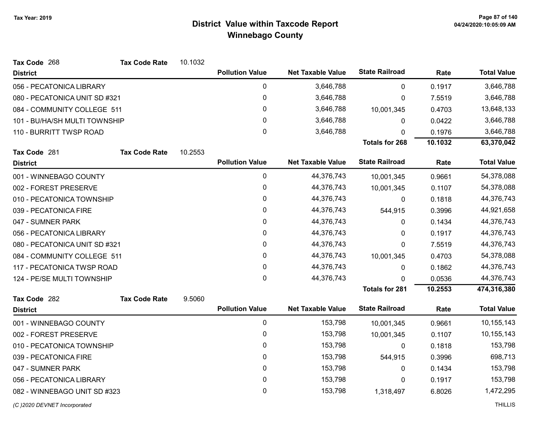| Tax Code 268                  | <b>Tax Code Rate</b> | 10.1032 |                        |                          |                       |         |                    |
|-------------------------------|----------------------|---------|------------------------|--------------------------|-----------------------|---------|--------------------|
| <b>District</b>               |                      |         | <b>Pollution Value</b> | <b>Net Taxable Value</b> | <b>State Railroad</b> | Rate    | <b>Total Value</b> |
| 056 - PECATONICA LIBRARY      |                      |         | 0                      | 3,646,788                | 0                     | 0.1917  | 3,646,788          |
| 080 - PECATONICA UNIT SD #321 |                      |         | $\pmb{0}$              | 3,646,788                | $\pmb{0}$             | 7.5519  | 3,646,788          |
| 084 - COMMUNITY COLLEGE 511   |                      |         | 0                      | 3,646,788                | 10,001,345            | 0.4703  | 13,648,133         |
| 101 - BU/HA/SH MULTI TOWNSHIP |                      |         | 0                      | 3,646,788                | 0                     | 0.0422  | 3,646,788          |
| 110 - BURRITT TWSP ROAD       |                      |         | 0                      | 3,646,788                | 0                     | 0.1976  | 3,646,788          |
|                               |                      |         |                        |                          | <b>Totals for 268</b> | 10.1032 | 63,370,042         |
| Tax Code 281                  | <b>Tax Code Rate</b> | 10.2553 |                        |                          |                       |         |                    |
| <b>District</b>               |                      |         | <b>Pollution Value</b> | <b>Net Taxable Value</b> | <b>State Railroad</b> | Rate    | <b>Total Value</b> |
| 001 - WINNEBAGO COUNTY        |                      |         | 0                      | 44,376,743               | 10,001,345            | 0.9661  | 54,378,088         |
| 002 - FOREST PRESERVE         |                      |         | 0                      | 44,376,743               | 10,001,345            | 0.1107  | 54,378,088         |
| 010 - PECATONICA TOWNSHIP     |                      |         | 0                      | 44,376,743               | 0                     | 0.1818  | 44,376,743         |
| 039 - PECATONICA FIRE         |                      |         | 0                      | 44,376,743               | 544,915               | 0.3996  | 44,921,658         |
| 047 - SUMNER PARK             |                      |         | 0                      | 44,376,743               | 0                     | 0.1434  | 44,376,743         |
| 056 - PECATONICA LIBRARY      |                      |         | 0                      | 44,376,743               | 0                     | 0.1917  | 44,376,743         |
| 080 - PECATONICA UNIT SD #321 |                      |         | 0                      | 44,376,743               | $\mathbf{0}$          | 7.5519  | 44,376,743         |
| 084 - COMMUNITY COLLEGE 511   |                      |         | 0                      | 44,376,743               | 10,001,345            | 0.4703  | 54,378,088         |
| 117 - PECATONICA TWSP ROAD    |                      |         | 0                      | 44,376,743               | 0                     | 0.1862  | 44,376,743         |
| 124 - PE/SE MULTI TOWNSHIP    |                      |         | 0                      | 44,376,743               | 0                     | 0.0536  | 44,376,743         |
|                               |                      |         |                        |                          | <b>Totals for 281</b> | 10.2553 | 474,316,380        |
| Tax Code 282                  | <b>Tax Code Rate</b> | 9.5060  |                        |                          |                       |         |                    |
| <b>District</b>               |                      |         | <b>Pollution Value</b> | <b>Net Taxable Value</b> | <b>State Railroad</b> | Rate    | <b>Total Value</b> |
| 001 - WINNEBAGO COUNTY        |                      |         | $\mathbf 0$            | 153,798                  | 10,001,345            | 0.9661  | 10,155,143         |
| 002 - FOREST PRESERVE         |                      |         | 0                      | 153,798                  | 10,001,345            | 0.1107  | 10,155,143         |
| 010 - PECATONICA TOWNSHIP     |                      |         | 0                      | 153,798                  | 0                     | 0.1818  | 153,798            |
| 039 - PECATONICA FIRE         |                      |         | 0                      | 153,798                  | 544,915               | 0.3996  | 698,713            |
| 047 - SUMNER PARK             |                      |         | 0                      | 153,798                  | 0                     | 0.1434  | 153,798            |
| 056 - PECATONICA LIBRARY      |                      |         | 0                      | 153,798                  | 0                     | 0.1917  | 153,798            |
| 082 - WINNEBAGO UNIT SD #323  |                      |         | 0                      | 153,798                  | 1,318,497             | 6.8026  | 1,472,295          |
|                               |                      |         |                        |                          |                       |         |                    |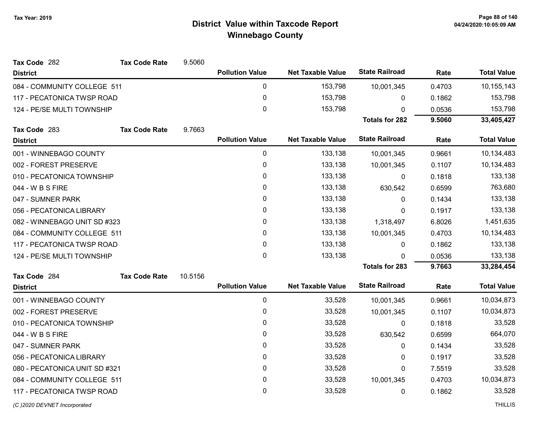| Tax Code 282                  | <b>Tax Code Rate</b> | 9.5060  |                        |                          |                       |         |                    |
|-------------------------------|----------------------|---------|------------------------|--------------------------|-----------------------|---------|--------------------|
| <b>District</b>               |                      |         | <b>Pollution Value</b> | <b>Net Taxable Value</b> | <b>State Railroad</b> | Rate    | <b>Total Value</b> |
| 084 - COMMUNITY COLLEGE 511   |                      |         | $\pmb{0}$              | 153,798                  | 10,001,345            | 0.4703  | 10,155,143         |
| 117 - PECATONICA TWSP ROAD    |                      |         | $\pmb{0}$              | 153,798                  | 0                     | 0.1862  | 153,798            |
| 124 - PE/SE MULTI TOWNSHIP    |                      |         | $\mathbf 0$            | 153,798                  | $\Omega$              | 0.0536  | 153,798            |
|                               |                      |         |                        |                          | <b>Totals for 282</b> | 9.5060  | 33,405,427         |
| Tax Code 283                  | <b>Tax Code Rate</b> | 9.7663  |                        |                          |                       |         |                    |
| <b>District</b>               |                      |         | <b>Pollution Value</b> | <b>Net Taxable Value</b> | <b>State Railroad</b> | Rate    | <b>Total Value</b> |
| 001 - WINNEBAGO COUNTY        |                      |         | $\pmb{0}$              | 133,138                  | 10,001,345            | 0.9661  | 10,134,483         |
| 002 - FOREST PRESERVE         |                      |         | $\pmb{0}$              | 133,138                  | 10,001,345            | 0.1107  | 10,134,483         |
| 010 - PECATONICA TOWNSHIP     |                      |         | $\pmb{0}$              | 133,138                  | 0                     | 0.1818  | 133,138            |
| 044 - W B S FIRE              |                      |         | 0                      | 133,138                  | 630,542               | 0.6599  | 763,680            |
| 047 - SUMNER PARK             |                      |         | $\mathbf 0$            | 133,138                  | 0                     | 0.1434  | 133,138            |
| 056 - PECATONICA LIBRARY      |                      | 0       | 133,138                | 0                        | 0.1917                | 133,138 |                    |
| 082 - WINNEBAGO UNIT SD #323  |                      |         | $\pmb{0}$              | 133,138                  | 1,318,497             | 6.8026  | 1,451,635          |
| 084 - COMMUNITY COLLEGE 511   |                      |         | $\pmb{0}$              | 133,138                  | 10,001,345            | 0.4703  | 10,134,483         |
| 117 - PECATONICA TWSP ROAD    |                      |         | $\pmb{0}$              | 133,138                  | 0                     | 0.1862  | 133,138            |
| 124 - PE/SE MULTI TOWNSHIP    |                      |         | $\pmb{0}$              | 133,138                  | 0                     | 0.0536  | 133,138            |
|                               |                      |         |                        |                          | <b>Totals for 283</b> | 9.7663  | 33,284,454         |
| Tax Code 284                  | <b>Tax Code Rate</b> | 10.5156 |                        |                          |                       |         |                    |
| <b>District</b>               |                      |         | <b>Pollution Value</b> | <b>Net Taxable Value</b> | <b>State Railroad</b> | Rate    | <b>Total Value</b> |
| 001 - WINNEBAGO COUNTY        |                      |         | $\mathbf 0$            | 33,528                   | 10,001,345            | 0.9661  | 10,034,873         |
| 002 - FOREST PRESERVE         |                      |         | $\pmb{0}$              | 33,528                   | 10,001,345            | 0.1107  | 10,034,873         |
| 010 - PECATONICA TOWNSHIP     |                      |         | $\pmb{0}$              | 33,528                   | 0                     | 0.1818  | 33,528             |
| 044 - W B S FIRE              |                      |         | 0                      | 33,528                   | 630,542               | 0.6599  | 664,070            |
| 047 - SUMNER PARK             |                      |         | $\mathbf 0$            | 33,528                   | 0                     | 0.1434  | 33,528             |
| 056 - PECATONICA LIBRARY      |                      |         | $\pmb{0}$              | 33,528                   | 0                     | 0.1917  | 33,528             |
| 080 - PECATONICA UNIT SD #321 |                      |         | $\pmb{0}$              | 33,528                   | 0                     | 7.5519  | 33,528             |
| 084 - COMMUNITY COLLEGE 511   |                      |         | $\pmb{0}$              | 33,528                   | 10,001,345            | 0.4703  | 10,034,873         |
| 117 - PECATONICA TWSP ROAD    |                      |         | $\mathbf{0}$           | 33,528                   | 0                     | 0.1862  | 33,528             |
|                               |                      |         |                        |                          |                       |         |                    |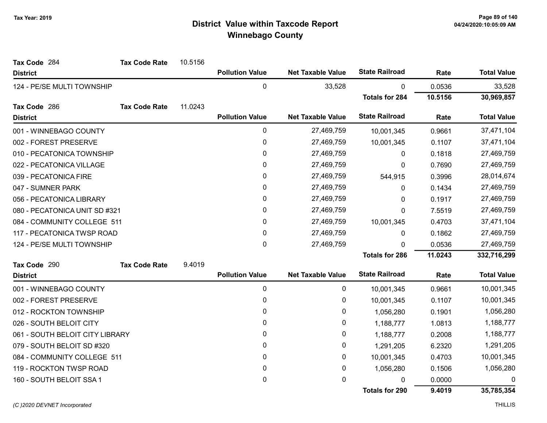| Tax Code 284                    | <b>Tax Code Rate</b> | 10.5156 |                        |                          |                       |         |                    |
|---------------------------------|----------------------|---------|------------------------|--------------------------|-----------------------|---------|--------------------|
| <b>District</b>                 |                      |         | <b>Pollution Value</b> | <b>Net Taxable Value</b> | <b>State Railroad</b> | Rate    | <b>Total Value</b> |
| 124 - PE/SE MULTI TOWNSHIP      |                      |         | 0                      | 33,528                   | 0                     | 0.0536  | 33,528             |
|                                 |                      |         |                        |                          | <b>Totals for 284</b> | 10.5156 | 30,969,857         |
| Tax Code 286                    | <b>Tax Code Rate</b> | 11.0243 |                        |                          |                       |         |                    |
| <b>District</b>                 |                      |         | <b>Pollution Value</b> | <b>Net Taxable Value</b> | <b>State Railroad</b> | Rate    | <b>Total Value</b> |
| 001 - WINNEBAGO COUNTY          |                      |         | 0                      | 27,469,759               | 10,001,345            | 0.9661  | 37,471,104         |
| 002 - FOREST PRESERVE           |                      |         | 0                      | 27,469,759               | 10,001,345            | 0.1107  | 37,471,104         |
| 010 - PECATONICA TOWNSHIP       |                      |         | 0                      | 27,469,759               | 0                     | 0.1818  | 27,469,759         |
| 022 - PECATONICA VILLAGE        |                      |         | 0                      | 27,469,759               | $\mathbf 0$           | 0.7690  | 27,469,759         |
| 039 - PECATONICA FIRE           |                      |         | 0                      | 27,469,759               | 544,915               | 0.3996  | 28,014,674         |
| 047 - SUMNER PARK               |                      |         | 0                      | 27,469,759               | 0                     | 0.1434  | 27,469,759         |
| 056 - PECATONICA LIBRARY        |                      |         | 0                      | 27,469,759               | $\Omega$              | 0.1917  | 27,469,759         |
| 080 - PECATONICA UNIT SD #321   |                      |         | 0                      | 27,469,759               | 0                     | 7.5519  | 27,469,759         |
| 084 - COMMUNITY COLLEGE 511     |                      |         | 0                      | 27,469,759               | 10,001,345            | 0.4703  | 37,471,104         |
| 117 - PECATONICA TWSP ROAD      |                      |         | 0                      | 27,469,759               | 0                     | 0.1862  | 27,469,759         |
| 124 - PE/SE MULTI TOWNSHIP      |                      |         | 0                      | 27,469,759               | $\mathbf 0$           | 0.0536  | 27,469,759         |
|                                 |                      |         |                        |                          | <b>Totals for 286</b> | 11.0243 | 332,716,299        |
| Tax Code 290                    | <b>Tax Code Rate</b> | 9.4019  |                        |                          |                       |         |                    |
| <b>District</b>                 |                      |         | <b>Pollution Value</b> | <b>Net Taxable Value</b> | <b>State Railroad</b> | Rate    | <b>Total Value</b> |
| 001 - WINNEBAGO COUNTY          |                      |         | 0                      | 0                        | 10,001,345            | 0.9661  | 10,001,345         |
| 002 - FOREST PRESERVE           |                      |         | 0                      | 0                        | 10,001,345            | 0.1107  | 10,001,345         |
| 012 - ROCKTON TOWNSHIP          |                      |         | 0                      | 0                        | 1,056,280             | 0.1901  | 1,056,280          |
| 026 - SOUTH BELOIT CITY         |                      |         | 0                      | 0                        | 1,188,777             | 1.0813  | 1,188,777          |
| 061 - SOUTH BELOIT CITY LIBRARY |                      |         | 0                      | 0                        | 1,188,777             | 0.2008  | 1,188,777          |
| 079 - SOUTH BELOIT SD #320      |                      |         | 0                      | 0                        | 1,291,205             | 6.2320  | 1,291,205          |
| 084 - COMMUNITY COLLEGE 511     |                      |         | 0                      | 0                        | 10,001,345            | 0.4703  | 10,001,345         |
| 119 - ROCKTON TWSP ROAD         |                      |         | 0                      | 0                        | 1,056,280             | 0.1506  | 1,056,280          |
| 160 - SOUTH BELOIT SSA 1        |                      |         | 0                      | 0                        | 0                     | 0.0000  | 0                  |
|                                 |                      |         |                        |                          | <b>Totals for 290</b> | 9.4019  | 35,785,354         |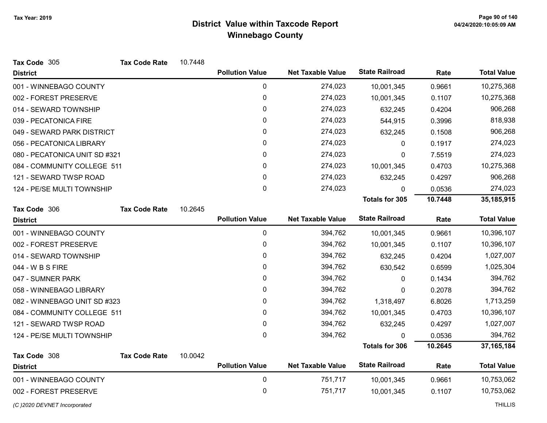| Tax Code 305                  | <b>Tax Code Rate</b> | 10.7448 |                        |                          |                       |         |                    |
|-------------------------------|----------------------|---------|------------------------|--------------------------|-----------------------|---------|--------------------|
| <b>District</b>               |                      |         | <b>Pollution Value</b> | <b>Net Taxable Value</b> | <b>State Railroad</b> | Rate    | <b>Total Value</b> |
| 001 - WINNEBAGO COUNTY        |                      |         | 0                      | 274,023                  | 10,001,345            | 0.9661  | 10,275,368         |
| 002 - FOREST PRESERVE         |                      |         | 0                      | 274,023                  | 10,001,345            | 0.1107  | 10,275,368         |
| 014 - SEWARD TOWNSHIP         |                      |         | 0                      | 274,023                  | 632,245               | 0.4204  | 906,268            |
| 039 - PECATONICA FIRE         |                      |         | 0                      | 274,023                  | 544,915               | 0.3996  | 818,938            |
| 049 - SEWARD PARK DISTRICT    |                      |         | 0                      | 274,023                  | 632,245               | 0.1508  | 906,268            |
| 056 - PECATONICA LIBRARY      |                      |         | 0                      | 274,023                  | 0                     | 0.1917  | 274,023            |
| 080 - PECATONICA UNIT SD #321 |                      |         | 0                      | 274,023                  | 0                     | 7.5519  | 274,023            |
| 084 - COMMUNITY COLLEGE 511   |                      |         | 0                      | 274,023                  | 10,001,345            | 0.4703  | 10,275,368         |
| 121 - SEWARD TWSP ROAD        |                      |         | 0                      | 274,023                  | 632,245               | 0.4297  | 906,268            |
| 124 - PE/SE MULTI TOWNSHIP    |                      |         | 0                      | 274,023                  | 0                     | 0.0536  | 274,023            |
|                               |                      |         |                        |                          | <b>Totals for 305</b> | 10.7448 | 35,185,915         |
| Tax Code 306                  | <b>Tax Code Rate</b> | 10.2645 |                        |                          |                       |         |                    |
| <b>District</b>               |                      |         | <b>Pollution Value</b> | <b>Net Taxable Value</b> | <b>State Railroad</b> | Rate    | <b>Total Value</b> |
| 001 - WINNEBAGO COUNTY        |                      |         | $\mathbf 0$            | 394,762                  | 10,001,345            | 0.9661  | 10,396,107         |
| 002 - FOREST PRESERVE         |                      |         | 0                      | 394,762                  | 10,001,345            | 0.1107  | 10,396,107         |
| 014 - SEWARD TOWNSHIP         |                      |         | 0                      | 394,762                  | 632,245               | 0.4204  | 1,027,007          |
| 044 - W B S FIRE              |                      |         | 0                      | 394,762                  | 630,542               | 0.6599  | 1,025,304          |
| 047 - SUMNER PARK             |                      |         | 0                      | 394,762                  | 0                     | 0.1434  | 394,762            |
| 058 - WINNEBAGO LIBRARY       |                      |         | 0                      | 394,762                  | 0                     | 0.2078  | 394,762            |
| 082 - WINNEBAGO UNIT SD #323  |                      |         | 0                      | 394,762                  | 1,318,497             | 6.8026  | 1,713,259          |
| 084 - COMMUNITY COLLEGE 511   |                      |         | 0                      | 394,762                  | 10,001,345            | 0.4703  | 10,396,107         |
| 121 - SEWARD TWSP ROAD        |                      |         | 0                      | 394,762                  | 632,245               | 0.4297  | 1,027,007          |
| 124 - PE/SE MULTI TOWNSHIP    |                      |         | 0                      | 394,762                  | 0                     | 0.0536  | 394,762            |
|                               |                      |         |                        |                          | <b>Totals for 306</b> | 10.2645 | 37, 165, 184       |
| Tax Code 308                  | <b>Tax Code Rate</b> | 10.0042 |                        |                          |                       |         |                    |
| <b>District</b>               |                      |         | <b>Pollution Value</b> | <b>Net Taxable Value</b> | <b>State Railroad</b> | Rate    | <b>Total Value</b> |
| 001 - WINNEBAGO COUNTY        |                      |         | 0                      | 751,717                  | 10,001,345            | 0.9661  | 10,753,062         |
| 002 - FOREST PRESERVE         |                      |         | 0                      | 751,717                  | 10,001,345            | 0.1107  | 10,753,062         |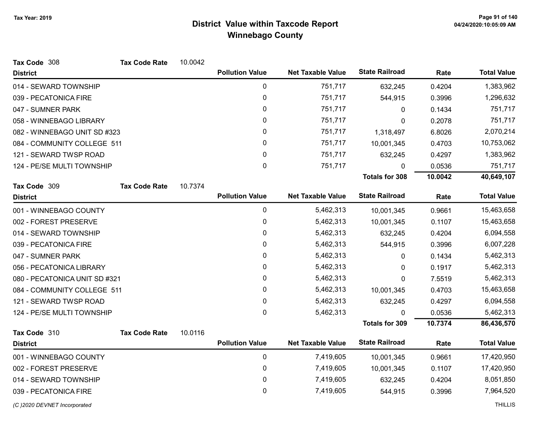| Tax Code 308                  | <b>Tax Code Rate</b> | 10.0042 |                        |                          |                       |         |                    |
|-------------------------------|----------------------|---------|------------------------|--------------------------|-----------------------|---------|--------------------|
| <b>District</b>               |                      |         | <b>Pollution Value</b> | <b>Net Taxable Value</b> | <b>State Railroad</b> | Rate    | <b>Total Value</b> |
| 014 - SEWARD TOWNSHIP         |                      |         | $\mathbf 0$            | 751,717                  | 632,245               | 0.4204  | 1,383,962          |
| 039 - PECATONICA FIRE         |                      |         | $\pmb{0}$              | 751,717                  | 544,915               | 0.3996  | 1,296,632          |
| 047 - SUMNER PARK             |                      |         | 0                      | 751,717                  | 0                     | 0.1434  | 751,717            |
| 058 - WINNEBAGO LIBRARY       |                      |         | 0                      | 751,717                  | 0                     | 0.2078  | 751,717            |
| 082 - WINNEBAGO UNIT SD #323  |                      |         | 0                      | 751,717                  | 1,318,497             | 6.8026  | 2,070,214          |
| 084 - COMMUNITY COLLEGE 511   |                      |         | 0                      | 751,717                  | 10,001,345            | 0.4703  | 10,753,062         |
| 121 - SEWARD TWSP ROAD        |                      |         | 0                      | 751,717                  | 632,245               | 0.4297  | 1,383,962          |
| 124 - PE/SE MULTI TOWNSHIP    |                      |         | $\mathbf 0$            | 751,717                  | 0                     | 0.0536  | 751,717            |
|                               |                      |         |                        |                          | <b>Totals for 308</b> | 10.0042 | 40,649,107         |
| Tax Code 309                  | <b>Tax Code Rate</b> | 10.7374 |                        |                          |                       |         |                    |
| <b>District</b>               |                      |         | <b>Pollution Value</b> | <b>Net Taxable Value</b> | <b>State Railroad</b> | Rate    | <b>Total Value</b> |
| 001 - WINNEBAGO COUNTY        |                      |         | $\mathbf 0$            | 5,462,313                | 10,001,345            | 0.9661  | 15,463,658         |
| 002 - FOREST PRESERVE         |                      |         | 0                      | 5,462,313                | 10,001,345            | 0.1107  | 15,463,658         |
| 014 - SEWARD TOWNSHIP         |                      |         | 0                      | 5,462,313                | 632,245               | 0.4204  | 6,094,558          |
| 039 - PECATONICA FIRE         |                      |         | 0                      | 5,462,313                | 544,915               | 0.3996  | 6,007,228          |
| 047 - SUMNER PARK             |                      |         | 0                      | 5,462,313                | 0                     | 0.1434  | 5,462,313          |
| 056 - PECATONICA LIBRARY      |                      |         | 0                      | 5,462,313                | 0                     | 0.1917  | 5,462,313          |
| 080 - PECATONICA UNIT SD #321 |                      |         | 0                      | 5,462,313                | 0                     | 7.5519  | 5,462,313          |
| 084 - COMMUNITY COLLEGE 511   |                      |         | 0                      | 5,462,313                | 10,001,345            | 0.4703  | 15,463,658         |
| 121 - SEWARD TWSP ROAD        |                      |         | 0                      | 5,462,313                | 632,245               | 0.4297  | 6,094,558          |
| 124 - PE/SE MULTI TOWNSHIP    |                      |         | $\pmb{0}$              | 5,462,313                | 0                     | 0.0536  | 5,462,313          |
|                               |                      |         |                        |                          | <b>Totals for 309</b> | 10.7374 | 86,436,570         |
| Tax Code 310                  | <b>Tax Code Rate</b> | 10.0116 |                        |                          |                       |         |                    |
| <b>District</b>               |                      |         | <b>Pollution Value</b> | <b>Net Taxable Value</b> | <b>State Railroad</b> | Rate    | <b>Total Value</b> |
| 001 - WINNEBAGO COUNTY        |                      |         | $\mathbf 0$            | 7,419,605                | 10,001,345            | 0.9661  | 17,420,950         |
| 002 - FOREST PRESERVE         |                      |         | 0                      | 7,419,605                | 10,001,345            | 0.1107  | 17,420,950         |
| 014 - SEWARD TOWNSHIP         |                      |         | 0                      | 7,419,605                | 632,245               | 0.4204  | 8,051,850          |
| 039 - PECATONICA FIRE         |                      |         | $\mathbf 0$            | 7,419,605                | 544,915               | 0.3996  | 7,964,520          |

(C)2020 DEVNET Incorporated THILLIS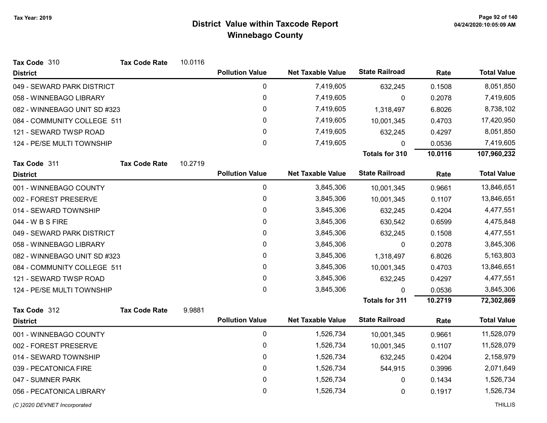| Tax Code 310                 | <b>Tax Code Rate</b> | 10.0116 |                        |                          |                       |         |                    |
|------------------------------|----------------------|---------|------------------------|--------------------------|-----------------------|---------|--------------------|
| <b>District</b>              |                      |         | <b>Pollution Value</b> | <b>Net Taxable Value</b> | <b>State Railroad</b> | Rate    | <b>Total Value</b> |
| 049 - SEWARD PARK DISTRICT   |                      |         | 0                      | 7,419,605                | 632,245               | 0.1508  | 8,051,850          |
| 058 - WINNEBAGO LIBRARY      |                      |         | 0                      | 7,419,605                | 0                     | 0.2078  | 7,419,605          |
| 082 - WINNEBAGO UNIT SD #323 |                      |         | 0                      | 7,419,605                | 1,318,497             | 6.8026  | 8,738,102          |
| 084 - COMMUNITY COLLEGE 511  |                      |         | 0                      | 7,419,605                | 10,001,345            | 0.4703  | 17,420,950         |
| 121 - SEWARD TWSP ROAD       |                      |         | 0                      | 7,419,605                | 632,245               | 0.4297  | 8,051,850          |
| 124 - PE/SE MULTI TOWNSHIP   |                      |         | 0                      | 7,419,605                | 0                     | 0.0536  | 7,419,605          |
|                              |                      |         |                        |                          | Totals for 310        | 10.0116 | 107,960,232        |
| Tax Code 311                 | <b>Tax Code Rate</b> | 10.2719 |                        |                          |                       |         |                    |
| <b>District</b>              |                      |         | <b>Pollution Value</b> | <b>Net Taxable Value</b> | <b>State Railroad</b> | Rate    | <b>Total Value</b> |
| 001 - WINNEBAGO COUNTY       |                      |         | 0                      | 3,845,306                | 10,001,345            | 0.9661  | 13,846,651         |
| 002 - FOREST PRESERVE        |                      |         | 0                      | 3,845,306                | 10,001,345            | 0.1107  | 13,846,651         |
| 014 - SEWARD TOWNSHIP        |                      |         | 0                      | 3,845,306                | 632,245               | 0.4204  | 4,477,551          |
| 044 - W B S FIRE             |                      |         | 0                      | 3,845,306                | 630,542               | 0.6599  | 4,475,848          |
| 049 - SEWARD PARK DISTRICT   |                      |         | 0                      | 3,845,306                | 632,245               | 0.1508  | 4,477,551          |
| 058 - WINNEBAGO LIBRARY      |                      |         | 0                      | 3,845,306                | 0                     | 0.2078  | 3,845,306          |
| 082 - WINNEBAGO UNIT SD #323 |                      |         | 0                      | 3,845,306                | 1,318,497             | 6.8026  | 5,163,803          |
| 084 - COMMUNITY COLLEGE 511  |                      |         | 0                      | 3,845,306                | 10,001,345            | 0.4703  | 13,846,651         |
| 121 - SEWARD TWSP ROAD       |                      |         | 0                      | 3,845,306                | 632,245               | 0.4297  | 4,477,551          |
| 124 - PE/SE MULTI TOWNSHIP   |                      |         | 0                      | 3,845,306                | $\mathbf{0}$          | 0.0536  | 3,845,306          |
|                              |                      |         |                        |                          | <b>Totals for 311</b> | 10.2719 | 72,302,869         |
| Tax Code 312                 | <b>Tax Code Rate</b> | 9.9881  |                        |                          |                       |         |                    |
| <b>District</b>              |                      |         | <b>Pollution Value</b> | <b>Net Taxable Value</b> | <b>State Railroad</b> | Rate    | <b>Total Value</b> |
| 001 - WINNEBAGO COUNTY       |                      |         | 0                      | 1,526,734                | 10,001,345            | 0.9661  | 11,528,079         |
| 002 - FOREST PRESERVE        |                      |         | $\mathbf 0$            | 1,526,734                | 10,001,345            | 0.1107  | 11,528,079         |
| 014 - SEWARD TOWNSHIP        |                      |         | 0                      | 1,526,734                | 632,245               | 0.4204  | 2,158,979          |
| 039 - PECATONICA FIRE        |                      |         | 0                      | 1,526,734                | 544,915               | 0.3996  | 2,071,649          |
| 047 - SUMNER PARK            |                      |         | 0                      | 1,526,734                | 0                     | 0.1434  | 1,526,734          |
| 056 - PECATONICA LIBRARY     |                      |         | 0                      | 1,526,734                | 0                     | 0.1917  | 1,526,734          |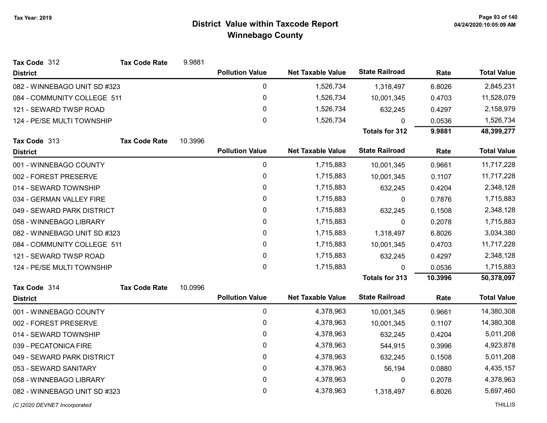| Tax Code 312                 | <b>Tax Code Rate</b> | 9.9881  |                        |                          |                       |           |                    |
|------------------------------|----------------------|---------|------------------------|--------------------------|-----------------------|-----------|--------------------|
| <b>District</b>              |                      |         | <b>Pollution Value</b> | <b>Net Taxable Value</b> | <b>State Railroad</b> | Rate      | <b>Total Value</b> |
| 082 - WINNEBAGO UNIT SD #323 |                      |         | 0                      | 1,526,734                | 1,318,497             | 6.8026    | 2,845,231          |
| 084 - COMMUNITY COLLEGE 511  |                      |         | 0                      | 1,526,734                | 10,001,345            | 0.4703    | 11,528,079         |
| 121 - SEWARD TWSP ROAD       |                      |         | 0                      | 1,526,734                | 632,245               | 0.4297    | 2,158,979          |
| 124 - PE/SE MULTI TOWNSHIP   |                      |         | 0                      | 1,526,734                | 0                     | 0.0536    | 1,526,734          |
|                              |                      |         |                        |                          | <b>Totals for 312</b> | 9.9881    | 48,399,277         |
| Tax Code 313                 | <b>Tax Code Rate</b> | 10.3996 |                        |                          |                       |           |                    |
| <b>District</b>              |                      |         | <b>Pollution Value</b> | <b>Net Taxable Value</b> | <b>State Railroad</b> | Rate      | <b>Total Value</b> |
| 001 - WINNEBAGO COUNTY       |                      |         | 0                      | 1,715,883                | 10,001,345            | 0.9661    | 11,717,228         |
| 002 - FOREST PRESERVE        |                      |         | 0                      | 1,715,883                | 10,001,345            | 0.1107    | 11,717,228         |
| 014 - SEWARD TOWNSHIP        |                      |         | 0                      | 1,715,883                | 632,245               | 0.4204    | 2,348,128          |
| 034 - GERMAN VALLEY FIRE     |                      |         | 0                      | 1,715,883                | $\boldsymbol{0}$      | 0.7876    | 1,715,883          |
| 049 - SEWARD PARK DISTRICT   |                      |         | 0                      | 1,715,883                | 632,245               | 0.1508    | 2,348,128          |
| 058 - WINNEBAGO LIBRARY      |                      |         | 0                      | 1,715,883                | 0                     | 0.2078    | 1,715,883          |
| 082 - WINNEBAGO UNIT SD #323 |                      | 0       | 1,715,883              | 1,318,497                | 6.8026                | 3,034,380 |                    |
| 084 - COMMUNITY COLLEGE 511  |                      |         | 0                      | 1,715,883                | 10,001,345            | 0.4703    | 11,717,228         |
| 121 - SEWARD TWSP ROAD       |                      |         | 0                      | 1,715,883                | 632,245               | 0.4297    | 2,348,128          |
| 124 - PE/SE MULTI TOWNSHIP   |                      |         | 0                      | 1,715,883                | $\mathbf{0}$          | 0.0536    | 1,715,883          |
|                              |                      |         |                        |                          | <b>Totals for 313</b> | 10.3996   | 50,378,097         |
| Tax Code 314                 | <b>Tax Code Rate</b> | 10.0996 |                        |                          |                       |           |                    |
| <b>District</b>              |                      |         | <b>Pollution Value</b> | <b>Net Taxable Value</b> | <b>State Railroad</b> | Rate      | <b>Total Value</b> |
| 001 - WINNEBAGO COUNTY       |                      |         | 0                      | 4,378,963                | 10,001,345            | 0.9661    | 14,380,308         |
| 002 - FOREST PRESERVE        |                      |         | 0                      | 4,378,963                | 10,001,345            | 0.1107    | 14,380,308         |
| 014 - SEWARD TOWNSHIP        |                      |         | 0                      | 4,378,963                | 632,245               | 0.4204    | 5,011,208          |
| 039 - PECATONICA FIRE        |                      |         | 0                      | 4,378,963                | 544,915               | 0.3996    | 4,923,878          |
| 049 - SEWARD PARK DISTRICT   |                      |         | 0                      | 4,378,963                | 632,245               | 0.1508    | 5,011,208          |
| 053 - SEWARD SANITARY        |                      |         | 0                      | 4,378,963                | 56,194                | 0.0880    | 4,435,157          |
| 058 - WINNEBAGO LIBRARY      |                      |         | 0                      | 4,378,963                | $\mathbf 0$           | 0.2078    | 4,378,963          |
| 082 - WINNEBAGO UNIT SD #323 |                      |         | 0                      | 4,378,963                | 1,318,497             | 6.8026    | 5,697,460          |
| (C) 2020 DEVNET Incorporated |                      |         |                        |                          |                       |           | <b>THILLIS</b>     |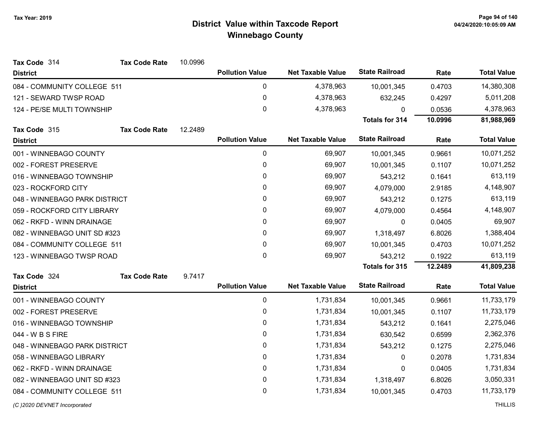| Tax Code 314                  | <b>Tax Code Rate</b> | 10.0996 |                        |                          |                       |         |                    |
|-------------------------------|----------------------|---------|------------------------|--------------------------|-----------------------|---------|--------------------|
| <b>District</b>               |                      |         | <b>Pollution Value</b> | <b>Net Taxable Value</b> | <b>State Railroad</b> | Rate    | <b>Total Value</b> |
| 084 - COMMUNITY COLLEGE 511   |                      |         | $\pmb{0}$              | 4,378,963                | 10,001,345            | 0.4703  | 14,380,308         |
| 121 - SEWARD TWSP ROAD        |                      |         | $\pmb{0}$              | 4,378,963                | 632,245               | 0.4297  | 5,011,208          |
| 124 - PE/SE MULTI TOWNSHIP    |                      |         | $\mathbf{0}$           | 4,378,963                | $\Omega$              | 0.0536  | 4,378,963          |
|                               |                      |         |                        |                          | Totals for 314        | 10.0996 | 81,988,969         |
| Tax Code 315                  | <b>Tax Code Rate</b> | 12.2489 |                        |                          |                       |         |                    |
| <b>District</b>               |                      |         | <b>Pollution Value</b> | <b>Net Taxable Value</b> | <b>State Railroad</b> | Rate    | <b>Total Value</b> |
| 001 - WINNEBAGO COUNTY        |                      |         | $\pmb{0}$              | 69,907                   | 10,001,345            | 0.9661  | 10,071,252         |
| 002 - FOREST PRESERVE         |                      |         | 0                      | 69,907                   | 10,001,345            | 0.1107  | 10,071,252         |
| 016 - WINNEBAGO TOWNSHIP      |                      |         | $\mathbf 0$            | 69,907                   | 543,212               | 0.1641  | 613,119            |
| 023 - ROCKFORD CITY           |                      |         | 0                      | 69,907                   | 4,079,000             | 2.9185  | 4,148,907          |
| 048 - WINNEBAGO PARK DISTRICT |                      |         | $\pmb{0}$              | 69,907                   | 543,212               | 0.1275  | 613,119            |
| 059 - ROCKFORD CITY LIBRARY   |                      |         | 0                      | 69,907                   | 4,079,000             | 0.4564  | 4,148,907          |
| 062 - RKFD - WINN DRAINAGE    |                      |         | $\pmb{0}$              | 69,907                   | 0                     | 0.0405  | 69,907             |
| 082 - WINNEBAGO UNIT SD #323  |                      |         | 0                      | 69,907                   | 1,318,497             | 6.8026  | 1,388,404          |
| 084 - COMMUNITY COLLEGE 511   |                      |         | $\pmb{0}$              | 69,907                   | 10,001,345            | 0.4703  | 10,071,252         |
| 123 - WINNEBAGO TWSP ROAD     |                      |         | $\mathbf 0$            | 69,907                   | 543,212               | 0.1922  | 613,119            |
|                               |                      |         |                        |                          | <b>Totals for 315</b> | 12.2489 | 41,809,238         |
| Tax Code 324                  | <b>Tax Code Rate</b> | 9.7417  |                        |                          |                       |         |                    |
| <b>District</b>               |                      |         | <b>Pollution Value</b> | <b>Net Taxable Value</b> | <b>State Railroad</b> | Rate    | <b>Total Value</b> |
| 001 - WINNEBAGO COUNTY        |                      |         | $\pmb{0}$              | 1,731,834                | 10,001,345            | 0.9661  | 11,733,179         |
| 002 - FOREST PRESERVE         |                      |         | $\pmb{0}$              | 1,731,834                | 10,001,345            | 0.1107  | 11,733,179         |
| 016 - WINNEBAGO TOWNSHIP      |                      |         | $\pmb{0}$              | 1,731,834                | 543,212               | 0.1641  | 2,275,046          |
| 044 - W B S FIRE              |                      |         | 0                      | 1,731,834                | 630,542               | 0.6599  | 2,362,376          |
| 048 - WINNEBAGO PARK DISTRICT |                      |         | $\mathbf 0$            | 1,731,834                | 543,212               | 0.1275  | 2,275,046          |
| 058 - WINNEBAGO LIBRARY       |                      |         | 0                      | 1,731,834                | 0                     | 0.2078  | 1,731,834          |
| 062 - RKFD - WINN DRAINAGE    |                      |         | $\pmb{0}$              | 1,731,834                | 0                     | 0.0405  | 1,731,834          |
| 082 - WINNEBAGO UNIT SD #323  |                      |         | $\pmb{0}$              | 1,731,834                | 1,318,497             | 6.8026  | 3,050,331          |
| 084 - COMMUNITY COLLEGE 511   |                      |         | $\mathbf 0$            | 1,731,834                | 10,001,345            | 0.4703  | 11,733,179         |
|                               |                      |         |                        |                          |                       |         |                    |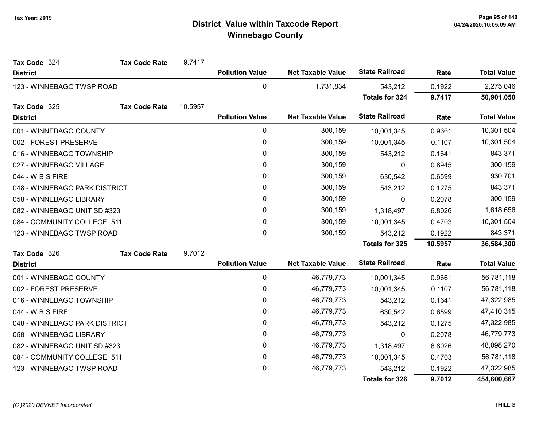| Tax Code 324                  | <b>Tax Code Rate</b> | 9.7417  |                        |                          |                       |           |                    |
|-------------------------------|----------------------|---------|------------------------|--------------------------|-----------------------|-----------|--------------------|
| <b>District</b>               |                      |         | <b>Pollution Value</b> | <b>Net Taxable Value</b> | <b>State Railroad</b> | Rate      | <b>Total Value</b> |
| 123 - WINNEBAGO TWSP ROAD     |                      |         | 0                      | 1,731,834                | 543,212               | 0.1922    | 2,275,046          |
|                               |                      |         |                        |                          | <b>Totals for 324</b> | 9.7417    | 50,901,050         |
| Tax Code 325                  | <b>Tax Code Rate</b> | 10.5957 |                        |                          |                       |           |                    |
| <b>District</b>               |                      |         | <b>Pollution Value</b> | <b>Net Taxable Value</b> | <b>State Railroad</b> | Rate      | <b>Total Value</b> |
| 001 - WINNEBAGO COUNTY        |                      |         | 0                      | 300,159                  | 10,001,345            | 0.9661    | 10,301,504         |
| 002 - FOREST PRESERVE         |                      |         | 0                      | 300,159                  | 10,001,345            | 0.1107    | 10,301,504         |
| 016 - WINNEBAGO TOWNSHIP      |                      |         | 0                      | 300,159                  | 543,212               | 0.1641    | 843,371            |
| 027 - WINNEBAGO VILLAGE       |                      |         | 0                      | 300,159                  | 0                     | 0.8945    | 300,159            |
| 044 - W B S FIRE              |                      |         | 0                      | 300,159                  | 630,542               | 0.6599    | 930,701            |
| 048 - WINNEBAGO PARK DISTRICT |                      |         | 0                      | 300,159                  | 543,212               | 0.1275    | 843,371            |
| 058 - WINNEBAGO LIBRARY       |                      | 0       | 300,159                | 0                        | 0.2078                | 300,159   |                    |
| 082 - WINNEBAGO UNIT SD #323  |                      | 0       | 300,159                | 1,318,497                | 6.8026                | 1,618,656 |                    |
| 084 - COMMUNITY COLLEGE 511   |                      |         | 0                      | 300,159                  | 10,001,345            | 0.4703    | 10,301,504         |
| 123 - WINNEBAGO TWSP ROAD     |                      |         | 0                      | 300,159                  | 543,212               | 0.1922    | 843,371            |
|                               |                      |         |                        |                          | <b>Totals for 325</b> | 10.5957   | 36,584,300         |
| Tax Code 326                  | <b>Tax Code Rate</b> | 9.7012  |                        |                          |                       |           |                    |
| <b>District</b>               |                      |         | <b>Pollution Value</b> | <b>Net Taxable Value</b> | <b>State Railroad</b> | Rate      | <b>Total Value</b> |
| 001 - WINNEBAGO COUNTY        |                      |         | 0                      | 46,779,773               | 10,001,345            | 0.9661    | 56,781,118         |
| 002 - FOREST PRESERVE         |                      |         | 0                      | 46,779,773               | 10,001,345            | 0.1107    | 56,781,118         |
| 016 - WINNEBAGO TOWNSHIP      |                      |         | 0                      | 46,779,773               | 543,212               | 0.1641    | 47,322,985         |
| 044 - W B S FIRE              |                      |         | 0                      | 46,779,773               | 630,542               | 0.6599    | 47,410,315         |
| 048 - WINNEBAGO PARK DISTRICT |                      |         | 0                      | 46,779,773               | 543,212               | 0.1275    | 47,322,985         |
| 058 - WINNEBAGO LIBRARY       |                      |         | 0                      | 46,779,773               | 0                     | 0.2078    | 46,779,773         |
| 082 - WINNEBAGO UNIT SD #323  |                      |         | 0                      | 46,779,773               | 1,318,497             | 6.8026    | 48,098,270         |
| 084 - COMMUNITY COLLEGE 511   |                      |         | 0                      | 46,779,773               | 10,001,345            | 0.4703    | 56,781,118         |
| 123 - WINNEBAGO TWSP ROAD     |                      |         | 0                      | 46,779,773               | 543,212               | 0.1922    | 47,322,985         |
|                               |                      |         |                        |                          | <b>Totals for 326</b> | 9.7012    | 454,600,667        |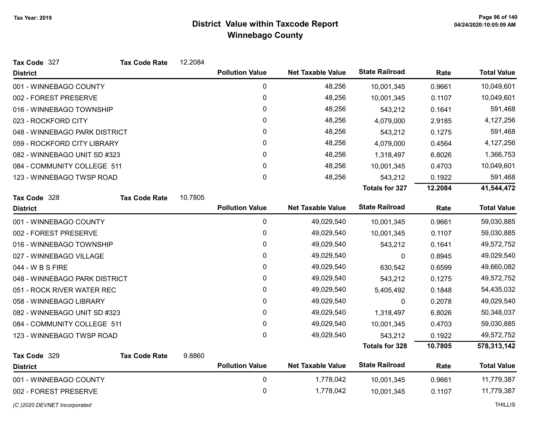| Tax Code 327                  | <b>Tax Code Rate</b> | 12.2084 |                        |                          |                       |         |                    |
|-------------------------------|----------------------|---------|------------------------|--------------------------|-----------------------|---------|--------------------|
| <b>District</b>               |                      |         | <b>Pollution Value</b> | <b>Net Taxable Value</b> | <b>State Railroad</b> | Rate    | <b>Total Value</b> |
| 001 - WINNEBAGO COUNTY        |                      |         | 0                      | 48,256                   | 10,001,345            | 0.9661  | 10,049,601         |
| 002 - FOREST PRESERVE         |                      |         | $\mathbf 0$            | 48,256                   | 10,001,345            | 0.1107  | 10,049,601         |
| 016 - WINNEBAGO TOWNSHIP      |                      |         | $\pmb{0}$              | 48,256                   | 543,212               | 0.1641  | 591,468            |
| 023 - ROCKFORD CITY           |                      |         | 0                      | 48,256                   | 4,079,000             | 2.9185  | 4,127,256          |
| 048 - WINNEBAGO PARK DISTRICT |                      |         | 0                      | 48,256                   | 543,212               | 0.1275  | 591,468            |
| 059 - ROCKFORD CITY LIBRARY   |                      |         | 0                      | 48,256                   | 4,079,000             | 0.4564  | 4,127,256          |
| 082 - WINNEBAGO UNIT SD #323  |                      |         | 0                      | 48,256                   | 1,318,497             | 6.8026  | 1,366,753          |
| 084 - COMMUNITY COLLEGE 511   |                      |         | $\mathbf{0}$           | 48,256                   | 10,001,345            | 0.4703  | 10,049,601         |
| 123 - WINNEBAGO TWSP ROAD     |                      |         | $\pmb{0}$              | 48,256                   | 543,212               | 0.1922  | 591,468            |
|                               |                      |         |                        |                          | <b>Totals for 327</b> | 12.2084 | 41,544,472         |
| Tax Code 328                  | <b>Tax Code Rate</b> | 10.7805 |                        |                          |                       |         |                    |
| <b>District</b>               |                      |         | <b>Pollution Value</b> | <b>Net Taxable Value</b> | <b>State Railroad</b> | Rate    | <b>Total Value</b> |
| 001 - WINNEBAGO COUNTY        |                      |         | $\pmb{0}$              | 49,029,540               | 10,001,345            | 0.9661  | 59,030,885         |
| 002 - FOREST PRESERVE         |                      |         | $\pmb{0}$              | 49,029,540               | 10,001,345            | 0.1107  | 59,030,885         |
| 016 - WINNEBAGO TOWNSHIP      |                      |         | 0                      | 49,029,540               | 543,212               | 0.1641  | 49,572,752         |
| 027 - WINNEBAGO VILLAGE       |                      |         | 0                      | 49,029,540               | 0                     | 0.8945  | 49,029,540         |
| 044 - W B S FIRE              |                      |         | 0                      | 49,029,540               | 630,542               | 0.6599  | 49,660,082         |
| 048 - WINNEBAGO PARK DISTRICT |                      |         | 0                      | 49,029,540               | 543,212               | 0.1275  | 49,572,752         |
| 051 - ROCK RIVER WATER REC    |                      |         | 0                      | 49,029,540               | 5,405,492             | 0.1848  | 54,435,032         |
| 058 - WINNEBAGO LIBRARY       |                      |         | 0                      | 49,029,540               | 0                     | 0.2078  | 49,029,540         |
| 082 - WINNEBAGO UNIT SD #323  |                      |         | 0                      | 49,029,540               | 1,318,497             | 6.8026  | 50,348,037         |
| 084 - COMMUNITY COLLEGE 511   |                      |         | $\pmb{0}$              | 49,029,540               | 10,001,345            | 0.4703  | 59,030,885         |
| 123 - WINNEBAGO TWSP ROAD     |                      |         | $\mathbf 0$            | 49,029,540               | 543,212               | 0.1922  | 49,572,752         |
|                               |                      |         |                        |                          | <b>Totals for 328</b> | 10.7805 | 578,313,142        |
| Tax Code 329                  | <b>Tax Code Rate</b> | 9.8860  |                        |                          |                       |         |                    |
| <b>District</b>               |                      |         | <b>Pollution Value</b> | <b>Net Taxable Value</b> | <b>State Railroad</b> | Rate    | <b>Total Value</b> |
| 001 - WINNEBAGO COUNTY        |                      |         | 0                      | 1,778,042                | 10,001,345            | 0.9661  | 11,779,387         |
| 002 - FOREST PRESERVE         |                      |         | $\pmb{0}$              | 1,778,042                | 10,001,345            | 0.1107  | 11,779,387         |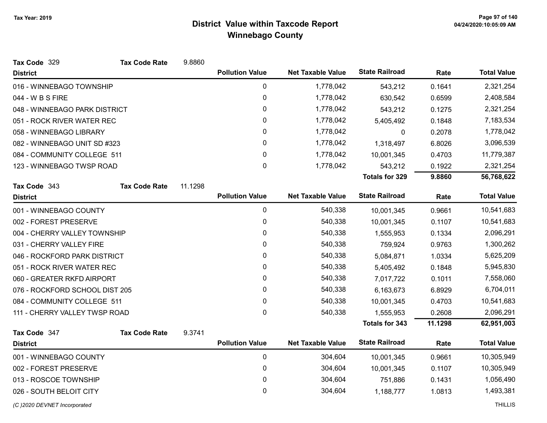| Tax Code 329                   | <b>Tax Code Rate</b> | 9.8860  |                        |                          |                       |         |                    |
|--------------------------------|----------------------|---------|------------------------|--------------------------|-----------------------|---------|--------------------|
| <b>District</b>                |                      |         | <b>Pollution Value</b> | <b>Net Taxable Value</b> | <b>State Railroad</b> | Rate    | <b>Total Value</b> |
| 016 - WINNEBAGO TOWNSHIP       |                      |         | 0                      | 1,778,042                | 543,212               | 0.1641  | 2,321,254          |
| 044 - W B S FIRE               |                      |         | 0                      | 1,778,042                | 630,542               | 0.6599  | 2,408,584          |
| 048 - WINNEBAGO PARK DISTRICT  |                      |         | 0                      | 1,778,042                | 543,212               | 0.1275  | 2,321,254          |
| 051 - ROCK RIVER WATER REC     |                      |         | 0                      | 1,778,042                | 5,405,492             | 0.1848  | 7,183,534          |
| 058 - WINNEBAGO LIBRARY        |                      |         | 0                      | 1,778,042                | 0                     | 0.2078  | 1,778,042          |
| 082 - WINNEBAGO UNIT SD #323   |                      |         | 0                      | 1,778,042                | 1,318,497             | 6.8026  | 3,096,539          |
| 084 - COMMUNITY COLLEGE 511    |                      |         | 0                      | 1,778,042                | 10,001,345            | 0.4703  | 11,779,387         |
| 123 - WINNEBAGO TWSP ROAD      |                      |         | $\mathbf{0}$           | 1,778,042                | 543,212               | 0.1922  | 2,321,254          |
|                                |                      |         |                        |                          | <b>Totals for 329</b> | 9.8860  | 56,768,622         |
| Tax Code 343                   | <b>Tax Code Rate</b> | 11.1298 |                        |                          |                       |         |                    |
| <b>District</b>                |                      |         | <b>Pollution Value</b> | <b>Net Taxable Value</b> | <b>State Railroad</b> | Rate    | <b>Total Value</b> |
| 001 - WINNEBAGO COUNTY         |                      |         | $\mathbf{0}$           | 540,338                  | 10,001,345            | 0.9661  | 10,541,683         |
| 002 - FOREST PRESERVE          |                      |         | 0                      | 540,338                  | 10,001,345            | 0.1107  | 10,541,683         |
| 004 - CHERRY VALLEY TOWNSHIP   |                      |         | 0                      | 540,338                  | 1,555,953             | 0.1334  | 2,096,291          |
| 031 - CHERRY VALLEY FIRE       |                      |         | 0                      | 540,338                  | 759,924               | 0.9763  | 1,300,262          |
| 046 - ROCKFORD PARK DISTRICT   |                      |         | 0                      | 540,338                  | 5,084,871             | 1.0334  | 5,625,209          |
| 051 - ROCK RIVER WATER REC     |                      |         | $\mathbf{0}$           | 540,338                  | 5,405,492             | 0.1848  | 5,945,830          |
| 060 - GREATER RKFD AIRPORT     |                      |         | 0                      | 540,338                  | 7,017,722             | 0.1011  | 7,558,060          |
| 076 - ROCKFORD SCHOOL DIST 205 |                      |         | 0                      | 540,338                  | 6,163,673             | 6.8929  | 6,704,011          |
| 084 - COMMUNITY COLLEGE 511    |                      |         | 0                      | 540,338                  | 10,001,345            | 0.4703  | 10,541,683         |
| 111 - CHERRY VALLEY TWSP ROAD  |                      |         | 0                      | 540,338                  | 1,555,953             | 0.2608  | 2,096,291          |
|                                |                      |         |                        |                          | <b>Totals for 343</b> | 11.1298 | 62,951,003         |
| Tax Code 347                   | <b>Tax Code Rate</b> | 9.3741  |                        |                          |                       |         |                    |
| <b>District</b>                |                      |         | <b>Pollution Value</b> | <b>Net Taxable Value</b> | <b>State Railroad</b> | Rate    | <b>Total Value</b> |
| 001 - WINNEBAGO COUNTY         |                      |         | 0                      | 304,604                  | 10,001,345            | 0.9661  | 10,305,949         |
| 002 - FOREST PRESERVE          |                      |         | $\mathbf 0$            | 304,604                  | 10,001,345            | 0.1107  | 10,305,949         |
| 013 - ROSCOE TOWNSHIP          |                      |         | 0                      | 304,604                  | 751,886               | 0.1431  | 1,056,490          |
| 026 - SOUTH BELOIT CITY        |                      |         | 0                      | 304,604                  | 1,188,777             | 1.0813  | 1,493,381          |
|                                |                      |         |                        |                          |                       |         |                    |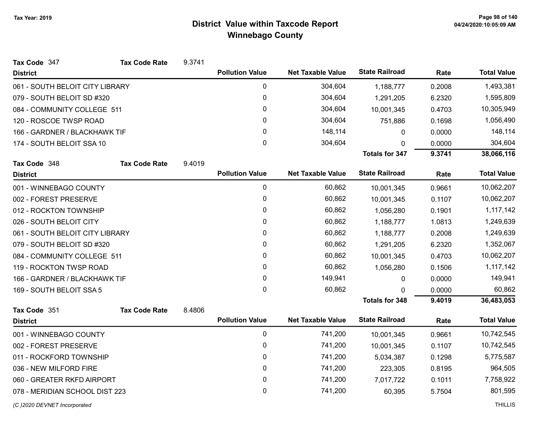| Tax Code 347                    | <b>Tax Code Rate</b> | 9.3741 |                        |                          |                       |        |                    |
|---------------------------------|----------------------|--------|------------------------|--------------------------|-----------------------|--------|--------------------|
| <b>District</b>                 |                      |        | <b>Pollution Value</b> | <b>Net Taxable Value</b> | <b>State Railroad</b> | Rate   | <b>Total Value</b> |
| 061 - SOUTH BELOIT CITY LIBRARY |                      |        | $\mathbf 0$            | 304,604                  | 1,188,777             | 0.2008 | 1,493,381          |
| 079 - SOUTH BELOIT SD #320      |                      |        | $\mathbf 0$            | 304,604                  | 1,291,205             | 6.2320 | 1,595,809          |
| 084 - COMMUNITY COLLEGE 511     |                      |        | 0                      | 304,604                  | 10,001,345            | 0.4703 | 10,305,949         |
| 120 - ROSCOE TWSP ROAD          |                      |        | 0                      | 304,604                  | 751,886               | 0.1698 | 1,056,490          |
| 166 - GARDNER / BLACKHAWK TIF   |                      |        | 0                      | 148,114                  | 0                     | 0.0000 | 148,114            |
| 174 - SOUTH BELOIT SSA 10       |                      |        | $\mathbf 0$            | 304,604                  | $\Omega$              | 0.0000 | 304,604            |
|                                 |                      |        |                        |                          | <b>Totals for 347</b> | 9.3741 | 38,066,116         |
| Tax Code 348                    | <b>Tax Code Rate</b> | 9.4019 |                        |                          |                       |        |                    |
| <b>District</b>                 |                      |        | <b>Pollution Value</b> | <b>Net Taxable Value</b> | <b>State Railroad</b> | Rate   | <b>Total Value</b> |
| 001 - WINNEBAGO COUNTY          |                      |        | 0                      | 60,862                   | 10,001,345            | 0.9661 | 10,062,207         |
| 002 - FOREST PRESERVE           |                      |        | 0                      | 60,862                   | 10,001,345            | 0.1107 | 10,062,207         |
| 012 - ROCKTON TOWNSHIP          |                      |        | $\mathbf{0}$           | 60,862                   | 1,056,280             | 0.1901 | 1,117,142          |
| 026 - SOUTH BELOIT CITY         |                      |        | 0                      | 60,862                   | 1,188,777             | 1.0813 | 1,249,639          |
| 061 - SOUTH BELOIT CITY LIBRARY |                      |        | 0                      | 60,862                   | 1,188,777             | 0.2008 | 1,249,639          |
| 079 - SOUTH BELOIT SD #320      |                      |        | 0                      | 60,862                   | 1,291,205             | 6.2320 | 1,352,067          |
| 084 - COMMUNITY COLLEGE 511     |                      |        | 0                      | 60,862                   | 10,001,345            | 0.4703 | 10,062,207         |
| 119 - ROCKTON TWSP ROAD         |                      |        | 0                      | 60,862                   | 1,056,280             | 0.1506 | 1,117,142          |
| 166 - GARDNER / BLACKHAWK TIF   |                      |        | 0                      | 149,941                  | 0                     | 0.0000 | 149,941            |
| 169 - SOUTH BELOIT SSA 5        |                      |        | $\mathbf 0$            | 60,862                   | 0                     | 0.0000 | 60,862             |
|                                 |                      |        |                        |                          | <b>Totals for 348</b> | 9.4019 | 36,483,053         |
| Tax Code 351                    | <b>Tax Code Rate</b> | 8.4806 |                        |                          |                       |        |                    |
| <b>District</b>                 |                      |        | <b>Pollution Value</b> | <b>Net Taxable Value</b> | <b>State Railroad</b> | Rate   | <b>Total Value</b> |
| 001 - WINNEBAGO COUNTY          |                      |        | $\mathbf 0$            | 741,200                  | 10,001,345            | 0.9661 | 10,742,545         |
| 002 - FOREST PRESERVE           |                      |        | $\mathbf 0$            | 741,200                  | 10,001,345            | 0.1107 | 10,742,545         |
| 011 - ROCKFORD TOWNSHIP         |                      |        | $\mathbf{0}$           | 741,200                  | 5,034,387             | 0.1298 | 5,775,587          |
| 036 - NEW MILFORD FIRE          |                      |        | $\mathbf 0$            | 741,200                  | 223,305               | 0.8195 | 964,505            |
| 060 - GREATER RKFD AIRPORT      |                      |        | $\mathbf 0$            | 741,200                  | 7,017,722             | 0.1011 | 7,758,922          |
| 078 - MERIDIAN SCHOOL DIST 223  |                      |        | 0                      | 741,200                  | 60,395                | 5.7504 | 801,595            |
|                                 |                      |        |                        |                          |                       |        |                    |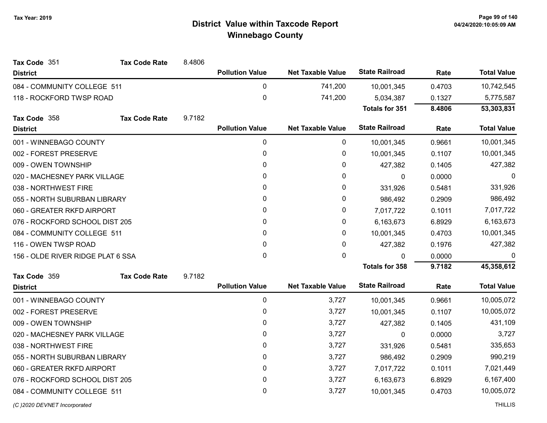| Tax Code 351                      | <b>Tax Code Rate</b> | 8.4806 |                        |                          |                       |           |                    |
|-----------------------------------|----------------------|--------|------------------------|--------------------------|-----------------------|-----------|--------------------|
| <b>District</b>                   |                      |        | <b>Pollution Value</b> | <b>Net Taxable Value</b> | <b>State Railroad</b> | Rate      | <b>Total Value</b> |
| 084 - COMMUNITY COLLEGE 511       |                      |        | 0                      | 741,200                  | 10,001,345            | 0.4703    | 10,742,545         |
| 118 - ROCKFORD TWSP ROAD          |                      |        | $\pmb{0}$              | 741,200                  | 5,034,387             | 0.1327    | 5,775,587          |
|                                   |                      |        |                        |                          | <b>Totals for 351</b> | 8.4806    | 53,303,831         |
| Tax Code 358                      | <b>Tax Code Rate</b> | 9.7182 |                        |                          |                       |           |                    |
| <b>District</b>                   |                      |        | <b>Pollution Value</b> | <b>Net Taxable Value</b> | <b>State Railroad</b> | Rate      | <b>Total Value</b> |
| 001 - WINNEBAGO COUNTY            |                      |        | 0                      | 0                        | 10,001,345            | 0.9661    | 10,001,345         |
| 002 - FOREST PRESERVE             |                      |        | 0                      | 0                        | 10,001,345            | 0.1107    | 10,001,345         |
| 009 - OWEN TOWNSHIP               |                      |        | 0                      | 0                        | 427,382               | 0.1405    | 427,382            |
| 020 - MACHESNEY PARK VILLAGE      |                      |        | 0                      | 0                        | $\boldsymbol{0}$      | 0.0000    | 0                  |
| 038 - NORTHWEST FIRE              |                      |        | 0                      | 0                        | 331,926               | 0.5481    | 331,926            |
| 055 - NORTH SUBURBAN LIBRARY      |                      |        | 0                      | 0                        | 986,492               | 0.2909    | 986,492            |
| 060 - GREATER RKFD AIRPORT        |                      | 0      | 0                      | 7,017,722                | 0.1011                | 7,017,722 |                    |
| 076 - ROCKFORD SCHOOL DIST 205    |                      |        | 0                      | 0                        | 6,163,673             | 6.8929    | 6,163,673          |
| 084 - COMMUNITY COLLEGE 511       |                      |        | 0                      | 0                        | 10,001,345            | 0.4703    | 10,001,345         |
| 116 - OWEN TWSP ROAD              |                      |        | 0                      | 0                        | 427,382               | 0.1976    | 427,382            |
| 156 - OLDE RIVER RIDGE PLAT 6 SSA |                      |        | $\mathbf 0$            | 0                        | $\Omega$              | 0.0000    | $\Omega$           |
|                                   |                      |        |                        |                          | <b>Totals for 358</b> | 9.7182    | 45,358,612         |
| Tax Code 359                      | <b>Tax Code Rate</b> | 9.7182 |                        |                          |                       |           |                    |
| <b>District</b>                   |                      |        | <b>Pollution Value</b> | <b>Net Taxable Value</b> | <b>State Railroad</b> | Rate      | <b>Total Value</b> |
| 001 - WINNEBAGO COUNTY            |                      |        | 0                      | 3,727                    | 10,001,345            | 0.9661    | 10,005,072         |
| 002 - FOREST PRESERVE             |                      |        | 0                      | 3,727                    | 10,001,345            | 0.1107    | 10,005,072         |
| 009 - OWEN TOWNSHIP               |                      |        | 0                      | 3,727                    | 427,382               | 0.1405    | 431,109            |
| 020 - MACHESNEY PARK VILLAGE      |                      |        | 0                      | 3,727                    | 0                     | 0.0000    | 3,727              |
| 038 - NORTHWEST FIRE              |                      |        | 0                      | 3,727                    | 331,926               | 0.5481    | 335,653            |
| 055 - NORTH SUBURBAN LIBRARY      |                      |        | 0                      | 3,727                    | 986,492               | 0.2909    | 990,219            |
| 060 - GREATER RKFD AIRPORT        |                      |        | 0                      | 3,727                    | 7,017,722             | 0.1011    | 7,021,449          |
| 076 - ROCKFORD SCHOOL DIST 205    |                      |        | 0                      | 3,727                    | 6,163,673             | 6.8929    | 6,167,400          |
| 084 - COMMUNITY COLLEGE 511       |                      |        | 0                      | 3,727                    | 10,001,345            | 0.4703    | 10,005,072         |
|                                   |                      |        |                        |                          |                       |           |                    |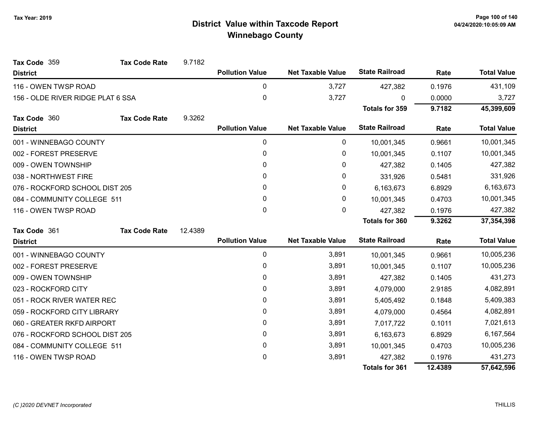| Tax Code 359                      | <b>Tax Code Rate</b> | 9.7182  |                        |                          |                       |            |                    |
|-----------------------------------|----------------------|---------|------------------------|--------------------------|-----------------------|------------|--------------------|
| <b>District</b>                   |                      |         | <b>Pollution Value</b> | <b>Net Taxable Value</b> | <b>State Railroad</b> | Rate       | <b>Total Value</b> |
| 116 - OWEN TWSP ROAD              |                      |         | $\pmb{0}$              | 3,727                    | 427,382               | 0.1976     | 431,109            |
| 156 - OLDE RIVER RIDGE PLAT 6 SSA |                      |         | 0                      | 3,727                    | U                     | 0.0000     | 3,727              |
|                                   |                      |         |                        |                          | <b>Totals for 359</b> | 9.7182     | 45,399,609         |
| Tax Code 360                      | <b>Tax Code Rate</b> | 9.3262  |                        |                          |                       |            |                    |
| <b>District</b>                   |                      |         | <b>Pollution Value</b> | <b>Net Taxable Value</b> | <b>State Railroad</b> | Rate       | <b>Total Value</b> |
| 001 - WINNEBAGO COUNTY            |                      |         | $\pmb{0}$              | 0                        | 10,001,345            | 0.9661     | 10,001,345         |
| 002 - FOREST PRESERVE             |                      |         | 0                      | 0                        | 10,001,345            | 0.1107     | 10,001,345         |
| 009 - OWEN TOWNSHIP               |                      |         | $\mathbf{0}$           | 0                        | 427,382               | 0.1405     | 427,382            |
| 038 - NORTHWEST FIRE              |                      |         | 0                      | 0                        | 331,926               | 0.5481     | 331,926            |
| 076 - ROCKFORD SCHOOL DIST 205    |                      |         | 0                      | 0                        | 6,163,673             | 6.8929     | 6,163,673          |
| 084 - COMMUNITY COLLEGE 511       |                      | 0       | 0                      | 10,001,345               | 0.4703                | 10,001,345 |                    |
| 116 - OWEN TWSP ROAD              |                      |         | 0                      | 0                        | 427,382               | 0.1976     | 427,382            |
|                                   |                      |         |                        |                          | <b>Totals for 360</b> | 9.3262     | 37,354,398         |
| Tax Code 361                      | <b>Tax Code Rate</b> | 12.4389 |                        |                          |                       |            |                    |
| <b>District</b>                   |                      |         | <b>Pollution Value</b> | <b>Net Taxable Value</b> | <b>State Railroad</b> | Rate       | <b>Total Value</b> |
| 001 - WINNEBAGO COUNTY            |                      |         | $\mathbf 0$            | 3,891                    | 10,001,345            | 0.9661     | 10,005,236         |
| 002 - FOREST PRESERVE             |                      |         | 0                      | 3,891                    | 10,001,345            | 0.1107     | 10,005,236         |
| 009 - OWEN TOWNSHIP               |                      |         | 0                      | 3,891                    | 427,382               | 0.1405     | 431,273            |
| 023 - ROCKFORD CITY               |                      |         | 0                      | 3,891                    | 4,079,000             | 2.9185     | 4,082,891          |
| 051 - ROCK RIVER WATER REC        |                      |         | 0                      | 3,891                    | 5,405,492             | 0.1848     | 5,409,383          |
| 059 - ROCKFORD CITY LIBRARY       |                      |         | $\mathbf{0}$           | 3,891                    | 4,079,000             | 0.4564     | 4,082,891          |
| 060 - GREATER RKFD AIRPORT        |                      |         | 0                      | 3,891                    | 7,017,722             | 0.1011     | 7,021,613          |
| 076 - ROCKFORD SCHOOL DIST 205    |                      |         | 0                      | 3,891                    | 6,163,673             | 6.8929     | 6,167,564          |
| 084 - COMMUNITY COLLEGE 511       |                      |         | 0                      | 3,891                    | 10,001,345            | 0.4703     | 10,005,236         |
| 116 - OWEN TWSP ROAD              |                      |         | 0                      | 3,891                    | 427,382               | 0.1976     | 431,273            |
|                                   |                      |         |                        |                          | <b>Totals for 361</b> | 12.4389    | 57,642,596         |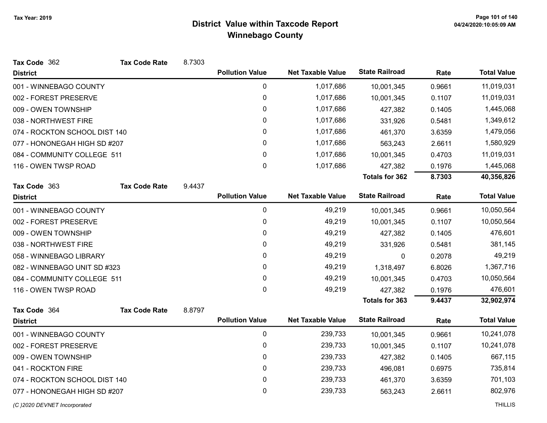| Tax Code 362                  | <b>Tax Code Rate</b> | 8.7303 |                        |                          |                       |        |                    |
|-------------------------------|----------------------|--------|------------------------|--------------------------|-----------------------|--------|--------------------|
| <b>District</b>               |                      |        | <b>Pollution Value</b> | <b>Net Taxable Value</b> | <b>State Railroad</b> | Rate   | <b>Total Value</b> |
| 001 - WINNEBAGO COUNTY        |                      |        | $\pmb{0}$              | 1,017,686                | 10,001,345            | 0.9661 | 11,019,031         |
| 002 - FOREST PRESERVE         |                      |        | $\pmb{0}$              | 1,017,686                | 10,001,345            | 0.1107 | 11,019,031         |
| 009 - OWEN TOWNSHIP           |                      |        | 0                      | 1,017,686                | 427,382               | 0.1405 | 1,445,068          |
| 038 - NORTHWEST FIRE          |                      |        | 0                      | 1,017,686                | 331,926               | 0.5481 | 1,349,612          |
| 074 - ROCKTON SCHOOL DIST 140 |                      |        | 0                      | 1,017,686                | 461,370               | 3.6359 | 1,479,056          |
| 077 - HONONEGAH HIGH SD #207  |                      |        | $\pmb{0}$              | 1,017,686                | 563,243               | 2.6611 | 1,580,929          |
| 084 - COMMUNITY COLLEGE 511   |                      |        | 0                      | 1,017,686                | 10,001,345            | 0.4703 | 11,019,031         |
| 116 - OWEN TWSP ROAD          |                      |        | 0                      | 1,017,686                | 427,382               | 0.1976 | 1,445,068          |
|                               |                      |        |                        |                          | <b>Totals for 362</b> | 8.7303 | 40,356,826         |
| Tax Code 363                  | <b>Tax Code Rate</b> | 9.4437 |                        |                          |                       |        |                    |
| <b>District</b>               |                      |        | <b>Pollution Value</b> | <b>Net Taxable Value</b> | <b>State Railroad</b> | Rate   | <b>Total Value</b> |
| 001 - WINNEBAGO COUNTY        |                      |        | $\pmb{0}$              | 49,219                   | 10,001,345            | 0.9661 | 10,050,564         |
| 002 - FOREST PRESERVE         |                      |        | $\pmb{0}$              | 49,219                   | 10,001,345            | 0.1107 | 10,050,564         |
| 009 - OWEN TOWNSHIP           |                      |        | 0                      | 49,219                   | 427,382               | 0.1405 | 476,601            |
| 038 - NORTHWEST FIRE          |                      |        | 0                      | 49,219                   | 331,926               | 0.5481 | 381,145            |
| 058 - WINNEBAGO LIBRARY       |                      |        | 0                      | 49,219                   | 0                     | 0.2078 | 49,219             |
| 082 - WINNEBAGO UNIT SD #323  |                      |        | 0                      | 49,219                   | 1,318,497             | 6.8026 | 1,367,716          |
| 084 - COMMUNITY COLLEGE 511   |                      |        | $\pmb{0}$              | 49,219                   | 10,001,345            | 0.4703 | 10,050,564         |
| 116 - OWEN TWSP ROAD          |                      |        | 0                      | 49,219                   | 427,382               | 0.1976 | 476,601            |
|                               |                      |        |                        |                          | Totals for 363        | 9.4437 | 32,902,974         |
| Tax Code 364                  | <b>Tax Code Rate</b> | 8.8797 |                        |                          |                       |        |                    |
| <b>District</b>               |                      |        | <b>Pollution Value</b> | <b>Net Taxable Value</b> | <b>State Railroad</b> | Rate   | <b>Total Value</b> |
| 001 - WINNEBAGO COUNTY        |                      |        | 0                      | 239,733                  | 10,001,345            | 0.9661 | 10,241,078         |
| 002 - FOREST PRESERVE         |                      |        | 0                      | 239,733                  | 10,001,345            | 0.1107 | 10,241,078         |
| 009 - OWEN TOWNSHIP           |                      |        | $\pmb{0}$              | 239,733                  | 427,382               | 0.1405 | 667,115            |
| 041 - ROCKTON FIRE            |                      |        | $\pmb{0}$              | 239,733                  | 496,081               | 0.6975 | 735,814            |
| 074 - ROCKTON SCHOOL DIST 140 |                      |        | $\pmb{0}$              | 239,733                  | 461,370               | 3.6359 | 701,103            |
| 077 - HONONEGAH HIGH SD #207  |                      |        | 0                      | 239,733                  | 563,243               | 2.6611 | 802,976            |
| (C) 2020 DEVNET Incorporated  |                      |        |                        |                          |                       |        | <b>THILLIS</b>     |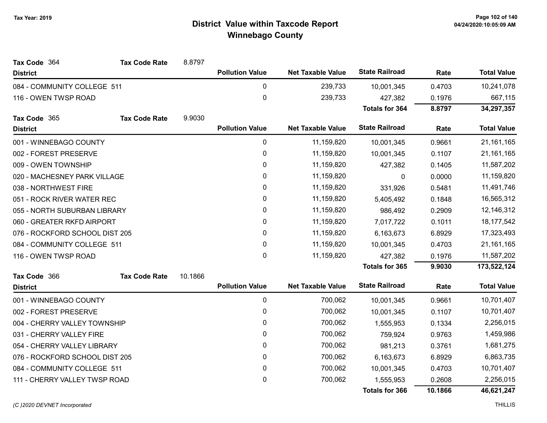| Tax Code 364                   | <b>Tax Code Rate</b> | 8.8797  |                        |                          |                       |              |                    |
|--------------------------------|----------------------|---------|------------------------|--------------------------|-----------------------|--------------|--------------------|
| <b>District</b>                |                      |         | <b>Pollution Value</b> | <b>Net Taxable Value</b> | <b>State Railroad</b> | Rate         | <b>Total Value</b> |
| 084 - COMMUNITY COLLEGE 511    |                      |         | 0                      | 239,733                  | 10,001,345            | 0.4703       | 10,241,078         |
| 116 - OWEN TWSP ROAD           |                      |         | 0                      | 239,733                  | 427,382               | 0.1976       | 667,115            |
|                                |                      |         |                        |                          | <b>Totals for 364</b> | 8.8797       | 34,297,357         |
| Tax Code 365                   | <b>Tax Code Rate</b> | 9.9030  |                        |                          |                       |              |                    |
| <b>District</b>                |                      |         | <b>Pollution Value</b> | <b>Net Taxable Value</b> | <b>State Railroad</b> | Rate         | <b>Total Value</b> |
| 001 - WINNEBAGO COUNTY         |                      |         | 0                      | 11,159,820               | 10,001,345            | 0.9661       | 21, 161, 165       |
| 002 - FOREST PRESERVE          |                      |         | 0                      | 11,159,820               | 10,001,345            | 0.1107       | 21, 161, 165       |
| 009 - OWEN TOWNSHIP            |                      |         | 0                      | 11,159,820               | 427,382               | 0.1405       | 11,587,202         |
| 020 - MACHESNEY PARK VILLAGE   |                      |         | 0                      | 11,159,820               | $\mathbf{0}$          | 0.0000       | 11,159,820         |
| 038 - NORTHWEST FIRE           |                      |         | 0                      | 11,159,820               | 331,926               | 0.5481       | 11,491,746         |
| 051 - ROCK RIVER WATER REC     |                      |         | 0                      | 11,159,820               | 5,405,492             | 0.1848       | 16,565,312         |
| 055 - NORTH SUBURBAN LIBRARY   |                      |         | 0                      | 11,159,820               | 986,492               | 0.2909       | 12,146,312         |
| 060 - GREATER RKFD AIRPORT     |                      | 0       | 11,159,820             | 7,017,722                | 0.1011                | 18, 177, 542 |                    |
| 076 - ROCKFORD SCHOOL DIST 205 |                      |         | 0                      | 11,159,820               | 6,163,673             | 6.8929       | 17,323,493         |
| 084 - COMMUNITY COLLEGE 511    |                      |         | 0                      | 11,159,820               | 10,001,345            | 0.4703       | 21, 161, 165       |
| 116 - OWEN TWSP ROAD           |                      |         | 0                      | 11,159,820               | 427,382               | 0.1976       | 11,587,202         |
|                                |                      |         |                        |                          | <b>Totals for 365</b> | 9.9030       | 173,522,124        |
| Tax Code 366                   | <b>Tax Code Rate</b> | 10.1866 |                        |                          |                       |              |                    |
| <b>District</b>                |                      |         | <b>Pollution Value</b> | <b>Net Taxable Value</b> | <b>State Railroad</b> | Rate         | <b>Total Value</b> |
| 001 - WINNEBAGO COUNTY         |                      |         | 0                      | 700,062                  | 10,001,345            | 0.9661       | 10,701,407         |
| 002 - FOREST PRESERVE          |                      |         | 0                      | 700,062                  | 10,001,345            | 0.1107       | 10,701,407         |
| 004 - CHERRY VALLEY TOWNSHIP   |                      |         | 0                      | 700,062                  | 1,555,953             | 0.1334       | 2,256,015          |
| 031 - CHERRY VALLEY FIRE       |                      |         | 0                      | 700,062                  | 759,924               | 0.9763       | 1,459,986          |
| 054 - CHERRY VALLEY LIBRARY    |                      |         | 0                      | 700,062                  | 981,213               | 0.3761       | 1,681,275          |
| 076 - ROCKFORD SCHOOL DIST 205 |                      |         | 0                      | 700,062                  | 6,163,673             | 6.8929       | 6,863,735          |
| 084 - COMMUNITY COLLEGE 511    |                      |         | 0                      | 700,062                  | 10,001,345            | 0.4703       | 10,701,407         |
| 111 - CHERRY VALLEY TWSP ROAD  |                      |         | 0                      | 700,062                  | 1,555,953             | 0.2608       | 2,256,015          |
|                                |                      |         |                        |                          | Totals for 366        | 10.1866      | 46,621,247         |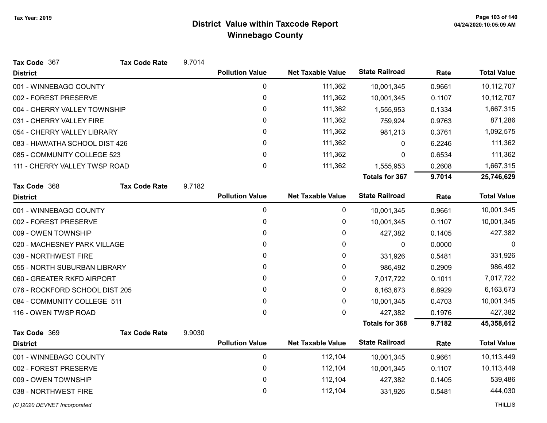| Tax Code 367                   | <b>Tax Code Rate</b> | 9.7014 |                        |                          |                       |        |                    |
|--------------------------------|----------------------|--------|------------------------|--------------------------|-----------------------|--------|--------------------|
| <b>District</b>                |                      |        | <b>Pollution Value</b> | <b>Net Taxable Value</b> | <b>State Railroad</b> | Rate   | <b>Total Value</b> |
| 001 - WINNEBAGO COUNTY         |                      |        | 0                      | 111,362                  | 10,001,345            | 0.9661 | 10,112,707         |
| 002 - FOREST PRESERVE          |                      |        | 0                      | 111,362                  | 10,001,345            | 0.1107 | 10,112,707         |
| 004 - CHERRY VALLEY TOWNSHIP   |                      |        | 0                      | 111,362                  | 1,555,953             | 0.1334 | 1,667,315          |
| 031 - CHERRY VALLEY FIRE       |                      |        | 0                      | 111,362                  | 759,924               | 0.9763 | 871,286            |
| 054 - CHERRY VALLEY LIBRARY    |                      |        | 0                      | 111,362                  | 981,213               | 0.3761 | 1,092,575          |
| 083 - HIAWATHA SCHOOL DIST 426 |                      |        | 0                      | 111,362                  | 0                     | 6.2246 | 111,362            |
| 085 - COMMUNITY COLLEGE 523    |                      |        | $\mathbf{0}$           | 111,362                  | 0                     | 0.6534 | 111,362            |
| 111 - CHERRY VALLEY TWSP ROAD  |                      |        | $\pmb{0}$              | 111,362                  | 1,555,953             | 0.2608 | 1,667,315          |
|                                |                      |        |                        |                          | <b>Totals for 367</b> | 9.7014 | 25,746,629         |
| Tax Code 368                   | <b>Tax Code Rate</b> | 9.7182 |                        |                          |                       |        |                    |
| <b>District</b>                |                      |        | <b>Pollution Value</b> | <b>Net Taxable Value</b> | <b>State Railroad</b> | Rate   | <b>Total Value</b> |
| 001 - WINNEBAGO COUNTY         |                      |        | 0                      | 0                        | 10,001,345            | 0.9661 | 10,001,345         |
| 002 - FOREST PRESERVE          |                      |        | 0                      | 0                        | 10,001,345            | 0.1107 | 10,001,345         |
| 009 - OWEN TOWNSHIP            |                      |        | 0                      | 0                        | 427,382               | 0.1405 | 427,382            |
| 020 - MACHESNEY PARK VILLAGE   |                      |        | 0                      | 0                        | $\boldsymbol{0}$      | 0.0000 | 0                  |
| 038 - NORTHWEST FIRE           |                      |        | 0                      | 0                        | 331,926               | 0.5481 | 331,926            |
| 055 - NORTH SUBURBAN LIBRARY   |                      |        | 0                      | 0                        | 986,492               | 0.2909 | 986,492            |
| 060 - GREATER RKFD AIRPORT     |                      |        | 0                      | 0                        | 7,017,722             | 0.1011 | 7,017,722          |
| 076 - ROCKFORD SCHOOL DIST 205 |                      |        | 0                      | 0                        | 6,163,673             | 6.8929 | 6,163,673          |
| 084 - COMMUNITY COLLEGE 511    |                      |        | 0                      | 0                        | 10,001,345            | 0.4703 | 10,001,345         |
| 116 - OWEN TWSP ROAD           |                      |        | $\mathbf{0}$           | 0                        | 427,382               | 0.1976 | 427,382            |
|                                |                      |        |                        |                          | <b>Totals for 368</b> | 9.7182 | 45,358,612         |
| Tax Code 369                   | <b>Tax Code Rate</b> | 9.9030 |                        |                          |                       |        |                    |
| <b>District</b>                |                      |        | <b>Pollution Value</b> | <b>Net Taxable Value</b> | <b>State Railroad</b> | Rate   | <b>Total Value</b> |
| 001 - WINNEBAGO COUNTY         |                      |        | 0                      | 112,104                  | 10,001,345            | 0.9661 | 10,113,449         |
| 002 - FOREST PRESERVE          |                      |        | 0                      | 112,104                  | 10,001,345            | 0.1107 | 10,113,449         |
| 009 - OWEN TOWNSHIP            |                      |        | 0                      | 112,104                  | 427,382               | 0.1405 | 539,486            |
| 038 - NORTHWEST FIRE           |                      |        | 0                      | 112,104                  | 331,926               | 0.5481 | 444,030            |
| (C) 2020 DEVNET Incorporated   |                      |        |                        |                          |                       |        | <b>THILLIS</b>     |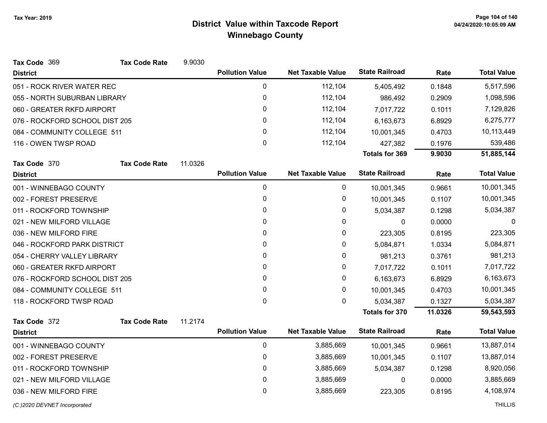| Tax Code 369                   | <b>Tax Code Rate</b> | 9.9030  |                        |                          |                       |         |                    |
|--------------------------------|----------------------|---------|------------------------|--------------------------|-----------------------|---------|--------------------|
| <b>District</b>                |                      |         | <b>Pollution Value</b> | <b>Net Taxable Value</b> | <b>State Railroad</b> | Rate    | <b>Total Value</b> |
| 051 - ROCK RIVER WATER REC     |                      |         | 0                      | 112,104                  | 5,405,492             | 0.1848  | 5,517,596          |
| 055 - NORTH SUBURBAN LIBRARY   |                      |         | 0                      | 112,104                  | 986,492               | 0.2909  | 1,098,596          |
| 060 - GREATER RKFD AIRPORT     |                      |         | 0                      | 112,104                  | 7,017,722             | 0.1011  | 7,129,826          |
| 076 - ROCKFORD SCHOOL DIST 205 |                      |         | 0                      | 112,104                  | 6,163,673             | 6.8929  | 6,275,777          |
| 084 - COMMUNITY COLLEGE 511    |                      |         | 0                      | 112,104                  | 10,001,345            | 0.4703  | 10,113,449         |
| 116 - OWEN TWSP ROAD           |                      |         | 0                      | 112,104                  | 427,382               | 0.1976  | 539,486            |
|                                |                      |         |                        |                          | <b>Totals for 369</b> | 9.9030  | 51,885,144         |
| Tax Code 370                   | <b>Tax Code Rate</b> | 11.0326 |                        |                          |                       |         |                    |
| <b>District</b>                |                      |         | <b>Pollution Value</b> | <b>Net Taxable Value</b> | <b>State Railroad</b> | Rate    | <b>Total Value</b> |
| 001 - WINNEBAGO COUNTY         |                      |         | 0                      | 0                        | 10,001,345            | 0.9661  | 10,001,345         |
| 002 - FOREST PRESERVE          |                      |         | 0                      | 0                        | 10,001,345            | 0.1107  | 10,001,345         |
| 011 - ROCKFORD TOWNSHIP        |                      |         | 0                      | 0                        | 5,034,387             | 0.1298  | 5,034,387          |
| 021 - NEW MILFORD VILLAGE      |                      |         | 0                      | 0                        | 0                     | 0.0000  | 0                  |
| 036 - NEW MILFORD FIRE         |                      |         | 0                      | 0                        | 223,305               | 0.8195  | 223,305            |
| 046 - ROCKFORD PARK DISTRICT   |                      |         | 0                      | 0                        | 5,084,871             | 1.0334  | 5,084,871          |
| 054 - CHERRY VALLEY LIBRARY    |                      |         | 0                      | 0                        | 981,213               | 0.3761  | 981,213            |
| 060 - GREATER RKFD AIRPORT     |                      |         | 0                      | 0                        | 7,017,722             | 0.1011  | 7,017,722          |
| 076 - ROCKFORD SCHOOL DIST 205 |                      |         | 0                      | 0                        | 6,163,673             | 6.8929  | 6,163,673          |
| 084 - COMMUNITY COLLEGE 511    |                      |         | 0                      | 0                        | 10,001,345            | 0.4703  | 10,001,345         |
| 118 - ROCKFORD TWSP ROAD       |                      |         | 0                      | $\mathbf{0}$             | 5,034,387             | 0.1327  | 5,034,387          |
|                                |                      |         |                        |                          | <b>Totals for 370</b> | 11.0326 | 59,543,593         |
| Tax Code 372                   | <b>Tax Code Rate</b> | 11.2174 |                        |                          | <b>State Railroad</b> |         |                    |
| <b>District</b>                |                      |         | <b>Pollution Value</b> | <b>Net Taxable Value</b> |                       | Rate    | <b>Total Value</b> |
| 001 - WINNEBAGO COUNTY         |                      |         | 0                      | 3,885,669                | 10,001,345            | 0.9661  | 13,887,014         |
| 002 - FOREST PRESERVE          |                      |         | 0                      | 3,885,669                | 10,001,345            | 0.1107  | 13,887,014         |
| 011 - ROCKFORD TOWNSHIP        |                      |         | 0                      | 3,885,669                | 5,034,387             | 0.1298  | 8,920,056          |
| 021 - NEW MILFORD VILLAGE      |                      |         | 0                      | 3,885,669                | $\mathbf{0}$          | 0.0000  | 3,885,669          |
| 036 - NEW MILFORD FIRE         |                      |         | 0                      | 3,885,669                | 223,305               | 0.8195  | 4,108,974          |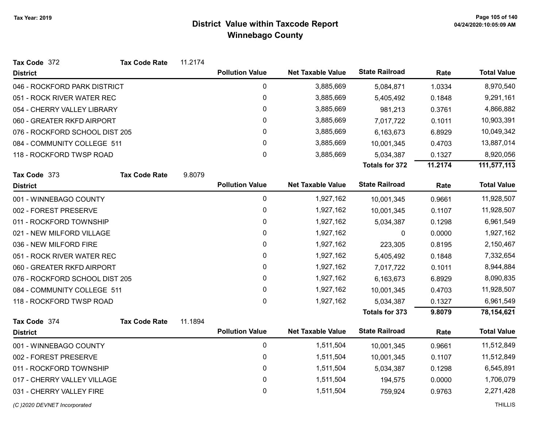| Tax Code 372                   | <b>Tax Code Rate</b> | 11.2174 |                        |                          |                       |         |                    |
|--------------------------------|----------------------|---------|------------------------|--------------------------|-----------------------|---------|--------------------|
| <b>District</b>                |                      |         | <b>Pollution Value</b> | <b>Net Taxable Value</b> | <b>State Railroad</b> | Rate    | <b>Total Value</b> |
| 046 - ROCKFORD PARK DISTRICT   |                      |         | $\mathbf 0$            | 3,885,669                | 5,084,871             | 1.0334  | 8,970,540          |
| 051 - ROCK RIVER WATER REC     |                      |         | $\mathbf 0$            | 3,885,669                | 5,405,492             | 0.1848  | 9,291,161          |
| 054 - CHERRY VALLEY LIBRARY    |                      |         | 0                      | 3,885,669                | 981,213               | 0.3761  | 4,866,882          |
| 060 - GREATER RKFD AIRPORT     |                      |         | 0                      | 3,885,669                | 7,017,722             | 0.1011  | 10,903,391         |
| 076 - ROCKFORD SCHOOL DIST 205 |                      |         | 0                      | 3,885,669                | 6,163,673             | 6.8929  | 10,049,342         |
| 084 - COMMUNITY COLLEGE 511    |                      |         | $\mathbf 0$            | 3,885,669                | 10,001,345            | 0.4703  | 13,887,014         |
| 118 - ROCKFORD TWSP ROAD       |                      |         | 0                      | 3,885,669                | 5,034,387             | 0.1327  | 8,920,056          |
|                                |                      |         |                        |                          | Totals for 372        | 11.2174 | 111,577,113        |
| Tax Code 373                   | <b>Tax Code Rate</b> | 9.8079  |                        |                          |                       |         |                    |
| <b>District</b>                |                      |         | <b>Pollution Value</b> | <b>Net Taxable Value</b> | <b>State Railroad</b> | Rate    | <b>Total Value</b> |
| 001 - WINNEBAGO COUNTY         |                      |         | $\pmb{0}$              | 1,927,162                | 10,001,345            | 0.9661  | 11,928,507         |
| 002 - FOREST PRESERVE          |                      |         | 0                      | 1,927,162                | 10,001,345            | 0.1107  | 11,928,507         |
| 011 - ROCKFORD TOWNSHIP        |                      |         | $\pmb{0}$              | 1,927,162                | 5,034,387             | 0.1298  | 6,961,549          |
| 021 - NEW MILFORD VILLAGE      |                      |         | 0                      | 1,927,162                | 0                     | 0.0000  | 1,927,162          |
| 036 - NEW MILFORD FIRE         |                      |         | 0                      | 1,927,162                | 223,305               | 0.8195  | 2,150,467          |
| 051 - ROCK RIVER WATER REC     |                      |         | 0                      | 1,927,162                | 5,405,492             | 0.1848  | 7,332,654          |
| 060 - GREATER RKFD AIRPORT     |                      |         | $\pmb{0}$              | 1,927,162                | 7,017,722             | 0.1011  | 8,944,884          |
| 076 - ROCKFORD SCHOOL DIST 205 |                      |         | 0                      | 1,927,162                | 6,163,673             | 6.8929  | 8,090,835          |
| 084 - COMMUNITY COLLEGE 511    |                      |         | 0                      | 1,927,162                | 10,001,345            | 0.4703  | 11,928,507         |
| 118 - ROCKFORD TWSP ROAD       |                      |         | 0                      | 1,927,162                | 5,034,387             | 0.1327  | 6,961,549          |
|                                |                      |         |                        |                          | Totals for 373        | 9.8079  | 78,154,621         |
| Tax Code 374                   | <b>Tax Code Rate</b> | 11.1894 |                        |                          |                       |         |                    |
| <b>District</b>                |                      |         | <b>Pollution Value</b> | <b>Net Taxable Value</b> | <b>State Railroad</b> | Rate    | <b>Total Value</b> |
| 001 - WINNEBAGO COUNTY         |                      |         | $\mathbf 0$            | 1,511,504                | 10,001,345            | 0.9661  | 11,512,849         |
| 002 - FOREST PRESERVE          |                      |         | $\mathbf 0$            | 1,511,504                | 10,001,345            | 0.1107  | 11,512,849         |
| 011 - ROCKFORD TOWNSHIP        |                      |         | $\pmb{0}$              | 1,511,504                | 5,034,387             | 0.1298  | 6,545,891          |
| 017 - CHERRY VALLEY VILLAGE    |                      |         | 0                      | 1,511,504                | 194,575               | 0.0000  | 1,706,079          |
| 031 - CHERRY VALLEY FIRE       |                      |         | $\mathbf 0$            | 1,511,504                | 759,924               | 0.9763  | 2,271,428          |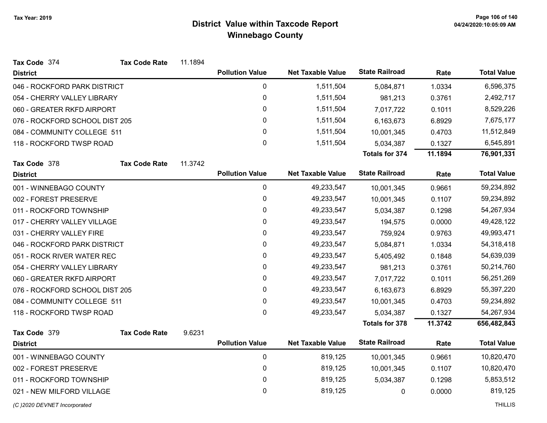| Tax Code 374                   | <b>Tax Code Rate</b> | 11.1894 |                        |                          |                       |         |                    |
|--------------------------------|----------------------|---------|------------------------|--------------------------|-----------------------|---------|--------------------|
| <b>District</b>                |                      |         | <b>Pollution Value</b> | <b>Net Taxable Value</b> | <b>State Railroad</b> | Rate    | <b>Total Value</b> |
| 046 - ROCKFORD PARK DISTRICT   |                      |         | 0                      | 1,511,504                | 5,084,871             | 1.0334  | 6,596,375          |
| 054 - CHERRY VALLEY LIBRARY    |                      |         | $\pmb{0}$              | 1,511,504                | 981,213               | 0.3761  | 2,492,717          |
| 060 - GREATER RKFD AIRPORT     |                      |         | 0                      | 1,511,504                | 7,017,722             | 0.1011  | 8,529,226          |
| 076 - ROCKFORD SCHOOL DIST 205 |                      |         | $\mathbf 0$            | 1,511,504                | 6,163,673             | 6.8929  | 7,675,177          |
| 084 - COMMUNITY COLLEGE 511    |                      |         | 0                      | 1,511,504                | 10,001,345            | 0.4703  | 11,512,849         |
| 118 - ROCKFORD TWSP ROAD       |                      |         | $\mathbf{0}$           | 1,511,504                | 5,034,387             | 0.1327  | 6,545,891          |
|                                |                      |         |                        |                          | <b>Totals for 374</b> | 11.1894 | 76,901,331         |
| Tax Code 378                   | <b>Tax Code Rate</b> | 11.3742 |                        |                          |                       |         |                    |
| <b>District</b>                |                      |         | <b>Pollution Value</b> | <b>Net Taxable Value</b> | <b>State Railroad</b> | Rate    | <b>Total Value</b> |
| 001 - WINNEBAGO COUNTY         |                      |         | $\mathbf 0$            | 49,233,547               | 10,001,345            | 0.9661  | 59,234,892         |
| 002 - FOREST PRESERVE          |                      |         | 0                      | 49,233,547               | 10,001,345            | 0.1107  | 59,234,892         |
| 011 - ROCKFORD TOWNSHIP        |                      |         | 0                      | 49,233,547               | 5,034,387             | 0.1298  | 54,267,934         |
| 017 - CHERRY VALLEY VILLAGE    |                      |         | 0                      | 49,233,547               | 194,575               | 0.0000  | 49,428,122         |
| 031 - CHERRY VALLEY FIRE       |                      |         | $\mathbf 0$            | 49,233,547               | 759,924               | 0.9763  | 49,993,471         |
| 046 - ROCKFORD PARK DISTRICT   |                      |         | 0                      | 49,233,547               | 5,084,871             | 1.0334  | 54,318,418         |
| 051 - ROCK RIVER WATER REC     |                      |         | 0                      | 49,233,547               | 5,405,492             | 0.1848  | 54,639,039         |
| 054 - CHERRY VALLEY LIBRARY    |                      |         | 0                      | 49,233,547               | 981,213               | 0.3761  | 50,214,760         |
| 060 - GREATER RKFD AIRPORT     |                      |         | 0                      | 49,233,547               | 7,017,722             | 0.1011  | 56,251,269         |
| 076 - ROCKFORD SCHOOL DIST 205 |                      |         | 0                      | 49,233,547               | 6,163,673             | 6.8929  | 55,397,220         |
| 084 - COMMUNITY COLLEGE 511    |                      |         | $\mathbf{0}$           | 49,233,547               | 10,001,345            | 0.4703  | 59,234,892         |
| 118 - ROCKFORD TWSP ROAD       |                      |         | $\mathbf 0$            | 49,233,547               | 5,034,387             | 0.1327  | 54,267,934         |
|                                |                      |         |                        |                          | <b>Totals for 378</b> | 11.3742 | 656,482,843        |
| Tax Code 379                   | <b>Tax Code Rate</b> | 9.6231  |                        |                          |                       |         |                    |
| <b>District</b>                |                      |         | <b>Pollution Value</b> | <b>Net Taxable Value</b> | <b>State Railroad</b> | Rate    | <b>Total Value</b> |
| 001 - WINNEBAGO COUNTY         |                      |         | $\pmb{0}$              | 819,125                  | 10,001,345            | 0.9661  | 10,820,470         |
| 002 - FOREST PRESERVE          |                      |         | 0                      | 819,125                  | 10,001,345            | 0.1107  | 10,820,470         |
| 011 - ROCKFORD TOWNSHIP        |                      |         | 0                      | 819,125                  | 5,034,387             | 0.1298  | 5,853,512          |
| 021 - NEW MILFORD VILLAGE      |                      |         | 0                      | 819,125                  | 0                     | 0.0000  | 819,125            |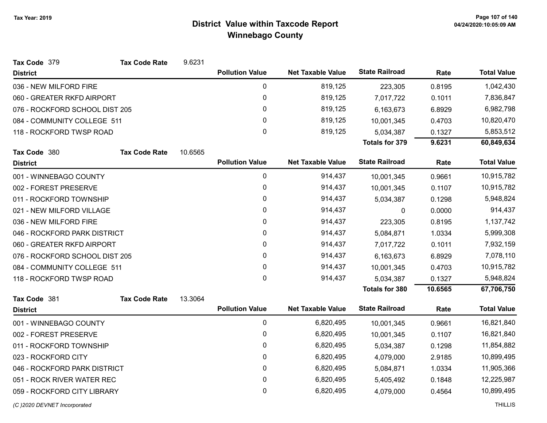| Tax Code 379                   | <b>Tax Code Rate</b>        | 9.6231  |                        |                          |                       |         |                    |
|--------------------------------|-----------------------------|---------|------------------------|--------------------------|-----------------------|---------|--------------------|
| <b>District</b>                |                             |         | <b>Pollution Value</b> | <b>Net Taxable Value</b> | <b>State Railroad</b> | Rate    | <b>Total Value</b> |
| 036 - NEW MILFORD FIRE         |                             |         | 0                      | 819,125                  | 223,305               | 0.8195  | 1,042,430          |
| 060 - GREATER RKFD AIRPORT     |                             |         | $\mathbf 0$            | 819,125                  | 7,017,722             | 0.1011  | 7,836,847          |
| 076 - ROCKFORD SCHOOL DIST 205 |                             |         | 0                      | 819,125                  | 6,163,673             | 6.8929  | 6,982,798          |
|                                | 084 - COMMUNITY COLLEGE 511 |         | 0                      | 819,125                  | 10,001,345            | 0.4703  | 10,820,470         |
| 118 - ROCKFORD TWSP ROAD       |                             |         | $\mathbf 0$            | 819,125                  | 5,034,387             | 0.1327  | 5,853,512          |
|                                |                             |         |                        |                          | <b>Totals for 379</b> | 9.6231  | 60,849,634         |
| Tax Code 380                   | <b>Tax Code Rate</b>        | 10.6565 |                        |                          |                       |         |                    |
| <b>District</b>                |                             |         | <b>Pollution Value</b> | <b>Net Taxable Value</b> | <b>State Railroad</b> | Rate    | <b>Total Value</b> |
| 001 - WINNEBAGO COUNTY         |                             |         | $\pmb{0}$              | 914,437                  | 10,001,345            | 0.9661  | 10,915,782         |
| 002 - FOREST PRESERVE          |                             |         | 0                      | 914,437                  | 10,001,345            | 0.1107  | 10,915,782         |
| 011 - ROCKFORD TOWNSHIP        |                             |         | $\mathbf 0$            | 914,437                  | 5,034,387             | 0.1298  | 5,948,824          |
| 021 - NEW MILFORD VILLAGE      |                             |         | $\mathbf{0}$           | 914,437                  | $\mathbf{0}$          | 0.0000  | 914,437            |
| 036 - NEW MILFORD FIRE         |                             |         | 0                      | 914,437                  | 223,305               | 0.8195  | 1,137,742          |
| 046 - ROCKFORD PARK DISTRICT   |                             |         | 0                      | 914,437                  | 5,084,871             | 1.0334  | 5,999,308          |
| 060 - GREATER RKFD AIRPORT     |                             |         | 0                      | 914,437                  | 7,017,722             | 0.1011  | 7,932,159          |
| 076 - ROCKFORD SCHOOL DIST 205 |                             |         | 0                      | 914,437                  | 6,163,673             | 6.8929  | 7,078,110          |
| 084 - COMMUNITY COLLEGE 511    |                             |         | 0                      | 914,437                  | 10,001,345            | 0.4703  | 10,915,782         |
| 118 - ROCKFORD TWSP ROAD       |                             |         | 0                      | 914,437                  | 5,034,387             | 0.1327  | 5,948,824          |
|                                |                             |         |                        |                          | <b>Totals for 380</b> | 10.6565 | 67,706,750         |
| Tax Code 381                   | <b>Tax Code Rate</b>        | 13.3064 |                        |                          |                       |         |                    |
| <b>District</b>                |                             |         | <b>Pollution Value</b> | <b>Net Taxable Value</b> | <b>State Railroad</b> | Rate    | <b>Total Value</b> |
| 001 - WINNEBAGO COUNTY         |                             |         | $\mathbf 0$            | 6,820,495                | 10,001,345            | 0.9661  | 16,821,840         |
| 002 - FOREST PRESERVE          |                             |         | 0                      | 6,820,495                | 10,001,345            | 0.1107  | 16,821,840         |
| 011 - ROCKFORD TOWNSHIP        |                             |         | 0                      | 6,820,495                | 5,034,387             | 0.1298  | 11,854,882         |
| 023 - ROCKFORD CITY            |                             |         | 0                      | 6,820,495                | 4,079,000             | 2.9185  | 10,899,495         |
| 046 - ROCKFORD PARK DISTRICT   |                             |         | 0                      | 6,820,495                | 5,084,871             | 1.0334  | 11,905,366         |
| 051 - ROCK RIVER WATER REC     |                             |         | 0                      | 6,820,495                | 5,405,492             | 0.1848  | 12,225,987         |
| 059 - ROCKFORD CITY LIBRARY    |                             |         | $\mathbf 0$            | 6,820,495                | 4,079,000             | 0.4564  | 10,899,495         |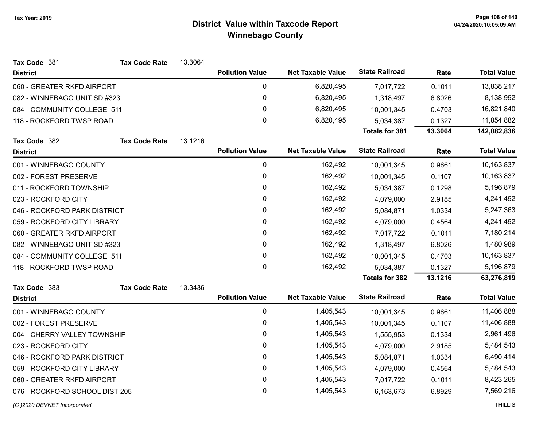| Tax Code 381                   | <b>Tax Code Rate</b> | 13.3064 |                        |                          |                       |           |                    |
|--------------------------------|----------------------|---------|------------------------|--------------------------|-----------------------|-----------|--------------------|
| <b>District</b>                |                      |         | <b>Pollution Value</b> | <b>Net Taxable Value</b> | <b>State Railroad</b> | Rate      | <b>Total Value</b> |
| 060 - GREATER RKFD AIRPORT     |                      |         | 0                      | 6,820,495                | 7,017,722             | 0.1011    | 13,838,217         |
| 082 - WINNEBAGO UNIT SD #323   |                      |         | 0                      | 6,820,495                | 1,318,497             | 6.8026    | 8,138,992          |
| 084 - COMMUNITY COLLEGE 511    |                      |         | 0                      | 6,820,495                | 10,001,345            | 0.4703    | 16,821,840         |
| 118 - ROCKFORD TWSP ROAD       |                      |         | 0                      | 6,820,495                | 5,034,387             | 0.1327    | 11,854,882         |
|                                |                      |         |                        |                          | <b>Totals for 381</b> | 13.3064   | 142,082,836        |
| Tax Code 382                   | <b>Tax Code Rate</b> | 13.1216 |                        |                          |                       |           |                    |
| <b>District</b>                |                      |         | <b>Pollution Value</b> | <b>Net Taxable Value</b> | <b>State Railroad</b> | Rate      | <b>Total Value</b> |
| 001 - WINNEBAGO COUNTY         |                      |         | 0                      | 162,492                  | 10,001,345            | 0.9661    | 10,163,837         |
| 002 - FOREST PRESERVE          |                      |         | 0                      | 162,492                  | 10,001,345            | 0.1107    | 10,163,837         |
| 011 - ROCKFORD TOWNSHIP        |                      |         | 0                      | 162,492                  | 5,034,387             | 0.1298    | 5,196,879          |
| 023 - ROCKFORD CITY            |                      |         | 0                      | 162,492                  | 4,079,000             | 2.9185    | 4,241,492          |
| 046 - ROCKFORD PARK DISTRICT   |                      | 0       | 162,492                | 5,084,871                | 1.0334                | 5,247,363 |                    |
| 059 - ROCKFORD CITY LIBRARY    |                      | 0       | 162,492                | 4,079,000                | 0.4564                | 4,241,492 |                    |
| 060 - GREATER RKFD AIRPORT     |                      | 0       | 162,492                | 7,017,722                | 0.1011                | 7,180,214 |                    |
| 082 - WINNEBAGO UNIT SD #323   |                      |         | 0                      | 162,492                  | 1,318,497             | 6.8026    | 1,480,989          |
| 084 - COMMUNITY COLLEGE 511    |                      |         | 0                      | 162,492                  | 10,001,345            | 0.4703    | 10,163,837         |
| 118 - ROCKFORD TWSP ROAD       |                      |         | $\mathbf{0}$           | 162,492                  | 5,034,387             | 0.1327    | 5,196,879          |
|                                |                      |         |                        |                          | <b>Totals for 382</b> | 13.1216   | 63,276,819         |
| Tax Code 383                   | <b>Tax Code Rate</b> | 13.3436 |                        |                          |                       |           |                    |
| <b>District</b>                |                      |         | <b>Pollution Value</b> | <b>Net Taxable Value</b> | <b>State Railroad</b> | Rate      | <b>Total Value</b> |
| 001 - WINNEBAGO COUNTY         |                      |         | 0                      | 1,405,543                | 10,001,345            | 0.9661    | 11,406,888         |
| 002 - FOREST PRESERVE          |                      |         | 0                      | 1,405,543                | 10,001,345            | 0.1107    | 11,406,888         |
| 004 - CHERRY VALLEY TOWNSHIP   |                      |         | 0                      | 1,405,543                | 1,555,953             | 0.1334    | 2,961,496          |
| 023 - ROCKFORD CITY            |                      |         | 0                      | 1,405,543                | 4,079,000             | 2.9185    | 5,484,543          |
| 046 - ROCKFORD PARK DISTRICT   |                      |         | 0                      | 1,405,543                | 5,084,871             | 1.0334    | 6,490,414          |
| 059 - ROCKFORD CITY LIBRARY    |                      |         | 0                      | 1,405,543                | 4,079,000             | 0.4564    | 5,484,543          |
| 060 - GREATER RKFD AIRPORT     |                      |         | 0                      | 1,405,543                | 7,017,722             | 0.1011    | 8,423,265          |
| 076 - ROCKFORD SCHOOL DIST 205 |                      |         | 0                      | 1,405,543                | 6,163,673             | 6.8929    | 7,569,216          |
| (C)2020 DEVNET Incorporated    |                      |         |                        |                          |                       |           | <b>THILLIS</b>     |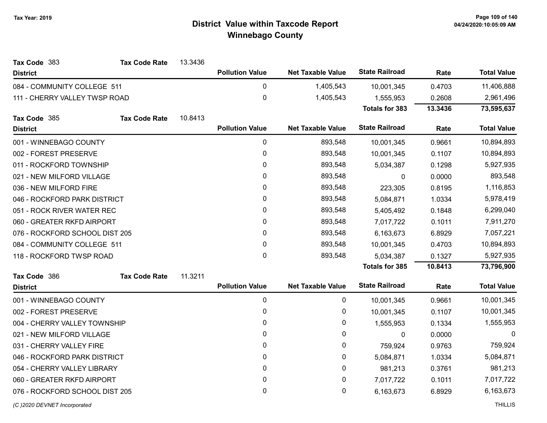| Tax Code 383                   | <b>Tax Code Rate</b> | 13.3436 |                        |                          |                       |         |                    |
|--------------------------------|----------------------|---------|------------------------|--------------------------|-----------------------|---------|--------------------|
| <b>District</b>                |                      |         | <b>Pollution Value</b> | <b>Net Taxable Value</b> | <b>State Railroad</b> | Rate    | <b>Total Value</b> |
| 084 - COMMUNITY COLLEGE 511    |                      |         | $\mathbf 0$            | 1,405,543                | 10,001,345            | 0.4703  | 11,406,888         |
| 111 - CHERRY VALLEY TWSP ROAD  |                      |         | 0                      | 1,405,543                | 1,555,953             | 0.2608  | 2,961,496          |
|                                |                      |         |                        |                          | <b>Totals for 383</b> | 13.3436 | 73,595,637         |
| Tax Code 385                   | <b>Tax Code Rate</b> | 10.8413 |                        |                          |                       |         |                    |
| <b>District</b>                |                      |         | <b>Pollution Value</b> | <b>Net Taxable Value</b> | <b>State Railroad</b> | Rate    | <b>Total Value</b> |
| 001 - WINNEBAGO COUNTY         |                      |         | $\pmb{0}$              | 893,548                  | 10,001,345            | 0.9661  | 10,894,893         |
| 002 - FOREST PRESERVE          |                      |         | 0                      | 893,548                  | 10,001,345            | 0.1107  | 10,894,893         |
| 011 - ROCKFORD TOWNSHIP        |                      |         | 0                      | 893,548                  | 5,034,387             | 0.1298  | 5,927,935          |
| 021 - NEW MILFORD VILLAGE      |                      |         | 0                      | 893,548                  | $\mathbf{0}$          | 0.0000  | 893,548            |
| 036 - NEW MILFORD FIRE         |                      |         | 0                      | 893,548                  | 223,305               | 0.8195  | 1,116,853          |
| 046 - ROCKFORD PARK DISTRICT   |                      |         | 0                      | 893,548                  | 5,084,871             | 1.0334  | 5,978,419          |
| 051 - ROCK RIVER WATER REC     |                      |         | 0                      | 893,548                  | 5,405,492             | 0.1848  | 6,299,040          |
| 060 - GREATER RKFD AIRPORT     |                      |         | 0                      | 893,548                  | 7,017,722             | 0.1011  | 7,911,270          |
| 076 - ROCKFORD SCHOOL DIST 205 |                      |         | 0                      | 893,548                  | 6,163,673             | 6.8929  | 7,057,221          |
| 084 - COMMUNITY COLLEGE 511    |                      |         | 0                      | 893,548                  | 10,001,345            | 0.4703  | 10,894,893         |
| 118 - ROCKFORD TWSP ROAD       |                      |         | 0                      | 893,548                  | 5,034,387             | 0.1327  | 5,927,935          |
|                                |                      |         |                        |                          | <b>Totals for 385</b> | 10.8413 | 73,796,900         |
| Tax Code 386                   | <b>Tax Code Rate</b> | 11.3211 |                        |                          |                       |         |                    |
| <b>District</b>                |                      |         | <b>Pollution Value</b> | <b>Net Taxable Value</b> | <b>State Railroad</b> | Rate    | <b>Total Value</b> |
| 001 - WINNEBAGO COUNTY         |                      |         | $\pmb{0}$              | 0                        | 10,001,345            | 0.9661  | 10,001,345         |
| 002 - FOREST PRESERVE          |                      |         | 0                      | 0                        | 10,001,345            | 0.1107  | 10,001,345         |
| 004 - CHERRY VALLEY TOWNSHIP   |                      |         | 0                      | 0                        | 1,555,953             | 0.1334  | 1,555,953          |
| 021 - NEW MILFORD VILLAGE      |                      |         | 0                      | 0                        | $\mathbf{0}$          | 0.0000  | $\Omega$           |
| 031 - CHERRY VALLEY FIRE       |                      |         | 0                      | 0                        | 759,924               | 0.9763  | 759,924            |
| 046 - ROCKFORD PARK DISTRICT   |                      |         | 0                      | 0                        | 5,084,871             | 1.0334  | 5,084,871          |
| 054 - CHERRY VALLEY LIBRARY    |                      |         | 0                      | 0                        | 981,213               | 0.3761  | 981,213            |
| 060 - GREATER RKFD AIRPORT     |                      |         | 0                      | 0                        | 7,017,722             | 0.1011  | 7,017,722          |
| 076 - ROCKFORD SCHOOL DIST 205 |                      |         | 0                      | 0                        | 6,163,673             | 6.8929  | 6,163,673          |
| (C)2020 DEVNET Incorporated    |                      |         |                        |                          |                       |         | <b>THILLIS</b>     |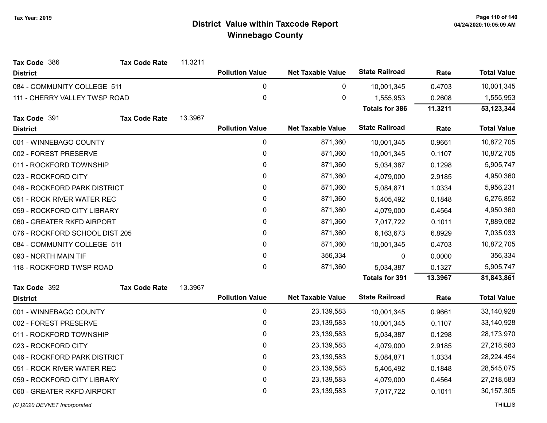| Tax Code 386<br><b>Tax Code Rate</b> | 11.3211 |                        |                          |                       |         |                    |
|--------------------------------------|---------|------------------------|--------------------------|-----------------------|---------|--------------------|
| <b>District</b>                      |         | <b>Pollution Value</b> | <b>Net Taxable Value</b> | <b>State Railroad</b> | Rate    | <b>Total Value</b> |
| 084 - COMMUNITY COLLEGE 511          |         | 0                      | 0                        | 10,001,345            | 0.4703  | 10,001,345         |
| 111 - CHERRY VALLEY TWSP ROAD        |         | $\pmb{0}$              | 0                        | 1,555,953             | 0.2608  | 1,555,953          |
|                                      |         |                        |                          | <b>Totals for 386</b> | 11.3211 | 53, 123, 344       |
| Tax Code 391<br><b>Tax Code Rate</b> | 13.3967 |                        |                          |                       |         |                    |
| <b>District</b>                      |         | <b>Pollution Value</b> | <b>Net Taxable Value</b> | <b>State Railroad</b> | Rate    | <b>Total Value</b> |
| 001 - WINNEBAGO COUNTY               |         | $\pmb{0}$              | 871,360                  | 10,001,345            | 0.9661  | 10,872,705         |
| 002 - FOREST PRESERVE                |         | $\pmb{0}$              | 871,360                  | 10,001,345            | 0.1107  | 10,872,705         |
| 011 - ROCKFORD TOWNSHIP              |         | 0                      | 871,360                  | 5,034,387             | 0.1298  | 5,905,747          |
| 023 - ROCKFORD CITY                  |         | $\pmb{0}$              | 871,360                  | 4,079,000             | 2.9185  | 4,950,360          |
| 046 - ROCKFORD PARK DISTRICT         |         | 0                      | 871,360                  | 5,084,871             | 1.0334  | 5,956,231          |
| 051 - ROCK RIVER WATER REC           |         | $\mathbf 0$            | 871,360                  | 5,405,492             | 0.1848  | 6,276,852          |
| 059 - ROCKFORD CITY LIBRARY          |         | 0                      | 871,360                  | 4,079,000             | 0.4564  | 4,950,360          |
| 060 - GREATER RKFD AIRPORT           |         | $\pmb{0}$              | 871,360                  | 7,017,722             | 0.1011  | 7,889,082          |
| 076 - ROCKFORD SCHOOL DIST 205       |         | $\pmb{0}$              | 871,360                  | 6,163,673             | 6.8929  | 7,035,033          |
| 084 - COMMUNITY COLLEGE 511          |         | 0                      | 871,360                  | 10,001,345            | 0.4703  | 10,872,705         |
| 093 - NORTH MAIN TIF                 |         | $\mathbf 0$            | 356,334                  | $\mathbf{0}$          | 0.0000  | 356,334            |
| 118 - ROCKFORD TWSP ROAD             |         | $\pmb{0}$              | 871,360                  | 5,034,387             | 0.1327  | 5,905,747          |
|                                      |         |                        |                          | <b>Totals for 391</b> | 13.3967 | 81,843,861         |
| Tax Code 392<br><b>Tax Code Rate</b> | 13.3967 |                        |                          |                       |         |                    |
| <b>District</b>                      |         | <b>Pollution Value</b> | <b>Net Taxable Value</b> | <b>State Railroad</b> | Rate    | <b>Total Value</b> |
| 001 - WINNEBAGO COUNTY               |         | 0                      | 23, 139, 583             | 10,001,345            | 0.9661  | 33,140,928         |
| 002 - FOREST PRESERVE                |         | $\pmb{0}$              | 23, 139, 583             | 10,001,345            | 0.1107  | 33,140,928         |
| 011 - ROCKFORD TOWNSHIP              |         | $\pmb{0}$              | 23, 139, 583             | 5,034,387             | 0.1298  | 28,173,970         |
| 023 - ROCKFORD CITY                  |         | $\pmb{0}$              | 23, 139, 583             | 4,079,000             | 2.9185  | 27,218,583         |
| 046 - ROCKFORD PARK DISTRICT         |         | 0                      | 23, 139, 583             | 5,084,871             | 1.0334  | 28,224,454         |
| 051 - ROCK RIVER WATER REC           |         | $\pmb{0}$              | 23, 139, 583             | 5,405,492             | 0.1848  | 28,545,075         |
| 059 - ROCKFORD CITY LIBRARY          |         | $\pmb{0}$              | 23, 139, 583             | 4,079,000             | 0.4564  | 27,218,583         |
| 060 - GREATER RKFD AIRPORT           |         | 0                      | 23, 139, 583             | 7,017,722             | 0.1011  | 30, 157, 305       |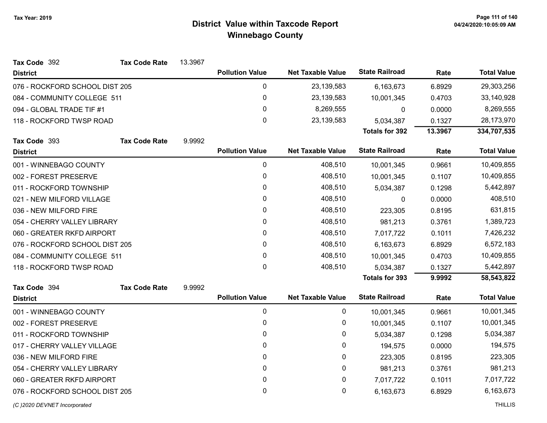| Tax Code 392                   | <b>Tax Code Rate</b> | 13.3967 |                        |                          |                       |         |                    |
|--------------------------------|----------------------|---------|------------------------|--------------------------|-----------------------|---------|--------------------|
| <b>District</b>                |                      |         | <b>Pollution Value</b> | <b>Net Taxable Value</b> | <b>State Railroad</b> | Rate    | <b>Total Value</b> |
| 076 - ROCKFORD SCHOOL DIST 205 |                      |         | 0                      | 23, 139, 583             | 6,163,673             | 6.8929  | 29,303,256         |
| 084 - COMMUNITY COLLEGE 511    |                      |         | 0                      | 23, 139, 583             | 10,001,345            | 0.4703  | 33,140,928         |
| 094 - GLOBAL TRADE TIF #1      |                      |         | 0                      | 8,269,555                | 0                     | 0.0000  | 8,269,555          |
| 118 - ROCKFORD TWSP ROAD       |                      |         | 0                      | 23, 139, 583             | 5,034,387             | 0.1327  | 28,173,970         |
|                                |                      |         |                        |                          | <b>Totals for 392</b> | 13.3967 | 334,707,535        |
| Tax Code 393                   | <b>Tax Code Rate</b> | 9.9992  |                        |                          |                       |         |                    |
| <b>District</b>                |                      |         | <b>Pollution Value</b> | <b>Net Taxable Value</b> | <b>State Railroad</b> | Rate    | <b>Total Value</b> |
| 001 - WINNEBAGO COUNTY         |                      |         | 0                      | 408,510                  | 10,001,345            | 0.9661  | 10,409,855         |
| 002 - FOREST PRESERVE          |                      |         | 0                      | 408,510                  | 10,001,345            | 0.1107  | 10,409,855         |
| 011 - ROCKFORD TOWNSHIP        |                      |         | 0                      | 408,510                  | 5,034,387             | 0.1298  | 5,442,897          |
| 021 - NEW MILFORD VILLAGE      |                      |         | 0                      | 408,510                  | 0                     | 0.0000  | 408,510            |
| 036 - NEW MILFORD FIRE         |                      |         | 0                      | 408,510                  | 223,305               | 0.8195  | 631,815            |
| 054 - CHERRY VALLEY LIBRARY    |                      |         | 0                      | 408,510                  | 981,213               | 0.3761  | 1,389,723          |
| 060 - GREATER RKFD AIRPORT     |                      |         | $\mathbf{0}$           | 408,510                  | 7,017,722             | 0.1011  | 7,426,232          |
| 076 - ROCKFORD SCHOOL DIST 205 |                      |         | 0                      | 408,510                  | 6,163,673             | 6.8929  | 6,572,183          |
| 084 - COMMUNITY COLLEGE 511    |                      |         | 0                      | 408,510                  | 10,001,345            | 0.4703  | 10,409,855         |
| 118 - ROCKFORD TWSP ROAD       |                      |         | $\mathbf{0}$           | 408,510                  | 5,034,387             | 0.1327  | 5,442,897          |
|                                |                      |         |                        |                          | <b>Totals for 393</b> | 9.9992  | 58,543,822         |
| Tax Code 394                   | <b>Tax Code Rate</b> | 9.9992  |                        |                          |                       |         |                    |
| <b>District</b>                |                      |         | <b>Pollution Value</b> | <b>Net Taxable Value</b> | <b>State Railroad</b> | Rate    | <b>Total Value</b> |
| 001 - WINNEBAGO COUNTY         |                      |         | 0                      | 0                        | 10,001,345            | 0.9661  | 10,001,345         |
| 002 - FOREST PRESERVE          |                      |         | 0                      | 0                        | 10,001,345            | 0.1107  | 10,001,345         |
| 011 - ROCKFORD TOWNSHIP        |                      |         | 0                      | 0                        | 5,034,387             | 0.1298  | 5,034,387          |
| 017 - CHERRY VALLEY VILLAGE    |                      |         | 0                      | 0                        | 194,575               | 0.0000  | 194,575            |
| 036 - NEW MILFORD FIRE         |                      |         | 0                      | 0                        | 223,305               | 0.8195  | 223,305            |
| 054 - CHERRY VALLEY LIBRARY    |                      |         | 0                      | 0                        | 981,213               | 0.3761  | 981,213            |
| 060 - GREATER RKFD AIRPORT     |                      |         | 0                      | 0                        | 7,017,722             | 0.1011  | 7,017,722          |
| 076 - ROCKFORD SCHOOL DIST 205 |                      |         | 0                      | 0                        | 6,163,673             | 6.8929  | 6,163,673          |
| (C)2020 DEVNET Incorporated    |                      |         |                        |                          |                       |         | <b>THILLIS</b>     |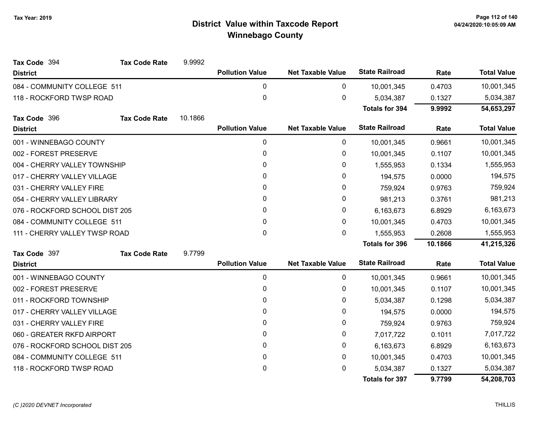| Tax Code 394                   | <b>Tax Code Rate</b> | 9.9992       |                        |                          |                       |            |                    |
|--------------------------------|----------------------|--------------|------------------------|--------------------------|-----------------------|------------|--------------------|
| <b>District</b>                |                      |              | <b>Pollution Value</b> | <b>Net Taxable Value</b> | <b>State Railroad</b> | Rate       | <b>Total Value</b> |
| 084 - COMMUNITY COLLEGE 511    |                      |              | 0                      | 0                        | 10,001,345            | 0.4703     | 10,001,345         |
| 118 - ROCKFORD TWSP ROAD       |                      |              | $\mathbf 0$            | 0                        | 5,034,387             | 0.1327     | 5,034,387          |
|                                |                      |              |                        |                          | <b>Totals for 394</b> | 9.9992     | 54,653,297         |
| Tax Code 396                   | <b>Tax Code Rate</b> | 10.1866      |                        |                          |                       |            |                    |
| <b>District</b>                |                      |              | <b>Pollution Value</b> | <b>Net Taxable Value</b> | <b>State Railroad</b> | Rate       | <b>Total Value</b> |
| 001 - WINNEBAGO COUNTY         |                      |              | 0                      | 0                        | 10,001,345            | 0.9661     | 10,001,345         |
| 002 - FOREST PRESERVE          |                      |              | 0                      | 0                        | 10,001,345            | 0.1107     | 10,001,345         |
| 004 - CHERRY VALLEY TOWNSHIP   |                      |              | 0                      | 0                        | 1,555,953             | 0.1334     | 1,555,953          |
| 017 - CHERRY VALLEY VILLAGE    |                      |              | 0                      | 0                        | 194,575               | 0.0000     | 194,575            |
| 031 - CHERRY VALLEY FIRE       |                      |              | $\mathbf{0}$           | 0                        | 759,924               | 0.9763     | 759,924            |
| 054 - CHERRY VALLEY LIBRARY    |                      |              | 0                      | 0                        | 981,213               | 0.3761     | 981,213            |
| 076 - ROCKFORD SCHOOL DIST 205 |                      | $\mathbf{0}$ | 0                      | 6,163,673                | 6.8929                | 6,163,673  |                    |
| 084 - COMMUNITY COLLEGE 511    |                      | $\mathbf{0}$ | 0                      | 10,001,345               | 0.4703                | 10,001,345 |                    |
| 111 - CHERRY VALLEY TWSP ROAD  |                      |              | $\pmb{0}$              | 0                        | 1,555,953             | 0.2608     | 1,555,953          |
|                                |                      |              |                        |                          | <b>Totals for 396</b> | 10.1866    | 41,215,326         |
| Tax Code 397                   | <b>Tax Code Rate</b> | 9.7799       |                        |                          |                       |            |                    |
| <b>District</b>                |                      |              | <b>Pollution Value</b> | <b>Net Taxable Value</b> | <b>State Railroad</b> | Rate       | <b>Total Value</b> |
| 001 - WINNEBAGO COUNTY         |                      |              | 0                      | 0                        | 10,001,345            | 0.9661     | 10,001,345         |
| 002 - FOREST PRESERVE          |                      |              | $\pmb{0}$              | 0                        | 10,001,345            | 0.1107     | 10,001,345         |
| 011 - ROCKFORD TOWNSHIP        |                      |              | 0                      | 0                        | 5,034,387             | 0.1298     | 5,034,387          |
| 017 - CHERRY VALLEY VILLAGE    |                      |              | $\mathbf{0}$           | 0                        | 194,575               | 0.0000     | 194,575            |
| 031 - CHERRY VALLEY FIRE       |                      |              | $\mathbf{0}$           | 0                        | 759,924               | 0.9763     | 759,924            |
| 060 - GREATER RKFD AIRPORT     |                      |              | 0                      | 0                        | 7,017,722             | 0.1011     | 7,017,722          |
| 076 - ROCKFORD SCHOOL DIST 205 |                      |              | 0                      | 0                        | 6,163,673             | 6.8929     | 6,163,673          |
| 084 - COMMUNITY COLLEGE 511    |                      |              | $\pmb{0}$              | 0                        | 10,001,345            | 0.4703     | 10,001,345         |
| 118 - ROCKFORD TWSP ROAD       |                      |              | $\pmb{0}$              | 0                        | 5,034,387             | 0.1327     | 5,034,387          |
|                                |                      |              |                        |                          | <b>Totals for 397</b> | 9.7799     | 54,208,703         |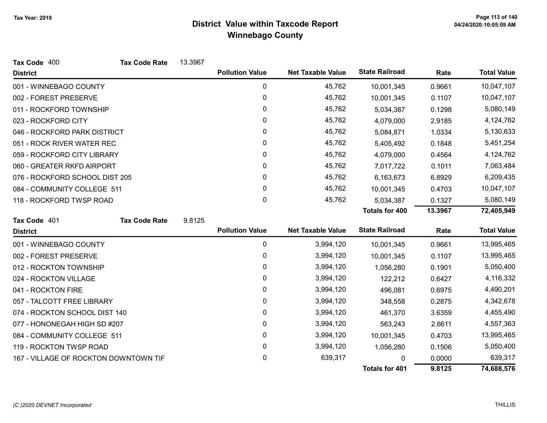| Tax Code 400                          | <b>Tax Code Rate</b> | 13.3967 |                        |                          |                       |         |                    |
|---------------------------------------|----------------------|---------|------------------------|--------------------------|-----------------------|---------|--------------------|
| <b>District</b>                       |                      |         | <b>Pollution Value</b> | <b>Net Taxable Value</b> | <b>State Railroad</b> | Rate    | <b>Total Value</b> |
| 001 - WINNEBAGO COUNTY                |                      |         | 0                      | 45,762                   | 10,001,345            | 0.9661  | 10,047,107         |
| 002 - FOREST PRESERVE                 |                      |         | 0                      | 45,762                   | 10,001,345            | 0.1107  | 10,047,107         |
| 011 - ROCKFORD TOWNSHIP               |                      |         | 0                      | 45,762                   | 5,034,387             | 0.1298  | 5,080,149          |
| 023 - ROCKFORD CITY                   |                      |         | 0                      | 45,762                   | 4,079,000             | 2.9185  | 4,124,762          |
| 046 - ROCKFORD PARK DISTRICT          |                      |         | 0                      | 45,762                   | 5,084,871             | 1.0334  | 5,130,633          |
| 051 - ROCK RIVER WATER REC            |                      |         | 0                      | 45,762                   | 5,405,492             | 0.1848  | 5,451,254          |
| 059 - ROCKFORD CITY LIBRARY           |                      |         | 0                      | 45,762                   | 4,079,000             | 0.4564  | 4,124,762          |
| 060 - GREATER RKFD AIRPORT            |                      |         | 0                      | 45,762                   | 7,017,722             | 0.1011  | 7,063,484          |
| 076 - ROCKFORD SCHOOL DIST 205        |                      |         | 0                      | 45,762                   | 6,163,673             | 6.8929  | 6,209,435          |
| 084 - COMMUNITY COLLEGE 511           |                      |         | 0                      | 45,762                   | 10,001,345            | 0.4703  | 10,047,107         |
| 118 - ROCKFORD TWSP ROAD              |                      |         | 0                      | 45,762                   | 5,034,387             | 0.1327  | 5,080,149          |
|                                       |                      |         |                        |                          | <b>Totals for 400</b> | 13.3967 | 72,405,949         |
| Tax Code 401                          | <b>Tax Code Rate</b> | 9.8125  |                        |                          |                       |         |                    |
| <b>District</b>                       |                      |         | <b>Pollution Value</b> | <b>Net Taxable Value</b> | <b>State Railroad</b> | Rate    | <b>Total Value</b> |
| 001 - WINNEBAGO COUNTY                |                      |         | 0                      | 3,994,120                | 10,001,345            | 0.9661  | 13,995,465         |
| 002 - FOREST PRESERVE                 |                      |         | 0                      | 3,994,120                | 10,001,345            | 0.1107  | 13,995,465         |
| 012 - ROCKTON TOWNSHIP                |                      |         | 0                      | 3,994,120                | 1,056,280             | 0.1901  | 5,050,400          |
| 024 - ROCKTON VILLAGE                 |                      |         | 0                      | 3,994,120                | 122,212               | 0.6427  | 4,116,332          |
| 041 - ROCKTON FIRE                    |                      |         | 0                      | 3,994,120                | 496,081               | 0.6975  | 4,490,201          |
| 057 - TALCOTT FREE LIBRARY            |                      |         | 0                      | 3,994,120                | 348,558               | 0.2875  | 4,342,678          |
| 074 - ROCKTON SCHOOL DIST 140         |                      |         | 0                      | 3,994,120                | 461,370               | 3.6359  | 4,455,490          |
| 077 - HONONEGAH HIGH SD #207          |                      |         | 0                      | 3,994,120                | 563,243               | 2.6611  | 4,557,363          |
| 084 - COMMUNITY COLLEGE 511           |                      |         | $\pmb{0}$              | 3,994,120                | 10,001,345            | 0.4703  | 13,995,465         |
| 119 - ROCKTON TWSP ROAD               |                      |         | 0                      | 3,994,120                | 1,056,280             | 0.1506  | 5,050,400          |
| 167 - VILLAGE OF ROCKTON DOWNTOWN TIF |                      |         | 0                      | 639,317                  | ი                     | 0.0000  | 639,317            |
|                                       |                      |         |                        |                          | <b>Totals for 401</b> | 9.8125  | 74,688,576         |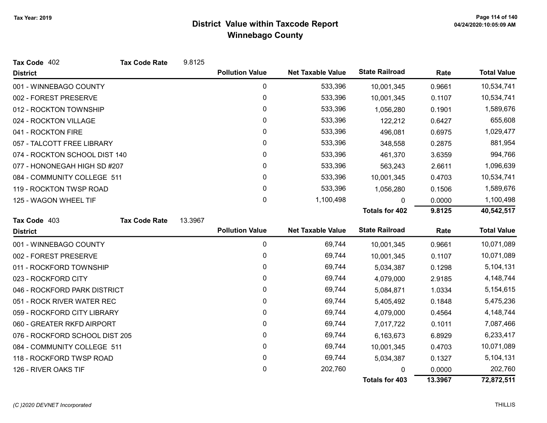| Tax Code 402                   | <b>Tax Code Rate</b> | 9.8125  |                        |                          |                       |        |                    |
|--------------------------------|----------------------|---------|------------------------|--------------------------|-----------------------|--------|--------------------|
| <b>District</b>                |                      |         | <b>Pollution Value</b> | <b>Net Taxable Value</b> | <b>State Railroad</b> | Rate   | <b>Total Value</b> |
| 001 - WINNEBAGO COUNTY         |                      |         | 0                      | 533,396                  | 10,001,345            | 0.9661 | 10,534,741         |
| 002 - FOREST PRESERVE          |                      |         | $\mathbf 0$            | 533,396                  | 10,001,345            | 0.1107 | 10,534,741         |
| 012 - ROCKTON TOWNSHIP         |                      |         | $\mathbf{0}$           | 533,396                  | 1,056,280             | 0.1901 | 1,589,676          |
| 024 - ROCKTON VILLAGE          |                      |         | 0                      | 533,396                  | 122,212               | 0.6427 | 655,608            |
| 041 - ROCKTON FIRE             |                      |         | 0                      | 533,396                  | 496,081               | 0.6975 | 1,029,477          |
| 057 - TALCOTT FREE LIBRARY     |                      |         | 0                      | 533,396                  | 348,558               | 0.2875 | 881,954            |
| 074 - ROCKTON SCHOOL DIST 140  |                      |         | 0                      | 533,396                  | 461,370               | 3.6359 | 994,766            |
| 077 - HONONEGAH HIGH SD #207   |                      |         | 0                      | 533,396                  | 563,243               | 2.6611 | 1,096,639          |
| 084 - COMMUNITY COLLEGE 511    |                      |         | 0                      | 533,396                  | 10,001,345            | 0.4703 | 10,534,741         |
| 119 - ROCKTON TWSP ROAD        |                      |         | 0                      | 533,396                  | 1,056,280             | 0.1506 | 1,589,676          |
| 125 - WAGON WHEEL TIF          |                      |         | $\mathbf 0$            | 1,100,498                | $\Omega$              | 0.0000 | 1,100,498          |
|                                |                      |         |                        |                          | <b>Totals for 402</b> | 9.8125 | 40,542,517         |
| Tax Code 403                   | <b>Tax Code Rate</b> | 13.3967 |                        |                          |                       |        |                    |
|                                |                      |         |                        |                          |                       |        |                    |
| <b>District</b>                |                      |         | <b>Pollution Value</b> | <b>Net Taxable Value</b> | <b>State Railroad</b> | Rate   | <b>Total Value</b> |
| 001 - WINNEBAGO COUNTY         |                      |         | 0                      | 69,744                   | 10,001,345            | 0.9661 | 10,071,089         |
| 002 - FOREST PRESERVE          |                      |         | 0                      | 69,744                   | 10,001,345            | 0.1107 | 10,071,089         |
| 011 - ROCKFORD TOWNSHIP        |                      |         | 0                      | 69,744                   | 5,034,387             | 0.1298 | 5,104,131          |
| 023 - ROCKFORD CITY            |                      |         | 0                      | 69,744                   | 4,079,000             | 2.9185 | 4,148,744          |
| 046 - ROCKFORD PARK DISTRICT   |                      |         | 0                      | 69,744                   | 5,084,871             | 1.0334 | 5,154,615          |
| 051 - ROCK RIVER WATER REC     |                      |         | 0                      | 69,744                   | 5,405,492             | 0.1848 | 5,475,236          |
| 059 - ROCKFORD CITY LIBRARY    |                      |         | $\mathbf{0}$           | 69,744                   | 4,079,000             | 0.4564 | 4,148,744          |
| 060 - GREATER RKFD AIRPORT     |                      |         | 0                      | 69,744                   | 7,017,722             | 0.1011 | 7,087,466          |
| 076 - ROCKFORD SCHOOL DIST 205 |                      |         | 0                      | 69,744                   | 6,163,673             | 6.8929 | 6,233,417          |
| 084 - COMMUNITY COLLEGE 511    |                      |         | 0                      | 69,744                   | 10,001,345            | 0.4703 | 10,071,089         |
| 118 - ROCKFORD TWSP ROAD       |                      |         | 0                      | 69,744                   | 5,034,387             | 0.1327 | 5,104,131          |
| 126 - RIVER OAKS TIF           |                      |         | 0                      | 202,760                  |                       | 0.0000 | 202,760            |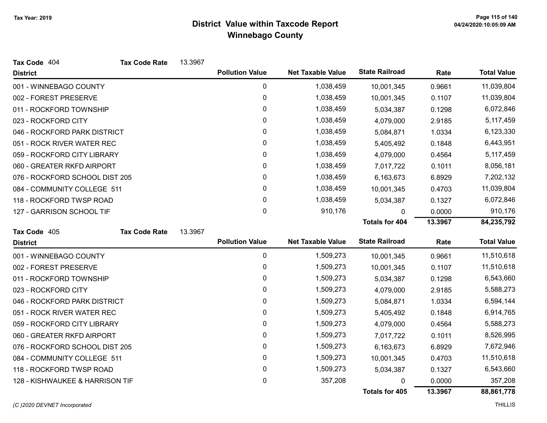| Tax Code 404                    | <b>Tax Code Rate</b> | 13.3967 |                        |                          |                       |         |                    |
|---------------------------------|----------------------|---------|------------------------|--------------------------|-----------------------|---------|--------------------|
| <b>District</b>                 |                      |         | <b>Pollution Value</b> | <b>Net Taxable Value</b> | <b>State Railroad</b> | Rate    | <b>Total Value</b> |
| 001 - WINNEBAGO COUNTY          |                      |         | 0                      | 1,038,459                | 10,001,345            | 0.9661  | 11,039,804         |
| 002 - FOREST PRESERVE           |                      |         | 0                      | 1,038,459                | 10,001,345            | 0.1107  | 11,039,804         |
| 011 - ROCKFORD TOWNSHIP         |                      |         | 0                      | 1,038,459                | 5,034,387             | 0.1298  | 6,072,846          |
| 023 - ROCKFORD CITY             |                      |         | 0                      | 1,038,459                | 4,079,000             | 2.9185  | 5,117,459          |
| 046 - ROCKFORD PARK DISTRICT    |                      |         | 0                      | 1,038,459                | 5,084,871             | 1.0334  | 6,123,330          |
| 051 - ROCK RIVER WATER REC      |                      |         | 0                      | 1,038,459                | 5,405,492             | 0.1848  | 6,443,951          |
| 059 - ROCKFORD CITY LIBRARY     |                      |         | 0                      | 1,038,459                | 4,079,000             | 0.4564  | 5,117,459          |
| 060 - GREATER RKFD AIRPORT      |                      |         | 0                      | 1,038,459                | 7,017,722             | 0.1011  | 8,056,181          |
| 076 - ROCKFORD SCHOOL DIST 205  |                      |         | 0                      | 1,038,459                | 6,163,673             | 6.8929  | 7,202,132          |
| 084 - COMMUNITY COLLEGE 511     |                      |         | 0                      | 1,038,459                | 10,001,345            | 0.4703  | 11,039,804         |
| 118 - ROCKFORD TWSP ROAD        |                      |         | 0                      | 1,038,459                | 5,034,387             | 0.1327  | 6,072,846          |
| 127 - GARRISON SCHOOL TIF       |                      |         | $\pmb{0}$              | 910,176                  | 0                     | 0.0000  | 910,176            |
|                                 |                      |         |                        |                          | Totals for 404        | 13.3967 | 84,235,792         |
| Tax Code 405                    | <b>Tax Code Rate</b> | 13.3967 |                        |                          |                       |         |                    |
| <b>District</b>                 |                      |         | <b>Pollution Value</b> | <b>Net Taxable Value</b> | <b>State Railroad</b> | Rate    | <b>Total Value</b> |
| 001 - WINNEBAGO COUNTY          |                      |         | $\mathbf 0$            | 1,509,273                | 10,001,345            | 0.9661  | 11,510,618         |
| 002 - FOREST PRESERVE           |                      |         | 0                      | 1,509,273                | 10,001,345            | 0.1107  | 11,510,618         |
| 011 - ROCKFORD TOWNSHIP         |                      |         | $\pmb{0}$              | 1,509,273                | 5,034,387             | 0.1298  | 6,543,660          |
| 023 - ROCKFORD CITY             |                      |         | 0                      | 1,509,273                | 4,079,000             | 2.9185  | 5,588,273          |
| 046 - ROCKFORD PARK DISTRICT    |                      |         | $\pmb{0}$              | 1,509,273                | 5,084,871             | 1.0334  | 6,594,144          |
| 051 - ROCK RIVER WATER REC      |                      |         | 0                      | 1,509,273                | 5,405,492             | 0.1848  | 6,914,765          |
| 059 - ROCKFORD CITY LIBRARY     |                      |         | 0                      | 1,509,273                | 4,079,000             | 0.4564  | 5,588,273          |
| 060 - GREATER RKFD AIRPORT      |                      |         | 0                      | 1,509,273                | 7,017,722             | 0.1011  | 8,526,995          |
| 076 - ROCKFORD SCHOOL DIST 205  |                      |         | 0                      | 1,509,273                | 6,163,673             | 6.8929  | 7,672,946          |
| 084 - COMMUNITY COLLEGE 511     |                      |         | 0                      | 1,509,273                | 10,001,345            | 0.4703  | 11,510,618         |
| 118 - ROCKFORD TWSP ROAD        |                      |         | 0                      | 1,509,273                | 5,034,387             | 0.1327  | 6,543,660          |
| 128 - KISHWAUKEE & HARRISON TIF |                      |         | 0                      | 357,208                  | 0                     | 0.0000  | 357,208            |
|                                 |                      |         |                        |                          | Totals for 405        | 13.3967 | 88,861,778         |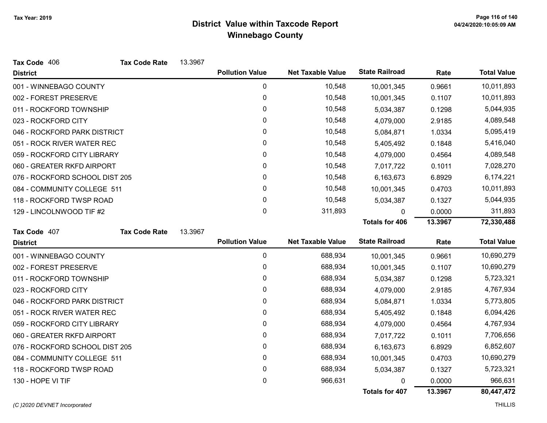| Tax Code 406                   | <b>Tax Code Rate</b> | 13.3967 |                        |                          |                       |         |                    |
|--------------------------------|----------------------|---------|------------------------|--------------------------|-----------------------|---------|--------------------|
| <b>District</b>                |                      |         | <b>Pollution Value</b> | <b>Net Taxable Value</b> | <b>State Railroad</b> | Rate    | <b>Total Value</b> |
| 001 - WINNEBAGO COUNTY         |                      |         | 0                      | 10,548                   | 10,001,345            | 0.9661  | 10,011,893         |
| 002 - FOREST PRESERVE          |                      |         | 0                      | 10,548                   | 10,001,345            | 0.1107  | 10,011,893         |
| 011 - ROCKFORD TOWNSHIP        |                      |         | 0                      | 10,548                   | 5,034,387             | 0.1298  | 5,044,935          |
| 023 - ROCKFORD CITY            |                      |         | 0                      | 10,548                   | 4,079,000             | 2.9185  | 4,089,548          |
| 046 - ROCKFORD PARK DISTRICT   |                      |         | 0                      | 10,548                   | 5,084,871             | 1.0334  | 5,095,419          |
| 051 - ROCK RIVER WATER REC     |                      |         | 0                      | 10,548                   | 5,405,492             | 0.1848  | 5,416,040          |
| 059 - ROCKFORD CITY LIBRARY    |                      |         | 0                      | 10,548                   | 4,079,000             | 0.4564  | 4,089,548          |
| 060 - GREATER RKFD AIRPORT     |                      |         | 0                      | 10,548                   | 7,017,722             | 0.1011  | 7,028,270          |
| 076 - ROCKFORD SCHOOL DIST 205 |                      |         | 0                      | 10,548                   | 6,163,673             | 6.8929  | 6,174,221          |
| 084 - COMMUNITY COLLEGE 511    |                      |         | 0                      | 10,548                   | 10,001,345            | 0.4703  | 10,011,893         |
| 118 - ROCKFORD TWSP ROAD       |                      |         | 0                      | 10,548                   | 5,034,387             | 0.1327  | 5,044,935          |
| 129 - LINCOLNWOOD TIF #2       |                      |         | 0                      | 311,893                  | 0                     | 0.0000  | 311,893            |
|                                |                      |         |                        |                          | <b>Totals for 406</b> | 13.3967 | 72,330,488         |
| Tax Code 407                   | <b>Tax Code Rate</b> | 13.3967 |                        |                          |                       |         |                    |
| <b>District</b>                |                      |         | <b>Pollution Value</b> | <b>Net Taxable Value</b> | <b>State Railroad</b> | Rate    | <b>Total Value</b> |
| 001 - WINNEBAGO COUNTY         |                      |         | $\pmb{0}$              | 688,934                  | 10,001,345            | 0.9661  | 10,690,279         |
| 002 - FOREST PRESERVE          |                      |         | 0                      | 688,934                  | 10,001,345            | 0.1107  | 10,690,279         |
| 011 - ROCKFORD TOWNSHIP        |                      |         | 0                      | 688,934                  | 5,034,387             | 0.1298  | 5,723,321          |
| 023 - ROCKFORD CITY            |                      |         | 0                      | 688,934                  | 4,079,000             | 2.9185  | 4,767,934          |
| 046 - ROCKFORD PARK DISTRICT   |                      |         | 0                      | 688,934                  | 5,084,871             | 1.0334  | 5,773,805          |
| 051 - ROCK RIVER WATER REC     |                      |         | 0                      | 688,934                  | 5,405,492             | 0.1848  | 6,094,426          |
| 059 - ROCKFORD CITY LIBRARY    |                      |         | 0                      | 688,934                  | 4,079,000             | 0.4564  | 4,767,934          |
| 060 - GREATER RKFD AIRPORT     |                      |         | 0                      | 688,934                  | 7,017,722             | 0.1011  | 7,706,656          |
| 076 - ROCKFORD SCHOOL DIST 205 |                      |         | 0                      | 688,934                  | 6,163,673             | 6.8929  | 6,852,607          |
| 084 - COMMUNITY COLLEGE 511    |                      |         | 0                      | 688,934                  | 10,001,345            | 0.4703  | 10,690,279         |
|                                |                      |         |                        |                          |                       |         |                    |
| 118 - ROCKFORD TWSP ROAD       |                      |         | 0                      | 688,934                  | 5,034,387             | 0.1327  | 5,723,321          |
| 130 - HOPE VI TIF              |                      |         | 0                      | 966,631                  | O                     | 0.0000  | 966,631            |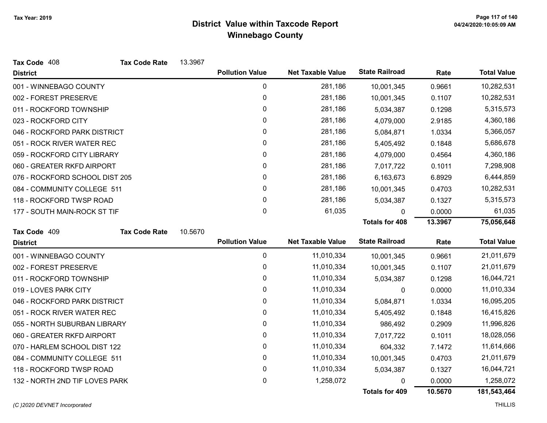| Tax Code 408                   | <b>Tax Code Rate</b> | 13.3967 |                        |                          |                       |         |                    |
|--------------------------------|----------------------|---------|------------------------|--------------------------|-----------------------|---------|--------------------|
| <b>District</b>                |                      |         | <b>Pollution Value</b> | <b>Net Taxable Value</b> | <b>State Railroad</b> | Rate    | <b>Total Value</b> |
| 001 - WINNEBAGO COUNTY         |                      |         | $\mathbf 0$            | 281,186                  | 10,001,345            | 0.9661  | 10,282,531         |
| 002 - FOREST PRESERVE          |                      |         | 0                      | 281,186                  | 10,001,345            | 0.1107  | 10,282,531         |
| 011 - ROCKFORD TOWNSHIP        |                      |         | 0                      | 281,186                  | 5,034,387             | 0.1298  | 5,315,573          |
| 023 - ROCKFORD CITY            |                      |         | 0                      | 281,186                  | 4,079,000             | 2.9185  | 4,360,186          |
| 046 - ROCKFORD PARK DISTRICT   |                      |         | 0                      | 281,186                  | 5,084,871             | 1.0334  | 5,366,057          |
| 051 - ROCK RIVER WATER REC     |                      |         | 0                      | 281,186                  | 5,405,492             | 0.1848  | 5,686,678          |
| 059 - ROCKFORD CITY LIBRARY    |                      |         | 0                      | 281,186                  | 4,079,000             | 0.4564  | 4,360,186          |
| 060 - GREATER RKFD AIRPORT     |                      |         | 0                      | 281,186                  | 7,017,722             | 0.1011  | 7,298,908          |
| 076 - ROCKFORD SCHOOL DIST 205 |                      |         | 0                      | 281,186                  | 6,163,673             | 6.8929  | 6,444,859          |
| 084 - COMMUNITY COLLEGE 511    |                      |         | 0                      | 281,186                  | 10,001,345            | 0.4703  | 10,282,531         |
| 118 - ROCKFORD TWSP ROAD       |                      |         | 0                      | 281,186                  | 5,034,387             | 0.1327  | 5,315,573          |
| 177 - SOUTH MAIN-ROCK ST TIF   |                      |         | 0                      | 61,035                   | $\Omega$              | 0.0000  | 61,035             |
|                                |                      |         |                        |                          | <b>Totals for 408</b> | 13.3967 | 75,056,648         |
| Tax Code 409                   | <b>Tax Code Rate</b> | 10.5670 |                        |                          |                       |         |                    |
| <b>District</b>                |                      |         | <b>Pollution Value</b> | <b>Net Taxable Value</b> | <b>State Railroad</b> | Rate    | <b>Total Value</b> |
| 001 - WINNEBAGO COUNTY         |                      |         | 0                      | 11,010,334               | 10,001,345            | 0.9661  | 21,011,679         |
| 002 - FOREST PRESERVE          |                      |         | 0                      | 11,010,334               | 10,001,345            | 0.1107  | 21,011,679         |
| 011 - ROCKFORD TOWNSHIP        |                      |         | 0                      | 11,010,334               | 5,034,387             | 0.1298  | 16,044,721         |
| 019 - LOVES PARK CITY          |                      |         | 0                      | 11,010,334               | 0                     | 0.0000  | 11,010,334         |
| 046 - ROCKFORD PARK DISTRICT   |                      |         | 0                      | 11,010,334               | 5,084,871             | 1.0334  | 16,095,205         |
| 051 - ROCK RIVER WATER REC     |                      |         | 0                      | 11,010,334               | 5,405,492             | 0.1848  | 16,415,826         |
| 055 - NORTH SUBURBAN LIBRARY   |                      |         | 0                      | 11,010,334               | 986,492               | 0.2909  | 11,996,826         |
| 060 - GREATER RKFD AIRPORT     |                      |         | 0                      | 11,010,334               | 7,017,722             | 0.1011  | 18,028,056         |
| 070 - HARLEM SCHOOL DIST 122   |                      |         | 0                      | 11,010,334               | 604,332               | 7.1472  | 11,614,666         |
| 084 - COMMUNITY COLLEGE 511    |                      |         | 0                      | 11,010,334               | 10,001,345            | 0.4703  | 21,011,679         |
| 118 - ROCKFORD TWSP ROAD       |                      |         | 0                      | 11,010,334               | 5,034,387             | 0.1327  | 16,044,721         |
| 132 - NORTH 2ND TIF LOVES PARK |                      |         | 0                      | 1,258,072                | 0                     | 0.0000  | 1,258,072          |
|                                |                      |         |                        |                          | Totals for 409        | 10.5670 | 181,543,464        |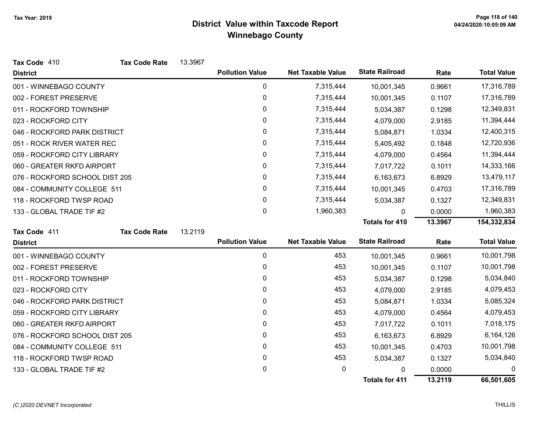| Tax Code 410                   | <b>Tax Code Rate</b> | 13.3967 |                        |                          |                       |         |                    |
|--------------------------------|----------------------|---------|------------------------|--------------------------|-----------------------|---------|--------------------|
| <b>District</b>                |                      |         | <b>Pollution Value</b> | <b>Net Taxable Value</b> | <b>State Railroad</b> | Rate    | <b>Total Value</b> |
| 001 - WINNEBAGO COUNTY         |                      |         | 0                      | 7,315,444                | 10,001,345            | 0.9661  | 17,316,789         |
| 002 - FOREST PRESERVE          |                      |         | $\boldsymbol{0}$       | 7,315,444                | 10,001,345            | 0.1107  | 17,316,789         |
| 011 - ROCKFORD TOWNSHIP        |                      |         | 0                      | 7,315,444                | 5,034,387             | 0.1298  | 12,349,831         |
| 023 - ROCKFORD CITY            |                      |         | 0                      | 7,315,444                | 4,079,000             | 2.9185  | 11,394,444         |
| 046 - ROCKFORD PARK DISTRICT   |                      |         | 0                      | 7,315,444                | 5,084,871             | 1.0334  | 12,400,315         |
| 051 - ROCK RIVER WATER REC     |                      |         | 0                      | 7,315,444                | 5,405,492             | 0.1848  | 12,720,936         |
| 059 - ROCKFORD CITY LIBRARY    |                      |         | $\mathbf 0$            | 7,315,444                | 4,079,000             | 0.4564  | 11,394,444         |
| 060 - GREATER RKFD AIRPORT     |                      |         | 0                      | 7,315,444                | 7,017,722             | 0.1011  | 14,333,166         |
| 076 - ROCKFORD SCHOOL DIST 205 |                      |         | 0                      | 7,315,444                | 6,163,673             | 6.8929  | 13,479,117         |
| 084 - COMMUNITY COLLEGE 511    |                      |         | $\pmb{0}$              | 7,315,444                | 10,001,345            | 0.4703  | 17,316,789         |
| 118 - ROCKFORD TWSP ROAD       |                      |         | 0                      | 7,315,444                | 5,034,387             | 0.1327  | 12,349,831         |
| 133 - GLOBAL TRADE TIF #2      |                      |         | 0                      | 1,960,383                | $\Omega$              | 0.0000  | 1,960,383          |
|                                |                      |         |                        |                          | <b>Totals for 410</b> | 13.3967 | 154,332,834        |
| Tax Code 411                   | <b>Tax Code Rate</b> | 13.2119 |                        |                          |                       |         |                    |
| <b>District</b>                |                      |         | <b>Pollution Value</b> | <b>Net Taxable Value</b> | <b>State Railroad</b> | Rate    | <b>Total Value</b> |
| 001 - WINNEBAGO COUNTY         |                      |         | 0                      | 453                      | 10,001,345            | 0.9661  | 10,001,798         |
| 002 - FOREST PRESERVE          |                      |         | $\boldsymbol{0}$       | 453                      | 10,001,345            | 0.1107  | 10,001,798         |
| 011 - ROCKFORD TOWNSHIP        |                      |         | 0                      | 453                      | 5,034,387             | 0.1298  | 5,034,840          |
| 023 - ROCKFORD CITY            |                      |         | 0                      | 453                      | 4,079,000             | 2.9185  | 4,079,453          |
| 046 - ROCKFORD PARK DISTRICT   |                      |         | 0                      | 453                      | 5,084,871             | 1.0334  | 5,085,324          |
| 059 - ROCKFORD CITY LIBRARY    |                      |         | 0                      | 453                      | 4,079,000             | 0.4564  | 4,079,453          |
| 060 - GREATER RKFD AIRPORT     |                      |         | 0                      | 453                      | 7,017,722             | 0.1011  | 7,018,175          |
| 076 - ROCKFORD SCHOOL DIST 205 |                      |         | 0                      | 453                      | 6,163,673             | 6.8929  | 6,164,126          |
| 084 - COMMUNITY COLLEGE 511    |                      |         | 0                      | 453                      | 10,001,345            | 0.4703  | 10,001,798         |
| 118 - ROCKFORD TWSP ROAD       |                      |         | 0                      | 453                      | 5,034,387             | 0.1327  | 5,034,840          |
| 133 - GLOBAL TRADE TIF #2      |                      |         | 0                      | 0                        | 0                     | 0.0000  | 0                  |
|                                |                      |         |                        |                          | <b>Totals for 411</b> | 13.2119 | 66,501,605         |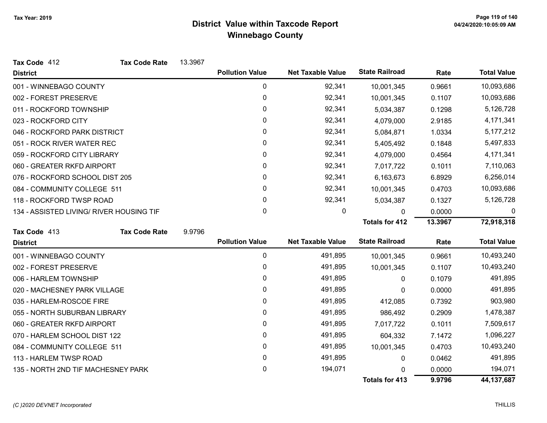| Tax Code 412                             | <b>Tax Code Rate</b> | 13.3967 |                        |                          |                       |         |                    |
|------------------------------------------|----------------------|---------|------------------------|--------------------------|-----------------------|---------|--------------------|
| <b>District</b>                          |                      |         | <b>Pollution Value</b> | <b>Net Taxable Value</b> | <b>State Railroad</b> | Rate    | <b>Total Value</b> |
| 001 - WINNEBAGO COUNTY                   |                      |         | $\mathbf 0$            | 92,341                   | 10,001,345            | 0.9661  | 10,093,686         |
| 002 - FOREST PRESERVE                    |                      |         | 0                      | 92,341                   | 10,001,345            | 0.1107  | 10,093,686         |
| 011 - ROCKFORD TOWNSHIP                  |                      |         | 0                      | 92,341                   | 5,034,387             | 0.1298  | 5,126,728          |
| 023 - ROCKFORD CITY                      |                      |         | 0                      | 92,341                   | 4,079,000             | 2.9185  | 4,171,341          |
| 046 - ROCKFORD PARK DISTRICT             |                      |         | 0                      | 92,341                   | 5,084,871             | 1.0334  | 5, 177, 212        |
| 051 - ROCK RIVER WATER REC               |                      |         | 0                      | 92,341                   | 5,405,492             | 0.1848  | 5,497,833          |
| 059 - ROCKFORD CITY LIBRARY              |                      |         | 0                      | 92,341                   | 4,079,000             | 0.4564  | 4,171,341          |
| 060 - GREATER RKFD AIRPORT               |                      |         | 0                      | 92,341                   | 7,017,722             | 0.1011  | 7,110,063          |
| 076 - ROCKFORD SCHOOL DIST 205           |                      |         | 0                      | 92,341                   | 6,163,673             | 6.8929  | 6,256,014          |
| 084 - COMMUNITY COLLEGE 511              |                      |         | 0                      | 92,341                   | 10,001,345            | 0.4703  | 10,093,686         |
| 118 - ROCKFORD TWSP ROAD                 |                      |         | 0                      | 92,341                   | 5,034,387             | 0.1327  | 5,126,728          |
| 134 - ASSISTED LIVING/ RIVER HOUSING TIF |                      |         | 0                      | 0                        | $\Omega$              | 0.0000  | $\Omega$           |
|                                          |                      |         |                        |                          | <b>Totals for 412</b> | 13.3967 | 72,918,318         |
| Tax Code 413                             | <b>Tax Code Rate</b> | 9.9796  |                        |                          |                       |         |                    |
| <b>District</b>                          |                      |         | <b>Pollution Value</b> | <b>Net Taxable Value</b> | <b>State Railroad</b> | Rate    | <b>Total Value</b> |
| 001 - WINNEBAGO COUNTY                   |                      |         | 0                      | 491,895                  | 10,001,345            | 0.9661  | 10,493,240         |
| 002 - FOREST PRESERVE                    |                      |         | $\boldsymbol{0}$       | 491,895                  | 10,001,345            | 0.1107  | 10,493,240         |
| 006 - HARLEM TOWNSHIP                    |                      |         | 0                      | 491,895                  | $\mathbf{0}$          | 0.1079  | 491,895            |
| 020 - MACHESNEY PARK VILLAGE             |                      |         | 0                      | 491,895                  | 0                     | 0.0000  | 491,895            |
| 035 - HARLEM-ROSCOE FIRE                 |                      |         | 0                      | 491,895                  | 412,085               | 0.7392  | 903,980            |
| 055 - NORTH SUBURBAN LIBRARY             |                      |         | 0                      | 491,895                  | 986,492               | 0.2909  | 1,478,387          |
| 060 - GREATER RKFD AIRPORT               |                      |         | 0                      | 491,895                  | 7,017,722             | 0.1011  | 7,509,617          |
| 070 - HARLEM SCHOOL DIST 122             |                      |         | 0                      | 491,895                  | 604,332               | 7.1472  | 1,096,227          |
| 084 - COMMUNITY COLLEGE 511              |                      |         | 0                      | 491,895                  | 10,001,345            | 0.4703  | 10,493,240         |
| 113 - HARLEM TWSP ROAD                   |                      |         | 0                      | 491,895                  | 0                     | 0.0462  | 491,895            |
| 135 - NORTH 2ND TIF MACHESNEY PARK       |                      |         | 0                      | 194,071                  | $\Omega$              | 0.0000  | 194,071            |
|                                          |                      |         |                        |                          | <b>Totals for 413</b> | 9.9796  | 44, 137, 687       |

#### (C)2020 DEVNET Incorporated THILLIS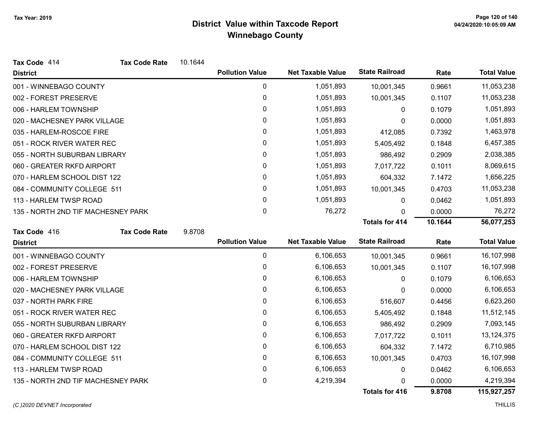| Tax Code 414                       | <b>Tax Code Rate</b> | 10.1644 |                        |                          |                       |         |                    |
|------------------------------------|----------------------|---------|------------------------|--------------------------|-----------------------|---------|--------------------|
| <b>District</b>                    |                      |         | <b>Pollution Value</b> | <b>Net Taxable Value</b> | <b>State Railroad</b> | Rate    | <b>Total Value</b> |
| 001 - WINNEBAGO COUNTY             |                      |         | $\pmb{0}$              | 1,051,893                | 10,001,345            | 0.9661  | 11,053,238         |
| 002 - FOREST PRESERVE              |                      |         | 0                      | 1,051,893                | 10,001,345            | 0.1107  | 11,053,238         |
| 006 - HARLEM TOWNSHIP              |                      |         | 0                      | 1,051,893                | 0                     | 0.1079  | 1,051,893          |
| 020 - MACHESNEY PARK VILLAGE       |                      |         | 0                      | 1,051,893                | 0                     | 0.0000  | 1,051,893          |
| 035 - HARLEM-ROSCOE FIRE           |                      |         | 0                      | 1,051,893                | 412,085               | 0.7392  | 1,463,978          |
| 051 - ROCK RIVER WATER REC         |                      |         | 0                      | 1,051,893                | 5,405,492             | 0.1848  | 6,457,385          |
| 055 - NORTH SUBURBAN LIBRARY       |                      |         | 0                      | 1,051,893                | 986,492               | 0.2909  | 2,038,385          |
| 060 - GREATER RKFD AIRPORT         |                      |         | 0                      | 1,051,893                | 7,017,722             | 0.1011  | 8,069,615          |
| 070 - HARLEM SCHOOL DIST 122       |                      |         | 0                      | 1,051,893                | 604,332               | 7.1472  | 1,656,225          |
| 084 - COMMUNITY COLLEGE 511        |                      |         | 0                      | 1,051,893                | 10,001,345            | 0.4703  | 11,053,238         |
| 113 - HARLEM TWSP ROAD             |                      |         | 0                      | 1,051,893                | 0                     | 0.0462  | 1,051,893          |
| 135 - NORTH 2ND TIF MACHESNEY PARK |                      |         | 0                      | 76,272                   | 0                     | 0.0000  | 76,272             |
|                                    |                      |         |                        |                          | <b>Totals for 414</b> | 10.1644 | 56,077,253         |
| Tax Code 416                       | <b>Tax Code Rate</b> | 9.8708  |                        |                          |                       |         |                    |
| <b>District</b>                    |                      |         | <b>Pollution Value</b> | <b>Net Taxable Value</b> | <b>State Railroad</b> | Rate    | <b>Total Value</b> |
| 001 - WINNEBAGO COUNTY             |                      |         | $\pmb{0}$              | 6,106,653                | 10,001,345            | 0.9661  | 16,107,998         |
| 002 - FOREST PRESERVE              |                      |         | $\mathbf{0}$           | 6,106,653                | 10,001,345            | 0.1107  | 16,107,998         |
| 006 - HARLEM TOWNSHIP              |                      |         | 0                      | 6,106,653                | 0                     | 0.1079  | 6,106,653          |
| 020 - MACHESNEY PARK VILLAGE       |                      |         | 0                      | 6,106,653                | 0                     | 0.0000  | 6,106,653          |
| 037 - NORTH PARK FIRE              |                      |         | 0                      | 6,106,653                | 516,607               | 0.4456  | 6,623,260          |
| 051 - ROCK RIVER WATER REC         |                      |         | 0                      | 6,106,653                | 5,405,492             | 0.1848  | 11,512,145         |
| 055 - NORTH SUBURBAN LIBRARY       |                      |         | 0                      | 6,106,653                | 986,492               | 0.2909  | 7,093,145          |
| 060 - GREATER RKFD AIRPORT         |                      |         | 0                      | 6,106,653                | 7,017,722             | 0.1011  | 13,124,375         |
| 070 - HARLEM SCHOOL DIST 122       |                      |         | 0                      | 6,106,653                | 604,332               | 7.1472  | 6,710,985          |
| 084 - COMMUNITY COLLEGE 511        |                      |         | 0                      | 6,106,653                | 10,001,345            | 0.4703  | 16,107,998         |
| 113 - HARLEM TWSP ROAD             |                      |         | 0                      | 6,106,653                | 0                     | 0.0462  | 6,106,653          |
| 135 - NORTH 2ND TIF MACHESNEY PARK |                      |         | 0                      | 4,219,394                | 0                     | 0.0000  | 4,219,394          |
|                                    |                      |         |                        |                          | Totals for 416        | 9.8708  | 115,927,257        |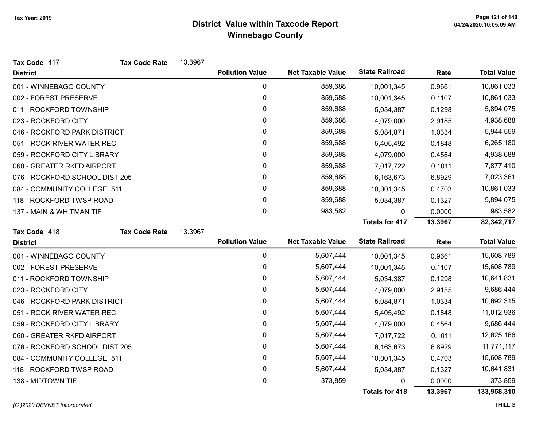| Tax Code 417                   | <b>Tax Code Rate</b> | 13.3967 |                        |                          |                       |         |                    |
|--------------------------------|----------------------|---------|------------------------|--------------------------|-----------------------|---------|--------------------|
| <b>District</b>                |                      |         | <b>Pollution Value</b> | <b>Net Taxable Value</b> | <b>State Railroad</b> | Rate    | <b>Total Value</b> |
| 001 - WINNEBAGO COUNTY         |                      |         | 0                      | 859,688                  | 10,001,345            | 0.9661  | 10,861,033         |
| 002 - FOREST PRESERVE          |                      |         | $\mathbf{0}$           | 859,688                  | 10,001,345            | 0.1107  | 10,861,033         |
| 011 - ROCKFORD TOWNSHIP        |                      |         | $\Omega$               | 859,688                  | 5,034,387             | 0.1298  | 5,894,075          |
| 023 - ROCKFORD CITY            |                      |         | $\Omega$               | 859,688                  | 4,079,000             | 2.9185  | 4,938,688          |
| 046 - ROCKFORD PARK DISTRICT   |                      |         | $\Omega$               | 859,688                  | 5,084,871             | 1.0334  | 5,944,559          |
| 051 - ROCK RIVER WATER REC     |                      |         | 0                      | 859,688                  | 5,405,492             | 0.1848  | 6,265,180          |
| 059 - ROCKFORD CITY LIBRARY    |                      |         | 0                      | 859,688                  | 4,079,000             | 0.4564  | 4,938,688          |
| 060 - GREATER RKFD AIRPORT     |                      |         | 0                      | 859,688                  | 7,017,722             | 0.1011  | 7,877,410          |
| 076 - ROCKFORD SCHOOL DIST 205 |                      |         | 0                      | 859,688                  | 6,163,673             | 6.8929  | 7,023,361          |
| 084 - COMMUNITY COLLEGE 511    |                      |         | 0                      | 859,688                  | 10,001,345            | 0.4703  | 10,861,033         |
| 118 - ROCKFORD TWSP ROAD       |                      |         | 0                      | 859,688                  | 5,034,387             | 0.1327  | 5,894,075          |
| 137 - MAIN & WHITMAN TIF       |                      |         | 0                      | 983,582                  | 0                     | 0.0000  | 983,582            |
|                                |                      |         |                        |                          | <b>Totals for 417</b> | 13.3967 | 82,342,717         |
| Tax Code 418                   | <b>Tax Code Rate</b> | 13.3967 |                        |                          |                       |         |                    |
| <b>District</b>                |                      |         | <b>Pollution Value</b> | <b>Net Taxable Value</b> | <b>State Railroad</b> | Rate    | <b>Total Value</b> |
| 001 - WINNEBAGO COUNTY         |                      |         | $\pmb{0}$              | 5,607,444                | 10,001,345            | 0.9661  | 15,608,789         |
| 002 - FOREST PRESERVE          |                      |         | 0                      | 5,607,444                | 10,001,345            | 0.1107  | 15,608,789         |
| 011 - ROCKFORD TOWNSHIP        |                      |         | 0                      | 5,607,444                | 5,034,387             | 0.1298  | 10,641,831         |
| 023 - ROCKFORD CITY            |                      |         | 0                      | 5,607,444                | 4,079,000             | 2.9185  | 9,686,444          |
| 046 - ROCKFORD PARK DISTRICT   |                      |         | 0                      | 5,607,444                | 5,084,871             | 1.0334  | 10,692,315         |
| 051 - ROCK RIVER WATER REC     |                      |         | 0                      | 5,607,444                | 5,405,492             | 0.1848  | 11,012,936         |
| 059 - ROCKFORD CITY LIBRARY    |                      |         | 0                      | 5,607,444                | 4,079,000             | 0.4564  | 9,686,444          |
| 060 - GREATER RKFD AIRPORT     |                      |         | 0                      | 5,607,444                | 7,017,722             | 0.1011  | 12,625,166         |
| 076 - ROCKFORD SCHOOL DIST 205 |                      |         | 0                      | 5,607,444                | 6,163,673             | 6.8929  | 11,771,117         |
| 084 - COMMUNITY COLLEGE 511    |                      |         | $\mathbf{0}$           | 5,607,444                | 10,001,345            | 0.4703  | 15,608,789         |
| 118 - ROCKFORD TWSP ROAD       |                      |         | 0                      | 5,607,444                | 5,034,387             | 0.1327  | 10,641,831         |
| 138 - MIDTOWN TIF              |                      |         | 0                      | 373,859                  | 0                     | 0.0000  | 373,859            |
|                                |                      |         |                        |                          |                       |         |                    |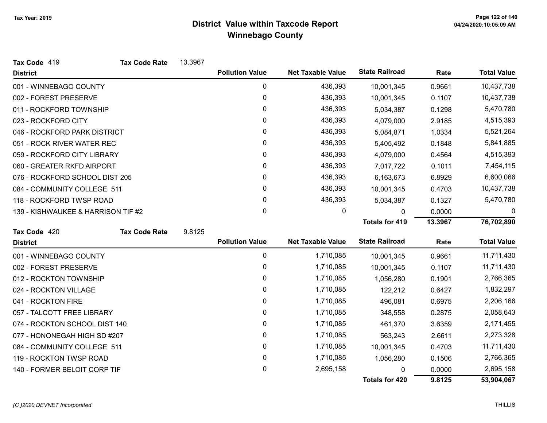| Tax Code 419                       | <b>Tax Code Rate</b> | 13.3967 |                        |                          |                       |         |                    |
|------------------------------------|----------------------|---------|------------------------|--------------------------|-----------------------|---------|--------------------|
| <b>District</b>                    |                      |         | <b>Pollution Value</b> | <b>Net Taxable Value</b> | <b>State Railroad</b> | Rate    | <b>Total Value</b> |
| 001 - WINNEBAGO COUNTY             |                      |         | $\mathbf 0$            | 436,393                  | 10,001,345            | 0.9661  | 10,437,738         |
| 002 - FOREST PRESERVE              |                      |         | 0                      | 436,393                  | 10,001,345            | 0.1107  | 10,437,738         |
| 011 - ROCKFORD TOWNSHIP            |                      |         | 0                      | 436,393                  | 5,034,387             | 0.1298  | 5,470,780          |
| 023 - ROCKFORD CITY                |                      |         | 0                      | 436,393                  | 4,079,000             | 2.9185  | 4,515,393          |
| 046 - ROCKFORD PARK DISTRICT       |                      |         | 0                      | 436,393                  | 5,084,871             | 1.0334  | 5,521,264          |
| 051 - ROCK RIVER WATER REC         |                      |         | 0                      | 436,393                  | 5,405,492             | 0.1848  | 5,841,885          |
| 059 - ROCKFORD CITY LIBRARY        |                      |         | 0                      | 436,393                  | 4,079,000             | 0.4564  | 4,515,393          |
| 060 - GREATER RKFD AIRPORT         |                      |         | 0                      | 436,393                  | 7,017,722             | 0.1011  | 7,454,115          |
| 076 - ROCKFORD SCHOOL DIST 205     |                      |         | 0                      | 436,393                  | 6,163,673             | 6.8929  | 6,600,066          |
| 084 - COMMUNITY COLLEGE 511        |                      |         | 0                      | 436,393                  | 10,001,345            | 0.4703  | 10,437,738         |
| 118 - ROCKFORD TWSP ROAD           |                      |         | 0                      | 436,393                  | 5,034,387             | 0.1327  | 5,470,780          |
| 139 - KISHWAUKEE & HARRISON TIF #2 |                      |         | 0                      | 0                        | $\Omega$              | 0.0000  | $\Omega$           |
|                                    |                      |         |                        |                          | <b>Totals for 419</b> | 13.3967 | 76,702,890         |
| Tax Code 420                       | <b>Tax Code Rate</b> | 9.8125  |                        |                          |                       |         |                    |
| <b>District</b>                    |                      |         | <b>Pollution Value</b> | <b>Net Taxable Value</b> | <b>State Railroad</b> | Rate    | <b>Total Value</b> |
| 001 - WINNEBAGO COUNTY             |                      |         | 0                      | 1,710,085                | 10,001,345            | 0.9661  | 11,711,430         |
| 002 - FOREST PRESERVE              |                      |         | $\boldsymbol{0}$       | 1,710,085                | 10,001,345            | 0.1107  | 11,711,430         |
| 012 - ROCKTON TOWNSHIP             |                      |         | 0                      | 1,710,085                | 1,056,280             | 0.1901  | 2,766,365          |
| 024 - ROCKTON VILLAGE              |                      |         | 0                      | 1,710,085                | 122,212               | 0.6427  | 1,832,297          |
| 041 - ROCKTON FIRE                 |                      |         | $\mathbf 0$            | 1,710,085                | 496,081               | 0.6975  | 2,206,166          |
| 057 - TALCOTT FREE LIBRARY         |                      |         | 0                      | 1,710,085                | 348,558               | 0.2875  | 2,058,643          |
| 074 - ROCKTON SCHOOL DIST 140      |                      |         | $\mathbf 0$            | 1,710,085                | 461,370               | 3.6359  | 2,171,455          |
| 077 - HONONEGAH HIGH SD #207       |                      |         | 0                      | 1,710,085                | 563,243               | 2.6611  | 2,273,328          |
| 084 - COMMUNITY COLLEGE 511        |                      |         | $\boldsymbol{0}$       | 1,710,085                | 10,001,345            | 0.4703  | 11,711,430         |
| 119 - ROCKTON TWSP ROAD            |                      |         | $\boldsymbol{0}$       | 1,710,085                | 1,056,280             | 0.1506  | 2,766,365          |
| 140 - FORMER BELOIT CORP TIF       |                      |         | 0                      | 2,695,158                | 0                     | 0.0000  | 2,695,158          |
|                                    |                      |         |                        |                          | <b>Totals for 420</b> | 9.8125  | 53,904,067         |

#### (C)2020 DEVNET Incorporated THILLIS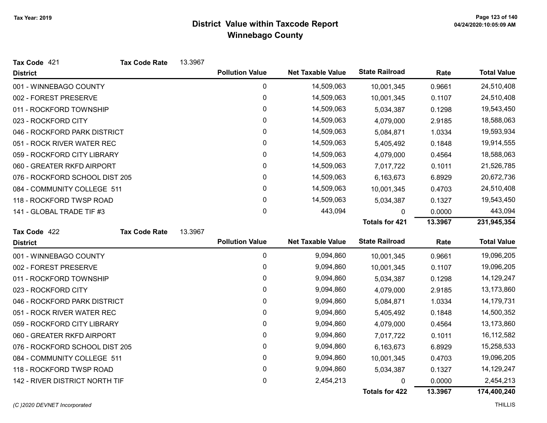| Tax Code 421                   | <b>Tax Code Rate</b> | 13.3967 |                        |                          |                       |         |                    |
|--------------------------------|----------------------|---------|------------------------|--------------------------|-----------------------|---------|--------------------|
| <b>District</b>                |                      |         | <b>Pollution Value</b> | <b>Net Taxable Value</b> | <b>State Railroad</b> | Rate    | <b>Total Value</b> |
| 001 - WINNEBAGO COUNTY         |                      |         | 0                      | 14,509,063               | 10,001,345            | 0.9661  | 24,510,408         |
| 002 - FOREST PRESERVE          |                      |         | 0                      | 14,509,063               | 10,001,345            | 0.1107  | 24,510,408         |
| 011 - ROCKFORD TOWNSHIP        |                      |         | 0                      | 14,509,063               | 5,034,387             | 0.1298  | 19,543,450         |
| 023 - ROCKFORD CITY            |                      |         | 0                      | 14,509,063               | 4,079,000             | 2.9185  | 18,588,063         |
| 046 - ROCKFORD PARK DISTRICT   |                      |         | 0                      | 14,509,063               | 5,084,871             | 1.0334  | 19,593,934         |
| 051 - ROCK RIVER WATER REC     |                      |         | 0                      | 14,509,063               | 5,405,492             | 0.1848  | 19,914,555         |
| 059 - ROCKFORD CITY LIBRARY    |                      |         | 0                      | 14,509,063               | 4,079,000             | 0.4564  | 18,588,063         |
| 060 - GREATER RKFD AIRPORT     |                      |         | 0                      | 14,509,063               | 7,017,722             | 0.1011  | 21,526,785         |
| 076 - ROCKFORD SCHOOL DIST 205 |                      |         | 0                      | 14,509,063               | 6,163,673             | 6.8929  | 20,672,736         |
| 084 - COMMUNITY COLLEGE 511    |                      |         | 0                      | 14,509,063               | 10,001,345            | 0.4703  | 24,510,408         |
| 118 - ROCKFORD TWSP ROAD       |                      |         | 0                      | 14,509,063               | 5,034,387             | 0.1327  | 19,543,450         |
| 141 - GLOBAL TRADE TIF #3      |                      |         | $\pmb{0}$              | 443,094                  | 0                     | 0.0000  | 443,094            |
|                                |                      |         |                        |                          | <b>Totals for 421</b> | 13.3967 | 231,945,354        |
| Tax Code 422                   | <b>Tax Code Rate</b> | 13.3967 |                        |                          |                       |         |                    |
| <b>District</b>                |                      |         | <b>Pollution Value</b> | <b>Net Taxable Value</b> | <b>State Railroad</b> | Rate    | <b>Total Value</b> |
| 001 - WINNEBAGO COUNTY         |                      |         | $\mathbf 0$            | 9,094,860                | 10,001,345            | 0.9661  | 19,096,205         |
| 002 - FOREST PRESERVE          |                      |         | 0                      | 9,094,860                | 10,001,345            | 0.1107  | 19,096,205         |
| 011 - ROCKFORD TOWNSHIP        |                      |         | 0                      | 9,094,860                | 5,034,387             | 0.1298  | 14,129,247         |
| 023 - ROCKFORD CITY            |                      |         | 0                      | 9,094,860                | 4,079,000             | 2.9185  | 13,173,860         |
| 046 - ROCKFORD PARK DISTRICT   |                      |         | 0                      | 9,094,860                | 5,084,871             | 1.0334  | 14,179,731         |
| 051 - ROCK RIVER WATER REC     |                      |         | 0                      | 9,094,860                | 5,405,492             | 0.1848  | 14,500,352         |
| 059 - ROCKFORD CITY LIBRARY    |                      |         | 0                      | 9,094,860                | 4,079,000             | 0.4564  | 13,173,860         |
| 060 - GREATER RKFD AIRPORT     |                      |         | 0                      | 9,094,860                | 7,017,722             | 0.1011  | 16,112,582         |
| 076 - ROCKFORD SCHOOL DIST 205 |                      |         | 0                      | 9,094,860                | 6,163,673             | 6.8929  | 15,258,533         |
| 084 - COMMUNITY COLLEGE 511    |                      |         | 0                      | 9,094,860                | 10,001,345            | 0.4703  | 19,096,205         |
| 118 - ROCKFORD TWSP ROAD       |                      |         | 0                      | 9,094,860                | 5,034,387             | 0.1327  | 14,129,247         |
| 142 - RIVER DISTRICT NORTH TIF |                      |         | 0                      | 2,454,213                | 0                     | 0.0000  | 2,454,213          |
|                                |                      |         |                        |                          | Totals for 422        | 13.3967 | 174,400,240        |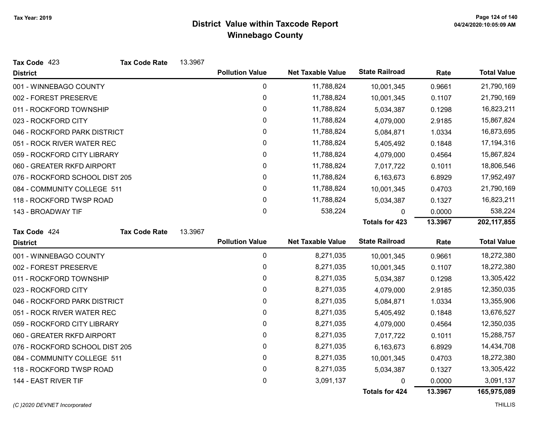| Tax Code 423                   | <b>Tax Code Rate</b> | 13.3967 |                        |                          |                       |         |                    |
|--------------------------------|----------------------|---------|------------------------|--------------------------|-----------------------|---------|--------------------|
| <b>District</b>                |                      |         | <b>Pollution Value</b> | <b>Net Taxable Value</b> | <b>State Railroad</b> | Rate    | <b>Total Value</b> |
| 001 - WINNEBAGO COUNTY         |                      |         | 0                      | 11,788,824               | 10,001,345            | 0.9661  | 21,790,169         |
| 002 - FOREST PRESERVE          |                      |         | 0                      | 11,788,824               | 10,001,345            | 0.1107  | 21,790,169         |
| 011 - ROCKFORD TOWNSHIP        |                      |         | 0                      | 11,788,824               | 5,034,387             | 0.1298  | 16,823,211         |
| 023 - ROCKFORD CITY            |                      |         | 0                      | 11,788,824               | 4,079,000             | 2.9185  | 15,867,824         |
| 046 - ROCKFORD PARK DISTRICT   |                      |         | 0                      | 11,788,824               | 5,084,871             | 1.0334  | 16,873,695         |
| 051 - ROCK RIVER WATER REC     |                      |         | 0                      | 11,788,824               | 5,405,492             | 0.1848  | 17,194,316         |
| 059 - ROCKFORD CITY LIBRARY    |                      |         | 0                      | 11,788,824               | 4,079,000             | 0.4564  | 15,867,824         |
| 060 - GREATER RKFD AIRPORT     |                      |         | 0                      | 11,788,824               | 7,017,722             | 0.1011  | 18,806,546         |
| 076 - ROCKFORD SCHOOL DIST 205 |                      |         | 0                      | 11,788,824               | 6,163,673             | 6.8929  | 17,952,497         |
| 084 - COMMUNITY COLLEGE 511    |                      |         | 0                      | 11,788,824               | 10,001,345            | 0.4703  | 21,790,169         |
| 118 - ROCKFORD TWSP ROAD       |                      |         | $\mathbf{0}$           | 11,788,824               | 5,034,387             | 0.1327  | 16,823,211         |
| 143 - BROADWAY TIF             |                      |         | 0                      | 538,224                  | 0                     | 0.0000  | 538,224            |
|                                |                      |         |                        |                          | <b>Totals for 423</b> | 13.3967 | 202, 117, 855      |
| Tax Code 424                   | <b>Tax Code Rate</b> | 13.3967 |                        |                          |                       |         |                    |
| <b>District</b>                |                      |         | <b>Pollution Value</b> | <b>Net Taxable Value</b> | <b>State Railroad</b> | Rate    | <b>Total Value</b> |
| 001 - WINNEBAGO COUNTY         |                      |         | 0                      | 8,271,035                | 10,001,345            | 0.9661  | 18,272,380         |
| 002 - FOREST PRESERVE          |                      |         | 0                      | 8,271,035                | 10,001,345            | 0.1107  | 18,272,380         |
| 011 - ROCKFORD TOWNSHIP        |                      |         | 0                      | 8,271,035                | 5,034,387             | 0.1298  | 13,305,422         |
| 023 - ROCKFORD CITY            |                      |         | 0                      | 8,271,035                | 4,079,000             | 2.9185  | 12,350,035         |
| 046 - ROCKFORD PARK DISTRICT   |                      |         | 0                      | 8,271,035                | 5,084,871             | 1.0334  | 13,355,906         |
| 051 - ROCK RIVER WATER REC     |                      |         | 0                      | 8,271,035                | 5,405,492             | 0.1848  | 13,676,527         |
| 059 - ROCKFORD CITY LIBRARY    |                      |         | 0                      | 8,271,035                | 4,079,000             | 0.4564  | 12,350,035         |
| 060 - GREATER RKFD AIRPORT     |                      |         | 0                      | 8,271,035                | 7,017,722             | 0.1011  | 15,288,757         |
| 076 - ROCKFORD SCHOOL DIST 205 |                      |         | 0                      | 8,271,035                | 6,163,673             | 6.8929  | 14,434,708         |
| 084 - COMMUNITY COLLEGE 511    |                      |         | 0                      | 8,271,035                | 10,001,345            | 0.4703  | 18,272,380         |
| 118 - ROCKFORD TWSP ROAD       |                      |         | 0                      | 8,271,035                | 5,034,387             | 0.1327  | 13,305,422         |
| 144 - EAST RIVER TIF           |                      |         | 0                      | 3,091,137                | 0                     | 0.0000  | 3,091,137          |
|                                |                      |         |                        |                          | <b>Totals for 424</b> | 13.3967 | 165,975,089        |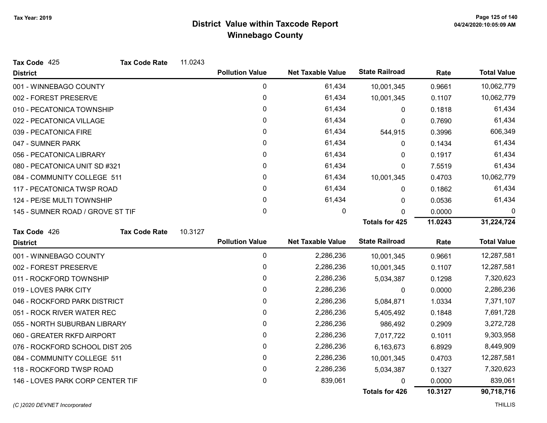| Tax Code 425                     | <b>Tax Code Rate</b> | 11.0243 |                        |                          |                       |         |                    |
|----------------------------------|----------------------|---------|------------------------|--------------------------|-----------------------|---------|--------------------|
| <b>District</b>                  |                      |         | <b>Pollution Value</b> | <b>Net Taxable Value</b> | <b>State Railroad</b> | Rate    | <b>Total Value</b> |
| 001 - WINNEBAGO COUNTY           |                      |         | 0                      | 61,434                   | 10,001,345            | 0.9661  | 10,062,779         |
| 002 - FOREST PRESERVE            |                      |         | 0                      | 61,434                   | 10,001,345            | 0.1107  | 10,062,779         |
| 010 - PECATONICA TOWNSHIP        |                      |         | 0                      | 61,434                   | 0                     | 0.1818  | 61,434             |
| 022 - PECATONICA VILLAGE         |                      |         | 0                      | 61,434                   | 0                     | 0.7690  | 61,434             |
| 039 - PECATONICA FIRE            |                      |         | 0                      | 61,434                   | 544,915               | 0.3996  | 606,349            |
| 047 - SUMNER PARK                |                      |         | 0                      | 61,434                   | $\mathbf{0}$          | 0.1434  | 61,434             |
| 056 - PECATONICA LIBRARY         |                      |         | 0                      | 61,434                   | 0                     | 0.1917  | 61,434             |
| 080 - PECATONICA UNIT SD #321    |                      |         | 0                      | 61,434                   | $\mathbf 0$           | 7.5519  | 61,434             |
| 084 - COMMUNITY COLLEGE 511      |                      |         | $\mathbf{0}$           | 61,434                   | 10,001,345            | 0.4703  | 10,062,779         |
| 117 - PECATONICA TWSP ROAD       |                      |         | 0                      | 61,434                   | 0                     | 0.1862  | 61,434             |
| 124 - PE/SE MULTI TOWNSHIP       |                      |         | 0                      | 61,434                   | $\Omega$              | 0.0536  | 61,434             |
| 145 - SUMNER ROAD / GROVE ST TIF |                      |         | 0                      | 0                        | 0                     | 0.0000  | 0                  |
|                                  |                      |         |                        |                          | <b>Totals for 425</b> | 11.0243 | 31,224,724         |
| Tax Code 426                     | <b>Tax Code Rate</b> | 10.3127 |                        |                          |                       |         |                    |
| <b>District</b>                  |                      |         | <b>Pollution Value</b> | <b>Net Taxable Value</b> | <b>State Railroad</b> | Rate    | <b>Total Value</b> |
| 001 - WINNEBAGO COUNTY           |                      |         | 0                      | 2,286,236                | 10,001,345            | 0.9661  | 12,287,581         |
| 002 - FOREST PRESERVE            |                      |         | 0                      | 2,286,236                | 10,001,345            | 0.1107  | 12,287,581         |
| 011 - ROCKFORD TOWNSHIP          |                      |         | 0                      | 2,286,236                | 5,034,387             | 0.1298  | 7,320,623          |
| 019 - LOVES PARK CITY            |                      |         | $\mathbf{0}$           | 2,286,236                | 0                     | 0.0000  | 2,286,236          |
| 046 - ROCKFORD PARK DISTRICT     |                      |         | 0                      | 2,286,236                | 5,084,871             | 1.0334  | 7,371,107          |
| 051 - ROCK RIVER WATER REC       |                      |         | 0                      | 2,286,236                | 5,405,492             | 0.1848  | 7,691,728          |
| 055 - NORTH SUBURBAN LIBRARY     |                      |         | 0                      | 2,286,236                | 986,492               | 0.2909  | 3,272,728          |
| 060 - GREATER RKFD AIRPORT       |                      |         | 0                      | 2,286,236                | 7,017,722             | 0.1011  | 9,303,958          |
| 076 - ROCKFORD SCHOOL DIST 205   |                      |         | 0                      | 2,286,236                | 6,163,673             | 6.8929  | 8,449,909          |
| 084 - COMMUNITY COLLEGE 511      |                      |         | 0                      | 2,286,236                | 10,001,345            | 0.4703  | 12,287,581         |
| 118 - ROCKFORD TWSP ROAD         |                      |         | 0                      | 2,286,236                | 5,034,387             | 0.1327  | 7,320,623          |
| 146 - LOVES PARK CORP CENTER TIF |                      |         | 0                      | 839,061                  | 0                     | 0.0000  | 839,061            |
|                                  |                      |         |                        |                          |                       |         |                    |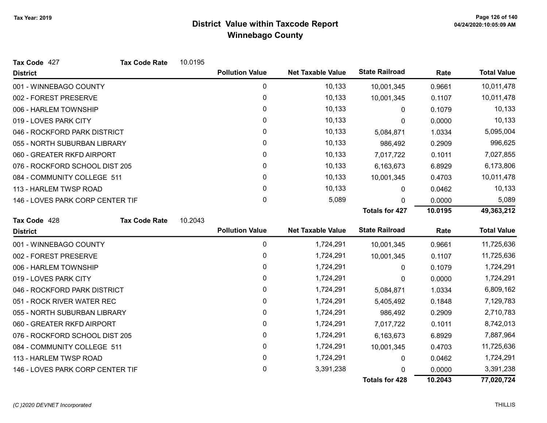| Tax Code 427                     | <b>Tax Code Rate</b> | 10.0195 |                        |                          |                       |         |                    |
|----------------------------------|----------------------|---------|------------------------|--------------------------|-----------------------|---------|--------------------|
| <b>District</b>                  |                      |         | <b>Pollution Value</b> | <b>Net Taxable Value</b> | <b>State Railroad</b> | Rate    | <b>Total Value</b> |
| 001 - WINNEBAGO COUNTY           |                      |         | $\pmb{0}$              | 10,133                   | 10,001,345            | 0.9661  | 10,011,478         |
| 002 - FOREST PRESERVE            |                      |         | 0                      | 10,133                   | 10,001,345            | 0.1107  | 10,011,478         |
| 006 - HARLEM TOWNSHIP            |                      |         | 0                      | 10,133                   | 0                     | 0.1079  | 10,133             |
| 019 - LOVES PARK CITY            |                      |         | $\mathbf{0}$           | 10,133                   | 0                     | 0.0000  | 10,133             |
| 046 - ROCKFORD PARK DISTRICT     |                      |         | 0                      | 10,133                   | 5,084,871             | 1.0334  | 5,095,004          |
| 055 - NORTH SUBURBAN LIBRARY     |                      |         | 0                      | 10,133                   | 986,492               | 0.2909  | 996,625            |
| 060 - GREATER RKFD AIRPORT       |                      |         | 0                      | 10,133                   | 7,017,722             | 0.1011  | 7,027,855          |
| 076 - ROCKFORD SCHOOL DIST 205   |                      |         | $\mathbf{0}$           | 10,133                   | 6,163,673             | 6.8929  | 6,173,806          |
| 084 - COMMUNITY COLLEGE 511      |                      |         | $\mathbf{0}$           | 10,133                   | 10,001,345            | 0.4703  | 10,011,478         |
| 113 - HARLEM TWSP ROAD           |                      |         | $\pmb{0}$              | 10,133                   | 0                     | 0.0462  | 10,133             |
| 146 - LOVES PARK CORP CENTER TIF |                      |         | 0                      | 5,089                    | 0                     | 0.0000  | 5,089              |
|                                  |                      |         |                        |                          | <b>Totals for 427</b> | 10.0195 | 49,363,212         |
| Tax Code 428                     | <b>Tax Code Rate</b> | 10.2043 |                        |                          |                       |         |                    |
| <b>District</b>                  |                      |         | <b>Pollution Value</b> | <b>Net Taxable Value</b> | <b>State Railroad</b> | Rate    | <b>Total Value</b> |
| 001 - WINNEBAGO COUNTY           |                      |         | $\pmb{0}$              | 1,724,291                | 10,001,345            | 0.9661  | 11,725,636         |
| 002 - FOREST PRESERVE            |                      |         | 0                      | 1,724,291                | 10,001,345            | 0.1107  | 11,725,636         |
| 006 - HARLEM TOWNSHIP            |                      |         | $\pmb{0}$              | 1,724,291                | 0                     | 0.1079  | 1,724,291          |
| 019 - LOVES PARK CITY            |                      |         | 0                      | 1,724,291                | 0                     | 0.0000  | 1,724,291          |
| 046 - ROCKFORD PARK DISTRICT     |                      |         | $\mathbf{0}$           | 1,724,291                | 5,084,871             | 1.0334  | 6,809,162          |
| 051 - ROCK RIVER WATER REC       |                      |         | $\pmb{0}$              | 1,724,291                | 5,405,492             | 0.1848  | 7,129,783          |
| 055 - NORTH SUBURBAN LIBRARY     |                      |         | 0                      | 1,724,291                | 986,492               | 0.2909  | 2,710,783          |
| 060 - GREATER RKFD AIRPORT       |                      |         | 0                      | 1,724,291                | 7,017,722             | 0.1011  | 8,742,013          |
| 076 - ROCKFORD SCHOOL DIST 205   |                      |         | 0                      | 1,724,291                | 6,163,673             | 6.8929  | 7,887,964          |
| 084 - COMMUNITY COLLEGE 511      |                      |         | 0                      | 1,724,291                | 10,001,345            | 0.4703  | 11,725,636         |
| 113 - HARLEM TWSP ROAD           |                      |         | $\pmb{0}$              | 1,724,291                | 0                     | 0.0462  | 1,724,291          |
| 146 - LOVES PARK CORP CENTER TIF |                      |         | 0                      | 3,391,238                |                       | 0.0000  | 3,391,238          |
|                                  |                      |         |                        |                          | <b>Totals for 428</b> | 10.2043 | 77,020,724         |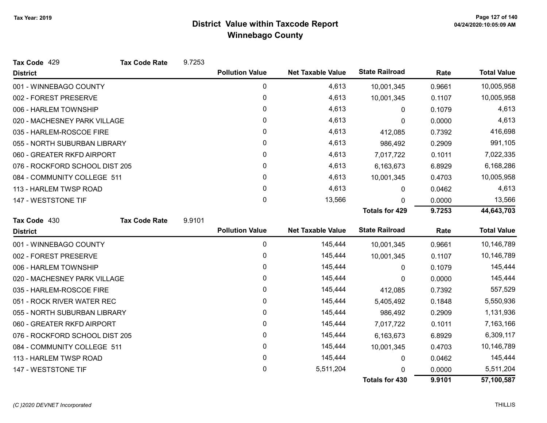| Tax Code 429                   | <b>Tax Code Rate</b> | 9.7253 |                        |                          |                       |        |                    |
|--------------------------------|----------------------|--------|------------------------|--------------------------|-----------------------|--------|--------------------|
| <b>District</b>                |                      |        | <b>Pollution Value</b> | <b>Net Taxable Value</b> | <b>State Railroad</b> | Rate   | <b>Total Value</b> |
| 001 - WINNEBAGO COUNTY         |                      |        | 0                      | 4,613                    | 10,001,345            | 0.9661 | 10,005,958         |
| 002 - FOREST PRESERVE          |                      |        | $\mathbf 0$            | 4,613                    | 10,001,345            | 0.1107 | 10,005,958         |
| 006 - HARLEM TOWNSHIP          |                      |        | $\mathbf{0}$           | 4,613                    | 0                     | 0.1079 | 4,613              |
| 020 - MACHESNEY PARK VILLAGE   |                      |        | 0                      | 4,613                    | 0                     | 0.0000 | 4,613              |
| 035 - HARLEM-ROSCOE FIRE       |                      |        | 0                      | 4,613                    | 412,085               | 0.7392 | 416,698            |
| 055 - NORTH SUBURBAN LIBRARY   |                      |        | 0                      | 4,613                    | 986,492               | 0.2909 | 991,105            |
| 060 - GREATER RKFD AIRPORT     |                      |        | 0                      | 4,613                    | 7,017,722             | 0.1011 | 7,022,335          |
| 076 - ROCKFORD SCHOOL DIST 205 |                      |        | 0                      | 4,613                    | 6,163,673             | 6.8929 | 6,168,286          |
| 084 - COMMUNITY COLLEGE 511    |                      |        | 0                      | 4,613                    | 10,001,345            | 0.4703 | 10,005,958         |
| 113 - HARLEM TWSP ROAD         |                      |        | 0                      | 4,613                    | 0                     | 0.0462 | 4,613              |
| 147 - WESTSTONE TIF            |                      |        | 0                      | 13,566                   | $\Omega$              | 0.0000 | 13,566             |
|                                |                      |        |                        |                          | <b>Totals for 429</b> | 9.7253 | 44,643,703         |
| Tax Code 430                   | <b>Tax Code Rate</b> | 9.9101 |                        |                          |                       |        |                    |
| <b>District</b>                |                      |        | <b>Pollution Value</b> | <b>Net Taxable Value</b> | <b>State Railroad</b> | Rate   | <b>Total Value</b> |
| 001 - WINNEBAGO COUNTY         |                      |        | 0                      | 145,444                  | 10,001,345            | 0.9661 | 10,146,789         |
| 002 - FOREST PRESERVE          |                      |        | 0                      | 145,444                  | 10,001,345            | 0.1107 | 10,146,789         |
| 006 - HARLEM TOWNSHIP          |                      |        | $\mathbf 0$            | 145,444                  | 0                     | 0.1079 | 145,444            |
| 020 - MACHESNEY PARK VILLAGE   |                      |        | $\mathbf{0}$           | 145,444                  | 0                     | 0.0000 | 145,444            |
| 035 - HARLEM-ROSCOE FIRE       |                      |        | 0                      | 145,444                  | 412,085               | 0.7392 | 557,529            |
| 051 - ROCK RIVER WATER REC     |                      |        | 0                      | 145,444                  | 5,405,492             | 0.1848 | 5,550,936          |
| 055 - NORTH SUBURBAN LIBRARY   |                      |        | 0                      | 145,444                  | 986,492               | 0.2909 | 1,131,936          |
| 060 - GREATER RKFD AIRPORT     |                      |        | 0                      | 145,444                  | 7,017,722             | 0.1011 | 7,163,166          |
| 076 - ROCKFORD SCHOOL DIST 205 |                      |        | 0                      | 145,444                  | 6,163,673             | 6.8929 | 6,309,117          |
| 084 - COMMUNITY COLLEGE 511    |                      |        | 0                      | 145,444                  | 10,001,345            | 0.4703 | 10,146,789         |
| 113 - HARLEM TWSP ROAD         |                      |        | 0                      | 145,444                  | 0                     | 0.0462 | 145,444            |
| 147 - WESTSTONE TIF            |                      |        | 0                      | 5,511,204                | n                     | 0.0000 | 5,511,204          |
|                                |                      |        |                        |                          | <b>Totals for 430</b> | 9.9101 | 57,100,587         |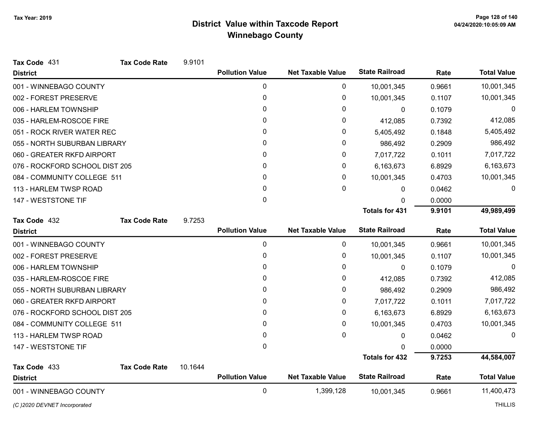| Tax Code 431                   | <b>Tax Code Rate</b> | 9.9101  |                        |                          |                       |        |                    |
|--------------------------------|----------------------|---------|------------------------|--------------------------|-----------------------|--------|--------------------|
| <b>District</b>                |                      |         | <b>Pollution Value</b> | <b>Net Taxable Value</b> | <b>State Railroad</b> | Rate   | <b>Total Value</b> |
| 001 - WINNEBAGO COUNTY         |                      |         | 0                      | 0                        | 10,001,345            | 0.9661 | 10,001,345         |
| 002 - FOREST PRESERVE          |                      |         | 0                      | 0                        | 10,001,345            | 0.1107 | 10,001,345         |
| 006 - HARLEM TOWNSHIP          |                      |         | 0                      | 0                        | $\mathbf{0}$          | 0.1079 | 0                  |
| 035 - HARLEM-ROSCOE FIRE       |                      |         | $\mathbf{0}$           | 0                        | 412,085               | 0.7392 | 412,085            |
| 051 - ROCK RIVER WATER REC     |                      |         | 0                      | 0                        | 5,405,492             | 0.1848 | 5,405,492          |
| 055 - NORTH SUBURBAN LIBRARY   |                      |         | 0                      | 0                        | 986,492               | 0.2909 | 986,492            |
| 060 - GREATER RKFD AIRPORT     |                      |         | $\mathbf{0}$           | 0                        | 7,017,722             | 0.1011 | 7,017,722          |
| 076 - ROCKFORD SCHOOL DIST 205 |                      |         | 0                      | 0                        | 6,163,673             | 6.8929 | 6,163,673          |
| 084 - COMMUNITY COLLEGE 511    |                      |         | $\mathbf{0}$           | 0                        | 10,001,345            | 0.4703 | 10,001,345         |
| 113 - HARLEM TWSP ROAD         |                      |         | 0                      | 0                        | 0                     | 0.0462 | 0                  |
| 147 - WESTSTONE TIF            |                      |         | $\mathbf{0}$           |                          | 0                     | 0.0000 |                    |
|                                |                      |         |                        |                          | <b>Totals for 431</b> | 9.9101 | 49,989,499         |
| Tax Code 432                   | <b>Tax Code Rate</b> | 9.7253  |                        |                          |                       |        |                    |
| <b>District</b>                |                      |         | <b>Pollution Value</b> | <b>Net Taxable Value</b> | <b>State Railroad</b> | Rate   | <b>Total Value</b> |
| 001 - WINNEBAGO COUNTY         |                      |         | 0                      | $\mathbf 0$              | 10,001,345            | 0.9661 | 10,001,345         |
| 002 - FOREST PRESERVE          |                      |         | 0                      | 0                        | 10,001,345            | 0.1107 | 10,001,345         |
| 006 - HARLEM TOWNSHIP          |                      |         | 0                      | 0                        | 0                     | 0.1079 | $\Omega$           |
| 035 - HARLEM-ROSCOE FIRE       |                      |         | 0                      | 0                        | 412,085               | 0.7392 | 412,085            |
| 055 - NORTH SUBURBAN LIBRARY   |                      |         | 0                      | 0                        | 986,492               | 0.2909 | 986,492            |
| 060 - GREATER RKFD AIRPORT     |                      |         | 0                      | 0                        | 7,017,722             | 0.1011 | 7,017,722          |
| 076 - ROCKFORD SCHOOL DIST 205 |                      |         | 0                      | 0                        | 6,163,673             | 6.8929 | 6,163,673          |
| 084 - COMMUNITY COLLEGE 511    |                      |         | $\mathbf{0}$           | 0                        | 10,001,345            | 0.4703 | 10,001,345         |
| 113 - HARLEM TWSP ROAD         |                      |         | 0                      | $\mathbf{0}$             | 0                     | 0.0462 | $\Omega$           |
| 147 - WESTSTONE TIF            |                      |         | $\mathbf 0$            |                          | O                     | 0.0000 |                    |
|                                |                      |         |                        |                          | <b>Totals for 432</b> | 9.7253 | 44,584,007         |
| Tax Code 433                   | <b>Tax Code Rate</b> | 10.1644 |                        |                          |                       |        |                    |
| <b>District</b>                |                      |         | <b>Pollution Value</b> | <b>Net Taxable Value</b> | <b>State Railroad</b> | Rate   | <b>Total Value</b> |
| 001 - WINNEBAGO COUNTY         |                      |         | 0                      | 1,399,128                | 10,001,345            | 0.9661 | 11,400,473         |
| (C) 2020 DEVNET Incorporated   |                      |         |                        |                          |                       |        | <b>THILLIS</b>     |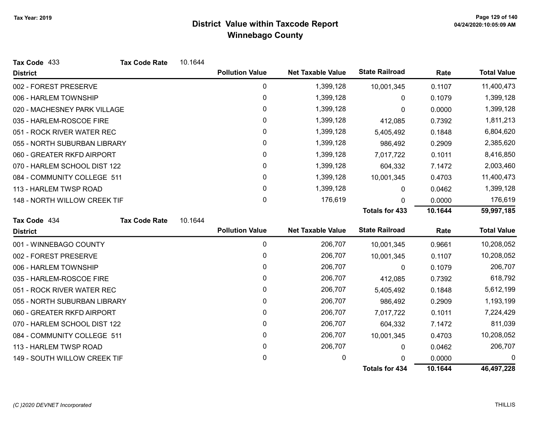| Tax Code 433                 | <b>Tax Code Rate</b> | 10.1644 |                        |                          |                       |         |                    |
|------------------------------|----------------------|---------|------------------------|--------------------------|-----------------------|---------|--------------------|
| <b>District</b>              |                      |         | <b>Pollution Value</b> | <b>Net Taxable Value</b> | <b>State Railroad</b> | Rate    | <b>Total Value</b> |
| 002 - FOREST PRESERVE        |                      |         | 0                      | 1,399,128                | 10,001,345            | 0.1107  | 11,400,473         |
| 006 - HARLEM TOWNSHIP        |                      |         | 0                      | 1,399,128                | 0                     | 0.1079  | 1,399,128          |
| 020 - MACHESNEY PARK VILLAGE |                      |         | 0                      | 1,399,128                | 0                     | 0.0000  | 1,399,128          |
| 035 - HARLEM-ROSCOE FIRE     |                      |         | 0                      | 1,399,128                | 412,085               | 0.7392  | 1,811,213          |
| 051 - ROCK RIVER WATER REC   |                      |         | 0                      | 1,399,128                | 5,405,492             | 0.1848  | 6,804,620          |
| 055 - NORTH SUBURBAN LIBRARY |                      |         | 0                      | 1,399,128                | 986,492               | 0.2909  | 2,385,620          |
| 060 - GREATER RKFD AIRPORT   |                      |         | $\pmb{0}$              | 1,399,128                | 7,017,722             | 0.1011  | 8,416,850          |
| 070 - HARLEM SCHOOL DIST 122 |                      |         | 0                      | 1,399,128                | 604,332               | 7.1472  | 2,003,460          |
| 084 - COMMUNITY COLLEGE 511  |                      |         | 0                      | 1,399,128                | 10,001,345            | 0.4703  | 11,400,473         |
| 113 - HARLEM TWSP ROAD       |                      |         | 0                      | 1,399,128                | 0                     | 0.0462  | 1,399,128          |
| 148 - NORTH WILLOW CREEK TIF |                      |         | 0                      | 176,619                  | 0                     | 0.0000  | 176,619            |
|                              |                      |         |                        |                          | <b>Totals for 433</b> | 10.1644 | 59,997,185         |
| Tax Code 434                 | <b>Tax Code Rate</b> | 10.1644 |                        |                          |                       |         |                    |
| <b>District</b>              |                      |         | <b>Pollution Value</b> | <b>Net Taxable Value</b> | <b>State Railroad</b> | Rate    | <b>Total Value</b> |
| 001 - WINNEBAGO COUNTY       |                      |         | 0                      | 206,707                  | 10,001,345            | 0.9661  | 10,208,052         |
| 002 - FOREST PRESERVE        |                      |         | 0                      | 206,707                  | 10,001,345            | 0.1107  | 10,208,052         |
| 006 - HARLEM TOWNSHIP        |                      |         | 0                      | 206,707                  | 0                     | 0.1079  | 206,707            |
| 035 - HARLEM-ROSCOE FIRE     |                      |         | 0                      | 206,707                  | 412,085               | 0.7392  | 618,792            |
| 051 - ROCK RIVER WATER REC   |                      |         | 0                      | 206,707                  | 5,405,492             | 0.1848  | 5,612,199          |
| 055 - NORTH SUBURBAN LIBRARY |                      |         | 0                      | 206,707                  | 986,492               | 0.2909  | 1,193,199          |
| 060 - GREATER RKFD AIRPORT   |                      |         | 0                      | 206,707                  | 7,017,722             | 0.1011  | 7,224,429          |
| 070 - HARLEM SCHOOL DIST 122 |                      |         | 0                      | 206,707                  | 604,332               | 7.1472  | 811,039            |
| 084 - COMMUNITY COLLEGE 511  |                      |         | 0                      | 206,707                  | 10,001,345            | 0.4703  | 10,208,052         |
| 113 - HARLEM TWSP ROAD       |                      |         | 0                      | 206,707                  | $\mathbf{0}$          | 0.0462  | 206,707            |
| 149 - SOUTH WILLOW CREEK TIF |                      |         | 0                      | 0                        | $\Omega$              | 0.0000  | 0                  |
|                              |                      |         |                        |                          | <b>Totals for 434</b> | 10.1644 | 46,497,228         |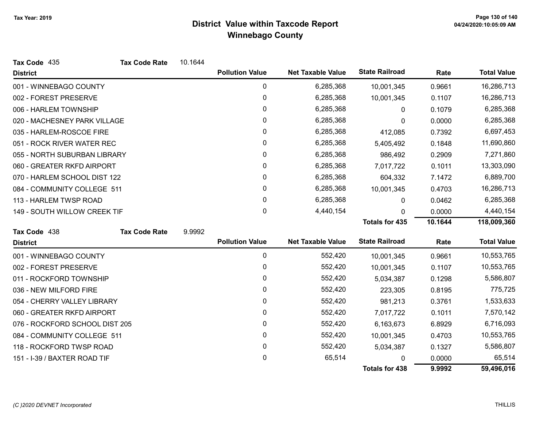| Tax Code 435                   | <b>Tax Code Rate</b> | 10.1644 |                        |                          |                       |         |                    |
|--------------------------------|----------------------|---------|------------------------|--------------------------|-----------------------|---------|--------------------|
| <b>District</b>                |                      |         | <b>Pollution Value</b> | <b>Net Taxable Value</b> | <b>State Railroad</b> | Rate    | <b>Total Value</b> |
| 001 - WINNEBAGO COUNTY         |                      |         | 0                      | 6,285,368                | 10,001,345            | 0.9661  | 16,286,713         |
| 002 - FOREST PRESERVE          |                      |         | 0                      | 6,285,368                | 10,001,345            | 0.1107  | 16,286,713         |
| 006 - HARLEM TOWNSHIP          |                      |         | 0                      | 6,285,368                | 0                     | 0.1079  | 6,285,368          |
| 020 - MACHESNEY PARK VILLAGE   |                      |         | 0                      | 6,285,368                | 0                     | 0.0000  | 6,285,368          |
| 035 - HARLEM-ROSCOE FIRE       |                      |         | 0                      | 6,285,368                | 412,085               | 0.7392  | 6,697,453          |
| 051 - ROCK RIVER WATER REC     |                      |         | 0                      | 6,285,368                | 5,405,492             | 0.1848  | 11,690,860         |
| 055 - NORTH SUBURBAN LIBRARY   |                      |         | 0                      | 6,285,368                | 986,492               | 0.2909  | 7,271,860          |
| 060 - GREATER RKFD AIRPORT     |                      |         | 0                      | 6,285,368                | 7,017,722             | 0.1011  | 13,303,090         |
| 070 - HARLEM SCHOOL DIST 122   |                      |         | 0                      | 6,285,368                | 604,332               | 7.1472  | 6,889,700          |
| 084 - COMMUNITY COLLEGE 511    |                      |         | 0                      | 6,285,368                | 10,001,345            | 0.4703  | 16,286,713         |
| 113 - HARLEM TWSP ROAD         |                      |         | 0                      | 6,285,368                | 0                     | 0.0462  | 6,285,368          |
| 149 - SOUTH WILLOW CREEK TIF   |                      |         | $\mathbf{0}$           | 4,440,154                | 0                     | 0.0000  | 4,440,154          |
|                                |                      |         |                        |                          | <b>Totals for 435</b> | 10.1644 | 118,009,360        |
| Tax Code 438                   | <b>Tax Code Rate</b> | 9.9992  |                        |                          |                       |         |                    |
| <b>District</b>                |                      |         | <b>Pollution Value</b> | <b>Net Taxable Value</b> | <b>State Railroad</b> | Rate    | <b>Total Value</b> |
| 001 - WINNEBAGO COUNTY         |                      |         | 0                      | 552,420                  | 10,001,345            | 0.9661  | 10,553,765         |
| 002 - FOREST PRESERVE          |                      |         | 0                      | 552,420                  | 10,001,345            | 0.1107  | 10,553,765         |
| 011 - ROCKFORD TOWNSHIP        |                      |         | 0                      | 552,420                  | 5,034,387             | 0.1298  | 5,586,807          |
| 036 - NEW MILFORD FIRE         |                      |         | 0                      | 552,420                  | 223,305               | 0.8195  | 775,725            |
| 054 - CHERRY VALLEY LIBRARY    |                      |         | $\pmb{0}$              | 552,420                  | 981,213               | 0.3761  | 1,533,633          |
| 060 - GREATER RKFD AIRPORT     |                      |         | 0                      | 552,420                  | 7,017,722             | 0.1011  | 7,570,142          |
| 076 - ROCKFORD SCHOOL DIST 205 |                      |         | 0                      | 552,420                  | 6,163,673             | 6.8929  | 6,716,093          |
| 084 - COMMUNITY COLLEGE 511    |                      |         | $\mathbf 0$            | 552,420                  | 10,001,345            | 0.4703  | 10,553,765         |
| 118 - ROCKFORD TWSP ROAD       |                      |         | 0                      | 552,420                  | 5,034,387             | 0.1327  | 5,586,807          |
| 151 - I-39 / BAXTER ROAD TIF   |                      |         | 0                      | 65,514                   | 0                     | 0.0000  | 65,514             |
|                                |                      |         |                        |                          | <b>Totals for 438</b> | 9.9992  | 59,496,016         |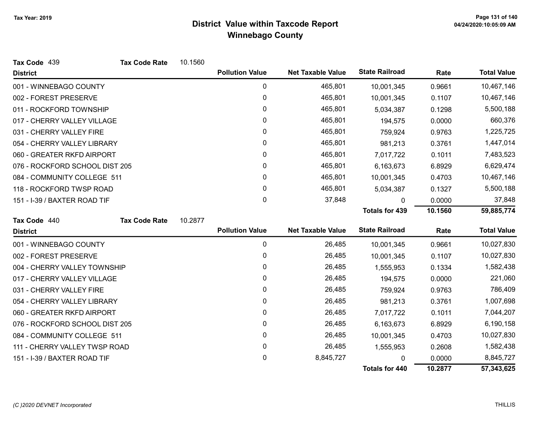| Tax Code 439                   | <b>Tax Code Rate</b> | 10.1560 |                        |                          |                       |         |                    |
|--------------------------------|----------------------|---------|------------------------|--------------------------|-----------------------|---------|--------------------|
| <b>District</b>                |                      |         | <b>Pollution Value</b> | <b>Net Taxable Value</b> | <b>State Railroad</b> | Rate    | <b>Total Value</b> |
| 001 - WINNEBAGO COUNTY         |                      |         | 0                      | 465,801                  | 10,001,345            | 0.9661  | 10,467,146         |
| 002 - FOREST PRESERVE          |                      |         | 0                      | 465,801                  | 10,001,345            | 0.1107  | 10,467,146         |
| 011 - ROCKFORD TOWNSHIP        |                      |         | 0                      | 465,801                  | 5,034,387             | 0.1298  | 5,500,188          |
| 017 - CHERRY VALLEY VILLAGE    |                      |         | 0                      | 465,801                  | 194,575               | 0.0000  | 660,376            |
| 031 - CHERRY VALLEY FIRE       |                      |         | 0                      | 465,801                  | 759,924               | 0.9763  | 1,225,725          |
| 054 - CHERRY VALLEY LIBRARY    |                      |         | 0                      | 465,801                  | 981,213               | 0.3761  | 1,447,014          |
| 060 - GREATER RKFD AIRPORT     |                      |         | 0                      | 465,801                  | 7,017,722             | 0.1011  | 7,483,523          |
| 076 - ROCKFORD SCHOOL DIST 205 |                      |         | 0                      | 465,801                  | 6,163,673             | 6.8929  | 6,629,474          |
| 084 - COMMUNITY COLLEGE 511    |                      |         | 0                      | 465,801                  | 10,001,345            | 0.4703  | 10,467,146         |
| 118 - ROCKFORD TWSP ROAD       |                      |         | 0                      | 465,801                  | 5,034,387             | 0.1327  | 5,500,188          |
| 151 - I-39 / BAXTER ROAD TIF   |                      |         | 0                      | 37,848                   | 0                     | 0.0000  | 37,848             |
|                                |                      |         |                        |                          | <b>Totals for 439</b> | 10.1560 | 59,885,774         |
| Tax Code 440                   | <b>Tax Code Rate</b> | 10.2877 |                        |                          |                       |         |                    |
| <b>District</b>                |                      |         | <b>Pollution Value</b> | <b>Net Taxable Value</b> | <b>State Railroad</b> | Rate    | <b>Total Value</b> |
| 001 - WINNEBAGO COUNTY         |                      |         | 0                      | 26,485                   | 10,001,345            | 0.9661  | 10,027,830         |
| 002 - FOREST PRESERVE          |                      |         | 0                      | 26,485                   | 10,001,345            | 0.1107  | 10,027,830         |
| 004 - CHERRY VALLEY TOWNSHIP   |                      |         | 0                      | 26,485                   | 1,555,953             | 0.1334  | 1,582,438          |
| 017 - CHERRY VALLEY VILLAGE    |                      |         | 0                      | 26,485                   | 194,575               | 0.0000  | 221,060            |
| 031 - CHERRY VALLEY FIRE       |                      |         | 0                      | 26,485                   | 759,924               | 0.9763  | 786,409            |
| 054 - CHERRY VALLEY LIBRARY    |                      |         | 0                      | 26,485                   | 981,213               | 0.3761  | 1,007,698          |
| 060 - GREATER RKFD AIRPORT     |                      |         | 0                      | 26,485                   | 7,017,722             | 0.1011  | 7,044,207          |
| 076 - ROCKFORD SCHOOL DIST 205 |                      |         | 0                      | 26,485                   | 6,163,673             | 6.8929  | 6,190,158          |
| 084 - COMMUNITY COLLEGE 511    |                      |         | 0                      | 26,485                   | 10,001,345            | 0.4703  | 10,027,830         |
| 111 - CHERRY VALLEY TWSP ROAD  |                      |         | 0                      | 26,485                   | 1,555,953             | 0.2608  | 1,582,438          |
| 151 - I-39 / BAXTER ROAD TIF   |                      |         | 0                      | 8,845,727                | 0                     | 0.0000  | 8,845,727          |
|                                |                      |         |                        |                          | <b>Totals for 440</b> | 10.2877 | 57,343,625         |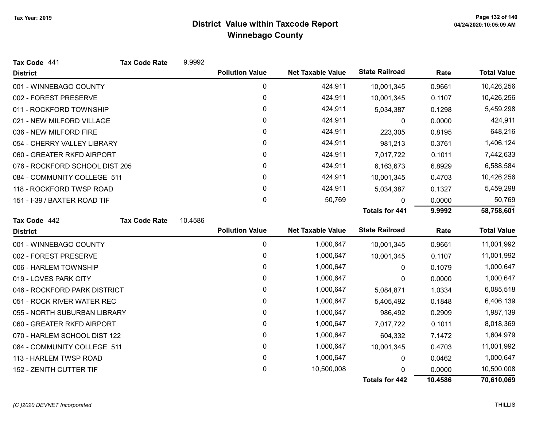| Tax Code 441                   | <b>Tax Code Rate</b> | 9.9992  |                        |                          |                       |        |                    |
|--------------------------------|----------------------|---------|------------------------|--------------------------|-----------------------|--------|--------------------|
| <b>District</b>                |                      |         | <b>Pollution Value</b> | <b>Net Taxable Value</b> | <b>State Railroad</b> | Rate   | <b>Total Value</b> |
| 001 - WINNEBAGO COUNTY         |                      |         | 0                      | 424,911                  | 10,001,345            | 0.9661 | 10,426,256         |
| 002 - FOREST PRESERVE          |                      |         | 0                      | 424,911                  | 10,001,345            | 0.1107 | 10,426,256         |
| 011 - ROCKFORD TOWNSHIP        |                      |         | 0                      | 424,911                  | 5,034,387             | 0.1298 | 5,459,298          |
| 021 - NEW MILFORD VILLAGE      |                      |         | 0                      | 424,911                  | 0                     | 0.0000 | 424,911            |
| 036 - NEW MILFORD FIRE         |                      |         | 0                      | 424,911                  | 223,305               | 0.8195 | 648,216            |
| 054 - CHERRY VALLEY LIBRARY    |                      |         | 0                      | 424,911                  | 981,213               | 0.3761 | 1,406,124          |
| 060 - GREATER RKFD AIRPORT     |                      |         | 0                      | 424,911                  | 7,017,722             | 0.1011 | 7,442,633          |
| 076 - ROCKFORD SCHOOL DIST 205 |                      |         | 0                      | 424,911                  | 6,163,673             | 6.8929 | 6,588,584          |
| 084 - COMMUNITY COLLEGE 511    |                      |         | 0                      | 424,911                  | 10,001,345            | 0.4703 | 10,426,256         |
| 118 - ROCKFORD TWSP ROAD       |                      |         | 0                      | 424,911                  | 5,034,387             | 0.1327 | 5,459,298          |
| 151 - I-39 / BAXTER ROAD TIF   |                      |         | 0                      | 50,769                   | $\mathbf{0}$          | 0.0000 | 50,769             |
|                                |                      |         |                        |                          | <b>Totals for 441</b> | 9.9992 | 58,758,601         |
| Tax Code 442                   | <b>Tax Code Rate</b> | 10.4586 |                        |                          |                       |        |                    |
| <b>District</b>                |                      |         | <b>Pollution Value</b> | <b>Net Taxable Value</b> | <b>State Railroad</b> | Rate   | <b>Total Value</b> |
| 001 - WINNEBAGO COUNTY         |                      |         | 0                      | 1,000,647                | 10,001,345            | 0.9661 | 11,001,992         |
| 002 - FOREST PRESERVE          |                      |         | 0                      | 1,000,647                | 10,001,345            | 0.1107 | 11,001,992         |
| 006 - HARLEM TOWNSHIP          |                      |         | 0                      | 1,000,647                | 0                     | 0.1079 | 1,000,647          |
| 019 - LOVES PARK CITY          |                      |         | 0                      | 1,000,647                | 0                     | 0.0000 | 1,000,647          |
| 046 - ROCKFORD PARK DISTRICT   |                      |         | 0                      | 1,000,647                | 5,084,871             | 1.0334 | 6,085,518          |
| 051 - ROCK RIVER WATER REC     |                      |         | 0                      | 1,000,647                | 5,405,492             | 0.1848 | 6,406,139          |
| 055 - NORTH SUBURBAN LIBRARY   |                      |         | 0                      | 1,000,647                | 986,492               | 0.2909 | 1,987,139          |
| 060 - GREATER RKFD AIRPORT     |                      |         | 0                      | 1,000,647                | 7,017,722             | 0.1011 | 8,018,369          |
| 070 - HARLEM SCHOOL DIST 122   |                      |         | 0                      | 1,000,647                | 604,332               | 7.1472 | 1,604,979          |
| 084 - COMMUNITY COLLEGE 511    |                      |         | 0                      | 1,000,647                | 10,001,345            | 0.4703 | 11,001,992         |
| 113 - HARLEM TWSP ROAD         |                      |         | 0                      | 1,000,647                | 0                     | 0.0462 | 1,000,647          |
| 152 - ZENITH CUTTER TIF        |                      |         | 0                      | 10,500,008               | 0                     | 0.0000 | 10,500,008         |
|                                |                      |         |                        |                          |                       |        |                    |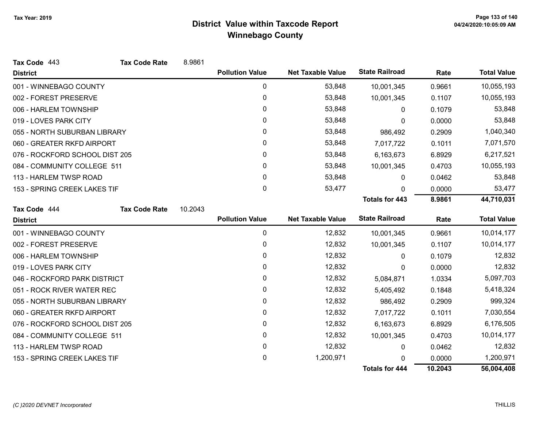| Tax Code 443                   | <b>Tax Code Rate</b> | 8.9861  |                        |                          |                       |         |                    |
|--------------------------------|----------------------|---------|------------------------|--------------------------|-----------------------|---------|--------------------|
| <b>District</b>                |                      |         | <b>Pollution Value</b> | <b>Net Taxable Value</b> | <b>State Railroad</b> | Rate    | <b>Total Value</b> |
| 001 - WINNEBAGO COUNTY         |                      |         | 0                      | 53,848                   | 10,001,345            | 0.9661  | 10,055,193         |
| 002 - FOREST PRESERVE          |                      |         | 0                      | 53,848                   | 10,001,345            | 0.1107  | 10,055,193         |
| 006 - HARLEM TOWNSHIP          |                      |         | 0                      | 53,848                   | 0                     | 0.1079  | 53,848             |
| 019 - LOVES PARK CITY          |                      |         | $\mathbf{0}$           | 53,848                   | 0                     | 0.0000  | 53,848             |
| 055 - NORTH SUBURBAN LIBRARY   |                      |         | $\mathbf{0}$           | 53,848                   | 986,492               | 0.2909  | 1,040,340          |
| 060 - GREATER RKFD AIRPORT     |                      |         | 0                      | 53,848                   | 7,017,722             | 0.1011  | 7,071,570          |
| 076 - ROCKFORD SCHOOL DIST 205 |                      |         | 0                      | 53,848                   | 6,163,673             | 6.8929  | 6,217,521          |
| 084 - COMMUNITY COLLEGE 511    |                      |         | 0                      | 53,848                   | 10,001,345            | 0.4703  | 10,055,193         |
| 113 - HARLEM TWSP ROAD         |                      |         | 0                      | 53,848                   | 0                     | 0.0462  | 53,848             |
| 153 - SPRING CREEK LAKES TIF   |                      |         | 0                      | 53,477                   | $\Omega$              | 0.0000  | 53,477             |
|                                |                      |         |                        |                          | <b>Totals for 443</b> | 8.9861  | 44,710,031         |
| Tax Code 444                   | <b>Tax Code Rate</b> | 10.2043 |                        |                          |                       |         |                    |
| <b>District</b>                |                      |         | <b>Pollution Value</b> | <b>Net Taxable Value</b> | <b>State Railroad</b> | Rate    | <b>Total Value</b> |
| 001 - WINNEBAGO COUNTY         |                      |         | $\pmb{0}$              | 12,832                   | 10,001,345            | 0.9661  | 10,014,177         |
| 002 - FOREST PRESERVE          |                      |         | 0                      | 12,832                   | 10,001,345            | 0.1107  | 10,014,177         |
| 006 - HARLEM TOWNSHIP          |                      |         | 0                      | 12,832                   | 0                     | 0.1079  | 12,832             |
| 019 - LOVES PARK CITY          |                      |         | $\mathbf{0}$           | 12,832                   | 0                     | 0.0000  | 12,832             |
| 046 - ROCKFORD PARK DISTRICT   |                      |         | 0                      | 12,832                   | 5,084,871             | 1.0334  | 5,097,703          |
| 051 - ROCK RIVER WATER REC     |                      |         | 0                      | 12,832                   | 5,405,492             | 0.1848  | 5,418,324          |
| 055 - NORTH SUBURBAN LIBRARY   |                      |         | 0                      | 12,832                   | 986,492               | 0.2909  | 999,324            |
| 060 - GREATER RKFD AIRPORT     |                      |         | 0                      | 12,832                   | 7,017,722             | 0.1011  | 7,030,554          |
| 076 - ROCKFORD SCHOOL DIST 205 |                      |         | 0                      | 12,832                   | 6,163,673             | 6.8929  | 6,176,505          |
| 084 - COMMUNITY COLLEGE 511    |                      |         | 0                      | 12,832                   | 10,001,345            | 0.4703  | 10,014,177         |
| 113 - HARLEM TWSP ROAD         |                      |         | 0                      | 12,832                   | 0                     | 0.0462  | 12,832             |
| 153 - SPRING CREEK LAKES TIF   |                      |         | 0                      | 1,200,971                | 0                     | 0.0000  | 1,200,971          |
|                                |                      |         |                        |                          | <b>Totals for 444</b> | 10.2043 | 56,004,408         |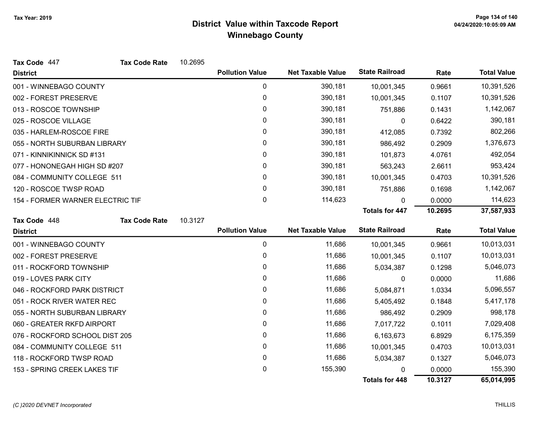| Tax Code 447                     | <b>Tax Code Rate</b> | 10.2695 |                        |                          |                       |         |                    |
|----------------------------------|----------------------|---------|------------------------|--------------------------|-----------------------|---------|--------------------|
| <b>District</b>                  |                      |         | <b>Pollution Value</b> | <b>Net Taxable Value</b> | <b>State Railroad</b> | Rate    | <b>Total Value</b> |
| 001 - WINNEBAGO COUNTY           |                      |         | 0                      | 390,181                  | 10,001,345            | 0.9661  | 10,391,526         |
| 002 - FOREST PRESERVE            |                      |         | $\mathbf 0$            | 390,181                  | 10,001,345            | 0.1107  | 10,391,526         |
| 013 - ROSCOE TOWNSHIP            |                      |         | 0                      | 390,181                  | 751,886               | 0.1431  | 1,142,067          |
| 025 - ROSCOE VILLAGE             |                      |         | $\mathbf{0}$           | 390,181                  | 0                     | 0.6422  | 390,181            |
| 035 - HARLEM-ROSCOE FIRE         |                      |         | 0                      | 390,181                  | 412,085               | 0.7392  | 802,266            |
| 055 - NORTH SUBURBAN LIBRARY     |                      |         | 0                      | 390,181                  | 986,492               | 0.2909  | 1,376,673          |
| 071 - KINNIKINNICK SD #131       |                      |         | 0                      | 390,181                  | 101,873               | 4.0761  | 492,054            |
| 077 - HONONEGAH HIGH SD #207     |                      |         | 0                      | 390,181                  | 563,243               | 2.6611  | 953,424            |
| 084 - COMMUNITY COLLEGE 511      |                      |         | 0                      | 390,181                  | 10,001,345            | 0.4703  | 10,391,526         |
| 120 - ROSCOE TWSP ROAD           |                      |         | 0                      | 390,181                  | 751,886               | 0.1698  | 1,142,067          |
| 154 - FORMER WARNER ELECTRIC TIF |                      |         | 0                      | 114,623                  | $\Omega$              | 0.0000  | 114,623            |
|                                  |                      |         |                        |                          | <b>Totals for 447</b> | 10.2695 | 37,587,933         |
| Tax Code 448                     | <b>Tax Code Rate</b> | 10.3127 |                        |                          |                       |         |                    |
| <b>District</b>                  |                      |         | <b>Pollution Value</b> | <b>Net Taxable Value</b> | <b>State Railroad</b> | Rate    | <b>Total Value</b> |
| 001 - WINNEBAGO COUNTY           |                      |         | 0                      | 11,686                   | 10,001,345            | 0.9661  | 10,013,031         |
| 002 - FOREST PRESERVE            |                      |         | 0                      | 11,686                   | 10,001,345            | 0.1107  | 10,013,031         |
| 011 - ROCKFORD TOWNSHIP          |                      |         | $\mathbf 0$            | 11,686                   | 5,034,387             | 0.1298  | 5,046,073          |
| 019 - LOVES PARK CITY            |                      |         | $\mathbf{0}$           | 11,686                   | 0                     | 0.0000  | 11,686             |
| 046 - ROCKFORD PARK DISTRICT     |                      |         | 0                      | 11,686                   | 5,084,871             | 1.0334  | 5,096,557          |
| 051 - ROCK RIVER WATER REC       |                      |         | 0                      | 11,686                   | 5,405,492             | 0.1848  | 5,417,178          |
| 055 - NORTH SUBURBAN LIBRARY     |                      |         | 0                      | 11,686                   | 986,492               | 0.2909  | 998,178            |
| 060 - GREATER RKFD AIRPORT       |                      |         | 0                      | 11,686                   | 7,017,722             | 0.1011  | 7,029,408          |
| 076 - ROCKFORD SCHOOL DIST 205   |                      |         | 0                      | 11,686                   | 6,163,673             | 6.8929  | 6,175,359          |
| 084 - COMMUNITY COLLEGE 511      |                      |         | 0                      | 11,686                   | 10,001,345            | 0.4703  | 10,013,031         |
| 118 - ROCKFORD TWSP ROAD         |                      |         | 0                      | 11,686                   | 5,034,387             | 0.1327  | 5,046,073          |
| 153 - SPRING CREEK LAKES TIF     |                      |         | 0                      | 155,390                  |                       | 0.0000  | 155,390            |
|                                  |                      |         |                        |                          | <b>Totals for 448</b> | 10.3127 | 65,014,995         |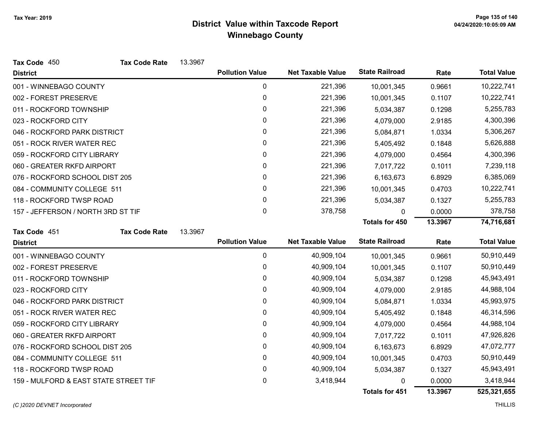| Tax Code 450                          | <b>Tax Code Rate</b> | 13.3967 |                        |                          |                       |         |                    |
|---------------------------------------|----------------------|---------|------------------------|--------------------------|-----------------------|---------|--------------------|
| <b>District</b>                       |                      |         | <b>Pollution Value</b> | <b>Net Taxable Value</b> | <b>State Railroad</b> | Rate    | <b>Total Value</b> |
| 001 - WINNEBAGO COUNTY                |                      |         | 0                      | 221,396                  | 10,001,345            | 0.9661  | 10,222,741         |
| 002 - FOREST PRESERVE                 |                      |         | 0                      | 221,396                  | 10,001,345            | 0.1107  | 10,222,741         |
| 011 - ROCKFORD TOWNSHIP               |                      |         | 0                      | 221,396                  | 5,034,387             | 0.1298  | 5,255,783          |
| 023 - ROCKFORD CITY                   |                      |         | 0                      | 221,396                  | 4,079,000             | 2.9185  | 4,300,396          |
| 046 - ROCKFORD PARK DISTRICT          |                      |         | 0                      | 221,396                  | 5,084,871             | 1.0334  | 5,306,267          |
| 051 - ROCK RIVER WATER REC            |                      |         | 0                      | 221,396                  | 5,405,492             | 0.1848  | 5,626,888          |
| 059 - ROCKFORD CITY LIBRARY           |                      |         | $\mathbf{0}$           | 221,396                  | 4,079,000             | 0.4564  | 4,300,396          |
| 060 - GREATER RKFD AIRPORT            |                      |         | 0                      | 221,396                  | 7,017,722             | 0.1011  | 7,239,118          |
| 076 - ROCKFORD SCHOOL DIST 205        |                      |         | $\mathbf{0}$           | 221,396                  | 6,163,673             | 6.8929  | 6,385,069          |
| 084 - COMMUNITY COLLEGE 511           |                      |         | 0                      | 221,396                  | 10,001,345            | 0.4703  | 10,222,741         |
| 118 - ROCKFORD TWSP ROAD              |                      |         | 0                      | 221,396                  | 5,034,387             | 0.1327  | 5,255,783          |
| 157 - JEFFERSON / NORTH 3RD ST TIF    |                      |         | $\mathbf 0$            | 378,758                  | 0                     | 0.0000  | 378,758            |
|                                       |                      |         |                        |                          | <b>Totals for 450</b> | 13.3967 | 74,716,681         |
| Tax Code 451                          | <b>Tax Code Rate</b> | 13.3967 |                        |                          |                       |         |                    |
| <b>District</b>                       |                      |         | <b>Pollution Value</b> | <b>Net Taxable Value</b> | <b>State Railroad</b> | Rate    | <b>Total Value</b> |
| 001 - WINNEBAGO COUNTY                |                      |         | $\pmb{0}$              | 40,909,104               | 10,001,345            | 0.9661  | 50,910,449         |
| 002 - FOREST PRESERVE                 |                      |         | 0                      | 40,909,104               | 10,001,345            | 0.1107  | 50,910,449         |
| 011 - ROCKFORD TOWNSHIP               |                      |         | 0                      | 40,909,104               | 5,034,387             | 0.1298  | 45,943,491         |
| 023 - ROCKFORD CITY                   |                      |         | 0                      | 40,909,104               | 4,079,000             | 2.9185  | 44,988,104         |
| 046 - ROCKFORD PARK DISTRICT          |                      |         | 0                      | 40,909,104               | 5,084,871             | 1.0334  | 45,993,975         |
| 051 - ROCK RIVER WATER REC            |                      |         | $\mathbf 0$            | 40,909,104               | 5,405,492             | 0.1848  | 46,314,596         |
| 059 - ROCKFORD CITY LIBRARY           |                      |         | 0                      | 40,909,104               | 4,079,000             | 0.4564  | 44,988,104         |
| 060 - GREATER RKFD AIRPORT            |                      |         | 0                      | 40,909,104               | 7,017,722             | 0.1011  | 47,926,826         |
| 076 - ROCKFORD SCHOOL DIST 205        |                      |         | 0                      | 40,909,104               | 6,163,673             | 6.8929  | 47,072,777         |
| 084 - COMMUNITY COLLEGE 511           |                      |         | 0                      | 40,909,104               | 10,001,345            | 0.4703  | 50,910,449         |
| 118 - ROCKFORD TWSP ROAD              |                      |         | 0                      | 40,909,104               | 5,034,387             | 0.1327  | 45,943,491         |
| 159 - MULFORD & EAST STATE STREET TIF |                      |         | $\mathbf 0$            | 3,418,944                | 0                     | 0.0000  | 3,418,944          |
|                                       |                      |         |                        |                          | <b>Totals for 451</b> | 13.3967 | 525,321,655        |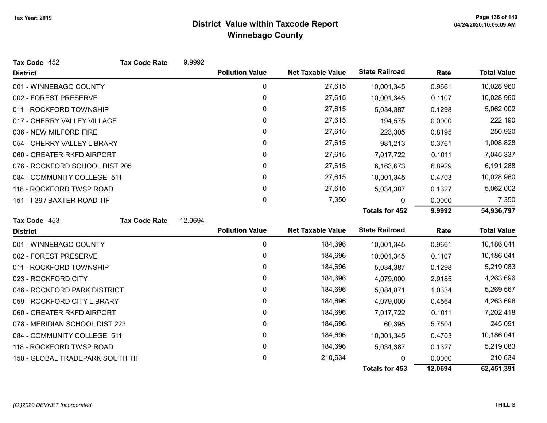| Tax Code 452                     | <b>Tax Code Rate</b> | 9.9992  |                        |                          |                       |         |                    |
|----------------------------------|----------------------|---------|------------------------|--------------------------|-----------------------|---------|--------------------|
| <b>District</b>                  |                      |         | <b>Pollution Value</b> | <b>Net Taxable Value</b> | <b>State Railroad</b> | Rate    | <b>Total Value</b> |
| 001 - WINNEBAGO COUNTY           |                      |         | 0                      | 27,615                   | 10,001,345            | 0.9661  | 10,028,960         |
| 002 - FOREST PRESERVE            |                      |         | 0                      | 27,615                   | 10,001,345            | 0.1107  | 10,028,960         |
| 011 - ROCKFORD TOWNSHIP          |                      |         | 0                      | 27,615                   | 5,034,387             | 0.1298  | 5,062,002          |
| 017 - CHERRY VALLEY VILLAGE      |                      |         | 0                      | 27,615                   | 194,575               | 0.0000  | 222,190            |
| 036 - NEW MILFORD FIRE           |                      |         | 0                      | 27,615                   | 223,305               | 0.8195  | 250,920            |
| 054 - CHERRY VALLEY LIBRARY      |                      |         | 0                      | 27,615                   | 981,213               | 0.3761  | 1,008,828          |
| 060 - GREATER RKFD AIRPORT       |                      |         | 0                      | 27,615                   | 7,017,722             | 0.1011  | 7,045,337          |
| 076 - ROCKFORD SCHOOL DIST 205   |                      |         | 0                      | 27,615                   | 6,163,673             | 6.8929  | 6,191,288          |
| 084 - COMMUNITY COLLEGE 511      |                      |         | 0                      | 27,615                   | 10,001,345            | 0.4703  | 10,028,960         |
| 118 - ROCKFORD TWSP ROAD         |                      |         | 0                      | 27,615                   | 5,034,387             | 0.1327  | 5,062,002          |
| 151 - I-39 / BAXTER ROAD TIF     |                      |         | 0                      | 7,350                    | 0                     | 0.0000  | 7,350              |
|                                  |                      |         |                        |                          | <b>Totals for 452</b> | 9.9992  | 54,936,797         |
| Tax Code 453                     | <b>Tax Code Rate</b> | 12.0694 |                        |                          |                       |         |                    |
| <b>District</b>                  |                      |         | <b>Pollution Value</b> | <b>Net Taxable Value</b> | <b>State Railroad</b> | Rate    | <b>Total Value</b> |
| 001 - WINNEBAGO COUNTY           |                      |         | 0                      | 184,696                  | 10,001,345            | 0.9661  | 10,186,041         |
| 002 - FOREST PRESERVE            |                      |         | 0                      | 184,696                  | 10,001,345            | 0.1107  | 10,186,041         |
| 011 - ROCKFORD TOWNSHIP          |                      |         | 0                      | 184,696                  | 5,034,387             | 0.1298  | 5,219,083          |
| 023 - ROCKFORD CITY              |                      |         | 0                      | 184,696                  | 4,079,000             | 2.9185  | 4,263,696          |
| 046 - ROCKFORD PARK DISTRICT     |                      |         | 0                      | 184,696                  | 5,084,871             | 1.0334  | 5,269,567          |
| 059 - ROCKFORD CITY LIBRARY      |                      |         | 0                      | 184,696                  | 4,079,000             | 0.4564  | 4,263,696          |
| 060 - GREATER RKFD AIRPORT       |                      |         | 0                      | 184,696                  | 7,017,722             | 0.1011  | 7,202,418          |
| 078 - MERIDIAN SCHOOL DIST 223   |                      | 0       | 184,696                | 60,395                   | 5.7504                | 245,091 |                    |
| 084 - COMMUNITY COLLEGE 511      |                      |         | 0                      | 184,696                  | 10,001,345            | 0.4703  | 10,186,041         |
| 118 - ROCKFORD TWSP ROAD         |                      |         | 0                      | 184,696                  | 5,034,387             | 0.1327  | 5,219,083          |
| 150 - GLOBAL TRADEPARK SOUTH TIF |                      |         | 0                      | 210,634                  | <sup>0</sup>          | 0.0000  | 210,634            |
|                                  |                      |         |                        |                          | <b>Totals for 453</b> | 12.0694 | 62,451,391         |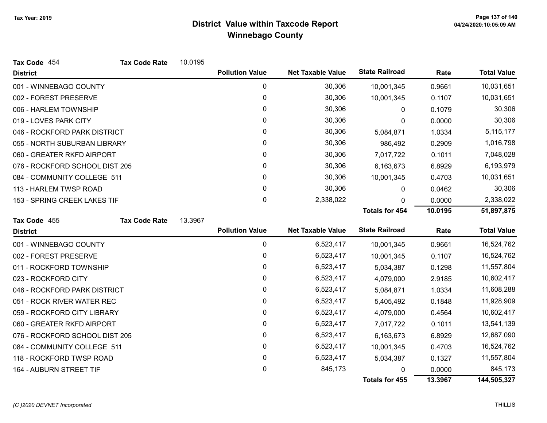| Tax Code 454                   | <b>Tax Code Rate</b> | 10.0195 |                        |                          |                       |         |                    |
|--------------------------------|----------------------|---------|------------------------|--------------------------|-----------------------|---------|--------------------|
| <b>District</b>                |                      |         | <b>Pollution Value</b> | <b>Net Taxable Value</b> | <b>State Railroad</b> | Rate    | <b>Total Value</b> |
| 001 - WINNEBAGO COUNTY         |                      |         | 0                      | 30,306                   | 10,001,345            | 0.9661  | 10,031,651         |
| 002 - FOREST PRESERVE          |                      |         | 0                      | 30,306                   | 10,001,345            | 0.1107  | 10,031,651         |
| 006 - HARLEM TOWNSHIP          |                      |         | 0                      | 30,306                   | 0                     | 0.1079  | 30,306             |
| 019 - LOVES PARK CITY          |                      |         | 0                      | 30,306                   | 0                     | 0.0000  | 30,306             |
| 046 - ROCKFORD PARK DISTRICT   |                      |         | 0                      | 30,306                   | 5,084,871             | 1.0334  | 5,115,177          |
| 055 - NORTH SUBURBAN LIBRARY   |                      |         | 0                      | 30,306                   | 986,492               | 0.2909  | 1,016,798          |
| 060 - GREATER RKFD AIRPORT     |                      |         | 0                      | 30,306                   | 7,017,722             | 0.1011  | 7,048,028          |
| 076 - ROCKFORD SCHOOL DIST 205 |                      |         | 0                      | 30,306                   | 6,163,673             | 6.8929  | 6,193,979          |
| 084 - COMMUNITY COLLEGE 511    |                      |         | 0                      | 30,306                   | 10,001,345            | 0.4703  | 10,031,651         |
| 113 - HARLEM TWSP ROAD         |                      |         | 0                      | 30,306                   | 0                     | 0.0462  | 30,306             |
| 153 - SPRING CREEK LAKES TIF   |                      |         | 0                      | 2,338,022                | 0                     | 0.0000  | 2,338,022          |
|                                |                      |         |                        |                          | <b>Totals for 454</b> | 10.0195 | 51,897,875         |
| Tax Code 455                   | <b>Tax Code Rate</b> | 13.3967 |                        |                          |                       |         |                    |
| <b>District</b>                |                      |         | <b>Pollution Value</b> | <b>Net Taxable Value</b> | <b>State Railroad</b> | Rate    | <b>Total Value</b> |
| 001 - WINNEBAGO COUNTY         |                      |         | 0                      | 6,523,417                | 10,001,345            | 0.9661  | 16,524,762         |
| 002 - FOREST PRESERVE          |                      |         | 0                      | 6,523,417                | 10,001,345            | 0.1107  | 16,524,762         |
| 011 - ROCKFORD TOWNSHIP        |                      |         | 0                      | 6,523,417                | 5,034,387             | 0.1298  | 11,557,804         |
| 023 - ROCKFORD CITY            |                      |         | 0                      | 6,523,417                | 4,079,000             | 2.9185  | 10,602,417         |
| 046 - ROCKFORD PARK DISTRICT   |                      |         | 0                      | 6,523,417                | 5,084,871             | 1.0334  | 11,608,288         |
| 051 - ROCK RIVER WATER REC     |                      |         | 0                      | 6,523,417                | 5,405,492             | 0.1848  | 11,928,909         |
| 059 - ROCKFORD CITY LIBRARY    |                      |         | $\mathbf{0}$           | 6,523,417                | 4,079,000             | 0.4564  | 10,602,417         |
| 060 - GREATER RKFD AIRPORT     |                      |         | 0                      | 6,523,417                | 7,017,722             | 0.1011  | 13,541,139         |
| 076 - ROCKFORD SCHOOL DIST 205 |                      |         | 0                      | 6,523,417                | 6,163,673             | 6.8929  | 12,687,090         |
| 084 - COMMUNITY COLLEGE 511    |                      |         | 0                      | 6,523,417                | 10,001,345            | 0.4703  | 16,524,762         |
| 118 - ROCKFORD TWSP ROAD       |                      |         | 0                      | 6,523,417                | 5,034,387             | 0.1327  | 11,557,804         |
| 164 - AUBURN STREET TIF        |                      |         | 0                      | 845,173                  |                       | 0.0000  | 845,173            |
|                                |                      |         |                        |                          |                       |         |                    |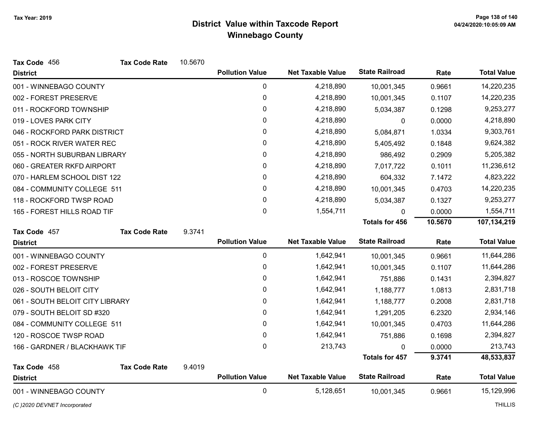| Tax Code 456                    | <b>Tax Code Rate</b> | 10.5670 |                        |                          |                       |         |                    |
|---------------------------------|----------------------|---------|------------------------|--------------------------|-----------------------|---------|--------------------|
| <b>District</b>                 |                      |         | <b>Pollution Value</b> | <b>Net Taxable Value</b> | <b>State Railroad</b> | Rate    | <b>Total Value</b> |
| 001 - WINNEBAGO COUNTY          |                      |         | 0                      | 4,218,890                | 10,001,345            | 0.9661  | 14,220,235         |
| 002 - FOREST PRESERVE           |                      |         | $\mathbf 0$            | 4,218,890                | 10,001,345            | 0.1107  | 14,220,235         |
| 011 - ROCKFORD TOWNSHIP         |                      |         | 0                      | 4,218,890                | 5,034,387             | 0.1298  | 9,253,277          |
| 019 - LOVES PARK CITY           |                      |         | 0                      | 4,218,890                | 0                     | 0.0000  | 4,218,890          |
| 046 - ROCKFORD PARK DISTRICT    |                      |         | 0                      | 4,218,890                | 5,084,871             | 1.0334  | 9,303,761          |
| 051 - ROCK RIVER WATER REC      |                      |         | 0                      | 4,218,890                | 5,405,492             | 0.1848  | 9,624,382          |
| 055 - NORTH SUBURBAN LIBRARY    |                      |         | 0                      | 4,218,890                | 986,492               | 0.2909  | 5,205,382          |
| 060 - GREATER RKFD AIRPORT      |                      |         | 0                      | 4,218,890                | 7,017,722             | 0.1011  | 11,236,612         |
| 070 - HARLEM SCHOOL DIST 122    |                      |         | 0                      | 4,218,890                | 604,332               | 7.1472  | 4,823,222          |
| 084 - COMMUNITY COLLEGE 511     |                      |         | 0                      | 4,218,890                | 10,001,345            | 0.4703  | 14,220,235         |
| 118 - ROCKFORD TWSP ROAD        |                      |         | 0                      | 4,218,890                | 5,034,387             | 0.1327  | 9,253,277          |
| 165 - FOREST HILLS ROAD TIF     |                      |         | 0                      | 1,554,711                | 0                     | 0.0000  | 1,554,711          |
|                                 |                      |         |                        |                          | <b>Totals for 456</b> | 10.5670 | 107,134,219        |
| Tax Code 457                    | <b>Tax Code Rate</b> | 9.3741  |                        |                          |                       |         |                    |
| <b>District</b>                 |                      |         | <b>Pollution Value</b> | <b>Net Taxable Value</b> | <b>State Railroad</b> | Rate    | <b>Total Value</b> |
| 001 - WINNEBAGO COUNTY          |                      |         | 0                      | 1,642,941                | 10,001,345            | 0.9661  | 11,644,286         |
| 002 - FOREST PRESERVE           |                      |         | 0                      | 1,642,941                | 10,001,345            | 0.1107  | 11,644,286         |
| 013 - ROSCOE TOWNSHIP           |                      |         | 0                      | 1,642,941                | 751,886               | 0.1431  | 2,394,827          |
| 026 - SOUTH BELOIT CITY         |                      |         | 0                      | 1,642,941                | 1,188,777             | 1.0813  | 2,831,718          |
| 061 - SOUTH BELOIT CITY LIBRARY |                      |         | 0                      | 1,642,941                | 1,188,777             | 0.2008  | 2,831,718          |
| 079 - SOUTH BELOIT SD #320      |                      |         | 0                      | 1,642,941                | 1,291,205             | 6.2320  | 2,934,146          |
| 084 - COMMUNITY COLLEGE 511     |                      |         | 0                      | 1,642,941                | 10,001,345            | 0.4703  | 11,644,286         |
| 120 - ROSCOE TWSP ROAD          |                      |         | 0                      | 1,642,941                | 751,886               | 0.1698  | 2,394,827          |
| 166 - GARDNER / BLACKHAWK TIF   |                      |         | 0                      | 213,743                  | <sup>0</sup>          | 0.0000  | 213,743            |
|                                 |                      |         |                        |                          | <b>Totals for 457</b> | 9.3741  | 48,533,837         |
| Tax Code 458                    | <b>Tax Code Rate</b> | 9.4019  |                        |                          |                       |         |                    |
| <b>District</b>                 |                      |         | <b>Pollution Value</b> | <b>Net Taxable Value</b> | <b>State Railroad</b> | Rate    | <b>Total Value</b> |
| 001 - WINNEBAGO COUNTY          |                      |         | $\mathbf 0$            | 5,128,651                | 10,001,345            | 0.9661  | 15,129,996         |

(C)2020 DEVNET Incorporated THILLIS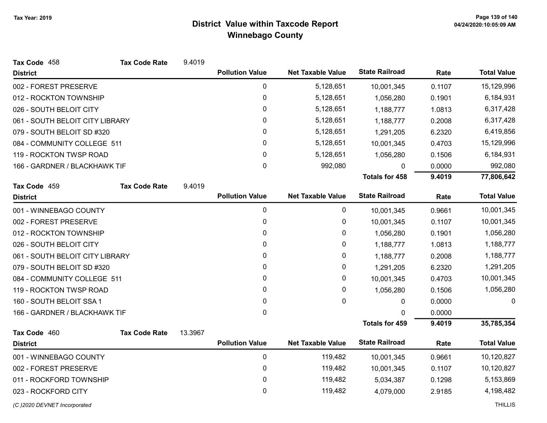| Tax Code 458                    | <b>Tax Code Rate</b> | 9.4019  |                        |                          |                       |        |                    |
|---------------------------------|----------------------|---------|------------------------|--------------------------|-----------------------|--------|--------------------|
| <b>District</b>                 |                      |         | <b>Pollution Value</b> | <b>Net Taxable Value</b> | <b>State Railroad</b> | Rate   | <b>Total Value</b> |
| 002 - FOREST PRESERVE           |                      |         | 0                      | 5,128,651                | 10,001,345            | 0.1107 | 15,129,996         |
| 012 - ROCKTON TOWNSHIP          |                      |         | 0                      | 5,128,651                | 1,056,280             | 0.1901 | 6,184,931          |
| 026 - SOUTH BELOIT CITY         |                      |         | 0                      | 5,128,651                | 1,188,777             | 1.0813 | 6,317,428          |
| 061 - SOUTH BELOIT CITY LIBRARY |                      |         | 0                      | 5,128,651                | 1,188,777             | 0.2008 | 6,317,428          |
| 079 - SOUTH BELOIT SD #320      |                      |         | 0                      | 5,128,651                | 1,291,205             | 6.2320 | 6,419,856          |
| 084 - COMMUNITY COLLEGE 511     |                      |         | 0                      | 5,128,651                | 10,001,345            | 0.4703 | 15,129,996         |
| 119 - ROCKTON TWSP ROAD         |                      |         | 0                      | 5,128,651                | 1,056,280             | 0.1506 | 6,184,931          |
| 166 - GARDNER / BLACKHAWK TIF   |                      |         | $\mathbf 0$            | 992,080                  | $\mathbf{0}$          | 0.0000 | 992,080            |
|                                 |                      |         |                        |                          | <b>Totals for 458</b> | 9.4019 | 77,806,642         |
| Tax Code 459                    | <b>Tax Code Rate</b> | 9.4019  |                        |                          |                       |        |                    |
| <b>District</b>                 |                      |         | <b>Pollution Value</b> | <b>Net Taxable Value</b> | <b>State Railroad</b> | Rate   | <b>Total Value</b> |
| 001 - WINNEBAGO COUNTY          |                      |         | 0                      | 0                        | 10,001,345            | 0.9661 | 10,001,345         |
| 002 - FOREST PRESERVE           |                      |         | $\pmb{0}$              | 0                        | 10,001,345            | 0.1107 | 10,001,345         |
| 012 - ROCKTON TOWNSHIP          |                      |         | 0                      | 0                        | 1,056,280             | 0.1901 | 1,056,280          |
| 026 - SOUTH BELOIT CITY         |                      |         | 0                      | 0                        | 1,188,777             | 1.0813 | 1,188,777          |
| 061 - SOUTH BELOIT CITY LIBRARY |                      |         | 0                      | 0                        | 1,188,777             | 0.2008 | 1,188,777          |
| 079 - SOUTH BELOIT SD #320      |                      |         | 0                      | 0                        | 1,291,205             | 6.2320 | 1,291,205          |
| 084 - COMMUNITY COLLEGE 511     |                      |         | 0                      | 0                        | 10,001,345            | 0.4703 | 10,001,345         |
| 119 - ROCKTON TWSP ROAD         |                      |         | 0                      | 0                        | 1,056,280             | 0.1506 | 1,056,280          |
| 160 - SOUTH BELOIT SSA 1        |                      |         | 0                      | 0                        | 0                     | 0.0000 | 0                  |
| 166 - GARDNER / BLACKHAWK TIF   |                      |         | 0                      |                          | $\Omega$              | 0.0000 |                    |
|                                 |                      |         |                        |                          | <b>Totals for 459</b> | 9.4019 | 35,785,354         |
| Tax Code 460                    | <b>Tax Code Rate</b> | 13.3967 |                        |                          |                       |        |                    |
| <b>District</b>                 |                      |         | <b>Pollution Value</b> | <b>Net Taxable Value</b> | <b>State Railroad</b> | Rate   | <b>Total Value</b> |
| 001 - WINNEBAGO COUNTY          |                      |         | 0                      | 119,482                  | 10,001,345            | 0.9661 | 10,120,827         |
| 002 - FOREST PRESERVE           |                      |         | 0                      | 119,482                  | 10,001,345            | 0.1107 | 10,120,827         |
| 011 - ROCKFORD TOWNSHIP         |                      |         | 0                      | 119,482                  | 5,034,387             | 0.1298 | 5,153,869          |
| 023 - ROCKFORD CITY             |                      |         | 0                      | 119,482                  | 4,079,000             | 2.9185 | 4,198,482          |
| (C) 2020 DEVNET Incorporated    |                      |         |                        |                          |                       |        | <b>THILLIS</b>     |